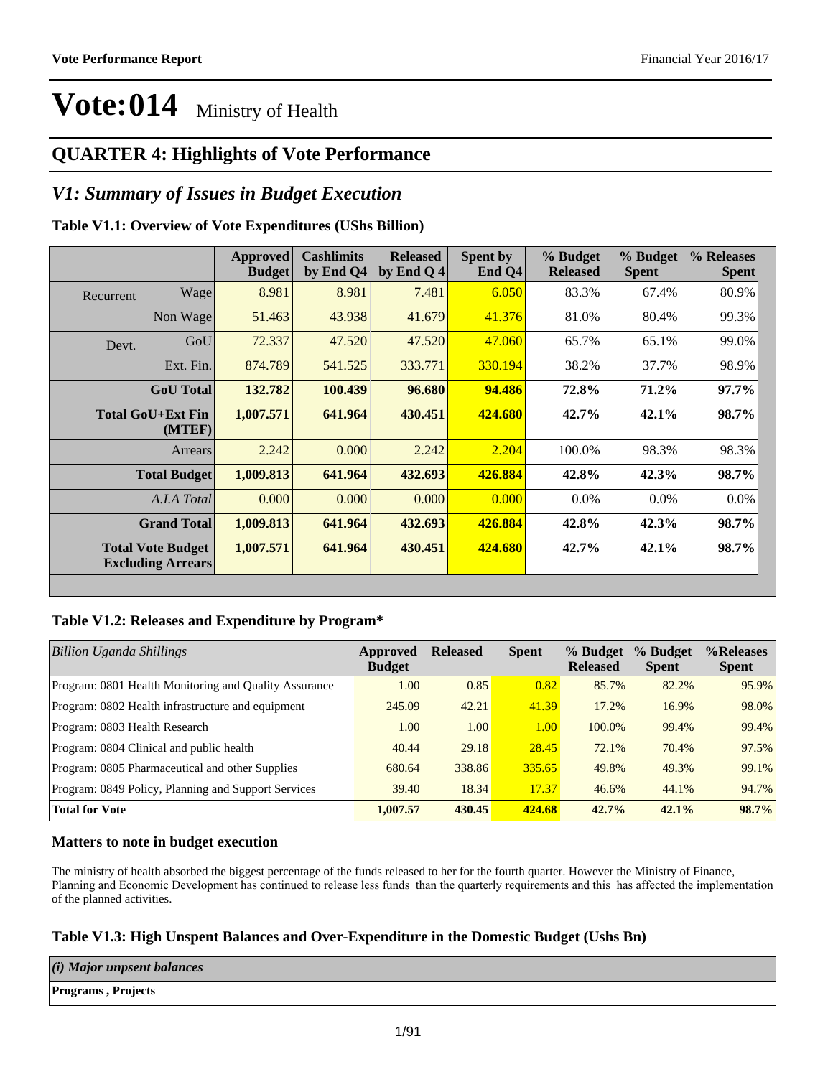### **QUARTER 4: Highlights of Vote Performance**

### *V1: Summary of Issues in Budget Execution*

### **Table V1.1: Overview of Vote Expenditures (UShs Billion)**

|           |                                                      | <b>Approved</b><br><b>Budget</b> | <b>Cashlimits</b><br>by End Q4 | <b>Released</b><br>by End Q 4 | Spent by<br>End $Q4$ | % Budget<br><b>Released</b> | % Budget<br><b>Spent</b> | % Releases<br><b>Spent</b> |
|-----------|------------------------------------------------------|----------------------------------|--------------------------------|-------------------------------|----------------------|-----------------------------|--------------------------|----------------------------|
| Recurrent | Wage                                                 | 8.981                            | 8.981                          | 7.481                         | 6.050                | 83.3%                       | 67.4%                    | 80.9%                      |
|           | Non Wage                                             | 51.463                           | 43.938                         | 41.679                        | 41.376               | 81.0%                       | 80.4%                    | 99.3%                      |
| Devt.     | GoU                                                  | 72.337                           | 47.520                         | 47.520                        | 47.060               | 65.7%                       | 65.1%                    | 99.0%                      |
|           | Ext. Fin.                                            | 874.789                          | 541.525                        | 333.771                       | 330.194              | 38.2%                       | 37.7%                    | 98.9%                      |
|           | <b>GoU</b> Total                                     | 132.782                          | 100.439                        | 96.680                        | 94.486               | 72.8%                       | 71.2%                    | $97.7\%$                   |
|           | Total GoU+Ext Fin<br>(MTEF)                          | 1,007.571                        | 641.964                        | 430.451                       | 424.680              | 42.7%                       | 42.1%                    | 98.7%                      |
|           | Arrears                                              | 2.242                            | 0.000                          | 2.242                         | 2.204                | 100.0%                      | 98.3%                    | 98.3%                      |
|           | <b>Total Budget</b>                                  | 1,009.813                        | 641.964                        | 432.693                       | 426.884              | 42.8%                       | 42.3%                    | 98.7%                      |
|           | A.I.A Total                                          | 0.000                            | 0.000                          | 0.000                         | 0.000                | $0.0\%$                     | $0.0\%$                  | $0.0\%$                    |
|           | <b>Grand Total</b>                                   | 1,009.813                        | 641.964                        | 432.693                       | 426.884              | 42.8%                       | 42.3%                    | 98.7%                      |
|           | <b>Total Vote Budget</b><br><b>Excluding Arrears</b> | 1,007.571                        | 641.964                        | 430.451                       | 424.680              | 42.7%                       | 42.1%                    | 98.7%                      |

### **Table V1.2: Releases and Expenditure by Program\***

| Billion Uganda Shillings                              | Approved<br><b>Budget</b> | <b>Released</b> | <b>Spent</b> | % Budget<br><b>Released</b> | % Budget<br><b>Spent</b> | %Releases<br><b>Spent</b> |
|-------------------------------------------------------|---------------------------|-----------------|--------------|-----------------------------|--------------------------|---------------------------|
| Program: 0801 Health Monitoring and Quality Assurance | 1.00                      | 0.85            | 0.82         | 85.7%                       | 82.2%                    | 95.9%                     |
| Program: 0802 Health infrastructure and equipment     | 245.09                    | 42.21           | 41.39        | 17.2%                       | 16.9%                    | 98.0%                     |
| Program: 0803 Health Research                         | 1.00                      | 1.00            | 1.00         | 100.0%                      | 99.4%                    | 99.4%                     |
| Program: 0804 Clinical and public health              | 40.44                     | 29.18           | 28.45        | 72.1%                       | 70.4%                    | 97.5%                     |
| Program: 0805 Pharmaceutical and other Supplies       | 680.64                    | 338.86          | 335.65       | 49.8%                       | 49.3%                    | 99.1%                     |
| Program: 0849 Policy, Planning and Support Services   | 39.40                     | 18.34           | 17.37        | 46.6%                       | 44.1%                    | 94.7%                     |
| <b>Total for Vote</b>                                 | 1,007.57                  | 430.45          | 424.68       | 42.7%                       | 42.1%                    | 98.7%                     |

#### **Matters to note in budget execution**

The ministry of health absorbed the biggest percentage of the funds released to her for the fourth quarter. However the Ministry of Finance, Planning and Economic Development has continued to release less funds than the quarterly requirements and this has affected the implementation of the planned activities.

### **Table V1.3: High Unspent Balances and Over-Expenditure in the Domestic Budget (Ushs Bn)**

| (i) Major unpsent balances |  |
|----------------------------|--|
| Programs, Projects         |  |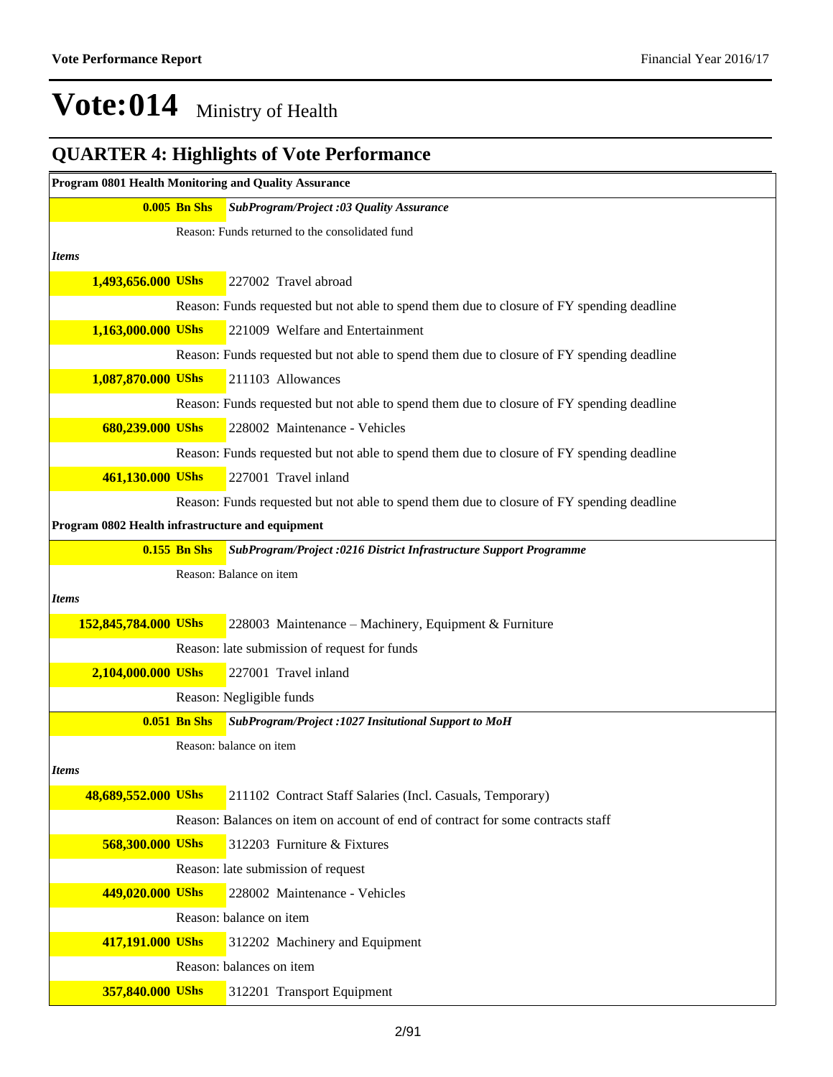|                                                  |                     | <b>Program 0801 Health Monitoring and Quality Assurance</b>                               |
|--------------------------------------------------|---------------------|-------------------------------------------------------------------------------------------|
|                                                  | $0.005$ Bn Shs      | SubProgram/Project :03 Quality Assurance                                                  |
|                                                  |                     | Reason: Funds returned to the consolidated fund                                           |
| <b>Items</b>                                     |                     |                                                                                           |
| 1,493,656.000 UShs                               |                     | 227002 Travel abroad                                                                      |
|                                                  |                     | Reason: Funds requested but not able to spend them due to closure of FY spending deadline |
| 1,163,000.000 UShs                               |                     | 221009 Welfare and Entertainment                                                          |
|                                                  |                     | Reason: Funds requested but not able to spend them due to closure of FY spending deadline |
| 1,087,870.000 UShs                               |                     | 211103 Allowances                                                                         |
|                                                  |                     | Reason: Funds requested but not able to spend them due to closure of FY spending deadline |
| 680,239.000 UShs                                 |                     | 228002 Maintenance - Vehicles                                                             |
|                                                  |                     | Reason: Funds requested but not able to spend them due to closure of FY spending deadline |
| 461,130.000 UShs                                 |                     | 227001 Travel inland                                                                      |
|                                                  |                     | Reason: Funds requested but not able to spend them due to closure of FY spending deadline |
| Program 0802 Health infrastructure and equipment |                     |                                                                                           |
|                                                  | <b>0.155 Bn Shs</b> | SubProgram/Project:0216 District Infrastructure Support Programme                         |
|                                                  |                     | Reason: Balance on item                                                                   |
| Items                                            |                     |                                                                                           |
| 152,845,784.000 UShs                             |                     | 228003 Maintenance - Machinery, Equipment & Furniture                                     |
|                                                  |                     | Reason: late submission of request for funds                                              |
| 2,104,000.000 UShs                               |                     | 227001 Travel inland                                                                      |
|                                                  |                     | Reason: Negligible funds                                                                  |
|                                                  | 0.051 Bn Shs        | SubProgram/Project: 1027 Insitutional Support to MoH                                      |
|                                                  |                     | Reason: balance on item                                                                   |
| Items                                            |                     |                                                                                           |
| 48,689,552.000 UShs                              |                     | 211102 Contract Staff Salaries (Incl. Casuals, Temporary)                                 |
|                                                  |                     | Reason: Balances on item on account of end of contract for some contracts staff           |
| 568,300.000 UShs                                 |                     | 312203 Furniture & Fixtures                                                               |
|                                                  |                     | Reason: late submission of request                                                        |
| 449,020.000 UShs                                 |                     | 228002 Maintenance - Vehicles                                                             |
|                                                  |                     | Reason: balance on item                                                                   |
| 417,191.000 UShs                                 |                     | 312202 Machinery and Equipment                                                            |
|                                                  |                     | Reason: balances on item                                                                  |
| 357,840.000 UShs                                 |                     | 312201 Transport Equipment                                                                |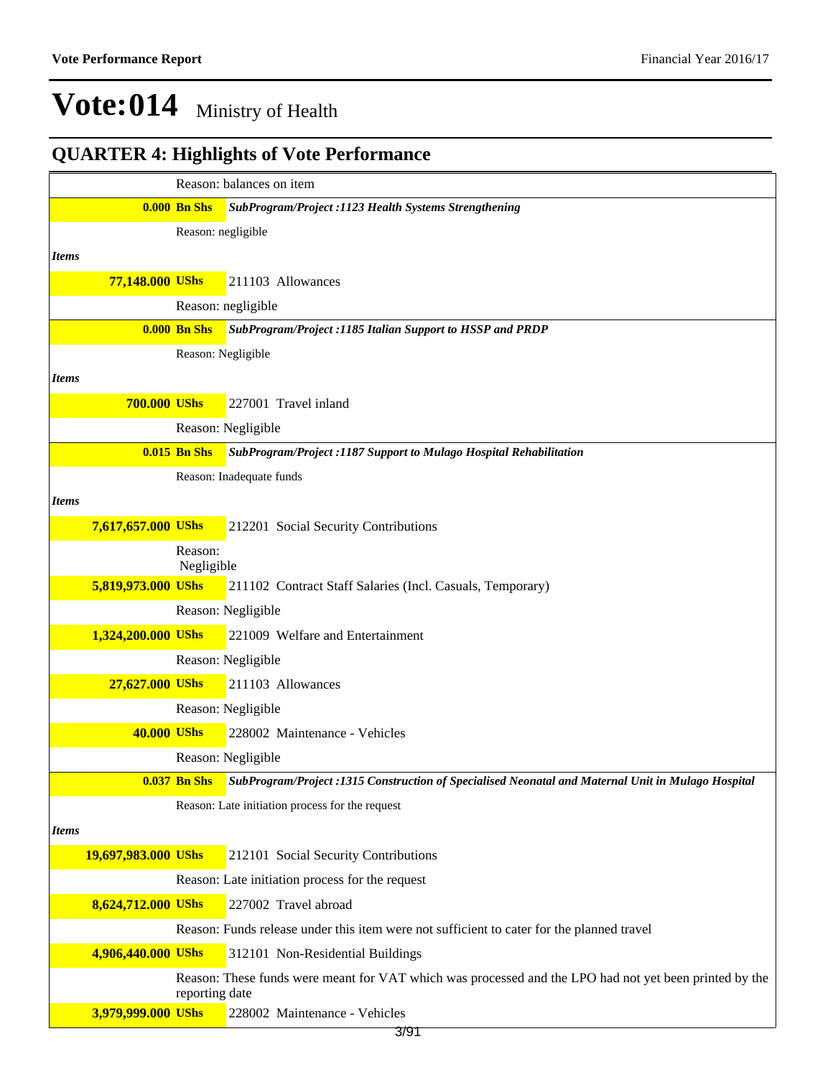|              |                     |                     | Reason: balances on item                                                                                               |
|--------------|---------------------|---------------------|------------------------------------------------------------------------------------------------------------------------|
|              |                     | <b>0.000 Bn Shs</b> | SubProgram/Project: 1123 Health Systems Strengthening                                                                  |
|              |                     | Reason: negligible  |                                                                                                                        |
| <b>Items</b> |                     |                     |                                                                                                                        |
|              | 77,148.000 UShs     |                     | 211103 Allowances                                                                                                      |
|              |                     |                     | Reason: negligible                                                                                                     |
|              |                     | <b>0.000 Bn Shs</b> | SubProgram/Project :1185 Italian Support to HSSP and PRDP                                                              |
|              |                     | Reason: Negligible  |                                                                                                                        |
| <b>Items</b> |                     |                     |                                                                                                                        |
|              | <b>700.000 UShs</b> |                     | 227001 Travel inland                                                                                                   |
|              |                     |                     | Reason: Negligible                                                                                                     |
|              |                     | $0.015$ Bn Shs      | SubProgram/Project :1187 Support to Mulago Hospital Rehabilitation                                                     |
|              |                     |                     | Reason: Inadequate funds                                                                                               |
| <b>Items</b> |                     |                     |                                                                                                                        |
|              | 7,617,657.000 UShs  |                     | 212201 Social Security Contributions                                                                                   |
|              |                     | Reason:             |                                                                                                                        |
|              | 5,819,973.000 UShs  | Negligible          | 211102 Contract Staff Salaries (Incl. Casuals, Temporary)                                                              |
|              |                     |                     | Reason: Negligible                                                                                                     |
|              | 1,324,200.000 UShs  |                     | 221009 Welfare and Entertainment                                                                                       |
|              |                     |                     | Reason: Negligible                                                                                                     |
|              | 27,627.000 UShs     |                     | 211103 Allowances                                                                                                      |
|              |                     |                     | Reason: Negligible                                                                                                     |
|              | <b>40.000 UShs</b>  |                     | 228002 Maintenance - Vehicles                                                                                          |
|              |                     |                     | Reason: Negligible                                                                                                     |
|              |                     |                     | <b>0.037 Bn Shs</b> SubProgram/Project :1315 Construction of Specialised Neonatal and Maternal Unit in Mulago Hospital |
|              |                     |                     | Reason: Late initiation process for the request                                                                        |
| <b>Items</b> |                     |                     |                                                                                                                        |
|              | 19,697,983.000 UShs |                     | 212101 Social Security Contributions                                                                                   |
|              |                     |                     | Reason: Late initiation process for the request                                                                        |
|              | 8,624,712.000 UShs  |                     | 227002 Travel abroad                                                                                                   |
|              |                     |                     | Reason: Funds release under this item were not sufficient to cater for the planned travel                              |
|              | 4,906,440.000 UShs  |                     | 312101 Non-Residential Buildings                                                                                       |
|              |                     |                     | Reason: These funds were meant for VAT which was processed and the LPO had not yet been printed by the                 |
|              |                     | reporting date      |                                                                                                                        |
|              | 3,979,999.000 UShs  |                     | 228002 Maintenance - Vehicles<br>3/91                                                                                  |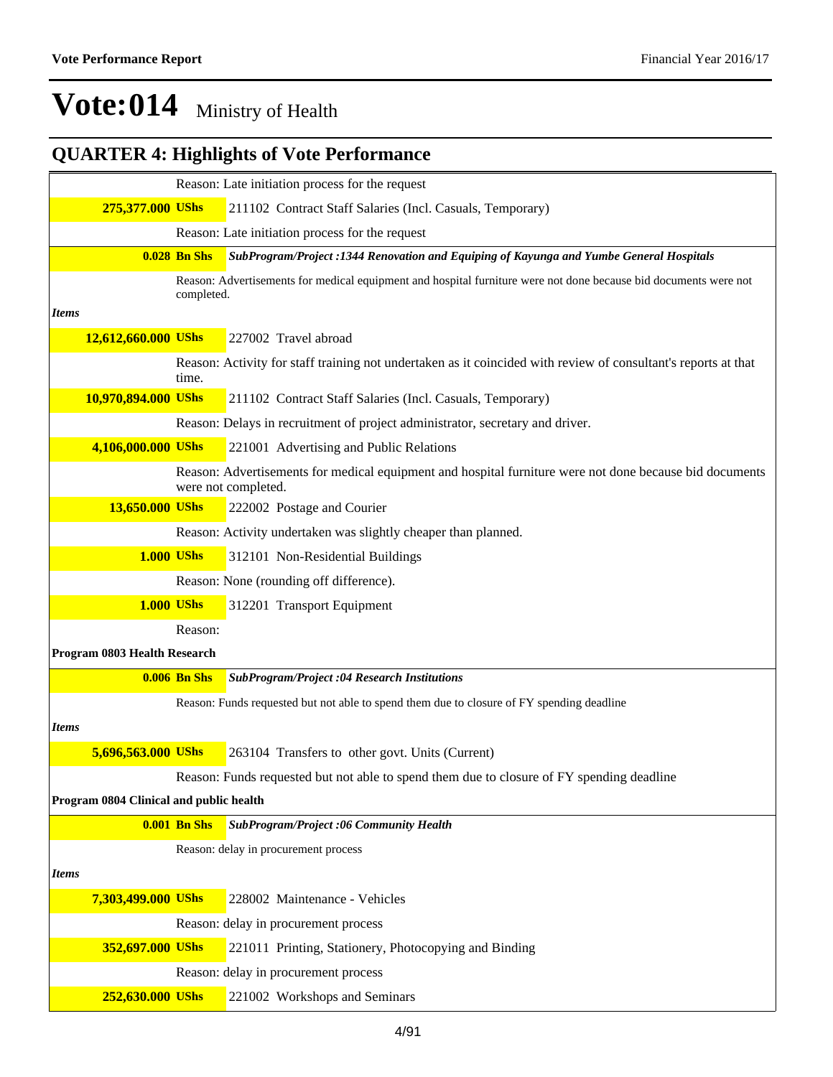|                                         |                     | <b>QUARTER 4: Highlights of Vote Performance</b>                                                                               |
|-----------------------------------------|---------------------|--------------------------------------------------------------------------------------------------------------------------------|
|                                         |                     | Reason: Late initiation process for the request                                                                                |
| 275,377.000 UShs                        |                     | 211102 Contract Staff Salaries (Incl. Casuals, Temporary)                                                                      |
|                                         |                     | Reason: Late initiation process for the request                                                                                |
|                                         | <b>0.028 Bn Shs</b> | SubProgram/Project: 1344 Renovation and Equiping of Kayunga and Yumbe General Hospitals                                        |
|                                         | completed.          | Reason: Advertisements for medical equipment and hospital furniture were not done because bid documents were not               |
| <i>Items</i>                            |                     |                                                                                                                                |
| 12,612,660.000 UShs                     |                     | 227002 Travel abroad                                                                                                           |
|                                         | time.               | Reason: Activity for staff training not undertaken as it coincided with review of consultant's reports at that                 |
| 10,970,894.000 UShs                     |                     | 211102 Contract Staff Salaries (Incl. Casuals, Temporary)                                                                      |
|                                         |                     | Reason: Delays in recruitment of project administrator, secretary and driver.                                                  |
| 4,106,000.000 UShs                      |                     | 221001 Advertising and Public Relations                                                                                        |
|                                         |                     | Reason: Advertisements for medical equipment and hospital furniture were not done because bid documents<br>were not completed. |
| 13,650.000 UShs                         |                     | 222002 Postage and Courier                                                                                                     |
|                                         |                     | Reason: Activity undertaken was slightly cheaper than planned.                                                                 |
| <b>1.000 UShs</b>                       |                     | 312101 Non-Residential Buildings                                                                                               |
|                                         |                     | Reason: None (rounding off difference).                                                                                        |
| <b>1.000 UShs</b>                       |                     | 312201 Transport Equipment                                                                                                     |
|                                         | Reason:             |                                                                                                                                |
| Program 0803 Health Research            |                     |                                                                                                                                |
|                                         | <b>0.006 Bn Shs</b> | <b>SubProgram/Project :04 Research Institutions</b>                                                                            |
|                                         |                     | Reason: Funds requested but not able to spend them due to closure of FY spending deadline                                      |
| <i>Items</i>                            |                     |                                                                                                                                |
| 5,696,563.000 UShs                      |                     | 263104 Transfers to other govt. Units (Current)                                                                                |
|                                         |                     | Reason: Funds requested but not able to spend them due to closure of FY spending deadline                                      |
| Program 0804 Clinical and public health |                     |                                                                                                                                |
|                                         | <b>0.001 Bn Shs</b> | <b>SubProgram/Project :06 Community Health</b>                                                                                 |
|                                         |                     | Reason: delay in procurement process                                                                                           |
| Items                                   |                     |                                                                                                                                |
| 7,303,499.000 UShs                      |                     | 228002 Maintenance - Vehicles                                                                                                  |
|                                         |                     | Reason: delay in procurement process                                                                                           |
| 352,697.000 UShs                        |                     | 221011 Printing, Stationery, Photocopying and Binding                                                                          |
|                                         |                     | Reason: delay in procurement process                                                                                           |
| 252,630.000 UShs                        |                     | 221002 Workshops and Seminars                                                                                                  |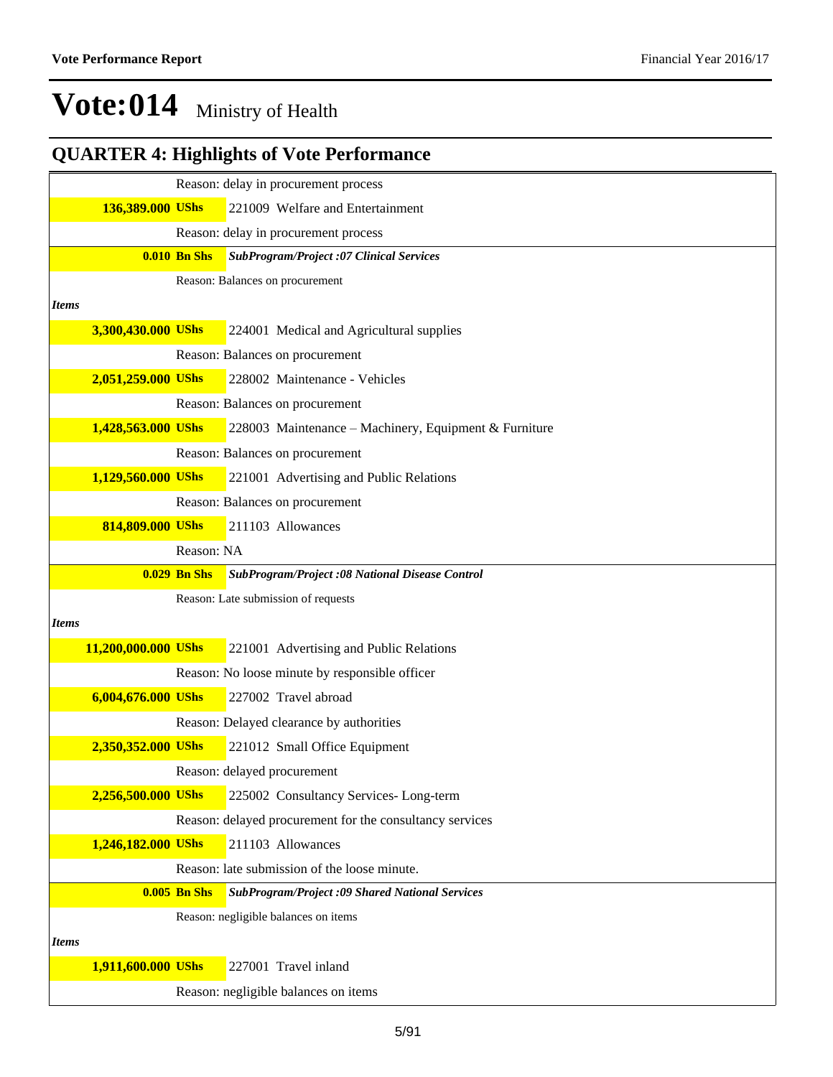|              |                     |                     | Reason: delay in procurement process                     |
|--------------|---------------------|---------------------|----------------------------------------------------------|
|              | 136,389.000 UShs    |                     | 221009 Welfare and Entertainment                         |
|              |                     |                     | Reason: delay in procurement process                     |
|              |                     | <b>0.010 Bn Shs</b> | <b>SubProgram/Project :07 Clinical Services</b>          |
|              |                     |                     | Reason: Balances on procurement                          |
| <b>Items</b> |                     |                     |                                                          |
|              | 3,300,430.000 UShs  |                     | 224001 Medical and Agricultural supplies                 |
|              |                     |                     | Reason: Balances on procurement                          |
|              | 2,051,259.000 UShs  |                     | 228002 Maintenance - Vehicles                            |
|              |                     |                     | Reason: Balances on procurement                          |
|              | 1,428,563.000 UShs  |                     | 228003 Maintenance - Machinery, Equipment & Furniture    |
|              |                     |                     | Reason: Balances on procurement                          |
|              | 1,129,560.000 UShs  |                     | 221001 Advertising and Public Relations                  |
|              |                     |                     | Reason: Balances on procurement                          |
|              | 814,809.000 UShs    |                     | 211103 Allowances                                        |
|              |                     | Reason: NA          |                                                          |
|              |                     | <b>0.029 Bn Shs</b> | <b>SubProgram/Project :08 National Disease Control</b>   |
|              |                     |                     | Reason: Late submission of requests                      |
| <b>Items</b> |                     |                     |                                                          |
|              | 11,200,000.000 UShs |                     | 221001 Advertising and Public Relations                  |
|              |                     |                     | Reason: No loose minute by responsible officer           |
|              | 6,004,676.000 UShs  |                     | 227002 Travel abroad                                     |
|              |                     |                     | Reason: Delayed clearance by authorities                 |
|              | 2,350,352.000 UShs  |                     | 221012 Small Office Equipment                            |
|              |                     |                     | Reason: delayed procurement                              |
|              | 2,256,500.000 UShs  |                     | 225002 Consultancy Services-Long-term                    |
|              |                     |                     | Reason: delayed procurement for the consultancy services |
|              | 1,246,182.000 UShs  |                     | 211103 Allowances                                        |
|              |                     |                     | Reason: late submission of the loose minute.             |
|              |                     | <b>0.005 Bn Shs</b> | <b>SubProgram/Project :09 Shared National Services</b>   |
|              |                     |                     | Reason: negligible balances on items                     |
| <b>Items</b> |                     |                     |                                                          |
|              | 1,911,600.000 UShs  |                     | 227001 Travel inland                                     |
|              |                     |                     | Reason: negligible balances on items                     |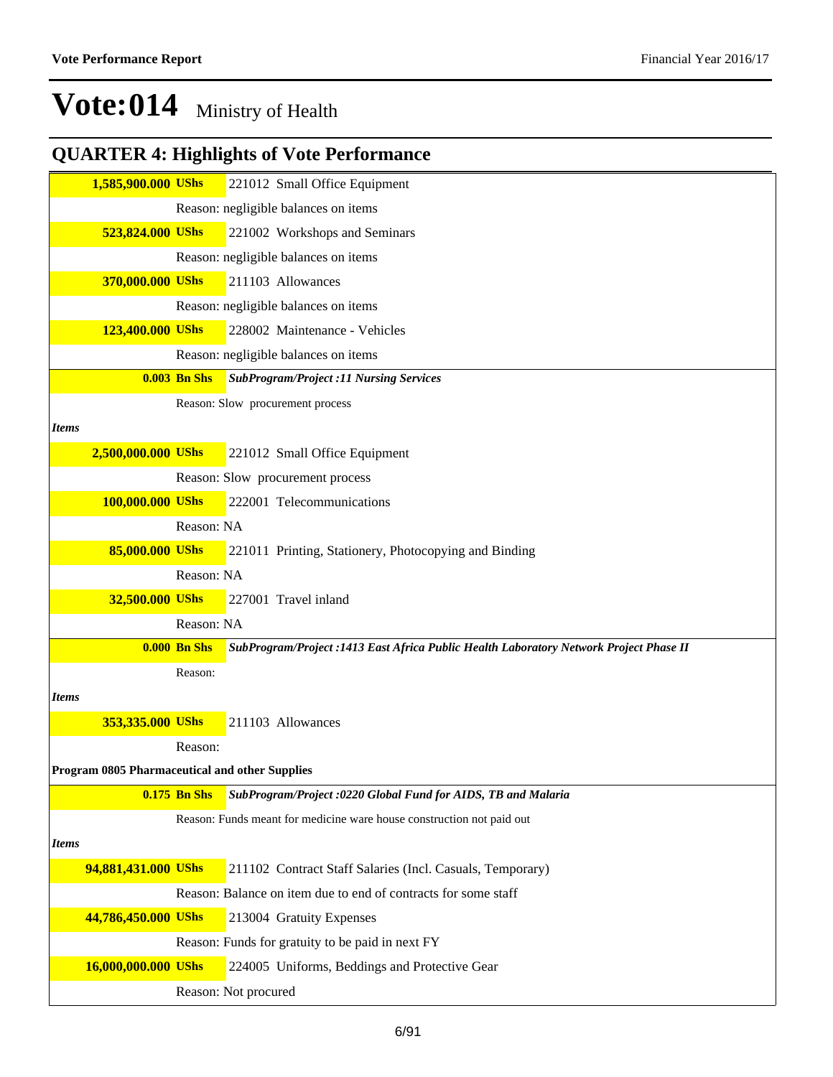| 1,585,900.000 UShs                             |                     |                                                                                        |
|------------------------------------------------|---------------------|----------------------------------------------------------------------------------------|
|                                                |                     | 221012 Small Office Equipment                                                          |
|                                                |                     | Reason: negligible balances on items                                                   |
| 523,824.000 UShs                               |                     | 221002 Workshops and Seminars                                                          |
|                                                |                     | Reason: negligible balances on items                                                   |
| 370,000.000 UShs                               |                     | 211103 Allowances                                                                      |
|                                                |                     | Reason: negligible balances on items                                                   |
| 123,400.000 UShs                               |                     | 228002 Maintenance - Vehicles                                                          |
|                                                |                     | Reason: negligible balances on items                                                   |
|                                                | <b>0.003 Bn Shs</b> | <b>SubProgram/Project :11 Nursing Services</b>                                         |
|                                                |                     | Reason: Slow procurement process                                                       |
| <b>Items</b>                                   |                     |                                                                                        |
| 2,500,000.000 UShs                             |                     | 221012 Small Office Equipment                                                          |
|                                                |                     | Reason: Slow procurement process                                                       |
| 100,000.000 UShs                               |                     | 222001 Telecommunications                                                              |
|                                                | Reason: NA          |                                                                                        |
| 85,000.000 UShs                                |                     | 221011 Printing, Stationery, Photocopying and Binding                                  |
|                                                | Reason: NA          |                                                                                        |
| 32,500.000 UShs                                |                     | 227001 Travel inland                                                                   |
|                                                | Reason: NA          |                                                                                        |
|                                                | $0.000$ Bn Shs      | SubProgram/Project :1413 East Africa Public Health Laboratory Network Project Phase II |
|                                                | Reason:             |                                                                                        |
| <b>Items</b>                                   |                     |                                                                                        |
| 353,335.000 UShs                               |                     | 211103 Allowances                                                                      |
|                                                | Reason:             |                                                                                        |
| Program 0805 Pharmaceutical and other Supplies |                     |                                                                                        |
|                                                | 0.175 Bn Shs        | SubProgram/Project :0220 Global Fund for AIDS, TB and Malaria                          |
|                                                |                     | Reason: Funds meant for medicine ware house construction not paid out                  |
| <i>Items</i>                                   |                     |                                                                                        |
| 94,881,431.000 UShs                            |                     | 211102 Contract Staff Salaries (Incl. Casuals, Temporary)                              |
|                                                |                     | Reason: Balance on item due to end of contracts for some staff                         |
| 44,786,450.000 UShs                            |                     | 213004 Gratuity Expenses                                                               |
|                                                |                     | Reason: Funds for gratuity to be paid in next FY                                       |
| 16,000,000.000 UShs                            |                     | 224005 Uniforms, Beddings and Protective Gear                                          |
|                                                |                     |                                                                                        |
|                                                |                     | Reason: Not procured                                                                   |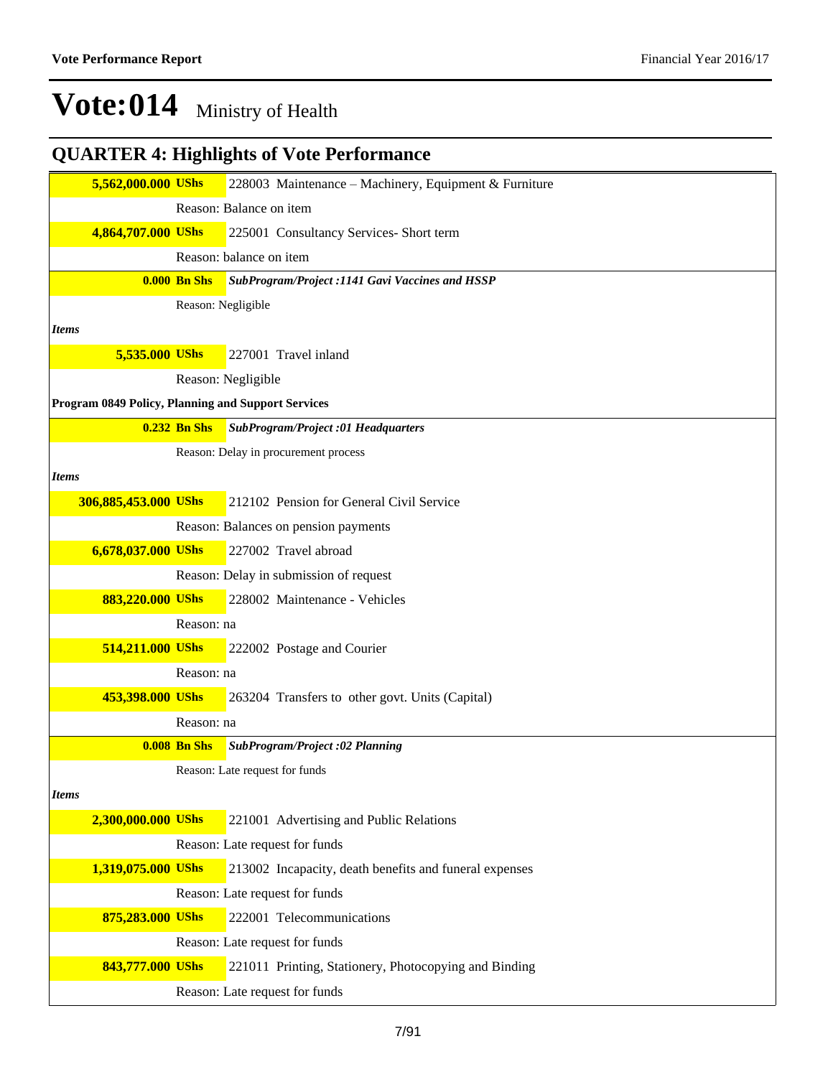|                                                    |                     | <b>QUARTER 4: Highlights of Vote Performance</b>       |
|----------------------------------------------------|---------------------|--------------------------------------------------------|
| 5,562,000.000 UShs                                 |                     | 228003 Maintenance – Machinery, Equipment & Furniture  |
|                                                    |                     | Reason: Balance on item                                |
| 4,864,707.000 UShs                                 |                     | 225001 Consultancy Services- Short term                |
|                                                    |                     | Reason: balance on item                                |
|                                                    | <b>0.000 Bn Shs</b> | <b>SubProgram/Project :1141 Gavi Vaccines and HSSP</b> |
|                                                    | Reason: Negligible  |                                                        |
| <b>Items</b>                                       |                     |                                                        |
| 5,535.000 UShs                                     |                     | 227001 Travel inland                                   |
|                                                    |                     | Reason: Negligible                                     |
| Program 0849 Policy, Planning and Support Services |                     |                                                        |
|                                                    | <b>0.232 Bn Shs</b> | <b>SubProgram/Project :01 Headquarters</b>             |
|                                                    |                     | Reason: Delay in procurement process                   |
| <b>Items</b>                                       |                     |                                                        |
| 306,885,453.000 UShs                               |                     | 212102 Pension for General Civil Service               |
|                                                    |                     | Reason: Balances on pension payments                   |
| 6,678,037.000 UShs                                 |                     | 227002 Travel abroad                                   |
|                                                    |                     | Reason: Delay in submission of request                 |
| 883,220.000 UShs                                   |                     | 228002 Maintenance - Vehicles                          |
|                                                    | Reason: na          |                                                        |
| 514,211.000 UShs                                   |                     | 222002 Postage and Courier                             |
|                                                    | Reason: na          |                                                        |
| 453,398.000 UShs                                   |                     | 263204 Transfers to other govt. Units (Capital)        |
|                                                    | Reason: na          |                                                        |
|                                                    | <b>0.008 Bn Shs</b> | <b>SubProgram/Project :02 Planning</b>                 |
|                                                    |                     | Reason: Late request for funds                         |
| <b>Items</b>                                       |                     |                                                        |
| 2,300,000.000 UShs                                 |                     | 221001 Advertising and Public Relations                |
|                                                    |                     | Reason: Late request for funds                         |
| 1,319,075.000 UShs                                 |                     | 213002 Incapacity, death benefits and funeral expenses |
|                                                    |                     | Reason: Late request for funds                         |
| 875,283.000 UShs                                   |                     | 222001 Telecommunications                              |
|                                                    |                     | Reason: Late request for funds                         |
| 843,777.000 UShs                                   |                     | 221011 Printing, Stationery, Photocopying and Binding  |
|                                                    |                     | Reason: Late request for funds                         |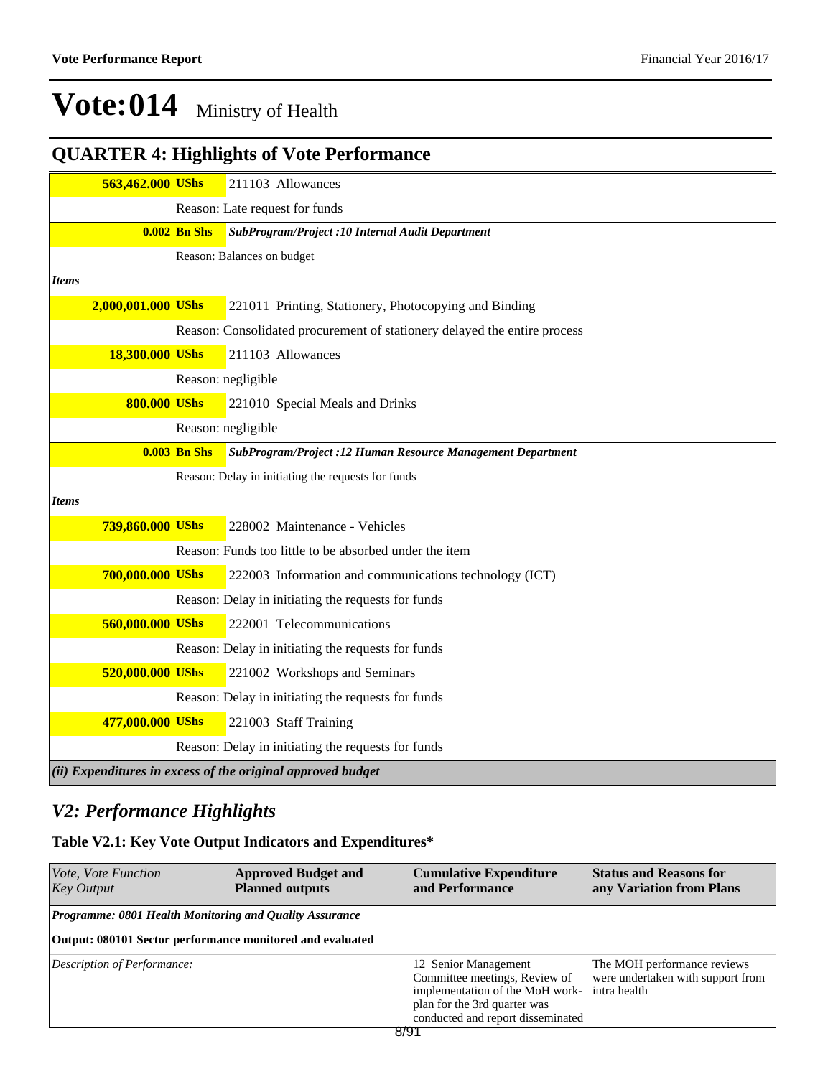## **QUARTER 4: Highlights of Vote Performance**

|              | 563,462.000 UShs   |                     | 211103 Allowances                                                         |
|--------------|--------------------|---------------------|---------------------------------------------------------------------------|
|              |                    |                     | Reason: Late request for funds                                            |
|              |                    | <b>0.002 Bn Shs</b> | SubProgram/Project : 10 Internal Audit Department                         |
|              |                    |                     | Reason: Balances on budget                                                |
| <b>Items</b> |                    |                     |                                                                           |
|              | 2,000,001.000 UShs |                     | 221011 Printing, Stationery, Photocopying and Binding                     |
|              |                    |                     | Reason: Consolidated procurement of stationery delayed the entire process |
|              | 18,300.000 UShs    |                     | 211103 Allowances                                                         |
|              |                    |                     | Reason: negligible                                                        |
|              | 800.000 UShs       |                     | 221010 Special Meals and Drinks                                           |
|              |                    |                     | Reason: negligible                                                        |
|              |                    | <b>0.003 Bn Shs</b> | SubProgram/Project :12 Human Resource Management Department               |
|              |                    |                     | Reason: Delay in initiating the requests for funds                        |
| <b>Items</b> |                    |                     |                                                                           |
|              | 739,860.000 UShs   |                     | 228002 Maintenance - Vehicles                                             |
|              |                    |                     | Reason: Funds too little to be absorbed under the item                    |
|              | 700,000.000 UShs   |                     | 222003 Information and communications technology (ICT)                    |
|              |                    |                     | Reason: Delay in initiating the requests for funds                        |
|              | 560,000.000 UShs   |                     | 222001 Telecommunications                                                 |
|              |                    |                     | Reason: Delay in initiating the requests for funds                        |
|              | 520,000.000 UShs   |                     | 221002 Workshops and Seminars                                             |
|              |                    |                     | Reason: Delay in initiating the requests for funds                        |
|              | 477,000.000 UShs   |                     | 221003 Staff Training                                                     |
|              |                    |                     | Reason: Delay in initiating the requests for funds                        |
|              |                    |                     | (ii) Expenditures in excess of the original approved budget               |

### *V2: Performance Highlights*

### **Table V2.1: Key Vote Output Indicators and Expenditures\***

| <i>Vote, Vote Function</i><br><b>Key Output</b>           | <b>Approved Budget and</b><br><b>Planned outputs</b> | <b>Cumulative Expenditure</b><br>and Performance                                                                                                                                    | <b>Status and Reasons for</b><br>any Variation from Plans        |  |  |  |  |  |  |
|-----------------------------------------------------------|------------------------------------------------------|-------------------------------------------------------------------------------------------------------------------------------------------------------------------------------------|------------------------------------------------------------------|--|--|--|--|--|--|
| Programme: 0801 Health Monitoring and Quality Assurance   |                                                      |                                                                                                                                                                                     |                                                                  |  |  |  |  |  |  |
| Output: 080101 Sector performance monitored and evaluated |                                                      |                                                                                                                                                                                     |                                                                  |  |  |  |  |  |  |
| Description of Performance:                               |                                                      | 12 Senior Management<br>Committee meetings, Review of<br>implementation of the MoH work- intra health<br>plan for the 3rd quarter was<br>conducted and report disseminated<br>270.1 | The MOH performance reviews<br>were undertaken with support from |  |  |  |  |  |  |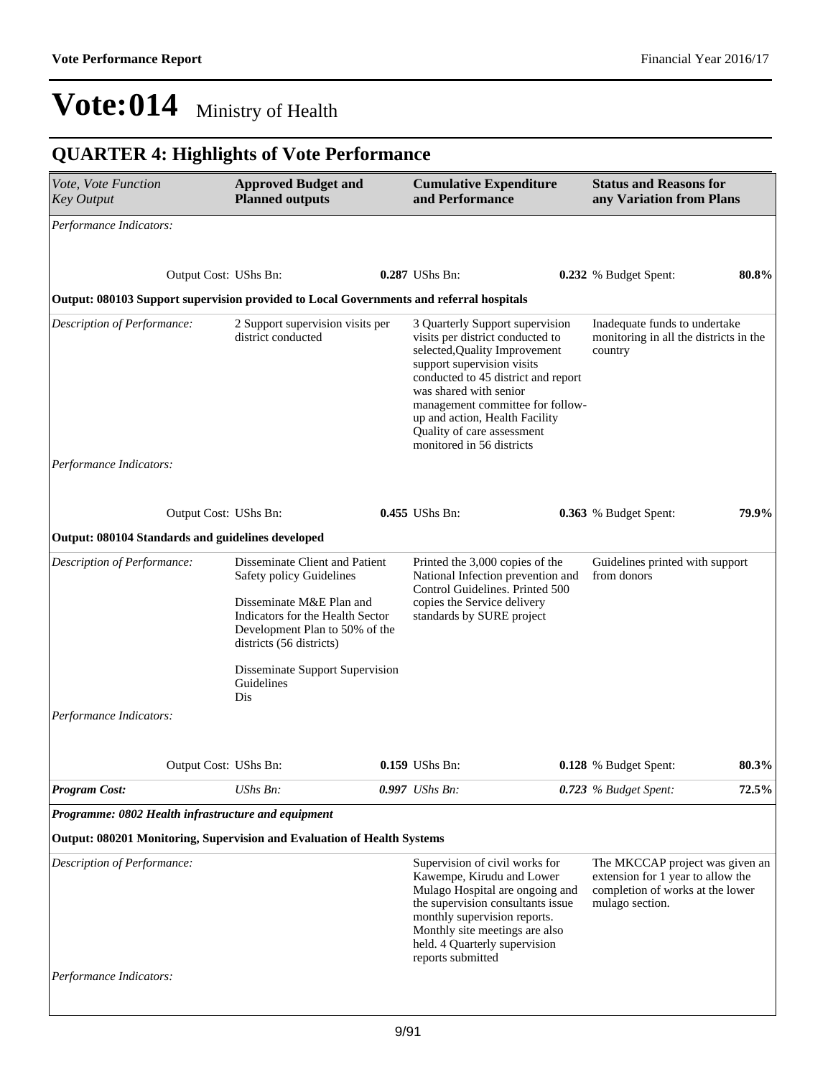| Performance Indicators:<br>Output: 080103 Support supervision provided to Local Governments and referral hospitals<br>Description of Performance: | Output Cost: UShs Bn:<br>2 Support supervision visits per<br>district conducted                                                                                                          | 0.287 UShs Bn:                                                                                                                                                                                                                                                                                                                       |                                                                                                                             |       |
|---------------------------------------------------------------------------------------------------------------------------------------------------|------------------------------------------------------------------------------------------------------------------------------------------------------------------------------------------|--------------------------------------------------------------------------------------------------------------------------------------------------------------------------------------------------------------------------------------------------------------------------------------------------------------------------------------|-----------------------------------------------------------------------------------------------------------------------------|-------|
|                                                                                                                                                   |                                                                                                                                                                                          |                                                                                                                                                                                                                                                                                                                                      |                                                                                                                             |       |
|                                                                                                                                                   |                                                                                                                                                                                          |                                                                                                                                                                                                                                                                                                                                      | 0.232 % Budget Spent:                                                                                                       | 80.8% |
|                                                                                                                                                   |                                                                                                                                                                                          |                                                                                                                                                                                                                                                                                                                                      |                                                                                                                             |       |
|                                                                                                                                                   |                                                                                                                                                                                          | 3 Quarterly Support supervision<br>visits per district conducted to<br>selected, Quality Improvement<br>support supervision visits<br>conducted to 45 district and report<br>was shared with senior<br>management committee for follow-<br>up and action, Health Facility<br>Quality of care assessment<br>monitored in 56 districts | Inadequate funds to undertake<br>monitoring in all the districts in the<br>country                                          |       |
| Performance Indicators:                                                                                                                           |                                                                                                                                                                                          |                                                                                                                                                                                                                                                                                                                                      |                                                                                                                             |       |
|                                                                                                                                                   | Output Cost: UShs Bn:                                                                                                                                                                    | 0.455 UShs Bn:                                                                                                                                                                                                                                                                                                                       | 0.363 % Budget Spent:                                                                                                       | 79.9% |
| Output: 080104 Standards and guidelines developed                                                                                                 |                                                                                                                                                                                          |                                                                                                                                                                                                                                                                                                                                      |                                                                                                                             |       |
| Description of Performance:                                                                                                                       | Disseminate Client and Patient<br>Safety policy Guidelines<br>Disseminate M&E Plan and<br>Indicators for the Health Sector<br>Development Plan to 50% of the<br>districts (56 districts) | Printed the 3,000 copies of the<br>National Infection prevention and<br>Control Guidelines. Printed 500<br>copies the Service delivery<br>standards by SURE project                                                                                                                                                                  | Guidelines printed with support<br>from donors                                                                              |       |
|                                                                                                                                                   | Disseminate Support Supervision<br>Guidelines<br>Dis                                                                                                                                     |                                                                                                                                                                                                                                                                                                                                      |                                                                                                                             |       |
| Performance Indicators:                                                                                                                           |                                                                                                                                                                                          |                                                                                                                                                                                                                                                                                                                                      |                                                                                                                             |       |
|                                                                                                                                                   | Output Cost: UShs Bn:                                                                                                                                                                    | 0.159 UShs Bn:                                                                                                                                                                                                                                                                                                                       | 0.128 % Budget Spent:                                                                                                       | 80.3% |
| <b>Program Cost:</b>                                                                                                                              | UShs Bn:                                                                                                                                                                                 | $0.997$ UShs Bn:                                                                                                                                                                                                                                                                                                                     | 0.723 % Budget Spent:                                                                                                       | 72.5% |
| Programme: 0802 Health infrastructure and equipment                                                                                               |                                                                                                                                                                                          |                                                                                                                                                                                                                                                                                                                                      |                                                                                                                             |       |
| Output: 080201 Monitoring, Supervision and Evaluation of Health Systems                                                                           |                                                                                                                                                                                          |                                                                                                                                                                                                                                                                                                                                      |                                                                                                                             |       |
| Description of Performance:                                                                                                                       |                                                                                                                                                                                          | Supervision of civil works for<br>Kawempe, Kirudu and Lower<br>Mulago Hospital are ongoing and<br>the supervision consultants issue<br>monthly supervision reports.<br>Monthly site meetings are also<br>held. 4 Quarterly supervision<br>reports submitted                                                                          | The MKCCAP project was given an<br>extension for 1 year to allow the<br>completion of works at the lower<br>mulago section. |       |
| Performance Indicators:                                                                                                                           |                                                                                                                                                                                          |                                                                                                                                                                                                                                                                                                                                      |                                                                                                                             |       |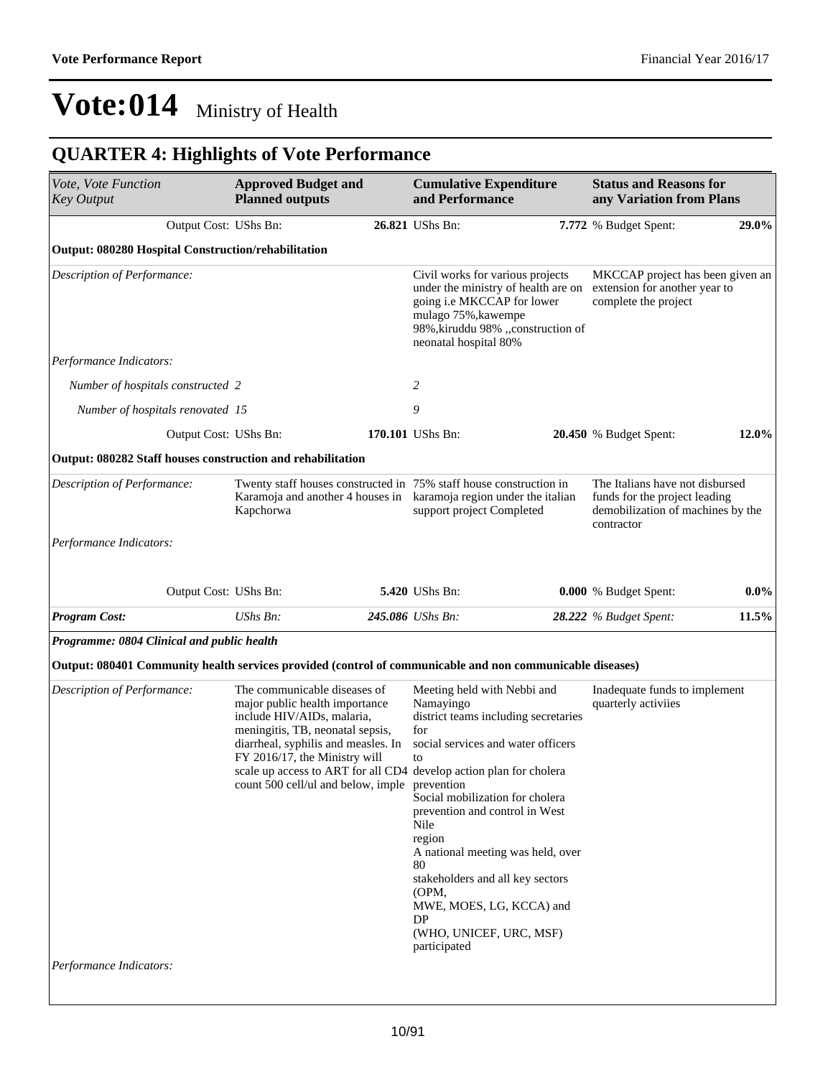| Vote, Vote Function<br><b>Key Output</b>                                                                  | <b>Approved Budget and</b><br><b>Planned outputs</b>                                                                                                                                                                                                      | <b>Cumulative Expenditure</b><br>and Performance                                                                                                                                                                                                                                                                                                                                                                                                                      | <b>Status and Reasons for</b><br>any Variation from Plans                                                           |         |
|-----------------------------------------------------------------------------------------------------------|-----------------------------------------------------------------------------------------------------------------------------------------------------------------------------------------------------------------------------------------------------------|-----------------------------------------------------------------------------------------------------------------------------------------------------------------------------------------------------------------------------------------------------------------------------------------------------------------------------------------------------------------------------------------------------------------------------------------------------------------------|---------------------------------------------------------------------------------------------------------------------|---------|
| Output Cost: UShs Bn:                                                                                     |                                                                                                                                                                                                                                                           | 26.821 UShs Bn:                                                                                                                                                                                                                                                                                                                                                                                                                                                       | 7.772 % Budget Spent:                                                                                               | 29.0%   |
| <b>Output: 080280 Hospital Construction/rehabilitation</b>                                                |                                                                                                                                                                                                                                                           |                                                                                                                                                                                                                                                                                                                                                                                                                                                                       |                                                                                                                     |         |
| Description of Performance:                                                                               |                                                                                                                                                                                                                                                           | Civil works for various projects<br>under the ministry of health are on<br>going i.e MKCCAP for lower<br>mulago 75%, kawempe<br>98%, kiruddu 98%, "construction of<br>neonatal hospital 80%                                                                                                                                                                                                                                                                           | MKCCAP project has been given an<br>extension for another year to<br>complete the project                           |         |
| Performance Indicators:                                                                                   |                                                                                                                                                                                                                                                           |                                                                                                                                                                                                                                                                                                                                                                                                                                                                       |                                                                                                                     |         |
| Number of hospitals constructed 2                                                                         |                                                                                                                                                                                                                                                           | 2                                                                                                                                                                                                                                                                                                                                                                                                                                                                     |                                                                                                                     |         |
| Number of hospitals renovated 15                                                                          |                                                                                                                                                                                                                                                           | 9                                                                                                                                                                                                                                                                                                                                                                                                                                                                     |                                                                                                                     |         |
| Output Cost: UShs Bn:                                                                                     |                                                                                                                                                                                                                                                           | 170.101 UShs Bn:                                                                                                                                                                                                                                                                                                                                                                                                                                                      | 20.450 % Budget Spent:                                                                                              | 12.0%   |
| Output: 080282 Staff houses construction and rehabilitation                                               |                                                                                                                                                                                                                                                           |                                                                                                                                                                                                                                                                                                                                                                                                                                                                       |                                                                                                                     |         |
| Description of Performance:                                                                               | Kapchorwa                                                                                                                                                                                                                                                 | Twenty staff houses constructed in 75% staff house construction in<br>Karamoja and another 4 houses in karamoja region under the italian<br>support project Completed                                                                                                                                                                                                                                                                                                 | The Italians have not disbursed<br>funds for the project leading<br>demobilization of machines by the<br>contractor |         |
| Performance Indicators:                                                                                   |                                                                                                                                                                                                                                                           |                                                                                                                                                                                                                                                                                                                                                                                                                                                                       |                                                                                                                     |         |
| Output Cost: UShs Bn:                                                                                     |                                                                                                                                                                                                                                                           | 5.420 UShs Bn:                                                                                                                                                                                                                                                                                                                                                                                                                                                        | <b>0.000</b> % Budget Spent:                                                                                        | $0.0\%$ |
| <b>Program Cost:</b>                                                                                      | UShs Bn:                                                                                                                                                                                                                                                  | 245.086 UShs Bn:                                                                                                                                                                                                                                                                                                                                                                                                                                                      | 28.222 % Budget Spent:                                                                                              | 11.5%   |
| Programme: 0804 Clinical and public health                                                                |                                                                                                                                                                                                                                                           |                                                                                                                                                                                                                                                                                                                                                                                                                                                                       |                                                                                                                     |         |
| Output: 080401 Community health services provided (control of communicable and non communicable diseases) |                                                                                                                                                                                                                                                           |                                                                                                                                                                                                                                                                                                                                                                                                                                                                       |                                                                                                                     |         |
| Description of Performance:                                                                               | The communicable diseases of<br>major public health importance<br>include HIV/AIDs, malaria,<br>meningitis, TB, neonatal sepsis,<br>diarrheal, syphilis and measles. In<br>FY 2016/17, the Ministry will<br>count 500 cell/ul and below, imple prevention | Meeting held with Nebbi and<br>Namayingo<br>district teams including secretaries<br>for<br>social services and water officers<br>to<br>scale up access to ART for all CD4 develop action plan for cholera<br>Social mobilization for cholera<br>prevention and control in West<br>Nile<br>region<br>A national meeting was held, over<br>80<br>stakeholders and all key sectors<br>(OPM,<br>MWE, MOES, LG, KCCA) and<br>DP<br>(WHO, UNICEF, URC, MSF)<br>participated | Inadequate funds to implement<br>quarterly activiies                                                                |         |
| Performance Indicators:                                                                                   |                                                                                                                                                                                                                                                           |                                                                                                                                                                                                                                                                                                                                                                                                                                                                       |                                                                                                                     |         |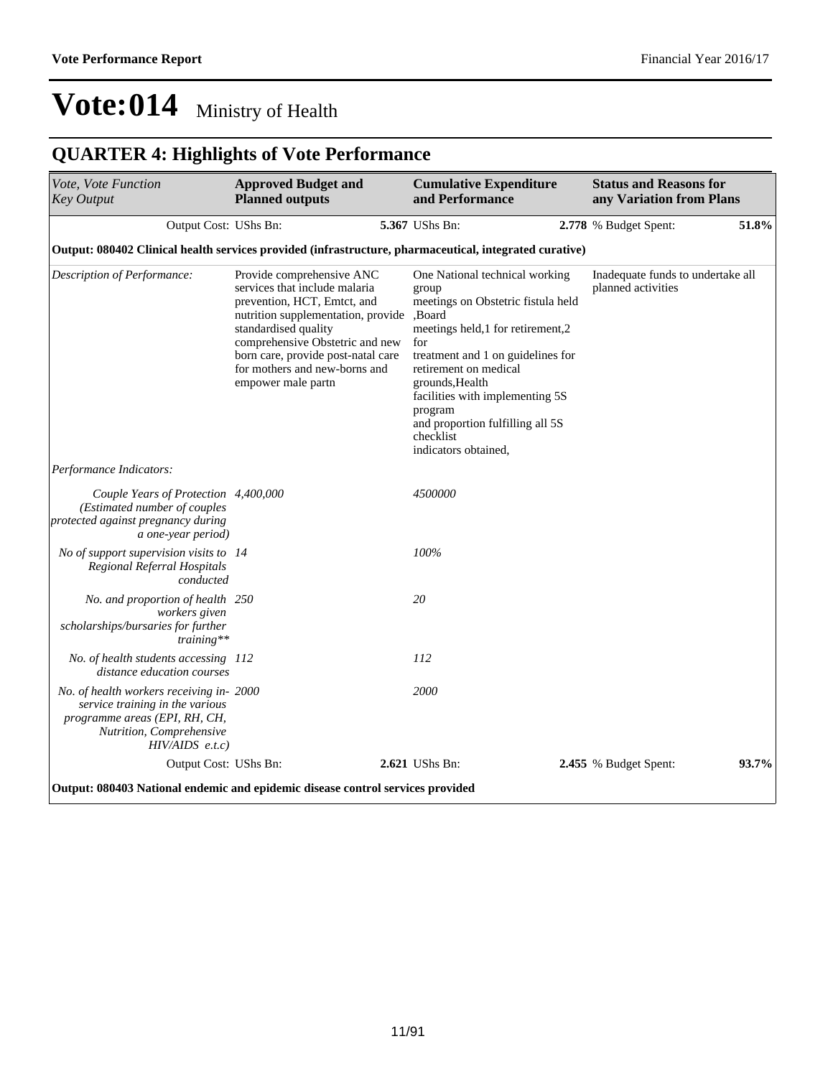| Vote, Vote Function<br><b>Key Output</b>                                                                                                                      | <b>Approved Budget and</b><br><b>Planned outputs</b>                                                                                                                                                                                                                                    | <b>Cumulative Expenditure</b><br>and Performance                                                                                                                                                                                                                                                                                           | <b>Status and Reasons for</b><br>any Variation from Plans |       |
|---------------------------------------------------------------------------------------------------------------------------------------------------------------|-----------------------------------------------------------------------------------------------------------------------------------------------------------------------------------------------------------------------------------------------------------------------------------------|--------------------------------------------------------------------------------------------------------------------------------------------------------------------------------------------------------------------------------------------------------------------------------------------------------------------------------------------|-----------------------------------------------------------|-------|
| Output Cost: UShs Bn:                                                                                                                                         |                                                                                                                                                                                                                                                                                         | 5.367 UShs Bn:                                                                                                                                                                                                                                                                                                                             | 2.778 % Budget Spent:                                     | 51.8% |
| Output: 080402 Clinical health services provided (infrastructure, pharmaceutical, integrated curative)                                                        |                                                                                                                                                                                                                                                                                         |                                                                                                                                                                                                                                                                                                                                            |                                                           |       |
| Description of Performance:                                                                                                                                   | Provide comprehensive ANC<br>services that include malaria<br>prevention, HCT, Emtct, and<br>nutrition supplementation, provide<br>standardised quality<br>comprehensive Obstetric and new<br>born care, provide post-natal care<br>for mothers and new-borns and<br>empower male partn | One National technical working<br>group<br>meetings on Obstetric fistula held<br>,Board<br>meetings held,1 for retirement,2<br>for<br>treatment and 1 on guidelines for<br>retirement on medical<br>grounds, Health<br>facilities with implementing 5S<br>program<br>and proportion fulfilling all 5S<br>checklist<br>indicators obtained, | Inadequate funds to undertake all<br>planned activities   |       |
| Performance Indicators:                                                                                                                                       |                                                                                                                                                                                                                                                                                         |                                                                                                                                                                                                                                                                                                                                            |                                                           |       |
| Couple Years of Protection 4,400,000<br>(Estimated number of couples<br>protected against pregnancy during<br>a one-year period)                              |                                                                                                                                                                                                                                                                                         | 4500000                                                                                                                                                                                                                                                                                                                                    |                                                           |       |
| No of support supervision visits to 14<br>Regional Referral Hospitals<br>conducted                                                                            |                                                                                                                                                                                                                                                                                         | 100%                                                                                                                                                                                                                                                                                                                                       |                                                           |       |
| No. and proportion of health 250<br>workers given<br>scholarships/bursaries for further<br>$training**$                                                       |                                                                                                                                                                                                                                                                                         | 20                                                                                                                                                                                                                                                                                                                                         |                                                           |       |
| No. of health students accessing 112<br>distance education courses                                                                                            |                                                                                                                                                                                                                                                                                         | 112                                                                                                                                                                                                                                                                                                                                        |                                                           |       |
| No. of health workers receiving in- 2000<br>service training in the various<br>programme areas (EPI, RH, CH,<br>Nutrition, Comprehensive<br>$HIV/ALDS$ e.t.c) |                                                                                                                                                                                                                                                                                         | 2000                                                                                                                                                                                                                                                                                                                                       |                                                           |       |
| Output Cost: UShs Bn:                                                                                                                                         |                                                                                                                                                                                                                                                                                         | 2.621 UShs Bn:                                                                                                                                                                                                                                                                                                                             | 2.455 % Budget Spent:                                     | 93.7% |
| Output: 080403 National endemic and epidemic disease control services provided                                                                                |                                                                                                                                                                                                                                                                                         |                                                                                                                                                                                                                                                                                                                                            |                                                           |       |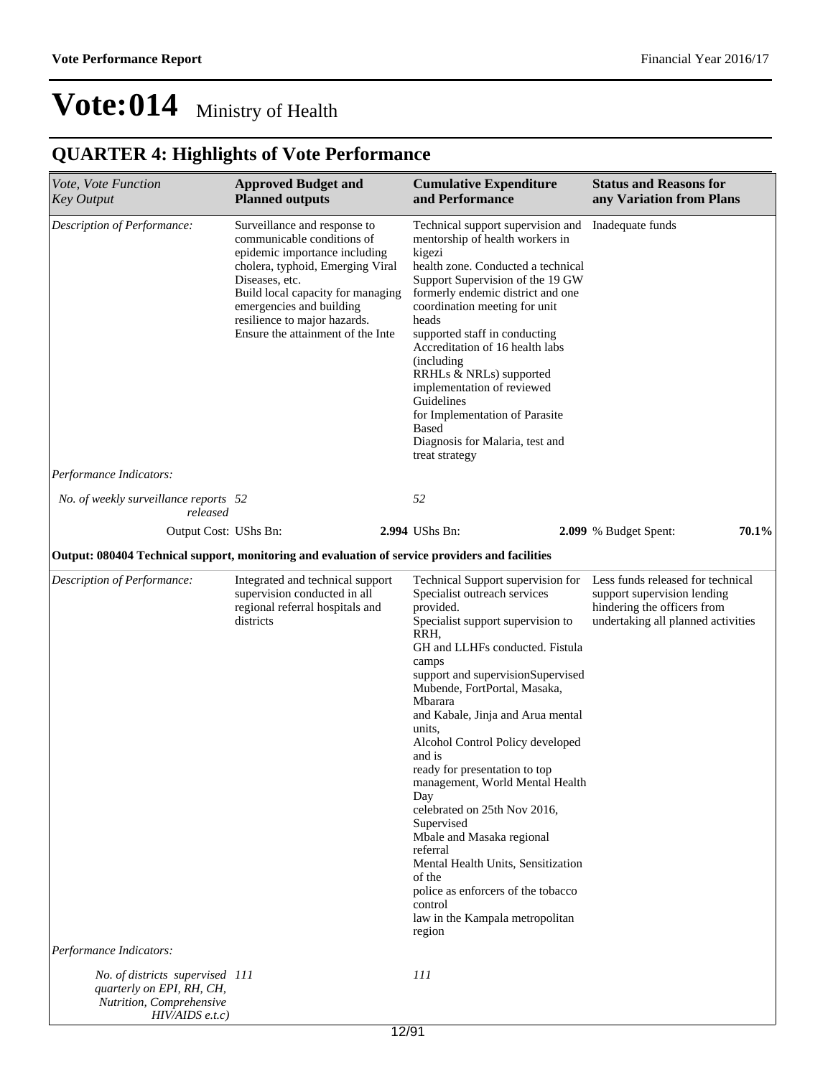| Vote, Vote Function<br><b>Key Output</b>                                                                      | <b>Approved Budget and</b><br><b>Planned outputs</b>                                                                                                                                                                                                                                    | <b>Cumulative Expenditure</b><br>and Performance                                                                                                                                                                                                                                                                                                                                                                                                                                                                                                                                                                                                                     | <b>Status and Reasons for</b><br>any Variation from Plans                                                                             |
|---------------------------------------------------------------------------------------------------------------|-----------------------------------------------------------------------------------------------------------------------------------------------------------------------------------------------------------------------------------------------------------------------------------------|----------------------------------------------------------------------------------------------------------------------------------------------------------------------------------------------------------------------------------------------------------------------------------------------------------------------------------------------------------------------------------------------------------------------------------------------------------------------------------------------------------------------------------------------------------------------------------------------------------------------------------------------------------------------|---------------------------------------------------------------------------------------------------------------------------------------|
| Description of Performance:                                                                                   | Surveillance and response to<br>communicable conditions of<br>epidemic importance including<br>cholera, typhoid, Emerging Viral<br>Diseases, etc.<br>Build local capacity for managing<br>emergencies and building<br>resilience to major hazards.<br>Ensure the attainment of the Inte | Technical support supervision and<br>mentorship of health workers in<br>kigezi<br>health zone. Conducted a technical<br>Support Supervision of the 19 GW<br>formerly endemic district and one<br>coordination meeting for unit<br>heads<br>supported staff in conducting<br>Accreditation of 16 health labs<br><i>(including)</i><br>RRHLs & NRLs) supported<br>implementation of reviewed<br>Guidelines<br>for Implementation of Parasite<br>Based<br>Diagnosis for Malaria, test and<br>treat strategy                                                                                                                                                             | Inadequate funds                                                                                                                      |
| Performance Indicators:                                                                                       |                                                                                                                                                                                                                                                                                         |                                                                                                                                                                                                                                                                                                                                                                                                                                                                                                                                                                                                                                                                      |                                                                                                                                       |
| No. of weekly surveillance reports 52<br>released                                                             |                                                                                                                                                                                                                                                                                         | 52                                                                                                                                                                                                                                                                                                                                                                                                                                                                                                                                                                                                                                                                   |                                                                                                                                       |
| Output Cost: UShs Bn:                                                                                         |                                                                                                                                                                                                                                                                                         | 2.994 UShs Bn:                                                                                                                                                                                                                                                                                                                                                                                                                                                                                                                                                                                                                                                       | 70.1%<br>2.099 % Budget Spent:                                                                                                        |
| Output: 080404 Technical support, monitoring and evaluation of service providers and facilities               |                                                                                                                                                                                                                                                                                         |                                                                                                                                                                                                                                                                                                                                                                                                                                                                                                                                                                                                                                                                      |                                                                                                                                       |
| Description of Performance:                                                                                   | Integrated and technical support<br>supervision conducted in all<br>regional referral hospitals and<br>districts                                                                                                                                                                        | Technical Support supervision for<br>Specialist outreach services<br>provided.<br>Specialist support supervision to<br>RRH.<br>GH and LLHFs conducted. Fistula<br>camps<br>support and supervisionSupervised<br>Mubende, FortPortal, Masaka,<br>Mbarara<br>and Kabale, Jinja and Arua mental<br>units,<br>Alcohol Control Policy developed<br>and is<br>ready for presentation to top<br>management, World Mental Health<br>Day<br>celebrated on 25th Nov 2016,<br>Supervised<br>Mbale and Masaka regional<br>referral<br>Mental Health Units, Sensitization<br>of the<br>police as enforcers of the tobacco<br>control<br>law in the Kampala metropolitan<br>region | Less funds released for technical<br>support supervision lending<br>hindering the officers from<br>undertaking all planned activities |
| Performance Indicators:                                                                                       |                                                                                                                                                                                                                                                                                         |                                                                                                                                                                                                                                                                                                                                                                                                                                                                                                                                                                                                                                                                      |                                                                                                                                       |
| No. of districts supervised 111<br>quarterly on EPI, RH, CH,<br>Nutrition, Comprehensive<br>$HIV/ALDS$ e.t.c) |                                                                                                                                                                                                                                                                                         | 111                                                                                                                                                                                                                                                                                                                                                                                                                                                                                                                                                                                                                                                                  |                                                                                                                                       |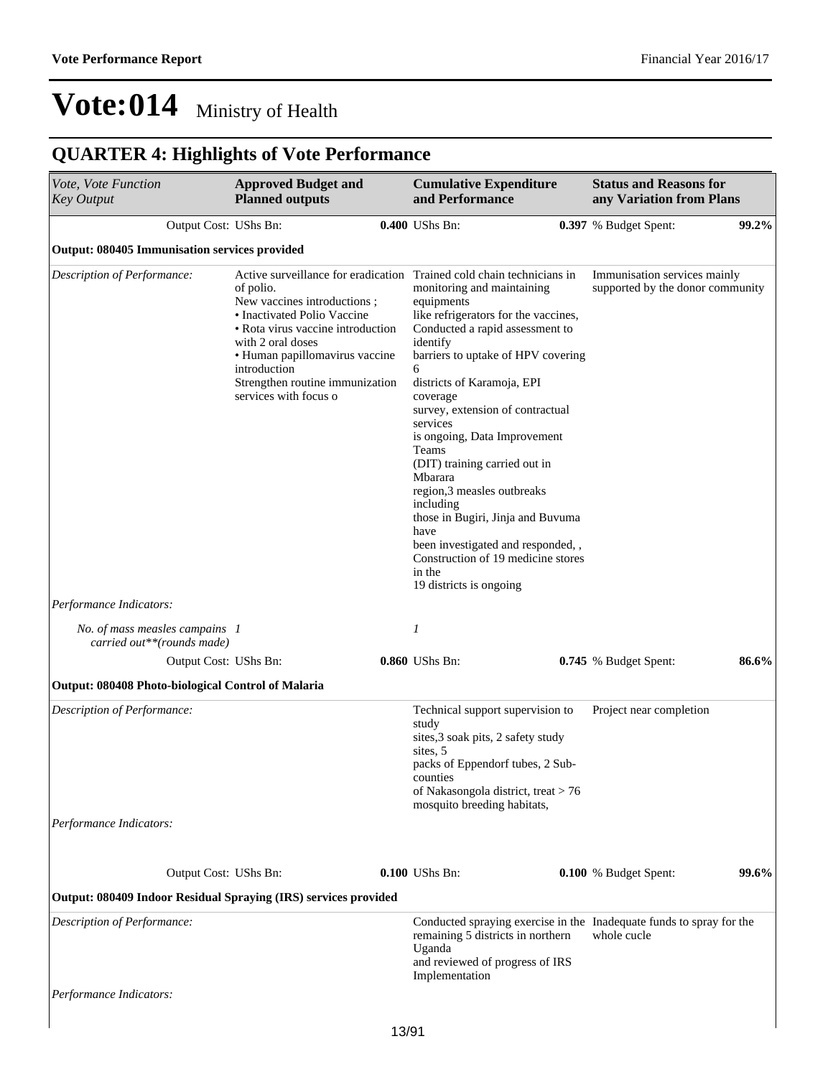| Vote, Vote Function<br><b>Key Output</b>                                                              | <b>Approved Budget and</b><br><b>Planned outputs</b>                                                                                                                                                                                                                                                                     | <b>Cumulative Expenditure</b><br>and Performance                                                                                                                                                                                                                                                                                                                                                                                                                                                                                                                  | <b>Status and Reasons for</b><br>any Variation from Plans        |
|-------------------------------------------------------------------------------------------------------|--------------------------------------------------------------------------------------------------------------------------------------------------------------------------------------------------------------------------------------------------------------------------------------------------------------------------|-------------------------------------------------------------------------------------------------------------------------------------------------------------------------------------------------------------------------------------------------------------------------------------------------------------------------------------------------------------------------------------------------------------------------------------------------------------------------------------------------------------------------------------------------------------------|------------------------------------------------------------------|
| Output Cost: UShs Bn:                                                                                 |                                                                                                                                                                                                                                                                                                                          | 0.400 UShs Bn:                                                                                                                                                                                                                                                                                                                                                                                                                                                                                                                                                    | 0.397 % Budget Spent:<br>99.2%                                   |
| <b>Output: 080405 Immunisation services provided</b>                                                  |                                                                                                                                                                                                                                                                                                                          |                                                                                                                                                                                                                                                                                                                                                                                                                                                                                                                                                                   |                                                                  |
| Description of Performance:<br>Performance Indicators:                                                | Active surveillance for eradication Trained cold chain technicians in<br>of polio.<br>New vaccines introductions;<br>• Inactivated Polio Vaccine<br>• Rota virus vaccine introduction<br>with 2 oral doses<br>• Human papillomavirus vaccine<br>introduction<br>Strengthen routine immunization<br>services with focus o | monitoring and maintaining<br>equipments<br>like refrigerators for the vaccines,<br>Conducted a rapid assessment to<br>identify<br>barriers to uptake of HPV covering<br>6<br>districts of Karamoja, EPI<br>coverage<br>survey, extension of contractual<br>services<br>is ongoing, Data Improvement<br>Teams<br>(DIT) training carried out in<br>Mbarara<br>region,3 measles outbreaks<br>including<br>those in Bugiri, Jinja and Buvuma<br>have<br>been investigated and responded,,<br>Construction of 19 medicine stores<br>in the<br>19 districts is ongoing | Immunisation services mainly<br>supported by the donor community |
| No. of mass measles campains 1<br>carried out**(rounds made)                                          |                                                                                                                                                                                                                                                                                                                          | 1                                                                                                                                                                                                                                                                                                                                                                                                                                                                                                                                                                 |                                                                  |
| Output Cost: UShs Bn:                                                                                 |                                                                                                                                                                                                                                                                                                                          | 0.860 UShs Bn:                                                                                                                                                                                                                                                                                                                                                                                                                                                                                                                                                    | 86.6%<br>0.745 % Budget Spent:                                   |
| <b>Output: 080408 Photo-biological Control of Malaria</b>                                             |                                                                                                                                                                                                                                                                                                                          |                                                                                                                                                                                                                                                                                                                                                                                                                                                                                                                                                                   |                                                                  |
| Description of Performance:<br>Performance Indicators:                                                |                                                                                                                                                                                                                                                                                                                          | Technical support supervision to<br>study<br>sites, 3 soak pits, 2 safety study<br>sites, 5<br>packs of Eppendorf tubes, 2 Sub-<br>counties<br>of Nakasongola district, treat > 76<br>mosquito breeding habitats,                                                                                                                                                                                                                                                                                                                                                 | Project near completion                                          |
|                                                                                                       |                                                                                                                                                                                                                                                                                                                          |                                                                                                                                                                                                                                                                                                                                                                                                                                                                                                                                                                   |                                                                  |
| Output Cost: UShs Bn:                                                                                 |                                                                                                                                                                                                                                                                                                                          | $0.100$ UShs Bn:                                                                                                                                                                                                                                                                                                                                                                                                                                                                                                                                                  | 99.6%<br>0.100 % Budget Spent:                                   |
| <b>Output: 080409 Indoor Residual Spraying (IRS) services provided</b><br>Description of Performance: |                                                                                                                                                                                                                                                                                                                          | Conducted spraying exercise in the Inadequate funds to spray for the<br>remaining 5 districts in northern<br>Uganda<br>and reviewed of progress of IRS<br>Implementation                                                                                                                                                                                                                                                                                                                                                                                          | whole cucle                                                      |
| Performance Indicators:                                                                               |                                                                                                                                                                                                                                                                                                                          |                                                                                                                                                                                                                                                                                                                                                                                                                                                                                                                                                                   |                                                                  |
|                                                                                                       |                                                                                                                                                                                                                                                                                                                          | 10/01                                                                                                                                                                                                                                                                                                                                                                                                                                                                                                                                                             |                                                                  |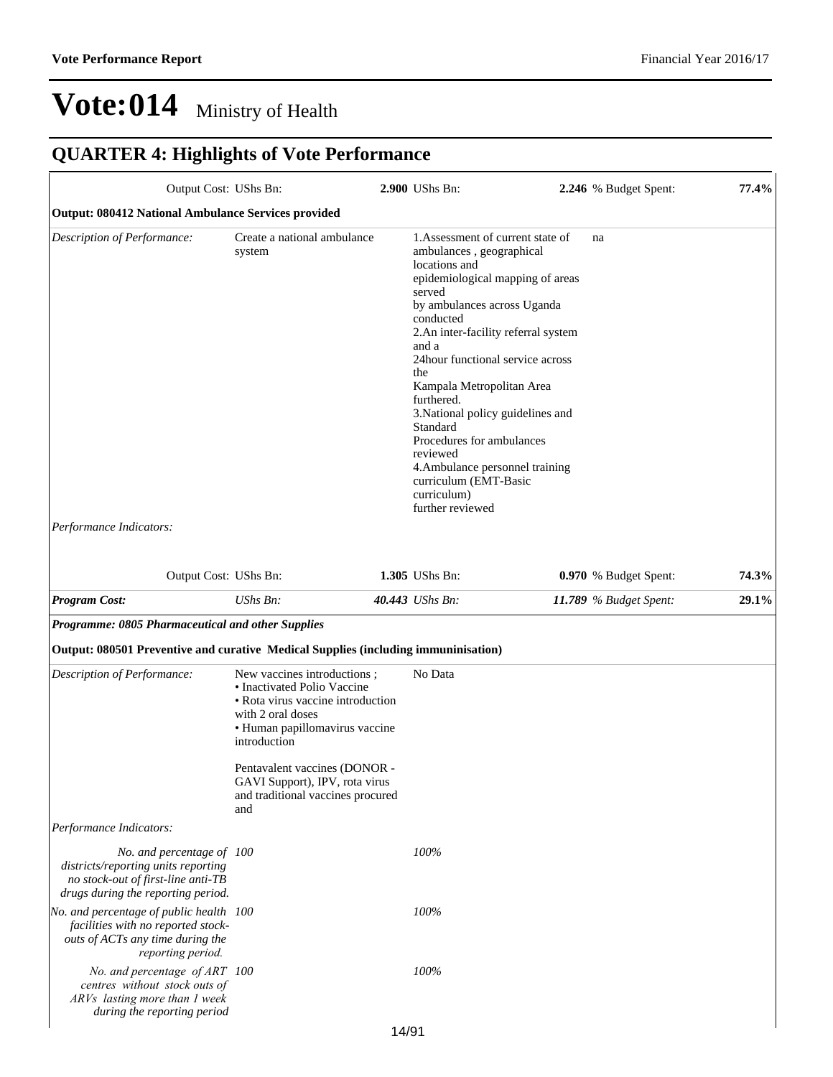|                                                                                                                                              | Output Cost: UShs Bn:                                                                                                                                                                                                                                                                 |       | 2.900 UShs Bn:                                                                                                                                                                                                                                                                                                                                                                                                                                                                                           | 2.246 % Budget Spent:    | 77.4% |
|----------------------------------------------------------------------------------------------------------------------------------------------|---------------------------------------------------------------------------------------------------------------------------------------------------------------------------------------------------------------------------------------------------------------------------------------|-------|----------------------------------------------------------------------------------------------------------------------------------------------------------------------------------------------------------------------------------------------------------------------------------------------------------------------------------------------------------------------------------------------------------------------------------------------------------------------------------------------------------|--------------------------|-------|
| Output: 080412 National Ambulance Services provided                                                                                          |                                                                                                                                                                                                                                                                                       |       |                                                                                                                                                                                                                                                                                                                                                                                                                                                                                                          |                          |       |
| Description of Performance:                                                                                                                  | Create a national ambulance<br>system                                                                                                                                                                                                                                                 |       | 1. Assessment of current state of<br>ambulances, geographical<br>locations and<br>epidemiological mapping of areas<br>served<br>by ambulances across Uganda<br>conducted<br>2.An inter-facility referral system<br>and a<br>24 hour functional service across<br>the<br>Kampala Metropolitan Area<br>furthered.<br>3. National policy guidelines and<br>Standard<br>Procedures for ambulances<br>reviewed<br>4. Ambulance personnel training<br>curriculum (EMT-Basic<br>curriculum)<br>further reviewed | na                       |       |
| Performance Indicators:                                                                                                                      |                                                                                                                                                                                                                                                                                       |       |                                                                                                                                                                                                                                                                                                                                                                                                                                                                                                          |                          |       |
|                                                                                                                                              | Output Cost: UShs Bn:                                                                                                                                                                                                                                                                 |       | 1.305 UShs Bn:                                                                                                                                                                                                                                                                                                                                                                                                                                                                                           | 0.970 % Budget Spent:    | 74.3% |
| <b>Program Cost:</b>                                                                                                                         | <b>UShs Bn:</b>                                                                                                                                                                                                                                                                       |       | 40.443 UShs Bn:                                                                                                                                                                                                                                                                                                                                                                                                                                                                                          | 11.789 $%$ Budget Spent: | 29.1% |
| Programme: 0805 Pharmaceutical and other Supplies<br>Output: 080501 Preventive and curative Medical Supplies (including immuninisation)      |                                                                                                                                                                                                                                                                                       |       |                                                                                                                                                                                                                                                                                                                                                                                                                                                                                                          |                          |       |
| Description of Performance:                                                                                                                  | New vaccines introductions;<br>• Inactivated Polio Vaccine<br>• Rota virus vaccine introduction<br>with 2 oral doses<br>· Human papillomavirus vaccine<br>introduction<br>Pentavalent vaccines (DONOR -<br>GAVI Support), IPV, rota virus<br>and traditional vaccines procured<br>and |       | No Data                                                                                                                                                                                                                                                                                                                                                                                                                                                                                                  |                          |       |
| Performance Indicators:                                                                                                                      |                                                                                                                                                                                                                                                                                       |       |                                                                                                                                                                                                                                                                                                                                                                                                                                                                                                          |                          |       |
| No. and percentage of 100<br>districts/reporting units reporting<br>no stock-out of first-line anti-TB<br>drugs during the reporting period. |                                                                                                                                                                                                                                                                                       |       | 100%                                                                                                                                                                                                                                                                                                                                                                                                                                                                                                     |                          |       |
| No. and percentage of public health 100<br>facilities with no reported stock-<br>outs of ACTs any time during the<br>reporting period.       |                                                                                                                                                                                                                                                                                       |       | 100%                                                                                                                                                                                                                                                                                                                                                                                                                                                                                                     |                          |       |
| No. and percentage of ART 100<br>centres without stock outs of<br>ARVs lasting more than 1 week<br>during the reporting period               |                                                                                                                                                                                                                                                                                       |       | 100%                                                                                                                                                                                                                                                                                                                                                                                                                                                                                                     |                          |       |
|                                                                                                                                              |                                                                                                                                                                                                                                                                                       | 11/01 |                                                                                                                                                                                                                                                                                                                                                                                                                                                                                                          |                          |       |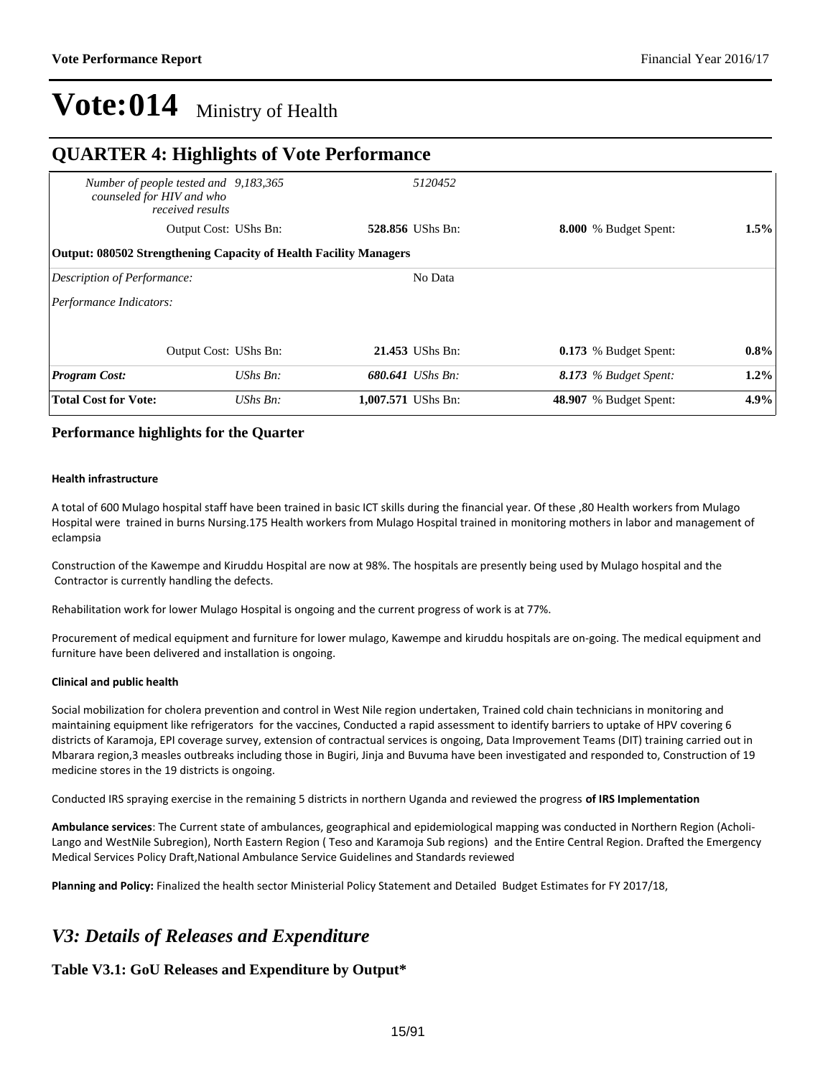### **QUARTER 4: Highlights of Vote Performance**

| <b>Total Cost for Vote:</b>                                       | $UShs Bn$ :           | 1,007.571 UShs Bn:      | <b>48.907</b> % Budget Spent: | 4.9%    |
|-------------------------------------------------------------------|-----------------------|-------------------------|-------------------------------|---------|
| <b>Program Cost:</b>                                              | $UShs Bn$ :           | 680.641 UShs Bn:        | 8.173 % Budget Spent:         | $1.2\%$ |
|                                                                   | Output Cost: UShs Bn: | 21.453 UShs Bn:         | <b>0.173</b> % Budget Spent:  | $0.8\%$ |
| Description of Performance:<br>Performance Indicators:            |                       | No Data                 |                               |         |
| Output: 080502 Strengthening Capacity of Health Facility Managers |                       |                         |                               |         |
| counseled for HIV and who<br>received results                     | Output Cost: UShs Bn: | <b>528.856</b> UShs Bn: | 8.000 % Budget Spent:         | 1.5%    |
| Number of people tested and 9,183,365                             |                       | 5120452                 |                               |         |

#### **Performance highlights for the Quarter**

#### **Health infrastructure**

A total of 600 Mulago hospital staff have been trained in basic ICT skills during the financial year. Of these ,80 Health workers from Mulago Hospital were trained in burns Nursing.175 Health workers from Mulago Hospital trained in monitoring mothers in labor and management of eclampsia

Construction of the Kawempe and Kiruddu Hospital are now at 98%. The hospitals are presently being used by Mulago hospital and the Contractor is currently handling the defects.

Rehabilitation work for lower Mulago Hospital is ongoing and the current progress of work is at 77%.

Procurement of medical equipment and furniture for lower mulago, Kawempe and kiruddu hospitals are on-going. The medical equipment and furniture have been delivered and installation is ongoing.

#### **Clinical and public health**

Social mobilization for cholera prevention and control in West Nile region undertaken, Trained cold chain technicians in monitoring and maintaining equipment like refrigerators for the vaccines, Conducted a rapid assessment to identify barriers to uptake of HPV covering 6 districts of Karamoja, EPI coverage survey, extension of contractual services is ongoing, Data Improvement Teams (DIT) training carried out in Mbarara region,3 measles outbreaks including those in Bugiri, Jinja and Buvuma have been investigated and responded to, Construction of 19 medicine stores in the 19 districts is ongoing.

Conducted IRS spraying exercise in the remaining 5 districts in northern Uganda and reviewed the progress **of IRS Implementation**

**Ambulance services**: The Current state of ambulances, geographical and epidemiological mapping was conducted in Northern Region (Acholi-Lango and WestNile Subregion), North Eastern Region (Teso and Karamoja Sub regions) and the Entire Central Region. Drafted the Emergency Medical Services Policy Draft,National Ambulance Service Guidelines and Standards reviewed

Planning and Policy: Finalized the health sector Ministerial Policy Statement and Detailed Budget Estimates for FY 2017/18,

### *V3: Details of Releases and Expenditure*

### **Table V3.1: GoU Releases and Expenditure by Output\***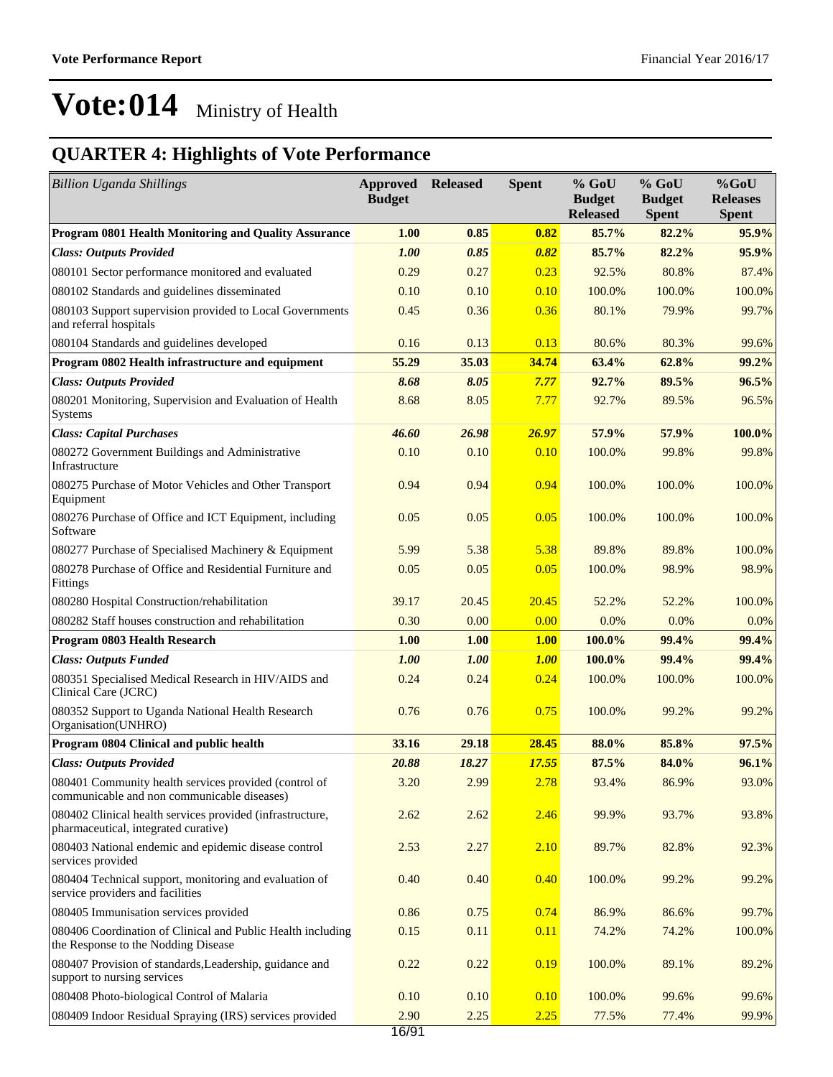| <b>Billion Uganda Shillings</b>                                                                      | <b>Approved Released</b><br><b>Budget</b> |       | <b>Spent</b> | $%$ GoU<br><b>Budget</b><br><b>Released</b> | $%$ GoU<br><b>Budget</b><br><b>Spent</b> | %GoU<br><b>Releases</b><br><b>Spent</b> |
|------------------------------------------------------------------------------------------------------|-------------------------------------------|-------|--------------|---------------------------------------------|------------------------------------------|-----------------------------------------|
| Program 0801 Health Monitoring and Quality Assurance                                                 | 1.00                                      | 0.85  | 0.82         | 85.7%                                       | 82.2%                                    | 95.9%                                   |
| <b>Class: Outputs Provided</b>                                                                       | 1.00                                      | 0.85  | 0.82         | 85.7%                                       | 82.2%                                    | 95.9%                                   |
| 080101 Sector performance monitored and evaluated                                                    | 0.29                                      | 0.27  | 0.23         | 92.5%                                       | 80.8%                                    | 87.4%                                   |
| 080102 Standards and guidelines disseminated                                                         | 0.10                                      | 0.10  | 0.10         | 100.0%                                      | 100.0%                                   | 100.0%                                  |
| 080103 Support supervision provided to Local Governments<br>and referral hospitals                   | 0.45                                      | 0.36  | 0.36         | 80.1%                                       | 79.9%                                    | 99.7%                                   |
| 080104 Standards and guidelines developed                                                            | 0.16                                      | 0.13  | 0.13         | 80.6%                                       | 80.3%                                    | 99.6%                                   |
| Program 0802 Health infrastructure and equipment                                                     | 55.29                                     | 35.03 | 34.74        | 63.4%                                       | 62.8%                                    | 99.2%                                   |
| <b>Class: Outputs Provided</b>                                                                       | 8.68                                      | 8.05  | 7.77         | 92.7%                                       | 89.5%                                    | 96.5%                                   |
| 080201 Monitoring, Supervision and Evaluation of Health<br>Systems                                   | 8.68                                      | 8.05  | 7.77         | 92.7%                                       | 89.5%                                    | 96.5%                                   |
| <b>Class: Capital Purchases</b>                                                                      | 46.60                                     | 26.98 | 26.97        | 57.9%                                       | 57.9%                                    | 100.0%                                  |
| 080272 Government Buildings and Administrative<br>Infrastructure                                     | 0.10                                      | 0.10  | 0.10         | 100.0%                                      | 99.8%                                    | 99.8%                                   |
| 080275 Purchase of Motor Vehicles and Other Transport<br>Equipment                                   | 0.94                                      | 0.94  | 0.94         | 100.0%                                      | 100.0%                                   | 100.0%                                  |
| 080276 Purchase of Office and ICT Equipment, including<br>Software                                   | 0.05                                      | 0.05  | 0.05         | 100.0%                                      | 100.0%                                   | 100.0%                                  |
| 080277 Purchase of Specialised Machinery & Equipment                                                 | 5.99                                      | 5.38  | 5.38         | 89.8%                                       | 89.8%                                    | 100.0%                                  |
| 080278 Purchase of Office and Residential Furniture and<br>Fittings                                  | 0.05                                      | 0.05  | 0.05         | 100.0%                                      | 98.9%                                    | 98.9%                                   |
| 080280 Hospital Construction/rehabilitation                                                          | 39.17                                     | 20.45 | 20.45        | 52.2%                                       | 52.2%                                    | 100.0%                                  |
| 080282 Staff houses construction and rehabilitation                                                  | 0.30                                      | 0.00  | 0.00         | 0.0%                                        | 0.0%                                     | 0.0%                                    |
| Program 0803 Health Research                                                                         | 1.00                                      | 1.00  | <b>1.00</b>  | 100.0%                                      | 99.4%                                    | 99.4%                                   |
| <b>Class: Outputs Funded</b>                                                                         | 1.00                                      | 1.00  | 1.00         | 100.0%                                      | 99.4%                                    | 99.4%                                   |
| 080351 Specialised Medical Research in HIV/AIDS and<br>Clinical Care (JCRC)                          | 0.24                                      | 0.24  | 0.24         | 100.0%                                      | 100.0%                                   | 100.0%                                  |
| 080352 Support to Uganda National Health Research<br>Organisation(UNHRO)                             | 0.76                                      | 0.76  | 0.75         | 100.0%                                      | 99.2%                                    | 99.2%                                   |
| Program 0804 Clinical and public health                                                              | 33.16                                     | 29.18 | 28.45        | 88.0%                                       | 85.8%                                    | 97.5%                                   |
| <b>Class: Outputs Provided</b>                                                                       | 20.88                                     | 18.27 | 17.55        | 87.5%                                       | 84.0%                                    | 96.1%                                   |
| 080401 Community health services provided (control of<br>communicable and non communicable diseases) | 3.20                                      | 2.99  | 2.78         | 93.4%                                       | 86.9%                                    | 93.0%                                   |
| 080402 Clinical health services provided (infrastructure,<br>pharmaceutical, integrated curative)    | 2.62                                      | 2.62  | 2.46         | 99.9%                                       | 93.7%                                    | 93.8%                                   |
| 080403 National endemic and epidemic disease control<br>services provided                            | 2.53                                      | 2.27  | 2.10         | 89.7%                                       | 82.8%                                    | 92.3%                                   |
| 080404 Technical support, monitoring and evaluation of<br>service providers and facilities           | 0.40                                      | 0.40  | 0.40         | 100.0%                                      | 99.2%                                    | 99.2%                                   |
| 080405 Immunisation services provided                                                                | 0.86                                      | 0.75  | 0.74         | 86.9%                                       | 86.6%                                    | 99.7%                                   |
| 080406 Coordination of Clinical and Public Health including<br>the Response to the Nodding Disease   | 0.15                                      | 0.11  | 0.11         | 74.2%                                       | 74.2%                                    | 100.0%                                  |
| 080407 Provision of standards, Leadership, guidance and<br>support to nursing services               | 0.22                                      | 0.22  | 0.19         | 100.0%                                      | 89.1%                                    | 89.2%                                   |
| 080408 Photo-biological Control of Malaria                                                           | 0.10                                      | 0.10  | 0.10         | 100.0%                                      | 99.6%                                    | 99.6%                                   |
| 080409 Indoor Residual Spraying (IRS) services provided                                              | 2.90                                      | 2.25  | 2.25         | 77.5%                                       | 77.4%                                    | 99.9%                                   |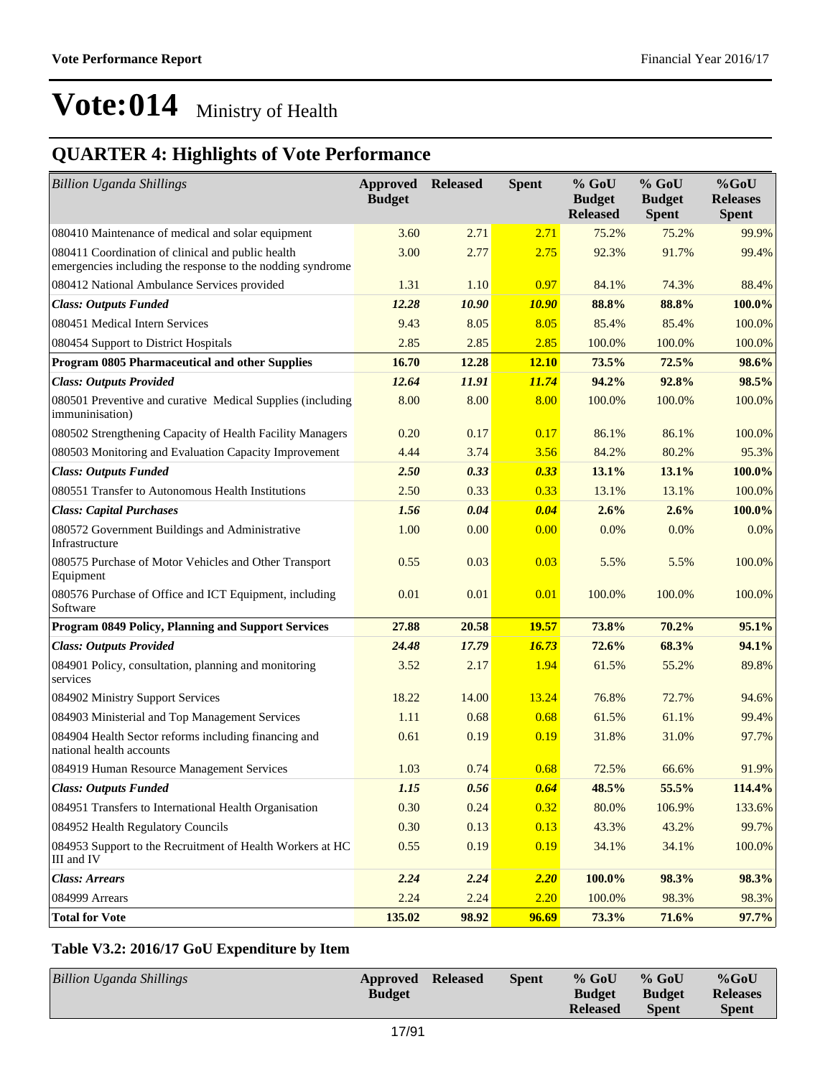### **QUARTER 4: Highlights of Vote Performance**

| <b>Billion Uganda Shillings</b>                                                                                 | Approved<br><b>Budget</b> | <b>Released</b> | <b>Spent</b> | % GoU<br><b>Budget</b><br><b>Released</b> | % GoU<br><b>Budget</b><br><b>Spent</b> | $%$ GoU<br><b>Releases</b><br><b>Spent</b> |
|-----------------------------------------------------------------------------------------------------------------|---------------------------|-----------------|--------------|-------------------------------------------|----------------------------------------|--------------------------------------------|
| 080410 Maintenance of medical and solar equipment                                                               | 3.60                      | 2.71            | 2.71         | 75.2%                                     | 75.2%                                  | 99.9%                                      |
| 080411 Coordination of clinical and public health<br>emergencies including the response to the nodding syndrome | 3.00                      | 2.77            | 2.75         | 92.3%                                     | 91.7%                                  | 99.4%                                      |
| 080412 National Ambulance Services provided                                                                     | 1.31                      | 1.10            | 0.97         | 84.1%                                     | 74.3%                                  | 88.4%                                      |
| <b>Class: Outputs Funded</b>                                                                                    | 12.28                     | 10.90           | <b>10.90</b> | 88.8%                                     | 88.8%                                  | 100.0%                                     |
| 080451 Medical Intern Services                                                                                  | 9.43                      | 8.05            | 8.05         | 85.4%                                     | 85.4%                                  | 100.0%                                     |
| 080454 Support to District Hospitals                                                                            | 2.85                      | 2.85            | 2.85         | 100.0%                                    | 100.0%                                 | 100.0%                                     |
| <b>Program 0805 Pharmaceutical and other Supplies</b>                                                           | 16.70                     | 12.28           | <b>12.10</b> | 73.5%                                     | 72.5%                                  | 98.6%                                      |
| <b>Class: Outputs Provided</b>                                                                                  | 12.64                     | 11.91           | 11.74        | 94.2%                                     | 92.8%                                  | 98.5%                                      |
| 080501 Preventive and curative Medical Supplies (including<br>immuninisation)                                   | 8.00                      | 8.00            | 8.00         | 100.0%                                    | 100.0%                                 | 100.0%                                     |
| 080502 Strengthening Capacity of Health Facility Managers                                                       | 0.20                      | 0.17            | 0.17         | 86.1%                                     | 86.1%                                  | 100.0%                                     |
| 080503 Monitoring and Evaluation Capacity Improvement                                                           | 4.44                      | 3.74            | 3.56         | 84.2%                                     | 80.2%                                  | 95.3%                                      |
| <b>Class: Outputs Funded</b>                                                                                    | 2.50                      | 0.33            | 0.33         | 13.1%                                     | 13.1%                                  | 100.0%                                     |
| 080551 Transfer to Autonomous Health Institutions                                                               | 2.50                      | 0.33            | 0.33         | 13.1%                                     | 13.1%                                  | 100.0%                                     |
| <b>Class: Capital Purchases</b>                                                                                 | 1.56                      | 0.04            | 0.04         | 2.6%                                      | 2.6%                                   | 100.0%                                     |
| 080572 Government Buildings and Administrative<br>Infrastructure                                                | 1.00                      | 0.00            | 0.00         | 0.0%                                      | 0.0%                                   | 0.0%                                       |
| 080575 Purchase of Motor Vehicles and Other Transport<br>Equipment                                              | 0.55                      | 0.03            | 0.03         | 5.5%                                      | 5.5%                                   | 100.0%                                     |
| 080576 Purchase of Office and ICT Equipment, including<br>Software                                              | 0.01                      | 0.01            | 0.01         | 100.0%                                    | 100.0%                                 | 100.0%                                     |
| Program 0849 Policy, Planning and Support Services                                                              | 27.88                     | 20.58           | 19.57        | 73.8%                                     | 70.2%                                  | 95.1%                                      |
| <b>Class: Outputs Provided</b>                                                                                  | 24.48                     | 17.79           | 16.73        | 72.6%                                     | 68.3%                                  | 94.1%                                      |
| 084901 Policy, consultation, planning and monitoring<br>services                                                | 3.52                      | 2.17            | 1.94         | 61.5%                                     | 55.2%                                  | 89.8%                                      |
| 084902 Ministry Support Services                                                                                | 18.22                     | 14.00           | 13.24        | 76.8%                                     | 72.7%                                  | 94.6%                                      |
| 084903 Ministerial and Top Management Services                                                                  | 1.11                      | 0.68            | 0.68         | 61.5%                                     | 61.1%                                  | 99.4%                                      |
| 084904 Health Sector reforms including financing and<br>national health accounts                                | 0.61                      | 0.19            | 0.19         | 31.8%                                     | 31.0%                                  | 97.7%                                      |
| 084919 Human Resource Management Services                                                                       | 1.03                      | 0.74            | 0.68         | 72.5%                                     | 66.6%                                  | 91.9%                                      |
| <b>Class: Outputs Funded</b>                                                                                    | 1.15                      | 0.56            | 0.64         | 48.5%                                     | 55.5%                                  | 114.4%                                     |
| 084951 Transfers to International Health Organisation                                                           | 0.30                      | 0.24            | 0.32         | 80.0%                                     | 106.9%                                 | 133.6%                                     |
| 084952 Health Regulatory Councils                                                                               | 0.30                      | 0.13            | 0.13         | 43.3%                                     | 43.2%                                  | 99.7%                                      |
| 084953 Support to the Recruitment of Health Workers at HC<br>III and IV                                         | 0.55                      | 0.19            | 0.19         | 34.1%                                     | 34.1%                                  | 100.0%                                     |
| <b>Class: Arrears</b>                                                                                           | 2.24                      | 2.24            | 2.20         | 100.0%                                    | 98.3%                                  | 98.3%                                      |
| 084999 Arrears                                                                                                  | 2.24                      | 2.24            | 2.20         | 100.0%                                    | 98.3%                                  | 98.3%                                      |
| <b>Total for Vote</b>                                                                                           | 135.02                    | 98.92           | 96.69        | 73.3%                                     | 71.6%                                  | 97.7%                                      |

### **Table V3.2: 2016/17 GoU Expenditure by Item**

| <b>Billion Uganda Shillings</b> | Approved<br><b>Budget</b> | <b>Released</b> | <b>Spent</b> | $%$ GoU<br><b>Budget</b> | $%$ GoU<br><b>Budget</b> | $%$ GoU<br><b>Releases</b> |
|---------------------------------|---------------------------|-----------------|--------------|--------------------------|--------------------------|----------------------------|
|                                 |                           |                 |              | <b>Released</b>          | <b>Spent</b>             | <b>Spent</b>               |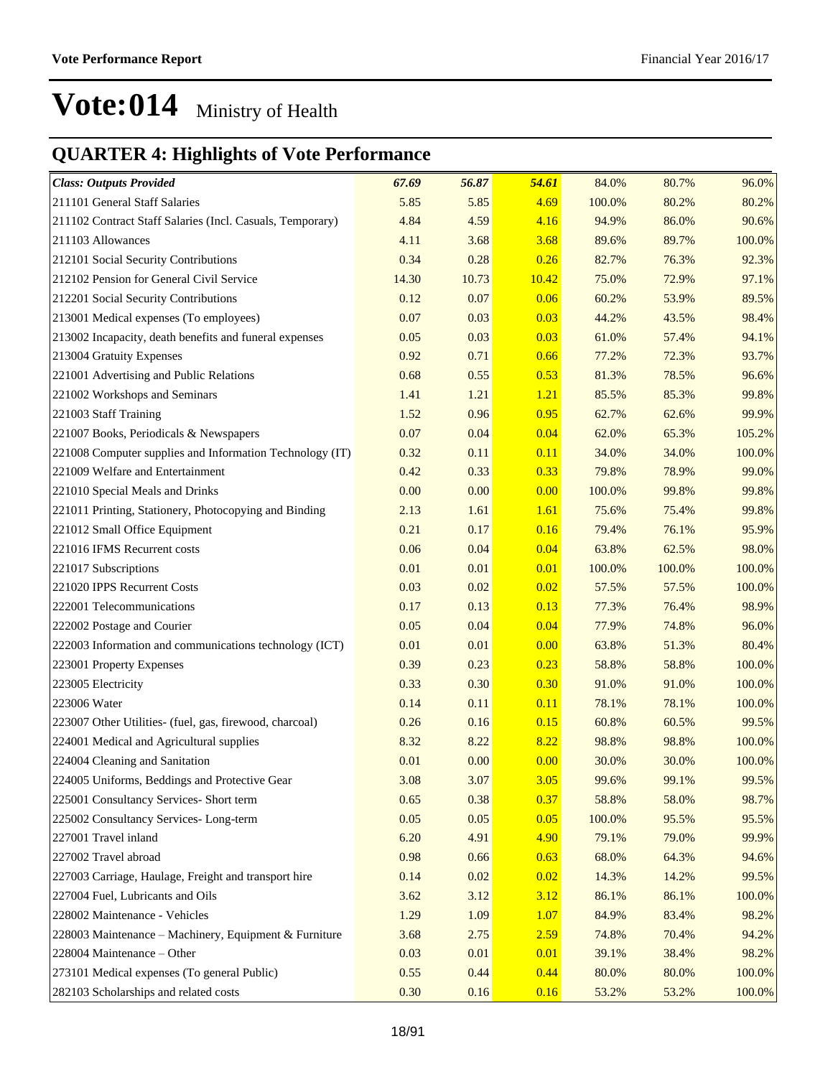| <b>Class: Outputs Provided</b>                            | 67.69 | 56.87 | 54.61 | 84.0%  | 80.7%  | 96.0%  |
|-----------------------------------------------------------|-------|-------|-------|--------|--------|--------|
| 211101 General Staff Salaries                             | 5.85  | 5.85  | 4.69  | 100.0% | 80.2%  | 80.2%  |
| 211102 Contract Staff Salaries (Incl. Casuals, Temporary) | 4.84  | 4.59  | 4.16  | 94.9%  | 86.0%  | 90.6%  |
| 211103 Allowances                                         | 4.11  | 3.68  | 3.68  | 89.6%  | 89.7%  | 100.0% |
| 212101 Social Security Contributions                      | 0.34  | 0.28  | 0.26  | 82.7%  | 76.3%  | 92.3%  |
| 212102 Pension for General Civil Service                  | 14.30 | 10.73 | 10.42 | 75.0%  | 72.9%  | 97.1%  |
| 212201 Social Security Contributions                      | 0.12  | 0.07  | 0.06  | 60.2%  | 53.9%  | 89.5%  |
| 213001 Medical expenses (To employees)                    | 0.07  | 0.03  | 0.03  | 44.2%  | 43.5%  | 98.4%  |
| 213002 Incapacity, death benefits and funeral expenses    | 0.05  | 0.03  | 0.03  | 61.0%  | 57.4%  | 94.1%  |
| 213004 Gratuity Expenses                                  | 0.92  | 0.71  | 0.66  | 77.2%  | 72.3%  | 93.7%  |
| 221001 Advertising and Public Relations                   | 0.68  | 0.55  | 0.53  | 81.3%  | 78.5%  | 96.6%  |
| 221002 Workshops and Seminars                             | 1.41  | 1.21  | 1.21  | 85.5%  | 85.3%  | 99.8%  |
| 221003 Staff Training                                     | 1.52  | 0.96  | 0.95  | 62.7%  | 62.6%  | 99.9%  |
| 221007 Books, Periodicals & Newspapers                    | 0.07  | 0.04  | 0.04  | 62.0%  | 65.3%  | 105.2% |
| 221008 Computer supplies and Information Technology (IT)  | 0.32  | 0.11  | 0.11  | 34.0%  | 34.0%  | 100.0% |
| 221009 Welfare and Entertainment                          | 0.42  | 0.33  | 0.33  | 79.8%  | 78.9%  | 99.0%  |
| 221010 Special Meals and Drinks                           | 0.00  | 0.00  | 0.00  | 100.0% | 99.8%  | 99.8%  |
| 221011 Printing, Stationery, Photocopying and Binding     | 2.13  | 1.61  | 1.61  | 75.6%  | 75.4%  | 99.8%  |
| 221012 Small Office Equipment                             | 0.21  | 0.17  | 0.16  | 79.4%  | 76.1%  | 95.9%  |
| 221016 IFMS Recurrent costs                               | 0.06  | 0.04  | 0.04  | 63.8%  | 62.5%  | 98.0%  |
| 221017 Subscriptions                                      | 0.01  | 0.01  | 0.01  | 100.0% | 100.0% | 100.0% |
| 221020 IPPS Recurrent Costs                               | 0.03  | 0.02  | 0.02  | 57.5%  | 57.5%  | 100.0% |
| 222001 Telecommunications                                 | 0.17  | 0.13  | 0.13  | 77.3%  | 76.4%  | 98.9%  |
| 222002 Postage and Courier                                | 0.05  | 0.04  | 0.04  | 77.9%  | 74.8%  | 96.0%  |
| 222003 Information and communications technology (ICT)    | 0.01  | 0.01  | 0.00  | 63.8%  | 51.3%  | 80.4%  |
| 223001 Property Expenses                                  | 0.39  | 0.23  | 0.23  | 58.8%  | 58.8%  | 100.0% |
| 223005 Electricity                                        | 0.33  | 0.30  | 0.30  | 91.0%  | 91.0%  | 100.0% |
| 223006 Water                                              | 0.14  | 0.11  | 0.11  | 78.1%  | 78.1%  | 100.0% |
| 223007 Other Utilities- (fuel, gas, firewood, charcoal)   | 0.26  | 0.16  | 0.15  | 60.8%  | 60.5%  | 99.5%  |
| 224001 Medical and Agricultural supplies                  | 8.32  | 8.22  | 8.22  | 98.8%  | 98.8%  | 100.0% |
| 224004 Cleaning and Sanitation                            | 0.01  | 0.00  | 0.00  | 30.0%  | 30.0%  | 100.0% |
| 224005 Uniforms, Beddings and Protective Gear             | 3.08  | 3.07  | 3.05  | 99.6%  | 99.1%  | 99.5%  |
| 225001 Consultancy Services- Short term                   | 0.65  | 0.38  | 0.37  | 58.8%  | 58.0%  | 98.7%  |
| 225002 Consultancy Services-Long-term                     | 0.05  | 0.05  | 0.05  | 100.0% | 95.5%  | 95.5%  |
| 227001 Travel inland                                      | 6.20  | 4.91  | 4.90  | 79.1%  | 79.0%  | 99.9%  |
| 227002 Travel abroad                                      | 0.98  | 0.66  | 0.63  | 68.0%  | 64.3%  | 94.6%  |
| 227003 Carriage, Haulage, Freight and transport hire      | 0.14  | 0.02  | 0.02  | 14.3%  | 14.2%  | 99.5%  |
| 227004 Fuel, Lubricants and Oils                          | 3.62  | 3.12  | 3.12  | 86.1%  | 86.1%  | 100.0% |
| 228002 Maintenance - Vehicles                             | 1.29  | 1.09  | 1.07  | 84.9%  | 83.4%  | 98.2%  |
| 228003 Maintenance - Machinery, Equipment & Furniture     | 3.68  | 2.75  | 2.59  | 74.8%  | 70.4%  | 94.2%  |
| 228004 Maintenance - Other                                | 0.03  | 0.01  | 0.01  | 39.1%  | 38.4%  | 98.2%  |
| 273101 Medical expenses (To general Public)               | 0.55  | 0.44  | 0.44  | 80.0%  | 80.0%  | 100.0% |
| 282103 Scholarships and related costs                     | 0.30  | 0.16  | 0.16  | 53.2%  | 53.2%  | 100.0% |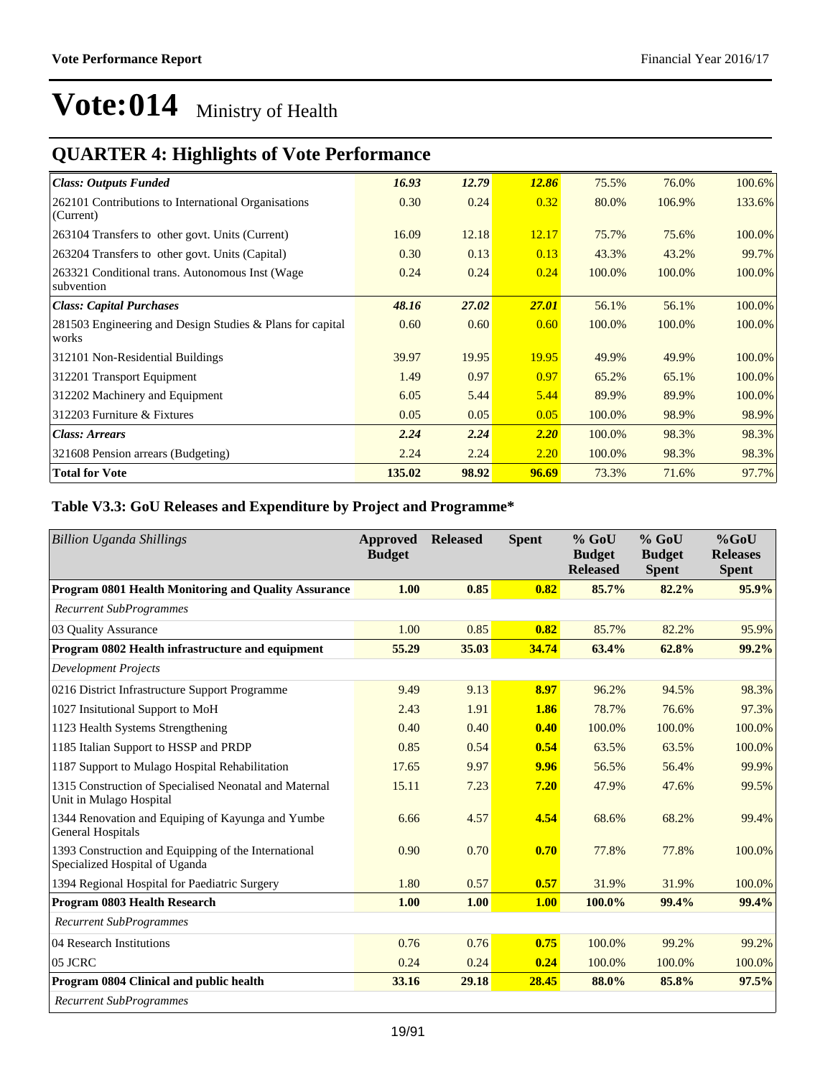## **QUARTER 4: Highlights of Vote Performance**

| <b>Class: Outputs Funded</b>                                       | 16.93  | 12.79 | <b>12.86</b> | 75.5%  | 76.0%  | 100.6% |
|--------------------------------------------------------------------|--------|-------|--------------|--------|--------|--------|
| 262101 Contributions to International Organisations<br>(Current)   | 0.30   | 0.24  | 0.32         | 80.0%  | 106.9% | 133.6% |
| 263104 Transfers to other govt. Units (Current)                    | 16.09  | 12.18 | 12.17        | 75.7%  | 75.6%  | 100.0% |
| 263204 Transfers to other govt. Units (Capital)                    | 0.30   | 0.13  | 0.13         | 43.3%  | 43.2%  | 99.7%  |
| 263321 Conditional trans. Autonomous Inst (Wage<br>subvention      | 0.24   | 0.24  | 0.24         | 100.0% | 100.0% | 100.0% |
| <b>Class: Capital Purchases</b>                                    | 48.16  | 27.02 | <b>27.01</b> | 56.1%  | 56.1%  | 100.0% |
| 281503 Engineering and Design Studies & Plans for capital<br>works | 0.60   | 0.60  | 0.60         | 100.0% | 100.0% | 100.0% |
| 312101 Non-Residential Buildings                                   | 39.97  | 19.95 | 19.95        | 49.9%  | 49.9%  | 100.0% |
| 312201 Transport Equipment                                         | 1.49   | 0.97  | 0.97         | 65.2%  | 65.1%  | 100.0% |
| 312202 Machinery and Equipment                                     | 6.05   | 5.44  | 5.44         | 89.9%  | 89.9%  | 100.0% |
| 312203 Furniture & Fixtures                                        | 0.05   | 0.05  | 0.05         | 100.0% | 98.9%  | 98.9%  |
| <b>Class: Arrears</b>                                              | 2.24   | 2.24  | 2.20         | 100.0% | 98.3%  | 98.3%  |
| 321608 Pension arrears (Budgeting)                                 | 2.24   | 2.24  | 2.20         | 100.0% | 98.3%  | 98.3%  |
| <b>Total for Vote</b>                                              | 135.02 | 98.92 | 96.69        | 73.3%  | 71.6%  | 97.7%  |

### **Table V3.3: GoU Releases and Expenditure by Project and Programme\***

| <b>Billion Uganda Shillings</b>                                                        | <b>Approved</b><br><b>Budget</b> | <b>Released</b> | <b>Spent</b> | % GoU<br><b>Budget</b><br><b>Released</b> | % GoU<br><b>Budget</b><br><b>Spent</b> | %GoU<br><b>Releases</b><br><b>Spent</b> |
|----------------------------------------------------------------------------------------|----------------------------------|-----------------|--------------|-------------------------------------------|----------------------------------------|-----------------------------------------|
| Program 0801 Health Monitoring and Quality Assurance                                   | 1.00                             | 0.85            | 0.82         | 85.7%                                     | 82.2%                                  | 95.9%                                   |
| <b>Recurrent SubProgrammes</b>                                                         |                                  |                 |              |                                           |                                        |                                         |
| 03 Ouality Assurance                                                                   | 1.00                             | 0.85            | 0.82         | 85.7%                                     | 82.2%                                  | 95.9%                                   |
| Program 0802 Health infrastructure and equipment                                       | 55.29                            | 35.03           | 34.74        | 63.4%                                     | 62.8%                                  | 99.2%                                   |
| <b>Development Projects</b>                                                            |                                  |                 |              |                                           |                                        |                                         |
| 0216 District Infrastructure Support Programme                                         | 9.49                             | 9.13            | 8.97         | 96.2%                                     | 94.5%                                  | 98.3%                                   |
| 1027 Insitutional Support to MoH                                                       | 2.43                             | 1.91            | 1.86         | 78.7%                                     | 76.6%                                  | 97.3%                                   |
| 1123 Health Systems Strengthening                                                      | 0.40                             | 0.40            | 0.40         | 100.0%                                    | 100.0%                                 | 100.0%                                  |
| 1185 Italian Support to HSSP and PRDP                                                  | 0.85                             | 0.54            | 0.54         | 63.5%                                     | 63.5%                                  | 100.0%                                  |
| 1187 Support to Mulago Hospital Rehabilitation                                         | 17.65                            | 9.97            | 9.96         | 56.5%                                     | 56.4%                                  | 99.9%                                   |
| 1315 Construction of Specialised Neonatal and Maternal<br>Unit in Mulago Hospital      | 15.11                            | 7.23            | 7.20         | 47.9%                                     | 47.6%                                  | 99.5%                                   |
| 1344 Renovation and Equiping of Kayunga and Yumbe<br><b>General Hospitals</b>          | 6.66                             | 4.57            | 4.54         | 68.6%                                     | 68.2%                                  | 99.4%                                   |
| 1393 Construction and Equipping of the International<br>Specialized Hospital of Uganda | 0.90                             | 0.70            | 0.70         | 77.8%                                     | 77.8%                                  | 100.0%                                  |
| 1394 Regional Hospital for Paediatric Surgery                                          | 1.80                             | 0.57            | 0.57         | 31.9%                                     | 31.9%                                  | 100.0%                                  |
| Program 0803 Health Research                                                           | 1.00                             | 1.00            | <b>1.00</b>  | 100.0%                                    | 99.4%                                  | 99.4%                                   |
| <b>Recurrent SubProgrammes</b>                                                         |                                  |                 |              |                                           |                                        |                                         |
| 04 Research Institutions                                                               | 0.76                             | 0.76            | 0.75         | 100.0%                                    | 99.2%                                  | 99.2%                                   |
| 05 JCRC                                                                                | 0.24                             | 0.24            | 0.24         | 100.0%                                    | 100.0%                                 | 100.0%                                  |
| Program 0804 Clinical and public health                                                | 33.16                            | 29.18           | 28.45        | 88.0%                                     | 85.8%                                  | 97.5%                                   |
| <b>Recurrent SubProgrammes</b>                                                         |                                  |                 |              |                                           |                                        |                                         |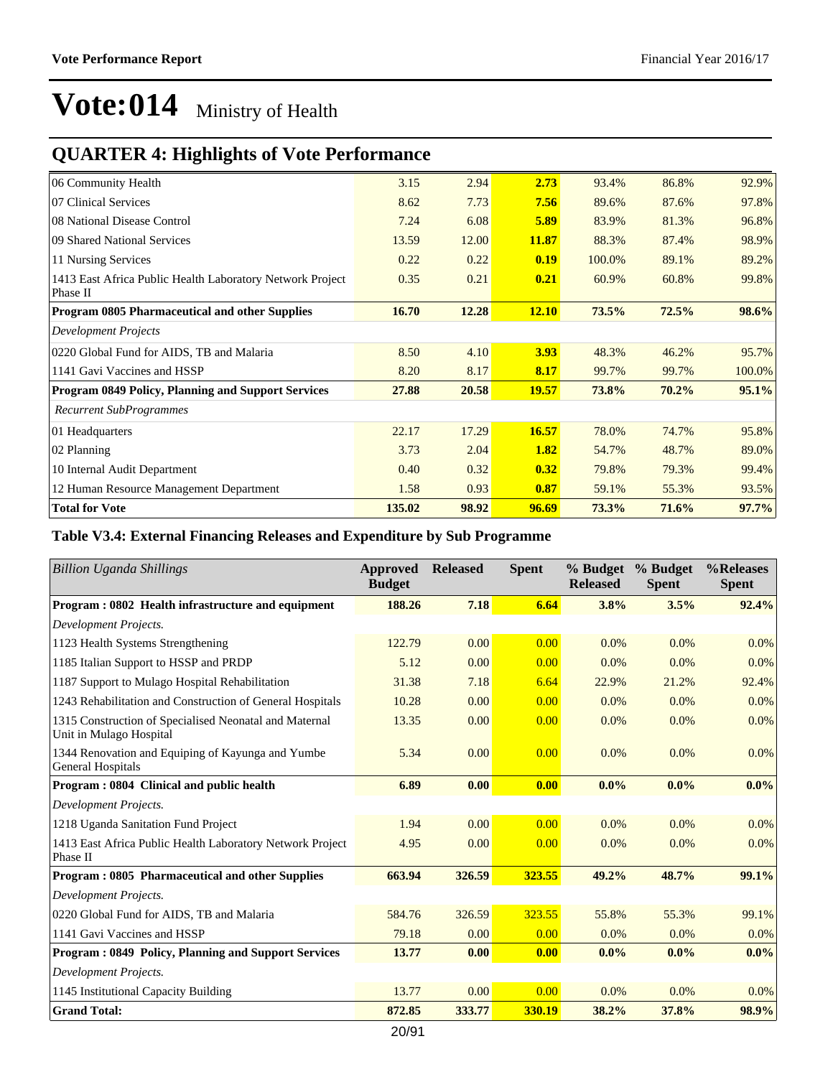## **QUARTER 4: Highlights of Vote Performance**

| 06 Community Health                                                   | 3.15   | 2.94  | 2.73         | 93.4%  | 86.8% | 92.9%  |
|-----------------------------------------------------------------------|--------|-------|--------------|--------|-------|--------|
| 07 Clinical Services                                                  | 8.62   | 7.73  | 7.56         | 89.6%  | 87.6% | 97.8%  |
| 08 National Disease Control                                           | 7.24   | 6.08  | 5.89         | 83.9%  | 81.3% | 96.8%  |
| 09 Shared National Services                                           | 13.59  | 12.00 | <b>11.87</b> | 88.3%  | 87.4% | 98.9%  |
| 11 Nursing Services                                                   | 0.22   | 0.22  | 0.19         | 100.0% | 89.1% | 89.2%  |
| 1413 East Africa Public Health Laboratory Network Project<br>Phase II | 0.35   | 0.21  | 0.21         | 60.9%  | 60.8% | 99.8%  |
| Program 0805 Pharmaceutical and other Supplies                        | 16.70  | 12.28 | <b>12.10</b> | 73.5%  | 72.5% | 98.6%  |
| <b>Development Projects</b>                                           |        |       |              |        |       |        |
| 0220 Global Fund for AIDS, TB and Malaria                             | 8.50   | 4.10  | 3.93         | 48.3%  | 46.2% | 95.7%  |
| 1141 Gavi Vaccines and HSSP                                           | 8.20   | 8.17  | 8.17         | 99.7%  | 99.7% | 100.0% |
| <b>Program 0849 Policy, Planning and Support Services</b>             | 27.88  | 20.58 | <b>19.57</b> | 73.8%  | 70.2% | 95.1%  |
| Recurrent SubProgrammes                                               |        |       |              |        |       |        |
| 01 Headquarters                                                       | 22.17  | 17.29 | 16.57        | 78.0%  | 74.7% | 95.8%  |
| 02 Planning                                                           | 3.73   | 2.04  | 1.82         | 54.7%  | 48.7% | 89.0%  |
| 10 Internal Audit Department                                          | 0.40   | 0.32  | 0.32         | 79.8%  | 79.3% | 99.4%  |
| 12 Human Resource Management Department                               | 1.58   | 0.93  | 0.87         | 59.1%  | 55.3% | 93.5%  |
| <b>Total for Vote</b>                                                 | 135.02 | 98.92 | 96.69        | 73.3%  | 71.6% | 97.7%  |

### **Table V3.4: External Financing Releases and Expenditure by Sub Programme**

| <b>Billion Uganda Shillings</b>                                                   | Approved<br><b>Budget</b> | <b>Released</b> | <b>Spent</b> | % Budget<br><b>Released</b> | % Budget<br><b>Spent</b> | %Releases<br><b>Spent</b> |
|-----------------------------------------------------------------------------------|---------------------------|-----------------|--------------|-----------------------------|--------------------------|---------------------------|
| Program: 0802 Health infrastructure and equipment                                 | 188.26                    | 7.18            | 6.64         | 3.8%                        | 3.5%                     | 92.4%                     |
| Development Projects.                                                             |                           |                 |              |                             |                          |                           |
| 1123 Health Systems Strengthening                                                 | 122.79                    | 0.00            | 0.00         | 0.0%                        | $0.0\%$                  | 0.0%                      |
| 1185 Italian Support to HSSP and PRDP                                             | 5.12                      | 0.00            | 0.00         | 0.0%                        | 0.0%                     | 0.0%                      |
| 1187 Support to Mulago Hospital Rehabilitation                                    | 31.38                     | 7.18            | 6.64         | 22.9%                       | 21.2%                    | 92.4%                     |
| 1243 Rehabilitation and Construction of General Hospitals                         | 10.28                     | 0.00            | 0.00         | 0.0%                        | 0.0%                     | 0.0%                      |
| 1315 Construction of Specialised Neonatal and Maternal<br>Unit in Mulago Hospital | 13.35                     | 0.00            | 0.00         | 0.0%                        | $0.0\%$                  | 0.0%                      |
| 1344 Renovation and Equiping of Kayunga and Yumbe<br>General Hospitals            | 5.34                      | 0.00            | 0.00         | 0.0%                        | 0.0%                     | $0.0\%$                   |
| Program: 0804 Clinical and public health                                          | 6.89                      | 0.00            | 0.00         | $0.0\%$                     | $0.0\%$                  | $0.0\%$                   |
| Development Projects.                                                             |                           |                 |              |                             |                          |                           |
| 1218 Uganda Sanitation Fund Project                                               | 1.94                      | 0.00            | 0.00         | 0.0%                        | $0.0\%$                  | 0.0%                      |
| 1413 East Africa Public Health Laboratory Network Project<br>Phase II             | 4.95                      | 0.00            | 0.00         | 0.0%                        | 0.0%                     | 0.0%                      |
| Program: 0805 Pharmaceutical and other Supplies                                   | 663.94                    | 326.59          | 323.55       | 49.2%                       | 48.7%                    | 99.1%                     |
| Development Projects.                                                             |                           |                 |              |                             |                          |                           |
| 0220 Global Fund for AIDS, TB and Malaria                                         | 584.76                    | 326.59          | 323.55       | 55.8%                       | 55.3%                    | 99.1%                     |
| 1141 Gavi Vaccines and HSSP                                                       | 79.18                     | 0.00            | 0.00         | 0.0%                        | 0.0%                     | 0.0%                      |
| <b>Program: 0849 Policy, Planning and Support Services</b>                        | 13.77                     | 0.00            | 0.00         | $0.0\%$                     | $0.0\%$                  | $0.0\%$                   |
| Development Projects.                                                             |                           |                 |              |                             |                          |                           |
| 1145 Institutional Capacity Building                                              | 13.77                     | 0.00            | 0.00         | 0.0%                        | $0.0\%$                  | 0.0%                      |
| <b>Grand Total:</b>                                                               | 872.85                    | 333.77          | 330.19       | 38.2%                       | 37.8%                    | 98.9%                     |
|                                                                                   | 20/04                     |                 |              |                             |                          |                           |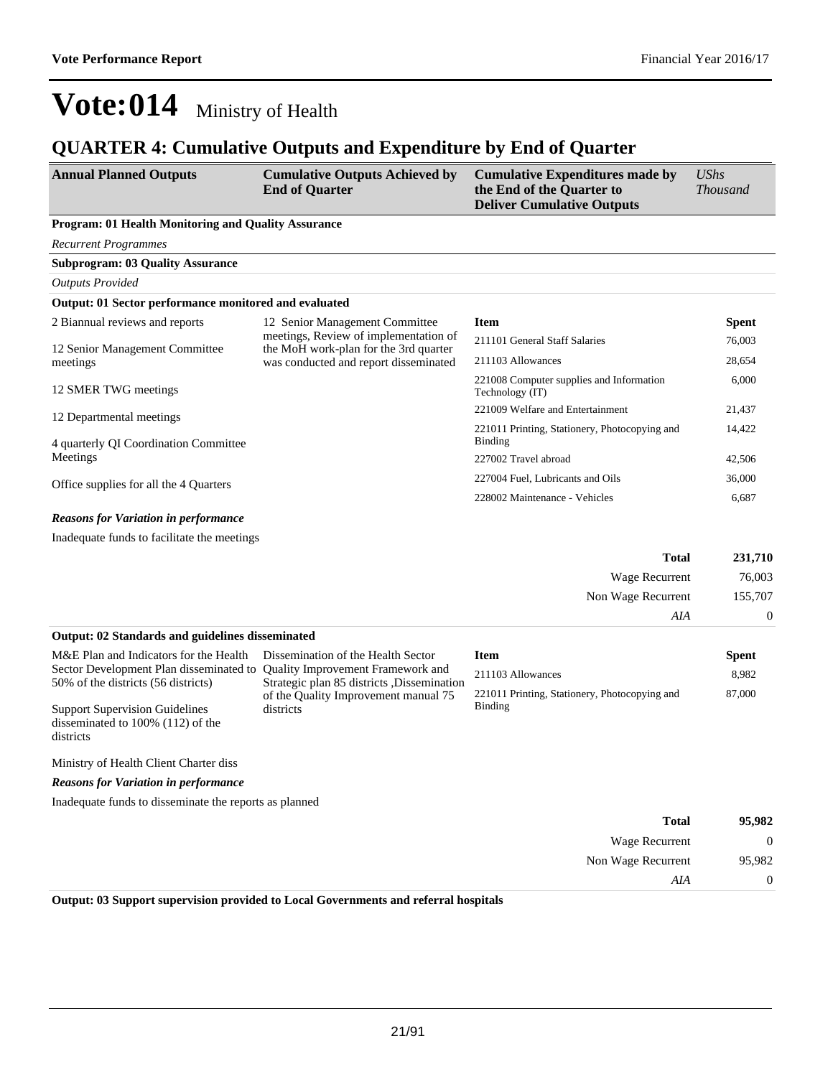### **QUARTER 4: Cumulative Outputs and Expenditure by End of Quarter**

| <b>Annual Planned Outputs</b> | <b>Cumulative Outputs Achieved by</b> | <b>Cumulative Expenditures made by</b> | UShs            |
|-------------------------------|---------------------------------------|----------------------------------------|-----------------|
|                               | <b>End of Quarter</b>                 | the End of the Quarter to              | <i>Thousand</i> |
|                               |                                       | <b>Deliver Cumulative Outputs</b>      |                 |

#### **Program: 01 Health Monitoring and Quality Assurance**

*Recurrent Programmes*

| <b>Subprogram: 03 Quality Assurance</b>               |                                                                                |                                                             |              |
|-------------------------------------------------------|--------------------------------------------------------------------------------|-------------------------------------------------------------|--------------|
| <b>Outputs Provided</b>                               |                                                                                |                                                             |              |
| Output: 01 Sector performance monitored and evaluated |                                                                                |                                                             |              |
| 2 Biannual reviews and reports                        | 12 Senior Management Committee                                                 | <b>Item</b>                                                 | <b>Spent</b> |
| 12 Senior Management Committee                        | meetings, Review of implementation of<br>the MoH work-plan for the 3rd quarter | 211101 General Staff Salaries                               | 76,003       |
| meetings                                              | was conducted and report disseminated                                          | 211103 Allowances                                           | 28,654       |
| 12 SMER TWG meetings                                  |                                                                                | 221008 Computer supplies and Information<br>Technology (IT) | 6,000        |
| 12 Departmental meetings                              |                                                                                | 221009 Welfare and Entertainment                            | 21,437       |
| 4 quarterly QI Coordination Committee                 |                                                                                | 221011 Printing, Stationery, Photocopying and<br>Binding    | 14,422       |
| Meetings                                              |                                                                                | 227002 Travel abroad                                        | 42,506       |
| Office supplies for all the 4 Quarters                |                                                                                | 227004 Fuel, Lubricants and Oils                            | 36,000       |
|                                                       |                                                                                | 228002 Maintenance - Vehicles                               | 6,687        |

#### *Reasons for Variation in performance*

Inadequate funds to facilitate the meetings

| 231,710        | <b>Total</b>       |
|----------------|--------------------|
| 76,003         | Wage Recurrent     |
| 155,707        | Non Wage Recurrent |
| $\overline{0}$ | AIA                |

| Output: 02 Standards and guidelines disseminated                                                                 |                                                   |                                                          |              |
|------------------------------------------------------------------------------------------------------------------|---------------------------------------------------|----------------------------------------------------------|--------------|
| M&E Plan and Indicators for the Health                                                                           | Dissemination of the Health Sector                | Item                                                     | <b>Spent</b> |
| Sector Development Plan disseminated to Quality Improvement Framework and<br>50% of the districts (56 districts) | Strategic plan 85 districts , Dissemination       | 211103 Allowances                                        | 8.982        |
| <b>Support Supervision Guidelines</b><br>disseminated to $100\%$ (112) of the<br>districts                       | of the Quality Improvement manual 75<br>districts | 221011 Printing, Stationery, Photocopying and<br>Binding | 87,000       |

Ministry of Health Client Charter diss

*Reasons for Variation in performance*

Inadequate funds to disseminate the reports as planned

| 95,982         | Total              |
|----------------|--------------------|
| $\mathbf{0}$   | Wage Recurrent     |
| 95,982         | Non Wage Recurrent |
| $\overline{0}$ | AIA                |

**Output: 03 Support supervision provided to Local Governments and referral hospitals**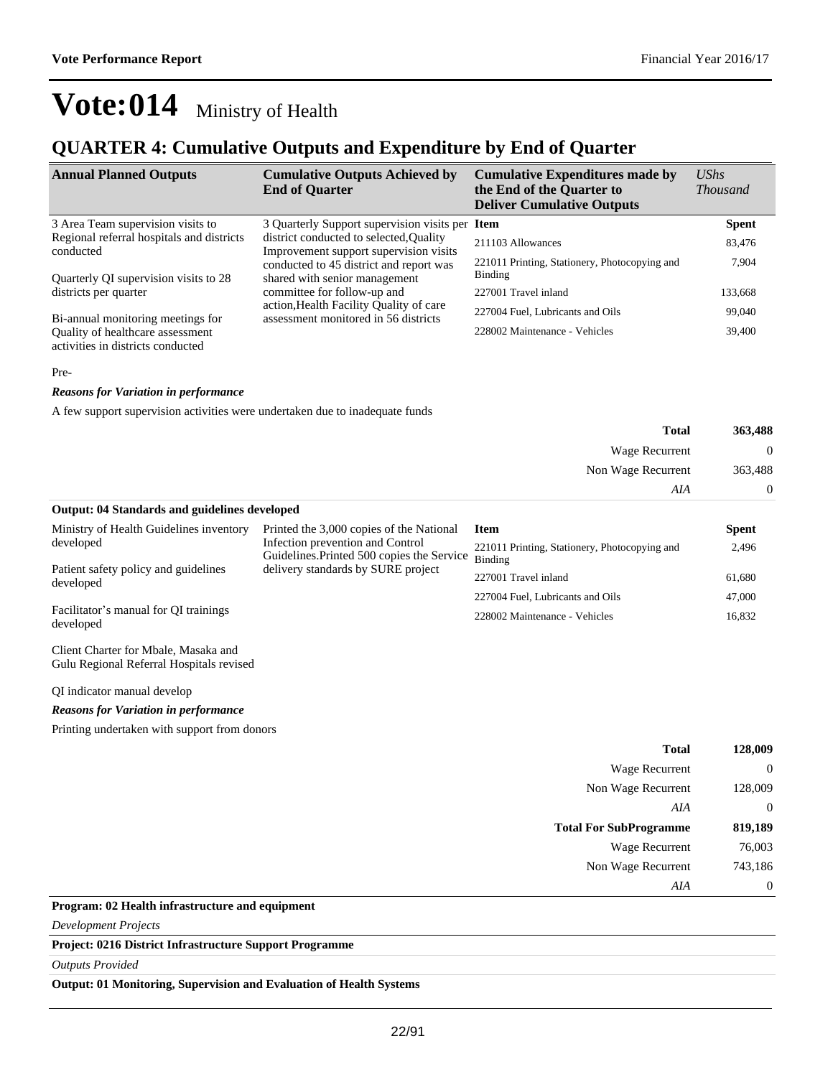### **QUARTER 4: Cumulative Outputs and Expenditure by End of Quarter**

| <b>Annual Planned Outputs</b>                                         | <b>Cumulative Outputs Achieved by</b><br><b>End of Quarter</b>                    | <b>Cumulative Expenditures made by</b><br>the End of the Quarter to<br><b>Deliver Cumulative Outputs</b> | $\mathit{UShs}$<br><i>Thousand</i> |
|-----------------------------------------------------------------------|-----------------------------------------------------------------------------------|----------------------------------------------------------------------------------------------------------|------------------------------------|
| 3 Area Team supervision visits to                                     | 3 Quarterly Support supervision visits per Item                                   |                                                                                                          | <b>Spent</b>                       |
| Regional referral hospitals and districts<br>conducted                | district conducted to selected, Quality<br>Improvement support supervision visits | 211103 Allowances                                                                                        | 83.476                             |
| Quarterly QI supervision visits to 28                                 | conducted to 45 district and report was<br>shared with senior management          | 221011 Printing, Stationery, Photocopying and<br>Binding                                                 | 7,904                              |
| districts per quarter                                                 | committee for follow-up and                                                       | 227001 Travel inland                                                                                     | 133.668                            |
| Bi-annual monitoring meetings for                                     | action, Health Facility Quality of care<br>assessment monitored in 56 districts   | 227004 Fuel, Lubricants and Oils                                                                         | 99,040                             |
| Quality of healthcare assessment<br>activities in districts conducted |                                                                                   | 228002 Maintenance - Vehicles                                                                            | 39,400                             |

Pre-

#### *Reasons for Variation in performance*

A few support supervision activities were undertaken due to inadequate funds

| <b>Total</b>                                  | 363,488        |
|-----------------------------------------------|----------------|
| Wage Recurrent                                | $\overline{0}$ |
| Non Wage Recurrent                            | 363,488        |
| AIA                                           | $\Omega$       |
| Output: 04 Standards and guidelines developed |                |

| Ministry of Health Guidelines inventory            | Printed the 3,000 copies of the National                                       | <b>Item</b>                                              | <b>Spent</b> |
|----------------------------------------------------|--------------------------------------------------------------------------------|----------------------------------------------------------|--------------|
| developed                                          | Infection prevention and Control<br>Guidelines. Printed 500 copies the Service | 221011 Printing, Stationery, Photocopying and<br>Binding | 2,496        |
| Patient safety policy and guidelines<br>developed  | delivery standards by SURE project                                             | 227001 Travel inland                                     | 61.680       |
|                                                    |                                                                                | 227004 Fuel, Lubricants and Oils                         | 47,000       |
| Facilitator's manual for OI trainings<br>developed |                                                                                | 228002 Maintenance - Vehicles                            | 16,832       |

Client Charter for Mbale, Masaka and Gulu Regional Referral Hospitals revised

QI indicator manual develop

*Reasons for Variation in performance*

Printing undertaken with support from donors

| <b>Total</b>                            | 128,009        |
|-----------------------------------------|----------------|
| <b>Wage Recurrent</b>                   | $\overline{0}$ |
| Non Wage Recurrent                      | 128,009        |
| AIA                                     | $\overline{0}$ |
| <b>Total For SubProgramme</b>           | 819,189        |
| <b>Wage Recurrent</b>                   | 76,003         |
| Non Wage Recurrent                      | 743,186        |
| AIA                                     | $\overline{0}$ |
| 02 Hoolth infractructure and conjument. |                |

**Program: 02 Health infrastructure and equipment**

*Development Projects*

**Project: 0216 District Infrastructure Support Programme**

*Outputs Provided*

**Output: 01 Monitoring, Supervision and Evaluation of Health Systems**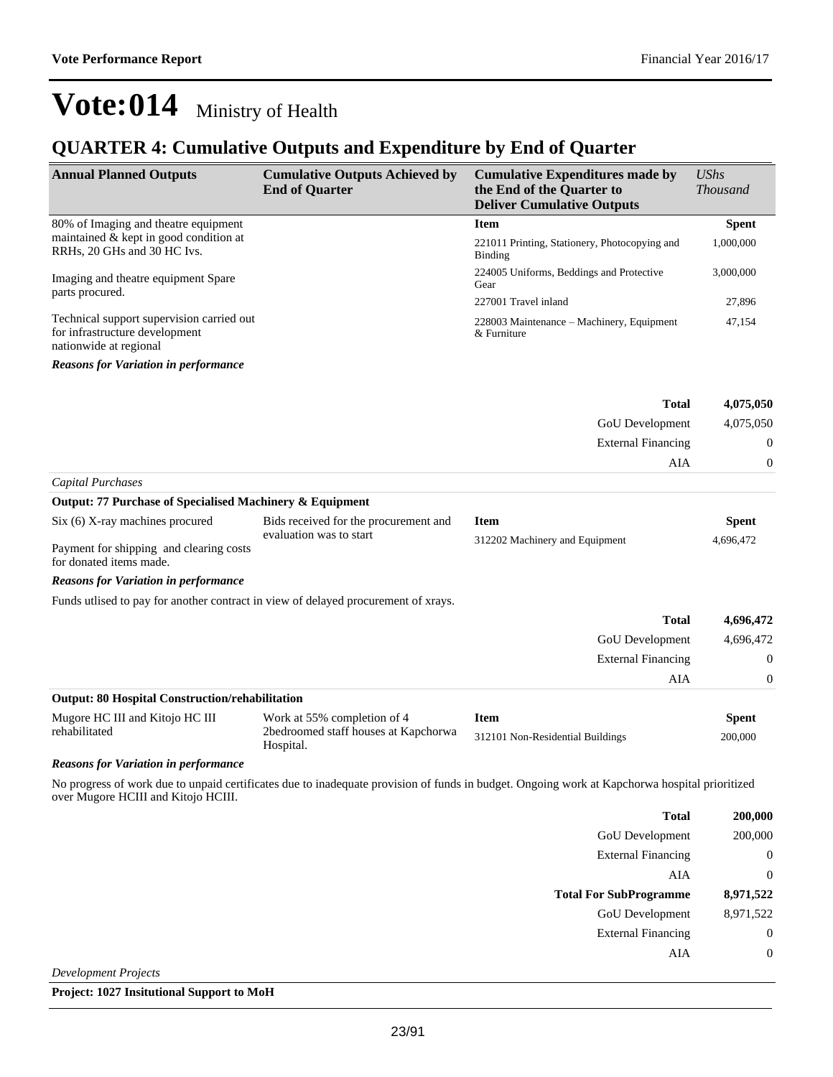$\begin{matrix} \textrm{AIA} & \phantom{000} & 0 \\ \end{matrix}$ 

## **Vote:014** Ministry of Health

### **QUARTER 4: Cumulative Outputs and Expenditure by End of Quarter**

| <b>Annual Planned Outputs</b>                                                                         | <b>Cumulative Outputs Achieved by</b><br><b>End of Quarter</b>   | <b>Cumulative Expenditures made by</b><br>the End of the Quarter to<br><b>Deliver Cumulative Outputs</b>                                      | <b>UShs</b><br><b>Thousand</b> |
|-------------------------------------------------------------------------------------------------------|------------------------------------------------------------------|-----------------------------------------------------------------------------------------------------------------------------------------------|--------------------------------|
| 80% of Imaging and theatre equipment                                                                  |                                                                  | <b>Item</b>                                                                                                                                   | <b>Spent</b>                   |
| maintained & kept in good condition at<br>RRHs, 20 GHs and 30 HC Ivs.                                 |                                                                  | 221011 Printing, Stationery, Photocopying and<br>Binding                                                                                      | 1,000,000                      |
| Imaging and theatre equipment Spare<br>parts procured.                                                |                                                                  | 224005 Uniforms, Beddings and Protective<br>Gear                                                                                              | 3,000,000                      |
|                                                                                                       |                                                                  | 227001 Travel inland                                                                                                                          | 27,896                         |
| Technical support supervision carried out<br>for infrastructure development<br>nationwide at regional |                                                                  | 228003 Maintenance - Machinery, Equipment<br>& Furniture                                                                                      | 47,154                         |
| <b>Reasons for Variation in performance</b>                                                           |                                                                  |                                                                                                                                               |                                |
|                                                                                                       |                                                                  | <b>Total</b>                                                                                                                                  | 4,075,050                      |
|                                                                                                       |                                                                  | GoU Development                                                                                                                               | 4,075,050                      |
|                                                                                                       |                                                                  | <b>External Financing</b>                                                                                                                     | $\boldsymbol{0}$               |
|                                                                                                       |                                                                  | AIA                                                                                                                                           | $\boldsymbol{0}$               |
| Capital Purchases                                                                                     |                                                                  |                                                                                                                                               |                                |
| Output: 77 Purchase of Specialised Machinery & Equipment                                              |                                                                  |                                                                                                                                               |                                |
| Six (6) X-ray machines procured                                                                       | Bids received for the procurement and<br>evaluation was to start | Item                                                                                                                                          | Spent                          |
| Payment for shipping and clearing costs<br>for donated items made.                                    |                                                                  | 312202 Machinery and Equipment                                                                                                                | 4,696,472                      |
| <b>Reasons for Variation in performance</b>                                                           |                                                                  |                                                                                                                                               |                                |
| Funds utlised to pay for another contract in view of delayed procurement of xrays.                    |                                                                  |                                                                                                                                               |                                |
|                                                                                                       |                                                                  | <b>Total</b>                                                                                                                                  | 4,696,472                      |
|                                                                                                       |                                                                  | GoU Development                                                                                                                               | 4,696,472                      |
|                                                                                                       |                                                                  | <b>External Financing</b>                                                                                                                     | $\boldsymbol{0}$               |
|                                                                                                       |                                                                  | AIA                                                                                                                                           | $\boldsymbol{0}$               |
| <b>Output: 80 Hospital Construction/rehabilitation</b>                                                |                                                                  |                                                                                                                                               |                                |
| Mugore HC III and Kitojo HC III                                                                       | Work at 55% completion of 4                                      | <b>Item</b>                                                                                                                                   | <b>Spent</b>                   |
| rehabilitated                                                                                         | 2bedroomed staff houses at Kapchorwa<br>Hospital.                | 312101 Non-Residential Buildings                                                                                                              | 200,000                        |
| <b>Reasons for Variation in performance</b>                                                           |                                                                  |                                                                                                                                               |                                |
| over Mugore HCIII and Kitojo HCIII.                                                                   |                                                                  | No progress of work due to unpaid certificates due to inadequate provision of funds in budget. Ongoing work at Kapchorwa hospital prioritized |                                |
|                                                                                                       |                                                                  | <b>Total</b>                                                                                                                                  | 200,000                        |
|                                                                                                       |                                                                  | GoU Development                                                                                                                               | 200,000                        |
|                                                                                                       |                                                                  | <b>External Financing</b>                                                                                                                     | $\boldsymbol{0}$               |
|                                                                                                       |                                                                  | AIA                                                                                                                                           | $\boldsymbol{0}$               |
|                                                                                                       |                                                                  | <b>Total For SubProgramme</b>                                                                                                                 | 8,971,522                      |
|                                                                                                       |                                                                  | <b>GoU</b> Development                                                                                                                        | 8,971,522                      |
|                                                                                                       |                                                                  | <b>External Financing</b>                                                                                                                     | $\boldsymbol{0}$               |

*Development Projects*

**Project: 1027 Insitutional Support to MoH**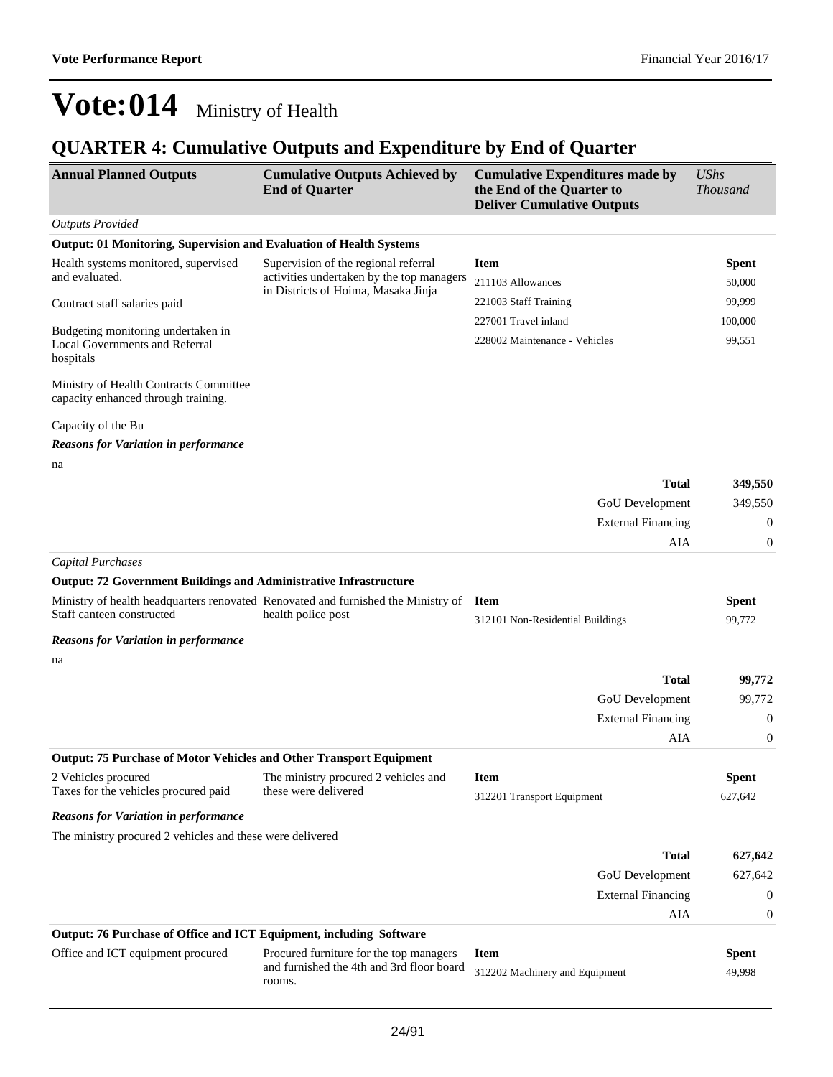### **QUARTER 4: Cumulative Outputs and Expenditure by End of Quarter**

| <b>Annual Planned Outputs</b>                                                            | <b>Cumulative Outputs Achieved by</b><br><b>End of Quarter</b>                                          | <b>Cumulative Expenditures made by</b><br>the End of the Quarter to<br><b>Deliver Cumulative Outputs</b> | <b>UShs</b><br><b>Thousand</b> |
|------------------------------------------------------------------------------------------|---------------------------------------------------------------------------------------------------------|----------------------------------------------------------------------------------------------------------|--------------------------------|
| <b>Outputs Provided</b>                                                                  |                                                                                                         |                                                                                                          |                                |
| Output: 01 Monitoring, Supervision and Evaluation of Health Systems                      |                                                                                                         |                                                                                                          |                                |
| Health systems monitored, supervised                                                     | Supervision of the regional referral                                                                    | <b>Item</b>                                                                                              | <b>Spent</b>                   |
| and evaluated.                                                                           | activities undertaken by the top managers<br>in Districts of Hoima, Masaka Jinja                        | 211103 Allowances                                                                                        | 50,000                         |
| Contract staff salaries paid                                                             |                                                                                                         | 221003 Staff Training                                                                                    | 99,999                         |
|                                                                                          |                                                                                                         | 227001 Travel inland                                                                                     | 100,000                        |
| Budgeting monitoring undertaken in<br><b>Local Governments and Referral</b><br>hospitals |                                                                                                         | 228002 Maintenance - Vehicles                                                                            | 99,551                         |
| Ministry of Health Contracts Committee<br>capacity enhanced through training.            |                                                                                                         |                                                                                                          |                                |
| Capacity of the Bu                                                                       |                                                                                                         |                                                                                                          |                                |
| <b>Reasons for Variation in performance</b>                                              |                                                                                                         |                                                                                                          |                                |
| na                                                                                       |                                                                                                         |                                                                                                          |                                |
|                                                                                          |                                                                                                         | <b>Total</b>                                                                                             | 349,550                        |
|                                                                                          |                                                                                                         | GoU Development                                                                                          | 349,550                        |
|                                                                                          |                                                                                                         | <b>External Financing</b>                                                                                | $\boldsymbol{0}$               |
|                                                                                          |                                                                                                         | AIA                                                                                                      | 0                              |
| Capital Purchases                                                                        |                                                                                                         |                                                                                                          |                                |
| <b>Output: 72 Government Buildings and Administrative Infrastructure</b>                 |                                                                                                         |                                                                                                          |                                |
| Staff canteen constructed                                                                | Ministry of health headquarters renovated Renovated and furnished the Ministry of<br>health police post | <b>Item</b><br>312101 Non-Residential Buildings                                                          | <b>Spent</b><br>99,772         |
| <b>Reasons for Variation in performance</b>                                              |                                                                                                         |                                                                                                          |                                |
| na                                                                                       |                                                                                                         |                                                                                                          |                                |
|                                                                                          |                                                                                                         | <b>Total</b>                                                                                             | 99,772                         |
|                                                                                          |                                                                                                         | GoU Development                                                                                          | 99,772                         |
|                                                                                          |                                                                                                         | <b>External Financing</b>                                                                                | $\boldsymbol{0}$               |
|                                                                                          |                                                                                                         | AIA                                                                                                      | $\boldsymbol{0}$               |
| <b>Output: 75 Purchase of Motor Vehicles and Other Transport Equipment</b>               |                                                                                                         |                                                                                                          |                                |
| 2 Vehicles procured                                                                      | The ministry procured 2 vehicles and                                                                    | <b>Item</b>                                                                                              | <b>Spent</b>                   |
| Taxes for the vehicles procured paid                                                     | these were delivered                                                                                    | 312201 Transport Equipment                                                                               | 627,642                        |
| <b>Reasons for Variation in performance</b>                                              |                                                                                                         |                                                                                                          |                                |
| The ministry procured 2 vehicles and these were delivered                                |                                                                                                         |                                                                                                          |                                |
|                                                                                          |                                                                                                         | <b>Total</b>                                                                                             | 627,642                        |
|                                                                                          |                                                                                                         | GoU Development                                                                                          | 627,642                        |
|                                                                                          |                                                                                                         | <b>External Financing</b>                                                                                | 0                              |
|                                                                                          |                                                                                                         | AIA                                                                                                      | 0                              |
| Output: 76 Purchase of Office and ICT Equipment, including Software                      |                                                                                                         |                                                                                                          |                                |
| Office and ICT equipment procured                                                        | Procured furniture for the top managers                                                                 | <b>Item</b>                                                                                              | <b>Spent</b>                   |
|                                                                                          | and furnished the 4th and 3rd floor board<br>rooms.                                                     | 312202 Machinery and Equipment                                                                           | 49,998                         |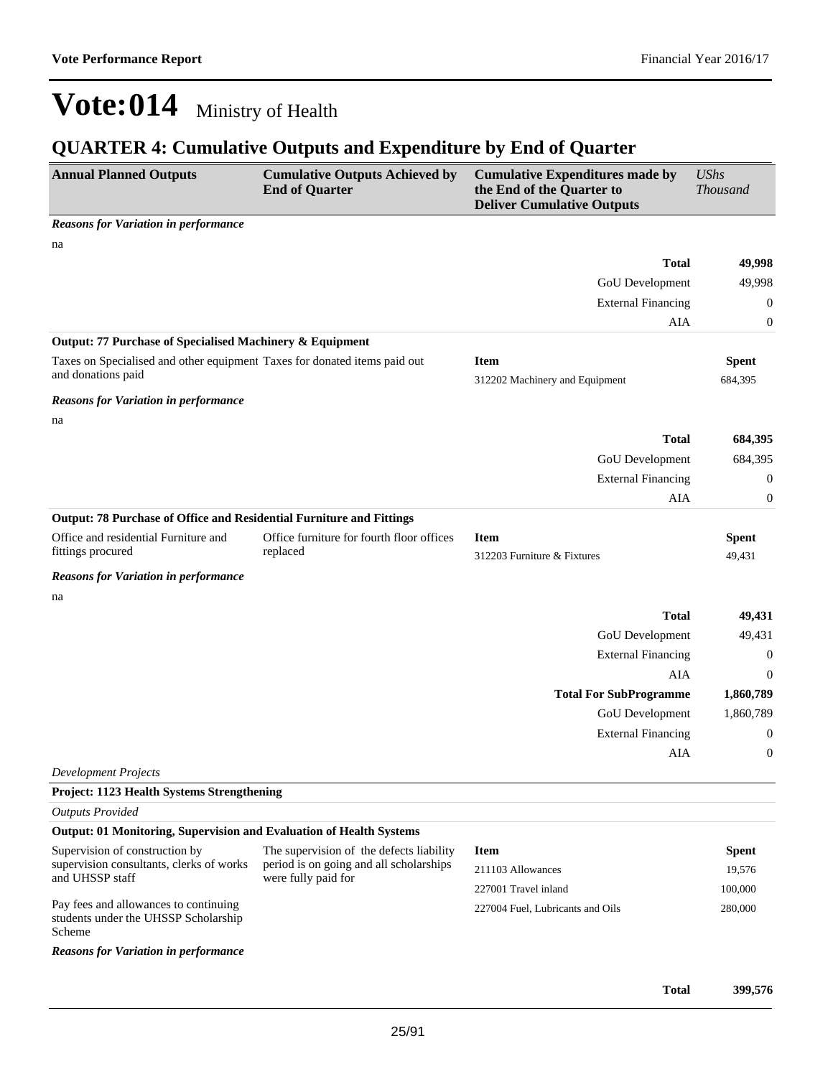### **QUARTER 4: Cumulative Outputs and Expenditure by End of Quarter**

| <b>Annual Planned Outputs</b>                                                           | <b>Cumulative Outputs Achieved by</b><br><b>End of Quarter</b> | <b>Cumulative Expenditures made by</b><br>the End of the Quarter to<br><b>Deliver Cumulative Outputs</b> | <b>UShs</b><br><b>Thousand</b> |
|-----------------------------------------------------------------------------------------|----------------------------------------------------------------|----------------------------------------------------------------------------------------------------------|--------------------------------|
| <b>Reasons for Variation in performance</b>                                             |                                                                |                                                                                                          |                                |
| na                                                                                      |                                                                |                                                                                                          |                                |
|                                                                                         |                                                                | <b>Total</b>                                                                                             | 49,998                         |
|                                                                                         |                                                                | GoU Development                                                                                          | 49,998                         |
|                                                                                         |                                                                | <b>External Financing</b>                                                                                | $\boldsymbol{0}$               |
|                                                                                         |                                                                | AIA                                                                                                      | $\boldsymbol{0}$               |
| Output: 77 Purchase of Specialised Machinery & Equipment                                |                                                                |                                                                                                          |                                |
| Taxes on Specialised and other equipment Taxes for donated items paid out               |                                                                | <b>Item</b>                                                                                              | <b>Spent</b>                   |
| and donations paid                                                                      |                                                                | 312202 Machinery and Equipment                                                                           | 684,395                        |
| <b>Reasons for Variation in performance</b>                                             |                                                                |                                                                                                          |                                |
| na                                                                                      |                                                                |                                                                                                          |                                |
|                                                                                         |                                                                | <b>Total</b>                                                                                             | 684,395                        |
|                                                                                         |                                                                | GoU Development                                                                                          | 684,395                        |
|                                                                                         |                                                                | <b>External Financing</b>                                                                                | $\boldsymbol{0}$               |
|                                                                                         |                                                                | AIA                                                                                                      | $\boldsymbol{0}$               |
| Output: 78 Purchase of Office and Residential Furniture and Fittings                    |                                                                |                                                                                                          |                                |
| Office and residential Furniture and                                                    | Office furniture for fourth floor offices                      | <b>Item</b>                                                                                              | <b>Spent</b>                   |
| fittings procured                                                                       | replaced                                                       | 312203 Furniture & Fixtures                                                                              | 49,431                         |
| <b>Reasons for Variation in performance</b>                                             |                                                                |                                                                                                          |                                |
| na                                                                                      |                                                                |                                                                                                          |                                |
|                                                                                         |                                                                | <b>Total</b>                                                                                             | 49,431                         |
|                                                                                         |                                                                | GoU Development                                                                                          | 49,431                         |
|                                                                                         |                                                                | <b>External Financing</b>                                                                                | $\boldsymbol{0}$               |
|                                                                                         |                                                                | AIA                                                                                                      | $\mathbf{0}$                   |
|                                                                                         |                                                                | <b>Total For SubProgramme</b>                                                                            | 1,860,789                      |
|                                                                                         |                                                                | GoU Development                                                                                          | 1,860,789                      |
|                                                                                         |                                                                | <b>External Financing</b>                                                                                | $\boldsymbol{0}$               |
|                                                                                         |                                                                | <b>AIA</b>                                                                                               | $\boldsymbol{0}$               |
| <b>Development Projects</b>                                                             |                                                                |                                                                                                          |                                |
| Project: 1123 Health Systems Strengthening                                              |                                                                |                                                                                                          |                                |
| <b>Outputs Provided</b>                                                                 |                                                                |                                                                                                          |                                |
| Output: 01 Monitoring, Supervision and Evaluation of Health Systems                     |                                                                |                                                                                                          |                                |
| Supervision of construction by                                                          | The supervision of the defects liability                       | <b>Item</b>                                                                                              | <b>Spent</b>                   |
| supervision consultants, clerks of works<br>and UHSSP staff                             | period is on going and all scholarships<br>were fully paid for | 211103 Allowances                                                                                        | 19,576                         |
|                                                                                         |                                                                | 227001 Travel inland                                                                                     | 100,000                        |
| Pay fees and allowances to continuing<br>students under the UHSSP Scholarship<br>Scheme |                                                                | 227004 Fuel, Lubricants and Oils                                                                         | 280,000                        |
| <b>Reasons for Variation in performance</b>                                             |                                                                |                                                                                                          |                                |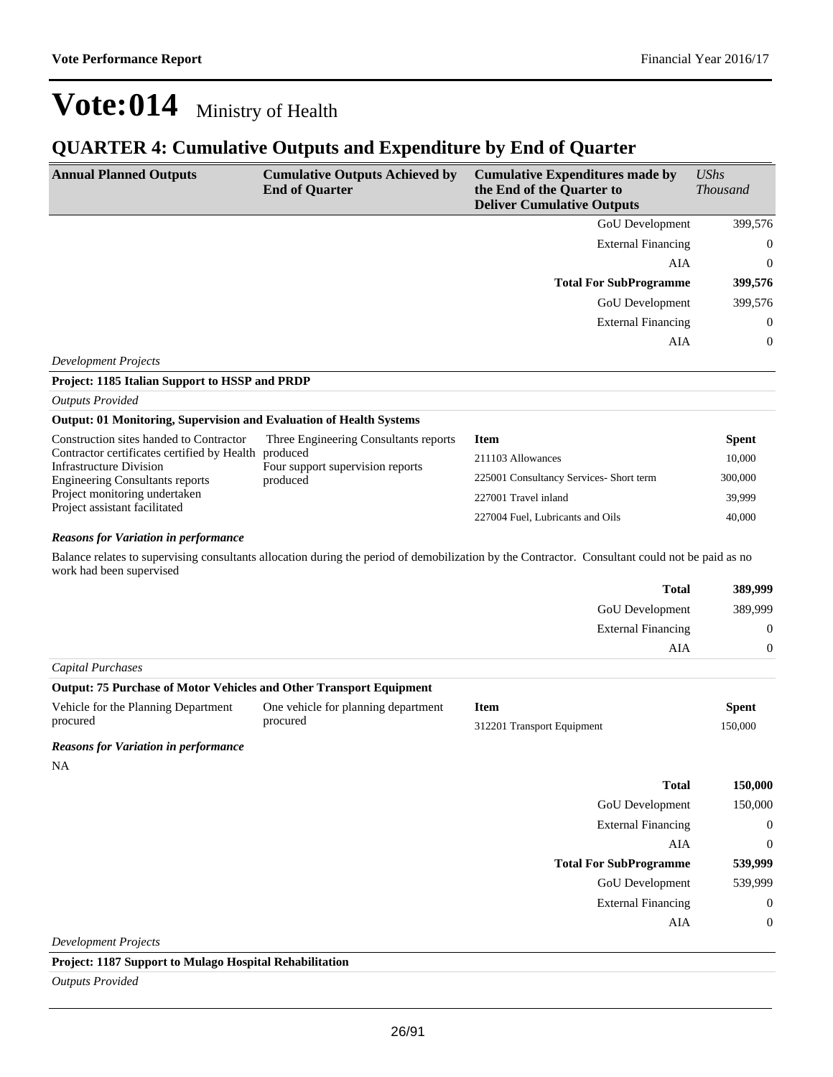## **QUARTER 4: Cumulative Outputs and Expenditure by End of Quarter**

| <b>Annual Planned Outputs</b>                                                 | <b>Cumulative Outputs Achieved by</b><br><b>End of Quarter</b> | <b>Cumulative Expenditures made by</b><br>the End of the Quarter to<br><b>Deliver Cumulative Outputs</b>                                        | <b>UShs</b><br><b>Thousand</b> |
|-------------------------------------------------------------------------------|----------------------------------------------------------------|-------------------------------------------------------------------------------------------------------------------------------------------------|--------------------------------|
|                                                                               |                                                                | GoU Development                                                                                                                                 | 399,576                        |
|                                                                               |                                                                | <b>External Financing</b>                                                                                                                       | $\boldsymbol{0}$               |
|                                                                               |                                                                | AIA                                                                                                                                             | $\boldsymbol{0}$               |
|                                                                               |                                                                | <b>Total For SubProgramme</b>                                                                                                                   | 399,576                        |
|                                                                               |                                                                | GoU Development                                                                                                                                 | 399,576                        |
|                                                                               |                                                                | <b>External Financing</b>                                                                                                                       | $\boldsymbol{0}$               |
|                                                                               |                                                                | AIA                                                                                                                                             | $\boldsymbol{0}$               |
| <b>Development Projects</b>                                                   |                                                                |                                                                                                                                                 |                                |
| Project: 1185 Italian Support to HSSP and PRDP                                |                                                                |                                                                                                                                                 |                                |
| <b>Outputs Provided</b>                                                       |                                                                |                                                                                                                                                 |                                |
| Output: 01 Monitoring, Supervision and Evaluation of Health Systems           |                                                                |                                                                                                                                                 |                                |
| Construction sites handed to Contractor                                       | Three Engineering Consultants reports                          | <b>Item</b>                                                                                                                                     | <b>Spent</b>                   |
| Contractor certificates certified by Health<br><b>Infrastructure Division</b> | produced<br>Four support supervision reports                   | 211103 Allowances                                                                                                                               | 10,000                         |
| <b>Engineering Consultants reports</b>                                        | produced                                                       | 225001 Consultancy Services- Short term                                                                                                         | 300,000                        |
| Project monitoring undertaken<br>Project assistant facilitated                |                                                                | 227001 Travel inland                                                                                                                            | 39,999                         |
|                                                                               |                                                                | 227004 Fuel, Lubricants and Oils                                                                                                                | 40,000                         |
| <b>Reasons for Variation in performance</b>                                   |                                                                |                                                                                                                                                 |                                |
| work had been supervised                                                      |                                                                | Balance relates to supervising consultants allocation during the period of demobilization by the Contractor. Consultant could not be paid as no |                                |
|                                                                               |                                                                | <b>Total</b>                                                                                                                                    | 389,999                        |
|                                                                               |                                                                | GoU Development                                                                                                                                 | 389,999                        |
|                                                                               |                                                                | <b>External Financing</b>                                                                                                                       | $\boldsymbol{0}$               |
|                                                                               |                                                                | AIA                                                                                                                                             | 0                              |
| Capital Purchases                                                             |                                                                |                                                                                                                                                 |                                |
| Output: 75 Purchase of Motor Vehicles and Other Transport Equipment           |                                                                |                                                                                                                                                 |                                |
| Vehicle for the Planning Department                                           | One vehicle for planning department                            | <b>Item</b>                                                                                                                                     | <b>Spent</b>                   |
| procured                                                                      | procured                                                       | 312201 Transport Equipment                                                                                                                      | 150,000                        |
| <b>Reasons for Variation in performance</b>                                   |                                                                |                                                                                                                                                 |                                |
| NA                                                                            |                                                                |                                                                                                                                                 |                                |
|                                                                               |                                                                | <b>Total</b>                                                                                                                                    | 150,000                        |
|                                                                               |                                                                | <b>GoU</b> Development                                                                                                                          | 150,000                        |
|                                                                               |                                                                | <b>External Financing</b>                                                                                                                       | $\boldsymbol{0}$               |
|                                                                               |                                                                | AIA                                                                                                                                             | $\boldsymbol{0}$               |
|                                                                               |                                                                | <b>Total For SubProgramme</b>                                                                                                                   | 539,999                        |
|                                                                               |                                                                | GoU Development                                                                                                                                 | 539,999                        |
|                                                                               |                                                                | <b>External Financing</b>                                                                                                                       | $\boldsymbol{0}$               |
|                                                                               |                                                                | AIA                                                                                                                                             | $\boldsymbol{0}$               |
| <b>Development Projects</b>                                                   |                                                                |                                                                                                                                                 |                                |
| Project: 1187 Support to Mulago Hospital Rehabilitation                       |                                                                |                                                                                                                                                 |                                |
| <b>Outputs Provided</b>                                                       |                                                                |                                                                                                                                                 |                                |

26/91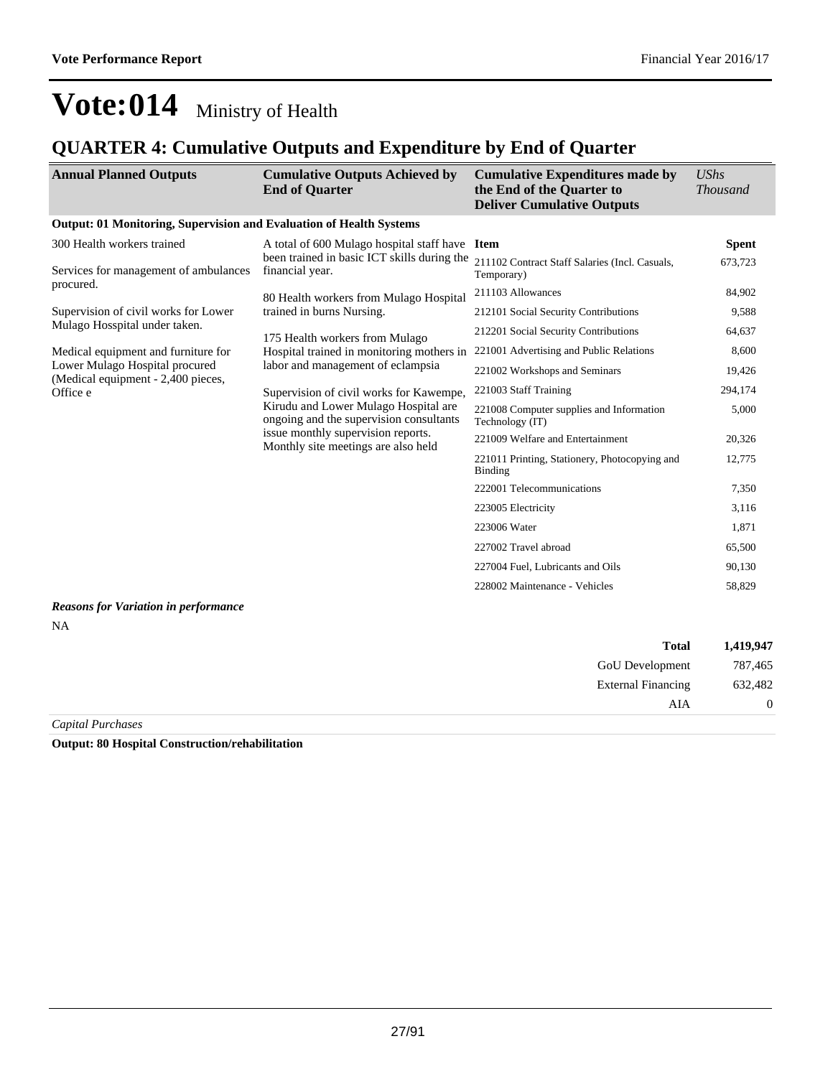### **QUARTER 4: Cumulative Outputs and Expenditure by End of Quarter**

| <b>Annual Planned Outputs</b>                                       | <b>Cumulative Outputs Achieved by</b><br><b>End of Quarter</b>                                                                                                                                          | <b>Cumulative Expenditures made by</b><br>the End of the Quarter to<br><b>Deliver Cumulative Outputs</b> | $\mathit{UShs}$<br><b>Thousand</b> |
|---------------------------------------------------------------------|---------------------------------------------------------------------------------------------------------------------------------------------------------------------------------------------------------|----------------------------------------------------------------------------------------------------------|------------------------------------|
| Output: 01 Monitoring, Supervision and Evaluation of Health Systems |                                                                                                                                                                                                         |                                                                                                          |                                    |
| 300 Health workers trained                                          | A total of 600 Mulago hospital staff have Item                                                                                                                                                          |                                                                                                          | <b>Spent</b>                       |
| Services for management of ambulances                               | been trained in basic ICT skills during the<br>financial year.                                                                                                                                          | 211102 Contract Staff Salaries (Incl. Casuals,<br>Temporary)                                             | 673,723                            |
| procured.                                                           | 80 Health workers from Mulago Hospital                                                                                                                                                                  | 211103 Allowances                                                                                        | 84,902                             |
| Supervision of civil works for Lower                                | trained in burns Nursing.                                                                                                                                                                               | 212101 Social Security Contributions                                                                     | 9,588                              |
| Mulago Hosspital under taken.                                       | 175 Health workers from Mulago                                                                                                                                                                          | 212201 Social Security Contributions                                                                     | 64,637                             |
| Medical equipment and furniture for                                 | Hospital trained in monitoring mothers in<br>labor and management of eclampsia                                                                                                                          | 221001 Advertising and Public Relations                                                                  | 8,600                              |
| Lower Mulago Hospital procured                                      |                                                                                                                                                                                                         | 221002 Workshops and Seminars                                                                            | 19,426                             |
| (Medical equipment - 2,400 pieces,<br>Office e                      | Supervision of civil works for Kawempe,<br>Kirudu and Lower Mulago Hospital are<br>ongoing and the supervision consultants<br>issue monthly supervision reports.<br>Monthly site meetings are also held | 221003 Staff Training                                                                                    | 294,174                            |
|                                                                     |                                                                                                                                                                                                         | 221008 Computer supplies and Information<br>Technology (IT)                                              | 5,000                              |
|                                                                     |                                                                                                                                                                                                         | 221009 Welfare and Entertainment                                                                         | 20,326                             |
|                                                                     |                                                                                                                                                                                                         | 221011 Printing, Stationery, Photocopying and<br><b>Binding</b>                                          | 12,775                             |
|                                                                     |                                                                                                                                                                                                         | 222001 Telecommunications                                                                                | 7,350                              |
|                                                                     |                                                                                                                                                                                                         | 223005 Electricity                                                                                       | 3,116                              |
|                                                                     |                                                                                                                                                                                                         | 223006 Water                                                                                             | 1,871                              |
|                                                                     |                                                                                                                                                                                                         | 227002 Travel abroad                                                                                     | 65,500                             |
|                                                                     |                                                                                                                                                                                                         | 227004 Fuel, Lubricants and Oils                                                                         | 90,130                             |
|                                                                     |                                                                                                                                                                                                         | 228002 Maintenance - Vehicles                                                                            | 58,829                             |
| <b>Reasons for Variation in performance</b>                         |                                                                                                                                                                                                         |                                                                                                          |                                    |
| <b>NA</b>                                                           |                                                                                                                                                                                                         |                                                                                                          |                                    |

| 1,419,947      | <b>Total</b>                                                                                                    |  |
|----------------|-----------------------------------------------------------------------------------------------------------------|--|
| 787,465        | GoU Development                                                                                                 |  |
| 632,482        | <b>External Financing</b>                                                                                       |  |
| $\overline{0}$ | AIA                                                                                                             |  |
|                | the contract of the contract of the contract of the contract of the contract of the contract of the contract of |  |

*Capital Purchases*

**Output: 80 Hospital Construction/rehabilitation**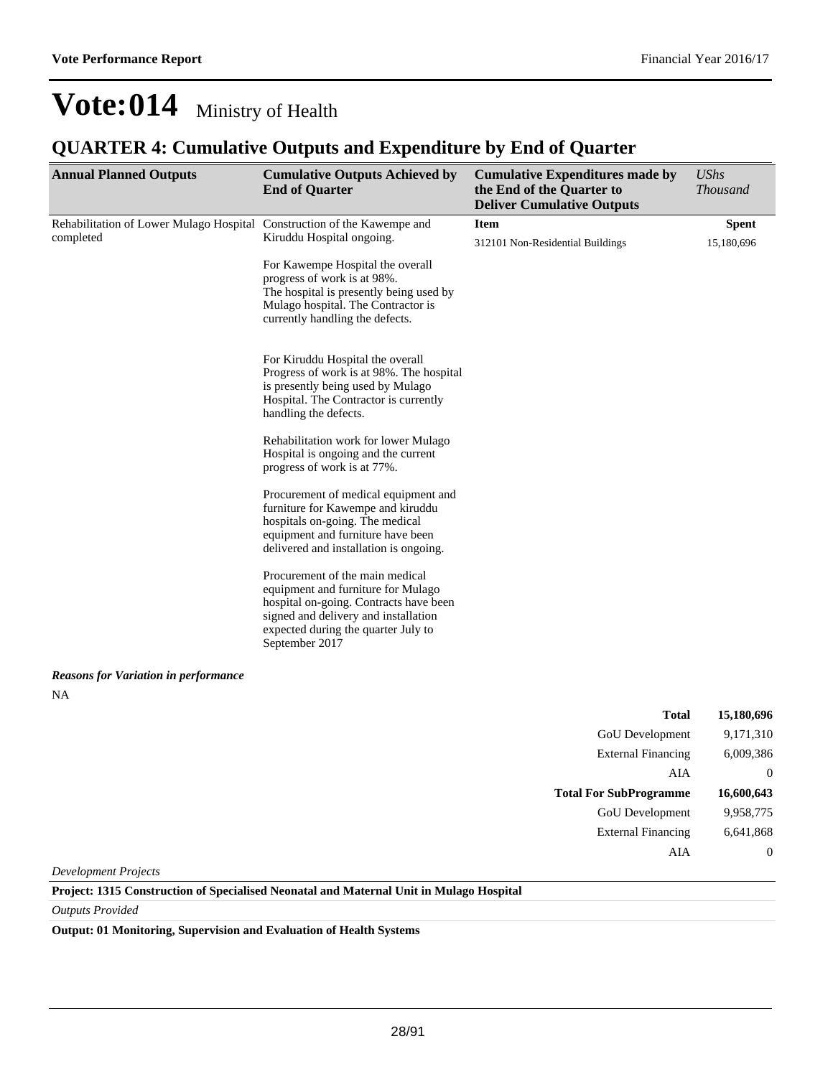External Financing 6,641,868

AIA 0

## **Vote:014** Ministry of Health

### **QUARTER 4: Cumulative Outputs and Expenditure by End of Quarter**

| <b>Annual Planned Outputs</b>                                           | <b>Cumulative Outputs Achieved by</b><br><b>End of Quarter</b>                                                                                                                                                   | <b>Cumulative Expenditures made by</b><br>the End of the Quarter to<br><b>Deliver Cumulative Outputs</b> | <b>UShs</b><br><b>Thousand</b> |
|-------------------------------------------------------------------------|------------------------------------------------------------------------------------------------------------------------------------------------------------------------------------------------------------------|----------------------------------------------------------------------------------------------------------|--------------------------------|
| Rehabilitation of Lower Mulago Hospital Construction of the Kawempe and |                                                                                                                                                                                                                  | <b>Item</b>                                                                                              | <b>Spent</b>                   |
| completed                                                               | Kiruddu Hospital ongoing.                                                                                                                                                                                        | 312101 Non-Residential Buildings                                                                         | 15,180,696                     |
|                                                                         | For Kawempe Hospital the overall<br>progress of work is at 98%.<br>The hospital is presently being used by<br>Mulago hospital. The Contractor is<br>currently handling the defects.                              |                                                                                                          |                                |
|                                                                         | For Kiruddu Hospital the overall<br>Progress of work is at 98%. The hospital<br>is presently being used by Mulago<br>Hospital. The Contractor is currently<br>handling the defects.                              |                                                                                                          |                                |
|                                                                         | Rehabilitation work for lower Mulago<br>Hospital is ongoing and the current<br>progress of work is at 77%.                                                                                                       |                                                                                                          |                                |
|                                                                         | Procurement of medical equipment and<br>furniture for Kawempe and kiruddu<br>hospitals on-going. The medical<br>equipment and furniture have been<br>delivered and installation is ongoing.                      |                                                                                                          |                                |
|                                                                         | Procurement of the main medical<br>equipment and furniture for Mulago<br>hospital on-going. Contracts have been<br>signed and delivery and installation<br>expected during the quarter July to<br>September 2017 |                                                                                                          |                                |
| <b>Reasons for Variation in performance</b>                             |                                                                                                                                                                                                                  |                                                                                                          |                                |
| NA                                                                      |                                                                                                                                                                                                                  |                                                                                                          |                                |
|                                                                         |                                                                                                                                                                                                                  | <b>Total</b>                                                                                             | 15,180,696                     |
|                                                                         |                                                                                                                                                                                                                  | GoU Development                                                                                          | 9,171,310                      |
|                                                                         |                                                                                                                                                                                                                  | <b>External Financing</b>                                                                                | 6,009,386                      |
|                                                                         |                                                                                                                                                                                                                  | AIA                                                                                                      | $\overline{0}$                 |
|                                                                         |                                                                                                                                                                                                                  | <b>Total For SubProgramme</b>                                                                            | 16,600,643                     |
|                                                                         |                                                                                                                                                                                                                  | <b>GoU</b> Development                                                                                   | 9,958,775                      |

*Development Projects*

**Project: 1315 Construction of Specialised Neonatal and Maternal Unit in Mulago Hospital**

*Outputs Provided*

**Output: 01 Monitoring, Supervision and Evaluation of Health Systems**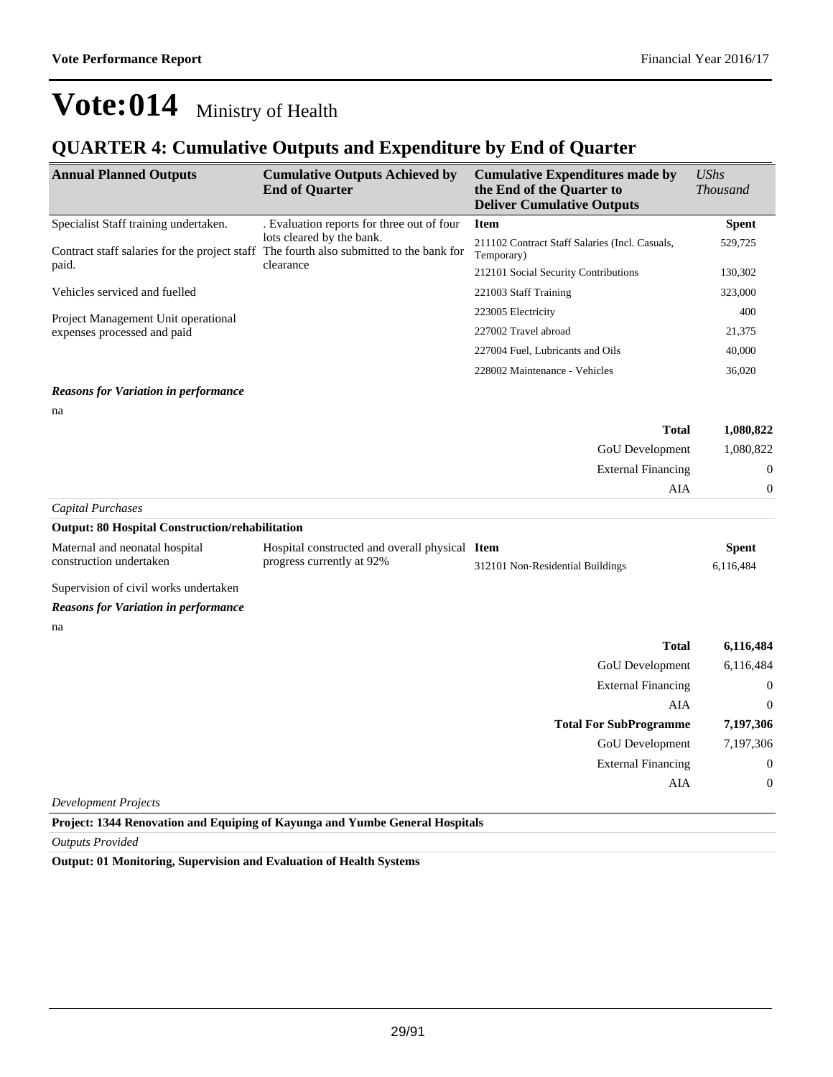### **QUARTER 4: Cumulative Outputs and Expenditure by End of Quarter**

| <b>Annual Planned Outputs</b>                                      | <b>Cumulative Outputs Achieved by</b><br><b>End of Quarter</b>                                                                    | <b>Cumulative Expenditures made by</b><br>the End of the Quarter to<br><b>Deliver Cumulative Outputs</b> | $\mathit{UShs}$<br><i>Thousand</i> |
|--------------------------------------------------------------------|-----------------------------------------------------------------------------------------------------------------------------------|----------------------------------------------------------------------------------------------------------|------------------------------------|
| Specialist Staff training undertaken.                              | . Evaluation reports for three out of four                                                                                        | <b>Item</b>                                                                                              | <b>Spent</b>                       |
|                                                                    | lots cleared by the bank.<br>Contract staff salaries for the project staff The fourth also submitted to the bank for<br>clearance | 211102 Contract Staff Salaries (Incl. Casuals,<br>Temporary)                                             | 529,725                            |
| paid.                                                              |                                                                                                                                   | 212101 Social Security Contributions                                                                     | 130,302                            |
| Vehicles serviced and fuelled                                      |                                                                                                                                   | 221003 Staff Training                                                                                    | 323,000                            |
| Project Management Unit operational<br>expenses processed and paid |                                                                                                                                   | 223005 Electricity                                                                                       | 400                                |
|                                                                    |                                                                                                                                   | 227002 Travel abroad                                                                                     | 21,375                             |
|                                                                    |                                                                                                                                   | 227004 Fuel, Lubricants and Oils                                                                         | 40,000                             |
|                                                                    |                                                                                                                                   | 228002 Maintenance - Vehicles                                                                            | 36,020                             |

#### *Reasons for Variation in performance*

na

| 1,080,822      | <b>Total</b>              |  |
|----------------|---------------------------|--|
| 1,080,822      | GoU Development           |  |
| $\overline{0}$ | <b>External Financing</b> |  |
| $\overline{0}$ | AIA                       |  |
|                |                           |  |

#### *Capital Purchases*

| <b>Output: 80 Hospital Construction/rehabilitation</b> |                                                       |                                  |           |
|--------------------------------------------------------|-------------------------------------------------------|----------------------------------|-----------|
| Maternal and neonatal hospital                         | Hospital constructed and overall physical <b>Item</b> |                                  | Spent     |
| construction undertaken                                | progress currently at 92%                             | 312101 Non-Residential Buildings | 6.116.484 |

Supervision of civil works undertaken

#### *Reasons for Variation in performance*

na

| 6,116,484    | <b>Total</b>                  |
|--------------|-------------------------------|
| 6,116,484    | GoU Development               |
| $\mathbf{0}$ | <b>External Financing</b>     |
| $\theta$     | AIA                           |
| 7,197,306    | <b>Total For SubProgramme</b> |
|              |                               |
| 7,197,306    | GoU Development               |
| $\theta$     | <b>External Financing</b>     |
| $\mathbf{0}$ | AIA                           |

*Development Projects*

**Project: 1344 Renovation and Equiping of Kayunga and Yumbe General Hospitals**

*Outputs Provided*

**Output: 01 Monitoring, Supervision and Evaluation of Health Systems**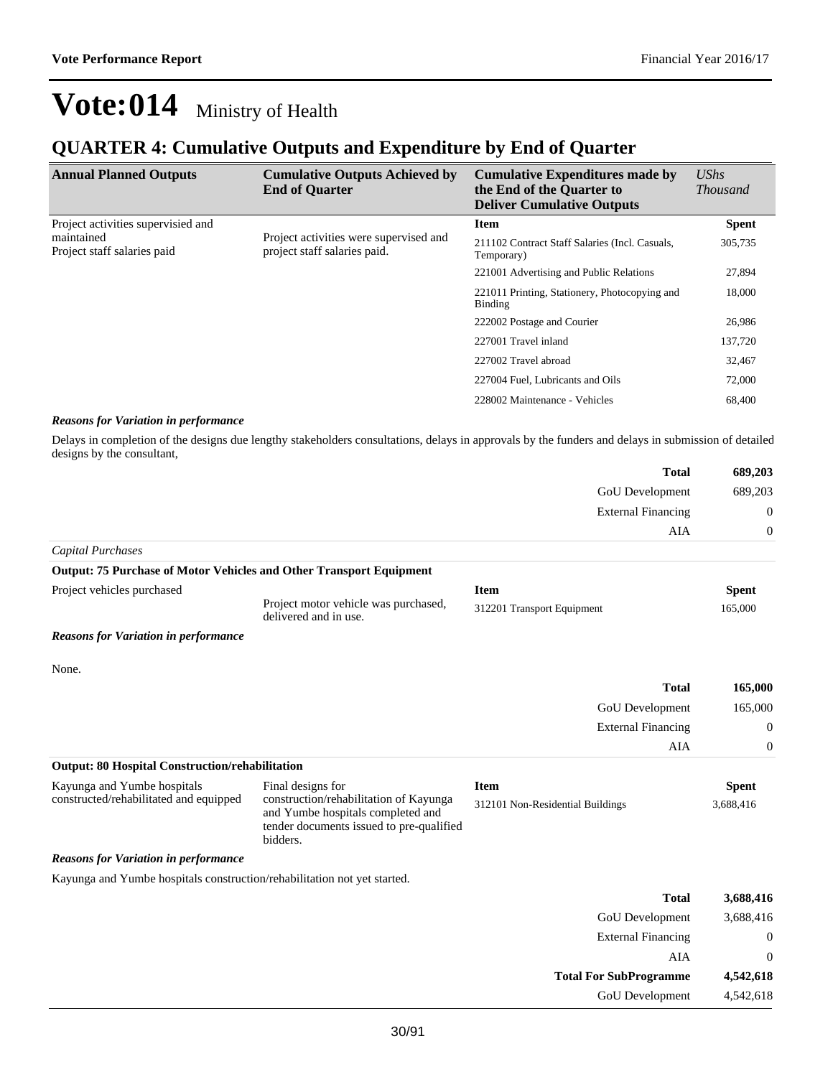### **QUARTER 4: Cumulative Outputs and Expenditure by End of Quarter**

| <b>Annual Planned Outputs</b>             | <b>Cumulative Outputs Achieved by</b><br><b>End of Quarter</b>         | <b>Cumulative Expenditures made by</b><br>the End of the Quarter to<br><b>Deliver Cumulative Outputs</b> | $\mathit{UShs}$<br><i>Thousand</i> |
|-------------------------------------------|------------------------------------------------------------------------|----------------------------------------------------------------------------------------------------------|------------------------------------|
| Project activities supervisied and        |                                                                        | <b>Item</b>                                                                                              | <b>Spent</b>                       |
| maintained<br>Project staff salaries paid | Project activities were supervised and<br>project staff salaries paid. | 211102 Contract Staff Salaries (Incl. Casuals,<br>Temporary)                                             | 305,735                            |
|                                           |                                                                        | 221001 Advertising and Public Relations                                                                  | 27,894                             |
|                                           |                                                                        | 221011 Printing, Stationery, Photocopying and<br>Binding                                                 | 18,000                             |
|                                           |                                                                        | 222002 Postage and Courier                                                                               | 26,986                             |
|                                           |                                                                        | 227001 Travel inland                                                                                     | 137,720                            |
|                                           |                                                                        | 227002 Travel abroad                                                                                     | 32,467                             |
|                                           |                                                                        | 227004 Fuel, Lubricants and Oils                                                                         | 72,000                             |
|                                           |                                                                        | 228002 Maintenance - Vehicles                                                                            | 68,400                             |

#### *Reasons for Variation in performance*

Delays in completion of the designs due lengthy stakeholders consultations, delays in approvals by the funders and delays in submission of detailed designs by the consultant,

| <b>Total</b>              | 689,203        |
|---------------------------|----------------|
| <b>GoU</b> Development    | 689,203        |
| <b>External Financing</b> | $\overline{0}$ |
| AIA                       | $\overline{0}$ |
| Capital Purchases         |                |

#### **Output: 75 Purchase of Motor Vehicles and Other Transport Equipment** Project vehicles purchased Project motor vehicle was purchased, delivered and in use. **Item Spent** 312201 Transport Equipment 165,000

#### *Reasons for Variation in performance*

| None.                                                  |                           |                |
|--------------------------------------------------------|---------------------------|----------------|
|                                                        | <b>Total</b>              | 165,000        |
|                                                        | <b>GoU</b> Development    | 165,000        |
|                                                        | <b>External Financing</b> | $\overline{0}$ |
|                                                        | AIA                       | $\overline{0}$ |
| <b>Output: 80 Hospital Construction/rehabilitation</b> |                           |                |
|                                                        |                           |                |

| Kayunga and Yumbe hospitals            | Final designs for                                                                                                                   | <b>Item</b>                      | <b>Spent</b> |
|----------------------------------------|-------------------------------------------------------------------------------------------------------------------------------------|----------------------------------|--------------|
| constructed/rehabilitated and equipped | construction/rehabilitation of Kayunga<br>and Yumbe hospitals completed and<br>tender documents issued to pre-qualified<br>bidders. | 312101 Non-Residential Buildings | 3,688,416    |

#### *Reasons for Variation in performance*

Kayunga and Yumbe hospitals construction/rehabilitation not yet started.

| 3,688,416      | <b>Total</b>                  |
|----------------|-------------------------------|
| 3,688,416      | <b>GoU</b> Development        |
| $\overline{0}$ | <b>External Financing</b>     |
| $\overline{0}$ | AIA                           |
| 4,542,618      | <b>Total For SubProgramme</b> |
| 4,542,618      | <b>GoU</b> Development        |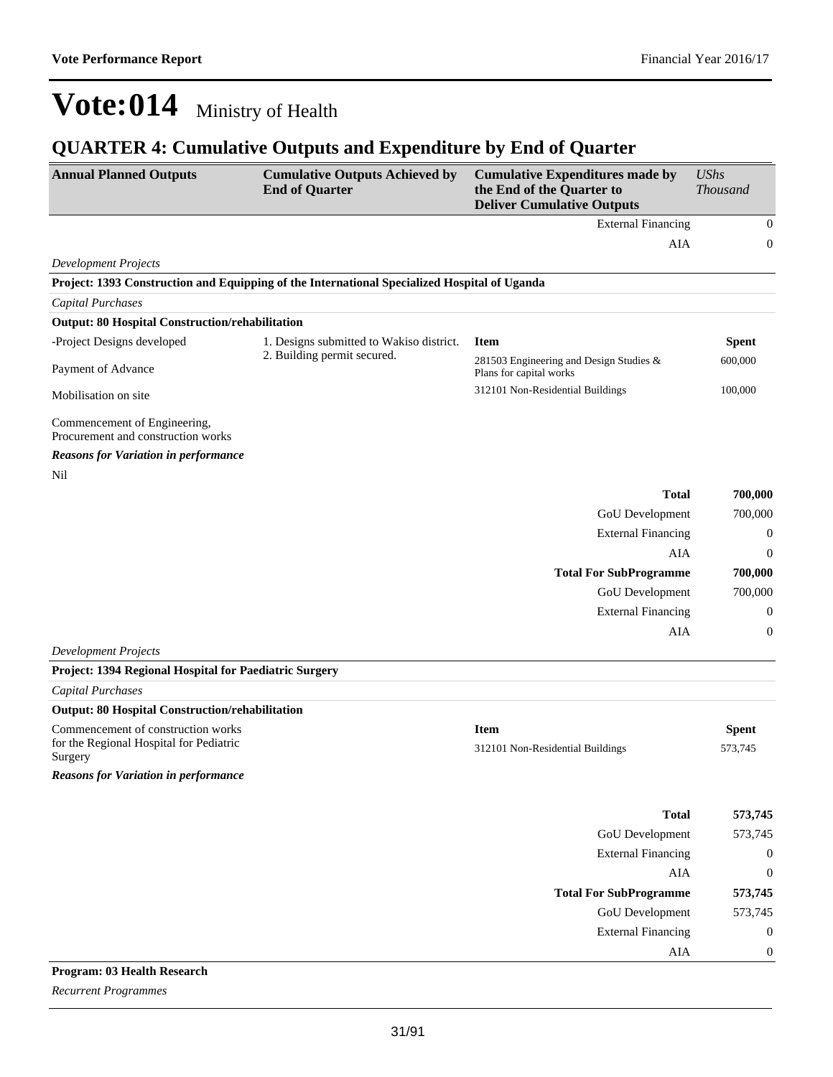### **QUARTER 4: Cumulative Outputs and Expenditure by End of Quarter**

| <b>Annual Planned Outputs</b>                                                 | <b>Cumulative Outputs Achieved by</b><br><b>End of Quarter</b>                               | <b>Cumulative Expenditures made by</b><br>the End of the Quarter to<br><b>Deliver Cumulative Outputs</b> | <b>UShs</b><br><b>Thousand</b> |
|-------------------------------------------------------------------------------|----------------------------------------------------------------------------------------------|----------------------------------------------------------------------------------------------------------|--------------------------------|
|                                                                               |                                                                                              | <b>External Financing</b>                                                                                | $\boldsymbol{0}$               |
|                                                                               |                                                                                              | <b>AIA</b>                                                                                               | 0                              |
| <b>Development Projects</b>                                                   |                                                                                              |                                                                                                          |                                |
|                                                                               | Project: 1393 Construction and Equipping of the International Specialized Hospital of Uganda |                                                                                                          |                                |
| Capital Purchases                                                             |                                                                                              |                                                                                                          |                                |
| <b>Output: 80 Hospital Construction/rehabilitation</b>                        |                                                                                              |                                                                                                          |                                |
| -Project Designs developed                                                    | 1. Designs submitted to Wakiso district.                                                     | <b>Item</b>                                                                                              | <b>Spent</b>                   |
| Payment of Advance                                                            | 2. Building permit secured.                                                                  | 281503 Engineering and Design Studies &<br>Plans for capital works                                       | 600,000                        |
| Mobilisation on site                                                          |                                                                                              | 312101 Non-Residential Buildings                                                                         | 100,000                        |
| Commencement of Engineering,<br>Procurement and construction works            |                                                                                              |                                                                                                          |                                |
| <b>Reasons for Variation in performance</b>                                   |                                                                                              |                                                                                                          |                                |
| Nil                                                                           |                                                                                              |                                                                                                          |                                |
|                                                                               |                                                                                              | <b>Total</b>                                                                                             | 700,000                        |
|                                                                               |                                                                                              | GoU Development                                                                                          | 700,000                        |
|                                                                               |                                                                                              | <b>External Financing</b>                                                                                | $\boldsymbol{0}$               |
|                                                                               |                                                                                              | <b>AIA</b>                                                                                               | $\boldsymbol{0}$               |
|                                                                               |                                                                                              | <b>Total For SubProgramme</b>                                                                            | 700,000                        |
|                                                                               |                                                                                              | GoU Development                                                                                          | 700,000                        |
|                                                                               |                                                                                              | <b>External Financing</b>                                                                                | $\boldsymbol{0}$               |
|                                                                               |                                                                                              | <b>AIA</b>                                                                                               | $\boldsymbol{0}$               |
| <b>Development Projects</b>                                                   |                                                                                              |                                                                                                          |                                |
| Project: 1394 Regional Hospital for Paediatric Surgery                        |                                                                                              |                                                                                                          |                                |
| Capital Purchases                                                             |                                                                                              |                                                                                                          |                                |
| <b>Output: 80 Hospital Construction/rehabilitation</b>                        |                                                                                              |                                                                                                          |                                |
| Commencement of construction works<br>for the Regional Hospital for Pediatric |                                                                                              | <b>Item</b>                                                                                              | <b>Spent</b>                   |
| Surgery                                                                       |                                                                                              | 312101 Non-Residential Buildings                                                                         | 573,745                        |
| <b>Reasons for Variation in performance</b>                                   |                                                                                              |                                                                                                          |                                |
|                                                                               |                                                                                              | <b>Total</b>                                                                                             | 573,745                        |
|                                                                               |                                                                                              | GoU Development                                                                                          | 573,745                        |
|                                                                               |                                                                                              | <b>External Financing</b>                                                                                | $\boldsymbol{0}$               |
|                                                                               |                                                                                              | <b>AIA</b>                                                                                               | $\boldsymbol{0}$               |
|                                                                               |                                                                                              | <b>Total For SubProgramme</b>                                                                            | 573,745                        |
|                                                                               |                                                                                              | <b>GoU</b> Development                                                                                   | 573,745                        |
|                                                                               |                                                                                              | <b>External Financing</b>                                                                                | $\boldsymbol{0}$               |
|                                                                               |                                                                                              | AIA                                                                                                      | $\boldsymbol{0}$               |
| Program: 03 Health Research                                                   |                                                                                              |                                                                                                          |                                |

*Recurrent Programmes*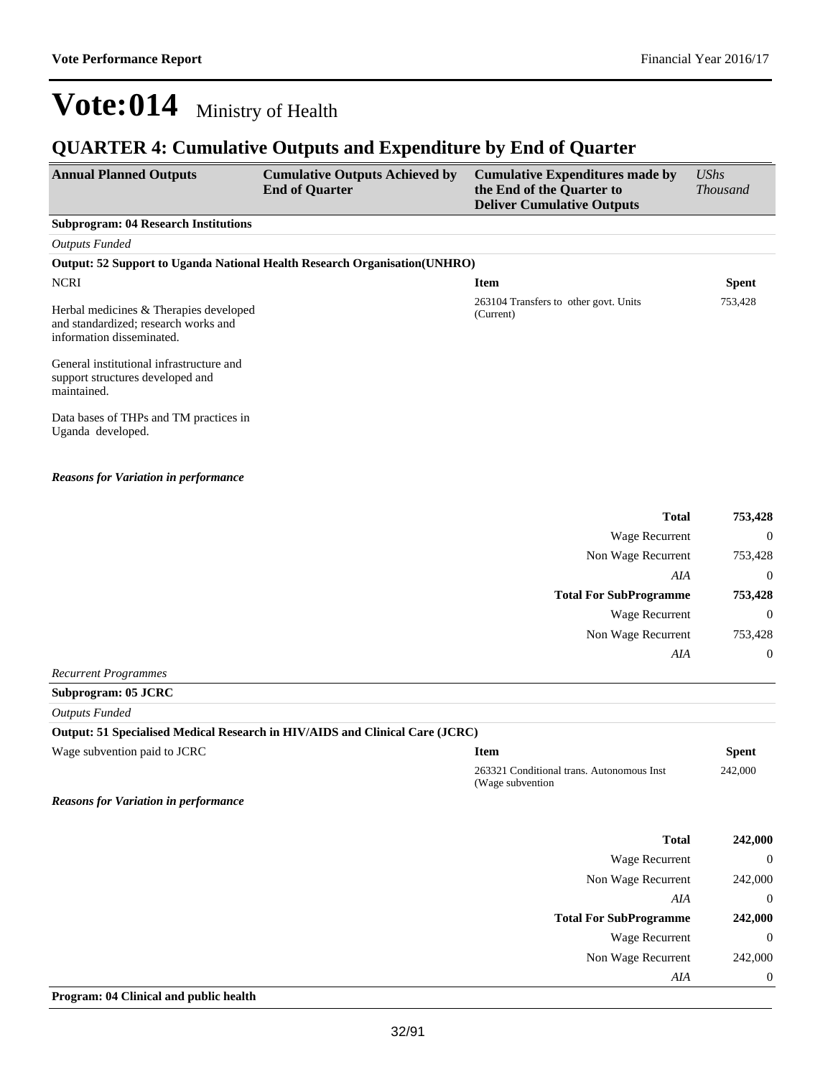### **QUARTER 4: Cumulative Outputs and Expenditure by End of Quarter**

| <b>Annual Planned Outputs</b>                                                                               | <b>Cumulative Outputs Achieved by</b><br><b>End of Quarter</b>                    | <b>Cumulative Expenditures made by</b><br>the End of the Quarter to<br><b>Deliver Cumulative Outputs</b> | <b>UShs</b><br><b>Thousand</b> |
|-------------------------------------------------------------------------------------------------------------|-----------------------------------------------------------------------------------|----------------------------------------------------------------------------------------------------------|--------------------------------|
| <b>Subprogram: 04 Research Institutions</b>                                                                 |                                                                                   |                                                                                                          |                                |
| <b>Outputs Funded</b>                                                                                       |                                                                                   |                                                                                                          |                                |
|                                                                                                             | <b>Output: 52 Support to Uganda National Health Research Organisation (UNHRO)</b> |                                                                                                          |                                |
| <b>NCRI</b>                                                                                                 |                                                                                   | <b>Item</b>                                                                                              | <b>Spent</b>                   |
| Herbal medicines & Therapies developed<br>and standardized; research works and<br>information disseminated. |                                                                                   | 263104 Transfers to other govt. Units<br>(Current)                                                       | 753,428                        |
| General institutional infrastructure and<br>support structures developed and<br>maintained.                 |                                                                                   |                                                                                                          |                                |
| Data bases of THPs and TM practices in<br>Uganda developed.                                                 |                                                                                   |                                                                                                          |                                |
| <b>Reasons for Variation in performance</b>                                                                 |                                                                                   |                                                                                                          |                                |
|                                                                                                             |                                                                                   | <b>Total</b>                                                                                             | 753,428                        |
|                                                                                                             |                                                                                   | Wage Recurrent                                                                                           | $\boldsymbol{0}$               |
|                                                                                                             |                                                                                   | Non Wage Recurrent                                                                                       | 753,428                        |
|                                                                                                             |                                                                                   | AIA                                                                                                      | $\boldsymbol{0}$               |
|                                                                                                             |                                                                                   | <b>Total For SubProgramme</b>                                                                            | 753,428                        |
|                                                                                                             |                                                                                   | Wage Recurrent                                                                                           | $\mathbf{0}$                   |
|                                                                                                             |                                                                                   | Non Wage Recurrent                                                                                       | 753,428                        |
|                                                                                                             |                                                                                   | AIA                                                                                                      | $\boldsymbol{0}$               |
| <b>Recurrent Programmes</b>                                                                                 |                                                                                   |                                                                                                          |                                |
| Subprogram: 05 JCRC                                                                                         |                                                                                   |                                                                                                          |                                |
| <b>Outputs Funded</b>                                                                                       |                                                                                   |                                                                                                          |                                |
|                                                                                                             | Output: 51 Specialised Medical Research in HIV/AIDS and Clinical Care (JCRC)      |                                                                                                          |                                |
| Wage subvention paid to JCRC                                                                                |                                                                                   | <b>Item</b>                                                                                              | <b>Spent</b>                   |
|                                                                                                             |                                                                                   | 263321 Conditional trans. Autonomous Inst<br>(Wage subvention                                            | 242,000                        |
| <b>Reasons for Variation in performance</b>                                                                 |                                                                                   |                                                                                                          |                                |
|                                                                                                             |                                                                                   | <b>Total</b>                                                                                             | 242,000                        |
|                                                                                                             |                                                                                   | Wage Recurrent                                                                                           | $\boldsymbol{0}$               |
|                                                                                                             |                                                                                   | Non Wage Recurrent                                                                                       | 242,000                        |
|                                                                                                             |                                                                                   | AIA                                                                                                      | $\boldsymbol{0}$               |
|                                                                                                             |                                                                                   | <b>Total For SubProgramme</b>                                                                            | 242,000                        |
|                                                                                                             |                                                                                   | <b>Wage Recurrent</b>                                                                                    | $\boldsymbol{0}$               |
|                                                                                                             |                                                                                   | Non Wage Recurrent                                                                                       | 242,000                        |
|                                                                                                             |                                                                                   | AIA                                                                                                      | $\boldsymbol{0}$               |
| Program: 04 Clinical and public health                                                                      |                                                                                   |                                                                                                          |                                |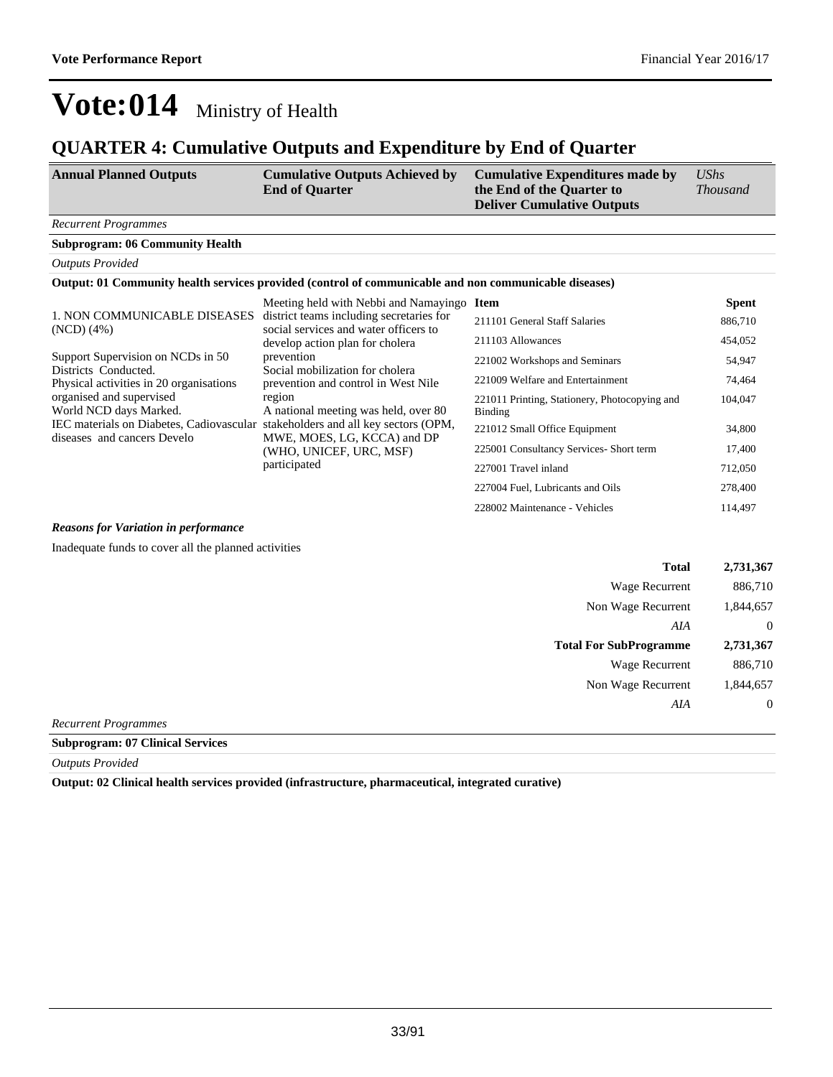### **QUARTER 4: Cumulative Outputs and Expenditure by End of Quarter**

| <b>Annual Planned Outputs</b>                                                                                  | <b>Cumulative Outputs Achieved by</b><br><b>End of Quarter</b>                                        | <b>Cumulative Expenditures made by</b><br>the End of the Quarter to<br><b>Deliver Cumulative Outputs</b> | <b>UShs</b><br><i>Thousand</i> |
|----------------------------------------------------------------------------------------------------------------|-------------------------------------------------------------------------------------------------------|----------------------------------------------------------------------------------------------------------|--------------------------------|
| <b>Recurrent Programmes</b>                                                                                    |                                                                                                       |                                                                                                          |                                |
| <b>Subprogram: 06 Community Health</b>                                                                         |                                                                                                       |                                                                                                          |                                |
| <b>Outputs Provided</b>                                                                                        |                                                                                                       |                                                                                                          |                                |
|                                                                                                                | Output: 01 Community health services provided (control of communicable and non communicable diseases) |                                                                                                          |                                |
|                                                                                                                | Meeting held with Nebbi and Namayingo Item                                                            |                                                                                                          | <b>Spent</b>                   |
| 1. NON COMMUNICABLE DISEASES<br>(NCD) (4%)                                                                     | district teams including secretaries for<br>social services and water officers to                     | 211101 General Staff Salaries                                                                            | 886,710                        |
|                                                                                                                | develop action plan for cholera                                                                       | 211103 Allowances                                                                                        | 454,052                        |
| Support Supervision on NCDs in 50                                                                              | prevention                                                                                            | 221002 Workshops and Seminars                                                                            | 54,947                         |
| Districts Conducted.<br>Physical activities in 20 organisations                                                | Social mobilization for cholera<br>prevention and control in West Nile                                | 221009 Welfare and Entertainment                                                                         | 74,464                         |
| organised and supervised<br>World NCD days Marked.                                                             | region<br>A national meeting was held, over 80                                                        | 221011 Printing, Stationery, Photocopying and<br><b>Binding</b>                                          | 104,047                        |
| IEC materials on Diabetes, Cadiovascular stakeholders and all key sectors (OPM,<br>diseases and cancers Develo | MWE, MOES, LG, KCCA) and DP                                                                           | 221012 Small Office Equipment                                                                            | 34,800                         |
|                                                                                                                | (WHO, UNICEF, URC, MSF)                                                                               | 225001 Consultancy Services- Short term                                                                  | 17,400                         |
|                                                                                                                | participated                                                                                          | 227001 Travel inland                                                                                     | 712,050                        |
|                                                                                                                |                                                                                                       | 227004 Fuel, Lubricants and Oils                                                                         | 278,400                        |
|                                                                                                                |                                                                                                       | 228002 Maintenance - Vehicles                                                                            | 114,497                        |

*Reasons for Variation in performance*

Inadequate funds to cover all the planned activities

| 2,731,367        | <b>Total</b>                  |        |
|------------------|-------------------------------|--------|
| 886,710          | Wage Recurrent                |        |
| 1,844,657        | Non Wage Recurrent            |        |
| $\overline{0}$   | AIA                           |        |
| 2,731,367        | <b>Total For SubProgramme</b> |        |
| 886,710          | Wage Recurrent                |        |
| 1,844,657        | Non Wage Recurrent            |        |
| $\boldsymbol{0}$ | AIA                           |        |
|                  |                               | $\sim$ |

*Recurrent Programmes*

**Subprogram: 07 Clinical Services**

*Outputs Provided*

**Output: 02 Clinical health services provided (infrastructure, pharmaceutical, integrated curative)**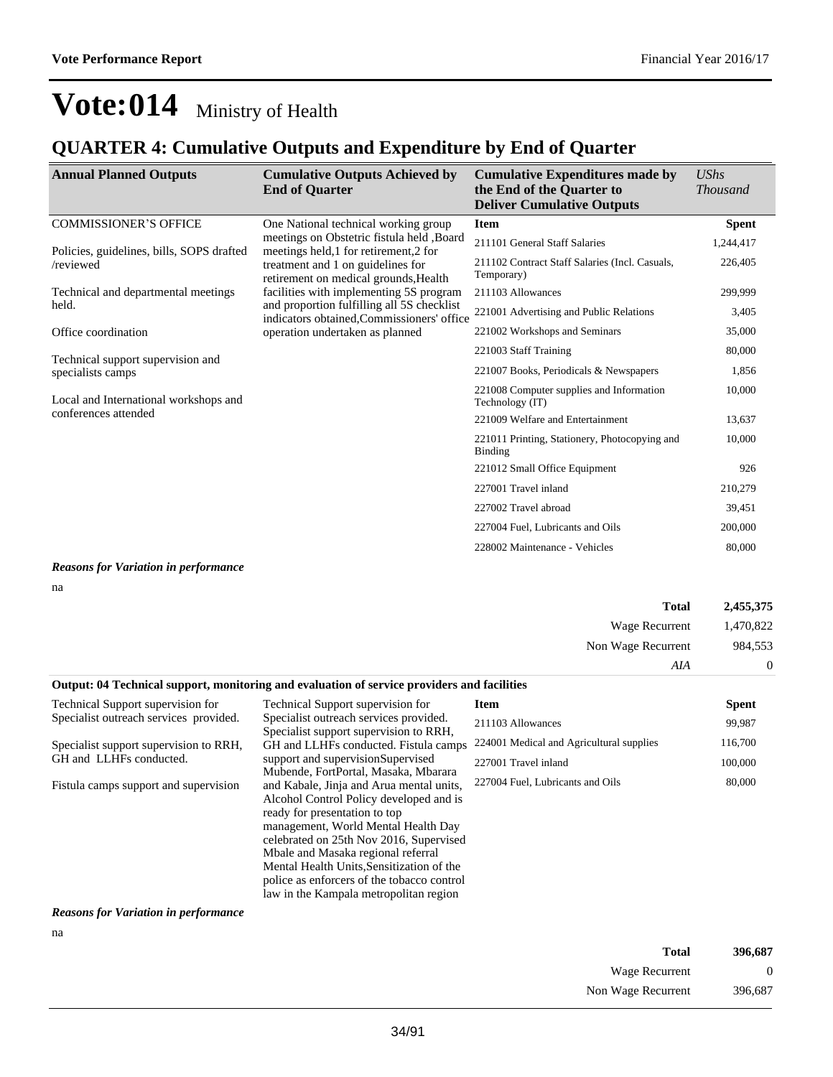### **QUARTER 4: Cumulative Outputs and Expenditure by End of Quarter**

| <b>Annual Planned Outputs</b>             | <b>Cumulative Outputs Achieved by</b><br><b>End of Quarter</b>                           | <b>Cumulative Expenditures made by</b><br>the End of the Quarter to<br><b>Deliver Cumulative Outputs</b> | <b>UShs</b><br><b>Thousand</b> |
|-------------------------------------------|------------------------------------------------------------------------------------------|----------------------------------------------------------------------------------------------------------|--------------------------------|
| <b>COMMISSIONER'S OFFICE</b>              | One National technical working group                                                     | <b>Item</b>                                                                                              | <b>Spent</b>                   |
| Policies, guidelines, bills, SOPS drafted | meetings on Obstetric fistula held , Board<br>meetings held,1 for retirement,2 for       | 211101 General Staff Salaries                                                                            | 1,244,417                      |
| /reviewed                                 | treatment and 1 on guidelines for<br>retirement on medical grounds, Health               | 211102 Contract Staff Salaries (Incl. Casuals,<br>Temporary)                                             | 226,405                        |
| Technical and departmental meetings       | facilities with implementing 5S program                                                  | 211103 Allowances                                                                                        | 299,999                        |
| held.                                     | and proportion fulfilling all 5S checklist<br>indicators obtained, Commissioners' office | 221001 Advertising and Public Relations                                                                  | 3,405                          |
| Office coordination                       | operation undertaken as planned<br>Technical support supervision and                     | 221002 Workshops and Seminars                                                                            | 35,000                         |
|                                           |                                                                                          | 221003 Staff Training                                                                                    | 80,000                         |
| specialists camps                         |                                                                                          | 221007 Books, Periodicals & Newspapers                                                                   | 1,856                          |
| Local and International workshops and     |                                                                                          | 221008 Computer supplies and Information<br>Technology (IT)                                              | 10,000                         |
| conferences attended                      |                                                                                          | 221009 Welfare and Entertainment                                                                         | 13,637                         |
|                                           |                                                                                          | 221011 Printing, Stationery, Photocopying and<br>Binding                                                 | 10,000                         |
|                                           |                                                                                          | 221012 Small Office Equipment                                                                            | 926                            |
|                                           |                                                                                          | 227001 Travel inland                                                                                     | 210,279                        |
|                                           |                                                                                          | 227002 Travel abroad                                                                                     | 39,451                         |
|                                           |                                                                                          | 227004 Fuel, Lubricants and Oils                                                                         | 200,000                        |
|                                           |                                                                                          | 228002 Maintenance - Vehicles                                                                            | 80,000                         |

#### *Reasons for Variation in performance*

na

| 2,455,375      | <b>Total</b>       |
|----------------|--------------------|
| 1,470,822      | Wage Recurrent     |
| 984,553        | Non Wage Recurrent |
| $\overline{0}$ | AIA                |

#### **Output: 04 Technical support, monitoring and evaluation of service providers and facilities**

| Technical Support supervision for           | Technical Support supervision for                                                | <b>Item</b>                              | <b>Spent</b> |
|---------------------------------------------|----------------------------------------------------------------------------------|------------------------------------------|--------------|
| Specialist outreach services provided.      | Specialist outreach services provided.<br>Specialist support supervision to RRH, | 211103 Allowances                        | 99,987       |
| Specialist support supervision to RRH,      | GH and LLHFs conducted. Fistula camps                                            | 224001 Medical and Agricultural supplies | 116,700      |
| GH and LLHFs conducted.                     | support and supervisionSupervised<br>Mubende, FortPortal, Masaka, Mbarara        | 227001 Travel inland                     | 100,000      |
| Fistula camps support and supervision       | and Kabale, Jinja and Arua mental units,                                         | 227004 Fuel, Lubricants and Oils         | 80,000       |
|                                             | Alcohol Control Policy developed and is                                          |                                          |              |
|                                             | ready for presentation to top                                                    |                                          |              |
|                                             | management, World Mental Health Day                                              |                                          |              |
|                                             | celebrated on 25th Nov 2016, Supervised                                          |                                          |              |
|                                             | Mbale and Masaka regional referral                                               |                                          |              |
|                                             | Mental Health Units, Sensitization of the                                        |                                          |              |
|                                             | police as enforcers of the tobacco control                                       |                                          |              |
|                                             | law in the Kampala metropolitan region                                           |                                          |              |
| <b>Reasons for Variation in performance</b> |                                                                                  |                                          |              |

na

| 396,687 | Total              |
|---------|--------------------|
| 0       | Wage Recurrent     |
| 396,687 | Non Wage Recurrent |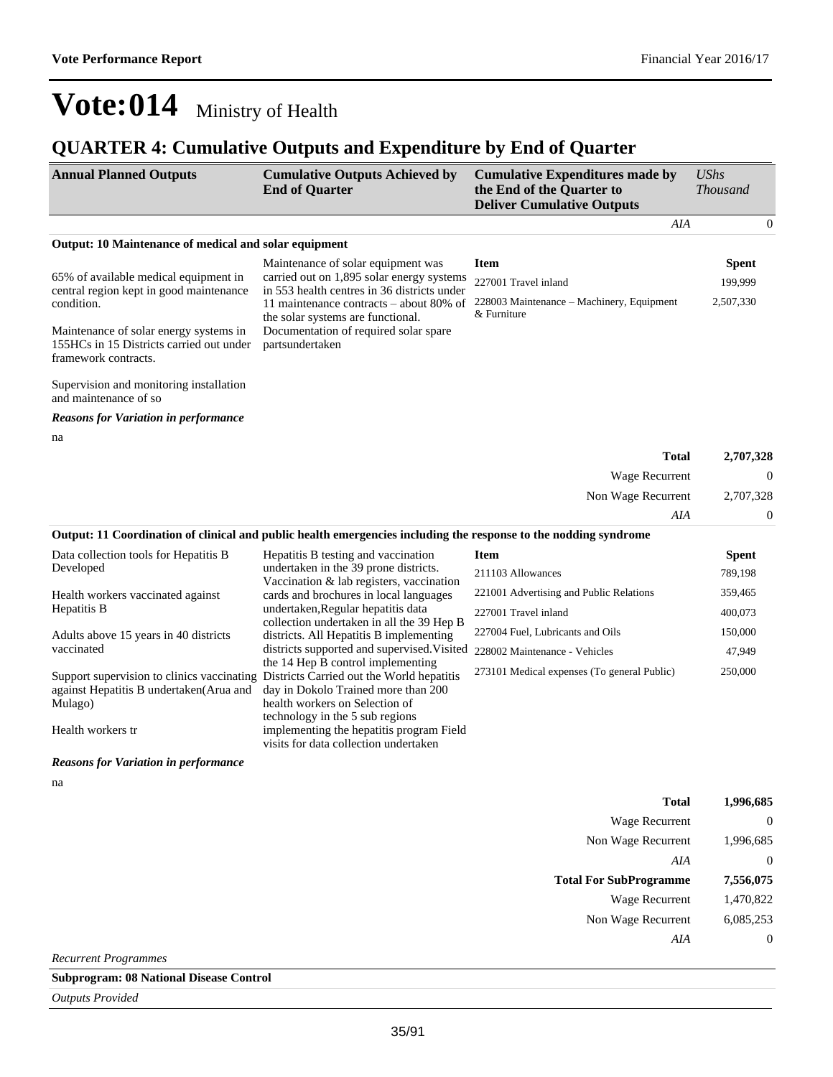### **QUARTER 4: Cumulative Outputs and Expenditure by End of Quarter**

| <b>Annual Planned Outputs</b>                                                                              | <b>Cumulative Outputs Achieved by</b><br><b>End of Quarter</b>                                                                                        | <b>Cumulative Expenditures made by</b><br>the End of the Quarter to<br><b>Deliver Cumulative Outputs</b> | <b>UShs</b><br><b>Thousand</b> |
|------------------------------------------------------------------------------------------------------------|-------------------------------------------------------------------------------------------------------------------------------------------------------|----------------------------------------------------------------------------------------------------------|--------------------------------|
|                                                                                                            |                                                                                                                                                       | AIA                                                                                                      | $\boldsymbol{0}$               |
| <b>Output: 10 Maintenance of medical and solar equipment</b>                                               |                                                                                                                                                       |                                                                                                          |                                |
|                                                                                                            | Maintenance of solar equipment was                                                                                                                    | <b>Item</b>                                                                                              | <b>Spent</b>                   |
| 65% of available medical equipment in<br>central region kept in good maintenance                           | carried out on 1,895 solar energy systems<br>in 553 health centres in 36 districts under                                                              | 227001 Travel inland                                                                                     | 199,999                        |
| condition.                                                                                                 | 11 maintenance contracts – about 80% of<br>the solar systems are functional.                                                                          | 228003 Maintenance - Machinery, Equipment<br>& Furniture                                                 | 2,507,330                      |
| Maintenance of solar energy systems in<br>155HCs in 15 Districts carried out under<br>framework contracts. | Documentation of required solar spare<br>partsundertaken                                                                                              |                                                                                                          |                                |
| Supervision and monitoring installation<br>and maintenance of so                                           |                                                                                                                                                       |                                                                                                          |                                |
| <b>Reasons for Variation in performance</b>                                                                |                                                                                                                                                       |                                                                                                          |                                |
| na                                                                                                         |                                                                                                                                                       |                                                                                                          |                                |
|                                                                                                            |                                                                                                                                                       | Total                                                                                                    | 2,707,328                      |
|                                                                                                            |                                                                                                                                                       | Wage Recurrent                                                                                           | $\boldsymbol{0}$               |
|                                                                                                            |                                                                                                                                                       | Non Wage Recurrent                                                                                       | 2,707,328                      |
|                                                                                                            |                                                                                                                                                       | AIA                                                                                                      | $\boldsymbol{0}$               |
|                                                                                                            | Output: 11 Coordination of clinical and public health emergencies including the response to the nodding syndrome                                      |                                                                                                          |                                |
| Data collection tools for Hepatitis B                                                                      | Hepatitis B testing and vaccination                                                                                                                   | <b>Item</b>                                                                                              | <b>Spent</b>                   |
| Developed                                                                                                  | undertaken in the 39 prone districts.<br>Vaccination & lab registers, vaccination                                                                     | 211103 Allowances                                                                                        | 789,198                        |
| Health workers vaccinated against                                                                          | cards and brochures in local languages                                                                                                                | 221001 Advertising and Public Relations                                                                  | 359,465                        |
| Hepatitis B                                                                                                | undertaken, Regular hepatitis data<br>collection undertaken in all the 39 Hep B                                                                       | 227001 Travel inland                                                                                     | 400,073                        |
| Adults above 15 years in 40 districts                                                                      | districts. All Hepatitis B implementing<br>districts supported and supervised. Visited<br>the 14 Hep B control implementing                           | 227004 Fuel, Lubricants and Oils                                                                         | 150,000                        |
| vaccinated                                                                                                 |                                                                                                                                                       | 228002 Maintenance - Vehicles                                                                            | 47,949                         |
| Support supervision to clinics vaccinating<br>against Hepatitis B undertaken(Arua and<br>Mulago)           | Districts Carried out the World hepatitis<br>day in Dokolo Trained more than 200<br>health workers on Selection of<br>technology in the 5 sub regions | 273101 Medical expenses (To general Public)                                                              | 250,000                        |
| Health workers tr                                                                                          | implementing the hepatitis program Field<br>visits for data collection undertaken                                                                     |                                                                                                          |                                |
| <b>Reasons for Variation in performance</b>                                                                |                                                                                                                                                       |                                                                                                          |                                |
| na                                                                                                         |                                                                                                                                                       |                                                                                                          |                                |
|                                                                                                            |                                                                                                                                                       | <b>Total</b>                                                                                             | 1,996,685                      |
|                                                                                                            |                                                                                                                                                       | Wage Recurrent                                                                                           | 0                              |
|                                                                                                            |                                                                                                                                                       | Non Wage Recurrent                                                                                       | 1,996,685                      |
|                                                                                                            |                                                                                                                                                       | AIA                                                                                                      | $\boldsymbol{0}$               |
|                                                                                                            |                                                                                                                                                       | <b>Total For SubProgramme</b>                                                                            | 7,556,075                      |
|                                                                                                            |                                                                                                                                                       | Wage Recurrent                                                                                           | 1,470,822                      |
|                                                                                                            |                                                                                                                                                       | Non Wage Recurrent                                                                                       | 6,085,253                      |
|                                                                                                            |                                                                                                                                                       | AIA                                                                                                      | $\boldsymbol{0}$               |
| <b>Recurrent Programmes</b>                                                                                |                                                                                                                                                       |                                                                                                          |                                |
| <b>Subprogram: 08 National Disease Control</b>                                                             |                                                                                                                                                       |                                                                                                          |                                |

*Outputs Provided*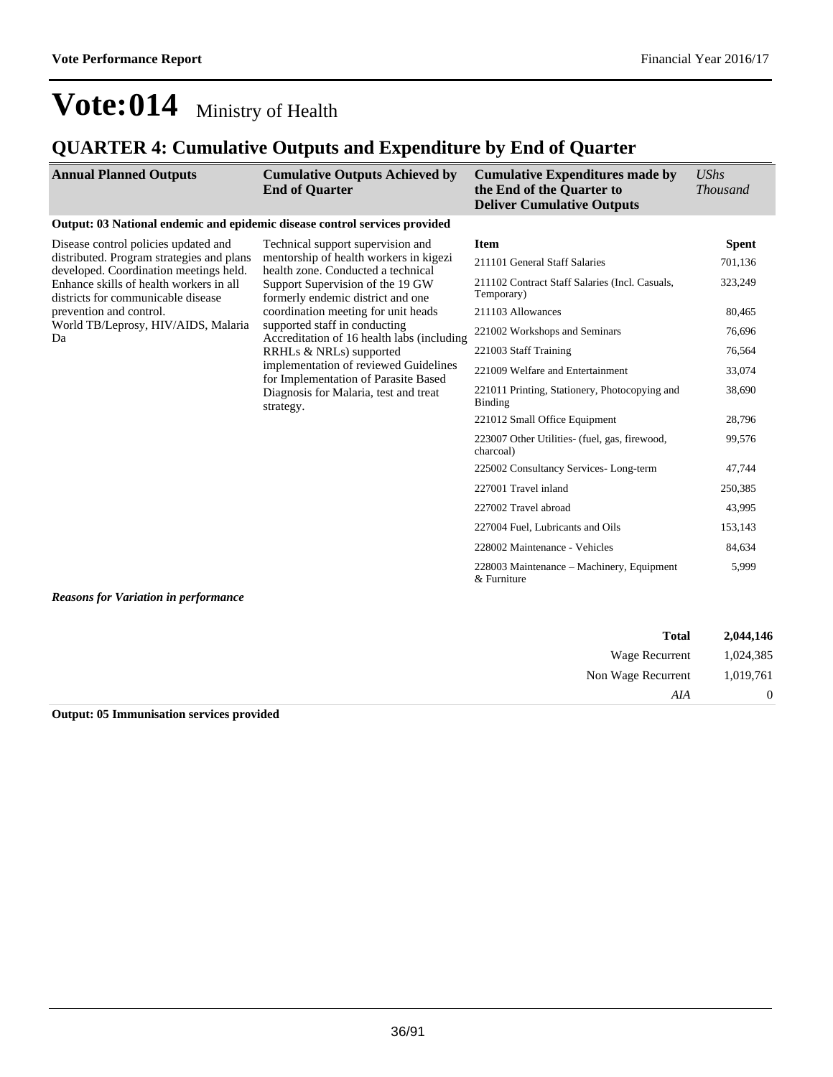### **QUARTER 4: Cumulative Outputs and Expenditure by End of Quarter**

| Output: 03 National endemic and epidemic disease control services provided<br>Disease control policies updated and<br><b>Spent</b><br>Technical support supervision and<br><b>Item</b><br>distributed. Program strategies and plans<br>mentorship of health workers in kigezi<br>211101 General Staff Salaries<br>701,136<br>health zone. Conducted a technical<br>developed. Coordination meetings held.                                                                                                                                                                                                                                                                                                                                                                                                                                                                                                                                                                                                                                                                                                                                                                                                                                     | <b>Thousand</b> |
|-----------------------------------------------------------------------------------------------------------------------------------------------------------------------------------------------------------------------------------------------------------------------------------------------------------------------------------------------------------------------------------------------------------------------------------------------------------------------------------------------------------------------------------------------------------------------------------------------------------------------------------------------------------------------------------------------------------------------------------------------------------------------------------------------------------------------------------------------------------------------------------------------------------------------------------------------------------------------------------------------------------------------------------------------------------------------------------------------------------------------------------------------------------------------------------------------------------------------------------------------|-----------------|
|                                                                                                                                                                                                                                                                                                                                                                                                                                                                                                                                                                                                                                                                                                                                                                                                                                                                                                                                                                                                                                                                                                                                                                                                                                               |                 |
| 211102 Contract Staff Salaries (Incl. Casuals,<br>323,249<br>Enhance skills of health workers in all<br>Support Supervision of the 19 GW<br>Temporary)<br>districts for communicable disease<br>formerly endemic district and one<br>coordination meeting for unit heads<br>prevention and control.<br>211103 Allowances<br>80,465<br>supported staff in conducting<br>World TB/Leprosy, HIV/AIDS, Malaria<br>221002 Workshops and Seminars<br>76,696<br>Accreditation of 16 health labs (including)<br>Da<br>221003 Staff Training<br>76,564<br>RRHLs & NRLs) supported<br>implementation of reviewed Guidelines<br>221009 Welfare and Entertainment<br>33,074<br>for Implementation of Parasite Based<br>221011 Printing, Stationery, Photocopying and<br>38,690<br>Diagnosis for Malaria, test and treat<br>Binding<br>strategy.<br>221012 Small Office Equipment<br>28,796<br>223007 Other Utilities- (fuel, gas, firewood,<br>99,576<br>charcoal)<br>225002 Consultancy Services-Long-term<br>47,744<br>227001 Travel inland<br>250,385<br>227002 Travel abroad<br>43,995<br>227004 Fuel, Lubricants and Oils<br>153,143<br>228002 Maintenance - Vehicles<br>84,634<br>228003 Maintenance – Machinery, Equipment<br>5,999<br>& Furniture |                 |

*Reasons for Variation in performance*

| 2,044,146      | <b>Total</b>       |
|----------------|--------------------|
| 1,024,385      | Wage Recurrent     |
| 1,019,761      | Non Wage Recurrent |
| $\overline{0}$ | AIA                |

#### **Output: 05 Immunisation services provided**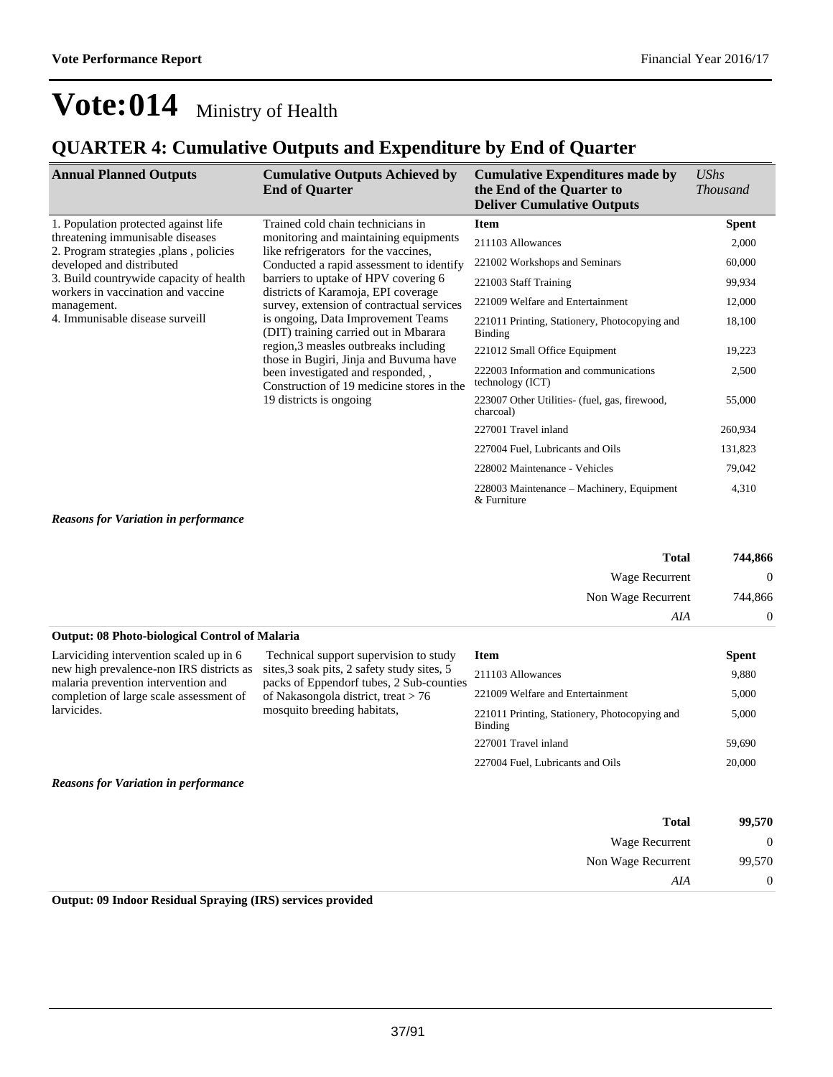5,000

## **Vote:014** Ministry of Health

### **QUARTER 4: Cumulative Outputs and Expenditure by End of Quarter**

| <b>Annual Planned Outputs</b>                                                                                                                                                                                                                                                       | <b>Cumulative Outputs Achieved by</b><br><b>End of Quarter</b>                                                                                                                                                                                                                                                                                                                                                                                                                                                                                                           | <b>Cumulative Expenditures made by</b><br>the End of the Quarter to<br><b>Deliver Cumulative Outputs</b>                                                                                                                                                                                                                                                                                                                                                                                         | <b>UShs</b><br><i>Thousand</i>                                                                                                      |
|-------------------------------------------------------------------------------------------------------------------------------------------------------------------------------------------------------------------------------------------------------------------------------------|--------------------------------------------------------------------------------------------------------------------------------------------------------------------------------------------------------------------------------------------------------------------------------------------------------------------------------------------------------------------------------------------------------------------------------------------------------------------------------------------------------------------------------------------------------------------------|--------------------------------------------------------------------------------------------------------------------------------------------------------------------------------------------------------------------------------------------------------------------------------------------------------------------------------------------------------------------------------------------------------------------------------------------------------------------------------------------------|-------------------------------------------------------------------------------------------------------------------------------------|
| 1. Population protected against life<br>threatening immunisable diseases<br>2. Program strategies , plans, policies<br>developed and distributed<br>3. Build countrywide capacity of health<br>workers in vaccination and vaccine<br>management.<br>4. Immunisable disease surveill | Trained cold chain technicians in<br>monitoring and maintaining equipments<br>like refrigerators for the vaccines,<br>Conducted a rapid assessment to identify<br>barriers to uptake of HPV covering 6<br>districts of Karamoja, EPI coverage<br>survey, extension of contractual services<br>is ongoing, Data Improvement Teams<br>(DIT) training carried out in Mbarara<br>region, 3 measles outbreaks including<br>those in Bugiri, Jinja and Buvuma have<br>been investigated and responded,<br>Construction of 19 medicine stores in the<br>19 districts is ongoing | <b>Item</b><br>211103 Allowances<br>221002 Workshops and Seminars<br>221003 Staff Training<br>221009 Welfare and Entertainment<br>221011 Printing, Stationery, Photocopying and<br>Binding<br>221012 Small Office Equipment<br>222003 Information and communications<br>technology (ICT)<br>223007 Other Utilities- (fuel, gas, firewood,<br>charcoal)<br>227001 Travel inland<br>227004 Fuel, Lubricants and Oils<br>228002 Maintenance - Vehicles<br>228003 Maintenance – Machinery, Equipment | <b>Spent</b><br>2,000<br>60,000<br>99,934<br>12,000<br>18,100<br>19,223<br>2,500<br>55,000<br>260,934<br>131,823<br>79,042<br>4,310 |
|                                                                                                                                                                                                                                                                                     |                                                                                                                                                                                                                                                                                                                                                                                                                                                                                                                                                                          | & Furniture                                                                                                                                                                                                                                                                                                                                                                                                                                                                                      |                                                                                                                                     |

*Reasons for Variation in performance*

| 744,866 | <b>Total</b>       |  |
|---------|--------------------|--|
| 0       | Wage Recurrent     |  |
| 744,866 | Non Wage Recurrent |  |
| 0       | AIA                |  |

#### **Output: 08 Photo-biological Control of Malaria** Larviciding intervention scaled up in 6 new high prevalence-non IRS districts as malaria prevention intervention and completion of large scale assessment of larvicides. Technical support supervision to study sites,3 soak pits, 2 safety study sites, 5 packs of Eppendorf tubes, 2 Sub-counties of Nakasongola district, treat > 76 mosquito breeding habitats, **Item Spent** 211103 Allowances 9,880 221009 Welfare and Entertainment 5,000 221011 Printing, Stationery, Photocopying and Binding 227001 Travel inland 59,690 227004 Fuel, Lubricants and Oils 20,000

*Reasons for Variation in performance*

| 99,570           | <b>Total</b>       |
|------------------|--------------------|
| $\boldsymbol{0}$ | Wage Recurrent     |
| 99,570           | Non Wage Recurrent |
| $\overline{0}$   | AIA                |

**Output: 09 Indoor Residual Spraying (IRS) services provided**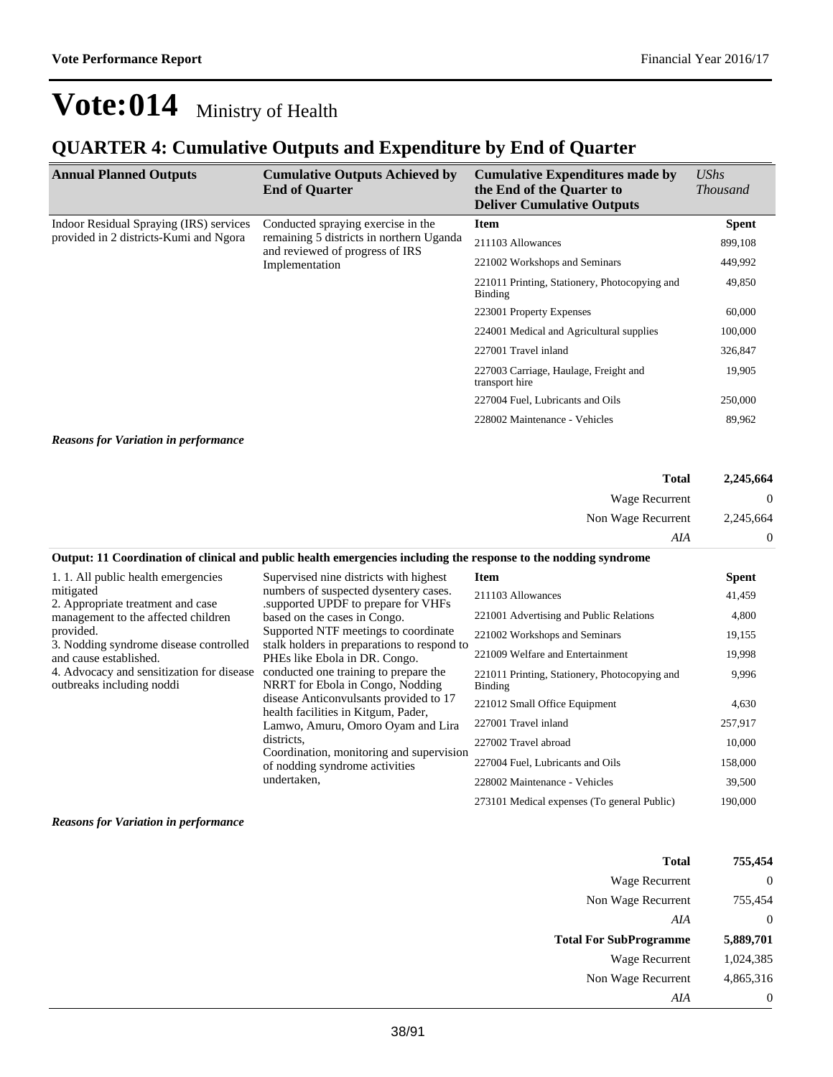### **QUARTER 4: Cumulative Outputs and Expenditure by End of Quarter**

| <b>Annual Planned Outputs</b>               | <b>Cumulative Outputs Achieved by</b><br><b>End of Quarter</b>                                                                      | <b>Cumulative Expenditures made by</b><br>the End of the Quarter to<br><b>Deliver Cumulative Outputs</b> | <b>UShs</b><br><i>Thousand</i> |
|---------------------------------------------|-------------------------------------------------------------------------------------------------------------------------------------|----------------------------------------------------------------------------------------------------------|--------------------------------|
| Indoor Residual Spraying (IRS) services     | Conducted spraying exercise in the<br>remaining 5 districts in northern Uganda<br>and reviewed of progress of IRS<br>Implementation | <b>Item</b>                                                                                              | <b>Spent</b>                   |
| provided in 2 districts-Kumi and Ngora      |                                                                                                                                     | 211103 Allowances                                                                                        | 899,108                        |
|                                             |                                                                                                                                     | 221002 Workshops and Seminars                                                                            | 449,992                        |
|                                             |                                                                                                                                     | 221011 Printing, Stationery, Photocopying and<br>Binding                                                 | 49,850                         |
|                                             |                                                                                                                                     | 223001 Property Expenses                                                                                 | 60,000                         |
|                                             |                                                                                                                                     | 224001 Medical and Agricultural supplies                                                                 | 100,000                        |
|                                             |                                                                                                                                     | 227001 Travel inland                                                                                     | 326,847                        |
|                                             |                                                                                                                                     | 227003 Carriage, Haulage, Freight and<br>transport hire                                                  | 19,905                         |
|                                             |                                                                                                                                     | 227004 Fuel, Lubricants and Oils                                                                         | 250,000                        |
|                                             |                                                                                                                                     | 228002 Maintenance - Vehicles                                                                            | 89,962                         |
| <b>Reasons for Variation in performance</b> |                                                                                                                                     |                                                                                                          |                                |

| 2,245,664        | <b>Total</b>       |  |
|------------------|--------------------|--|
| $\boldsymbol{0}$ | Wage Recurrent     |  |
| 2,245,664        | Non Wage Recurrent |  |
| 0                | AIA                |  |

| Output: 11 Coordination of clinical and public health emergencies including the response to the nodding syndrome |                                                                                                                                              |                                                          |              |
|------------------------------------------------------------------------------------------------------------------|----------------------------------------------------------------------------------------------------------------------------------------------|----------------------------------------------------------|--------------|
| 1. 1. All public health emergencies                                                                              | Supervised nine districts with highest                                                                                                       | <b>Item</b>                                              | <b>Spent</b> |
| mitigated<br>2. Appropriate treatment and case                                                                   | numbers of suspected dysentery cases.<br>supported UPDF to prepare for VHFs.                                                                 | 211103 Allowances                                        | 41,459       |
| management to the affected children                                                                              | based on the cases in Congo.                                                                                                                 | 221001 Advertising and Public Relations                  | 4,800        |
| provided.                                                                                                        | Supported NTF meetings to coordinate<br>stalk holders in preparations to respond to<br>PHEs like Ebola in DR. Congo.                         | 221002 Workshops and Seminars                            | 19,155       |
| 3. Nodding syndrome disease controlled<br>and cause established.                                                 |                                                                                                                                              | 221009 Welfare and Entertainment                         | 19,998       |
| 4. Advocacy and sensitization for disease<br>outbreaks including noddi                                           | conducted one training to prepare the<br>NRRT for Ebola in Congo, Nodding                                                                    | 221011 Printing, Stationery, Photocopying and<br>Binding | 9,996        |
|                                                                                                                  | disease Anticonvulsants provided to 17<br>health facilities in Kitgum, Pader,                                                                | 221012 Small Office Equipment                            | 4,630        |
|                                                                                                                  | Lamwo, Amuru, Omoro Oyam and Lira<br>districts.<br>Coordination, monitoring and supervision<br>of nodding syndrome activities<br>undertaken, | 227001 Travel inland                                     | 257,917      |
|                                                                                                                  |                                                                                                                                              | 227002 Travel abroad                                     | 10,000       |
|                                                                                                                  |                                                                                                                                              | 227004 Fuel, Lubricants and Oils                         | 158,000      |
|                                                                                                                  |                                                                                                                                              | 228002 Maintenance - Vehicles                            | 39,500       |
|                                                                                                                  |                                                                                                                                              | 273101 Medical expenses (To general Public)              | 190,000      |

#### *Reasons for Variation in performance*

| <b>Total</b>                  | 755,454   |
|-------------------------------|-----------|
| Wage Recurrent                | $\theta$  |
| Non Wage Recurrent            | 755,454   |
| AIA                           | 0         |
|                               |           |
| <b>Total For SubProgramme</b> | 5,889,701 |
| Wage Recurrent                | 1,024,385 |
| Non Wage Recurrent            | 4,865,316 |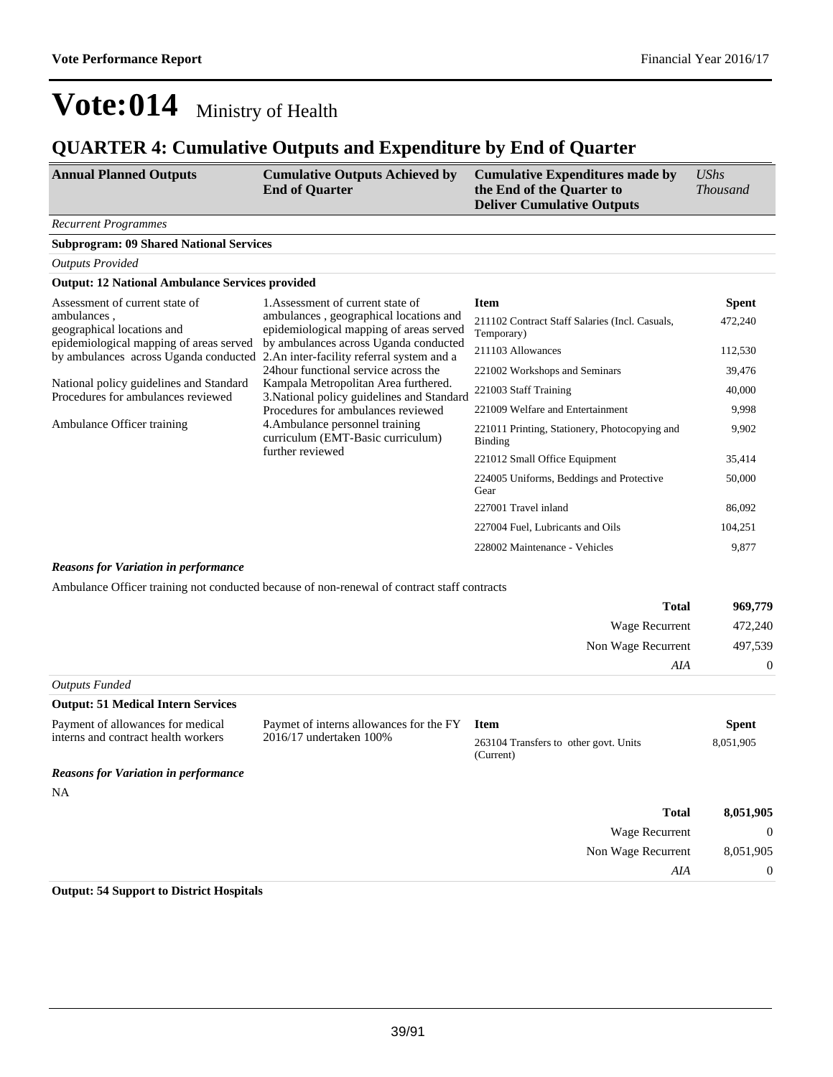## **QUARTER 4: Cumulative Outputs and Expenditure by End of Quarter**

| <b>Annual Planned Outputs</b> | <b>Cumulative Outputs Achieved by</b><br><b>End of Quarter</b> | Cumulative Expenditures made by<br>the End of the Quarter to<br><b>Deliver Cumulative Outputs</b> | <b>UShs</b><br><i>Thousand</i> |
|-------------------------------|----------------------------------------------------------------|---------------------------------------------------------------------------------------------------|--------------------------------|
| Recurrent Programmes          |                                                                |                                                                                                   |                                |

#### **Subprogram: 09 Shared National Services**

| <b>Outputs Provided</b> |
|-------------------------|
|-------------------------|

#### **Output: 12 National Ambulance Services provided**

| Assessment of current state of<br>ambulances,<br>geographical locations and<br>epidemiological mapping of areas served | 1. Assessment of current state of<br>ambulances, geographical locations and<br>epidemiological mapping of areas served<br>by ambulances across Uganda conducted<br>24 hour functional service across the | Item<br>211102 Contract Staff Salaries (Incl. Casuals,<br>Temporary) | <b>Spent</b><br>472,240 |
|------------------------------------------------------------------------------------------------------------------------|----------------------------------------------------------------------------------------------------------------------------------------------------------------------------------------------------------|----------------------------------------------------------------------|-------------------------|
| by ambulances across Uganda conducted 2.An inter-facility referral system and a                                        |                                                                                                                                                                                                          | 211103 Allowances<br>221002 Workshops and Seminars                   | 112,530<br>39,476       |
| National policy guidelines and Standard<br>Procedures for ambulances reviewed                                          | Kampala Metropolitan Area furthered.<br>3. National policy guidelines and Standard                                                                                                                       | 221003 Staff Training                                                | 40,000                  |
|                                                                                                                        | Procedures for ambulances reviewed                                                                                                                                                                       | 221009 Welfare and Entertainment                                     | 9,998                   |
| Ambulance Officer training<br>4. Ambulance personnel training<br>curriculum (EMT-Basic curriculum)                     |                                                                                                                                                                                                          | 221011 Printing, Stationery, Photocopying and<br><b>Binding</b>      | 9,902                   |
|                                                                                                                        | further reviewed                                                                                                                                                                                         | 221012 Small Office Equipment                                        | 35,414                  |
|                                                                                                                        | 224005 Uniforms, Beddings and Protective<br>Gear                                                                                                                                                         | 50,000                                                               |                         |
|                                                                                                                        |                                                                                                                                                                                                          | 227001 Travel inland                                                 | 86,092                  |
|                                                                                                                        | 227004 Fuel, Lubricants and Oils                                                                                                                                                                         | 104,251                                                              |                         |
|                                                                                                                        |                                                                                                                                                                                                          | 228002 Maintenance - Vehicles                                        | 9,877                   |

#### *Reasons for Variation in performance*

Ambulance Officer training not conducted because of non-renewal of contract staff contracts

| <b>Total</b>          | 969,779        |
|-----------------------|----------------|
| Wage Recurrent        | 472,240        |
| Non Wage Recurrent    | 497,539        |
| AIA                   | $\overline{0}$ |
| <b>Outputs Funded</b> |                |

### **Output: 51 Medical Intern Services**

| Payment of allowances for medical   | Paymet of interns allowances for the FY | – Item                                             | Spent     |
|-------------------------------------|-----------------------------------------|----------------------------------------------------|-----------|
| interns and contract health workers | 2016/17 undertaken 100%                 | 263104 Transfers to other govt. Units<br>(Current) | 8.051.905 |

### *Reasons for Variation in performance* NA

| 8,051,905        | <b>Total</b>       |  |
|------------------|--------------------|--|
| $\boldsymbol{0}$ | Wage Recurrent     |  |
| 8,051,905        | Non Wage Recurrent |  |
| $\overline{0}$   | AIA                |  |

### **Output: 54 Support to District Hospitals**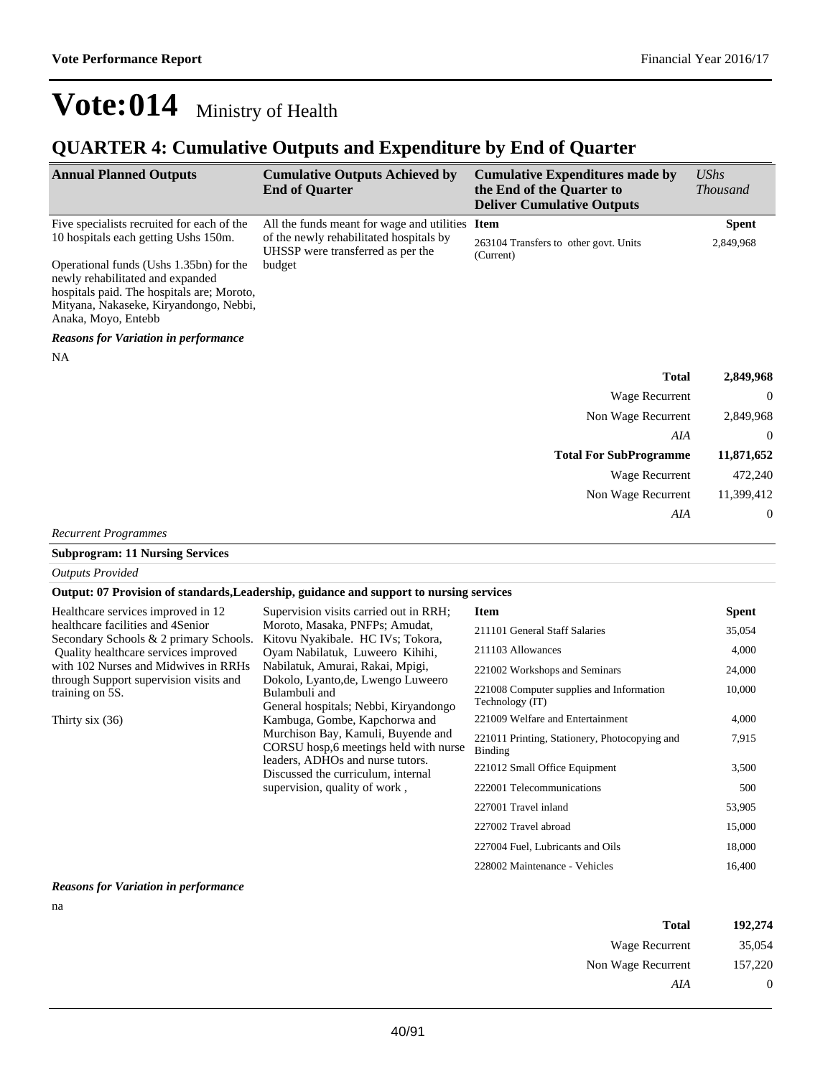### **QUARTER 4: Cumulative Outputs and Expenditure by End of Quarter**

| <b>Annual Planned Outputs</b>                                                                                                                                                                                                      | <b>Cumulative Outputs Achieved by</b><br><b>End of Quarter</b>                         | <b>Cumulative Expenditures made by</b><br>the End of the Quarter to<br><b>Deliver Cumulative Outputs</b> | <b>UShs</b><br><b>Thousand</b> |
|------------------------------------------------------------------------------------------------------------------------------------------------------------------------------------------------------------------------------------|----------------------------------------------------------------------------------------|----------------------------------------------------------------------------------------------------------|--------------------------------|
| Five specialists recruited for each of the                                                                                                                                                                                         | All the funds meant for wage and utilities Item                                        |                                                                                                          | <b>Spent</b>                   |
| 10 hospitals each getting Ushs 150m.<br>Operational funds (Ushs 1.35bn) for the<br>newly rehabilitated and expanded<br>hospitals paid. The hospitals are; Moroto,<br>Mityana, Nakaseke, Kiryandongo, Nebbi,<br>Anaka, Moyo, Entebb | of the newly rehabilitated hospitals by<br>UHSSP were transferred as per the<br>budget | 263104 Transfers to other govt. Units<br>(Current)                                                       | 2,849,968                      |
| <b>Reasons for Variation in performance</b>                                                                                                                                                                                        |                                                                                        |                                                                                                          |                                |
| NA                                                                                                                                                                                                                                 |                                                                                        |                                                                                                          |                                |
|                                                                                                                                                                                                                                    |                                                                                        | <b>Total</b>                                                                                             | 2,849,968                      |
|                                                                                                                                                                                                                                    |                                                                                        | Wage Recurrent                                                                                           | $\theta$                       |
|                                                                                                                                                                                                                                    |                                                                                        | Non Wage Recurrent                                                                                       | 2,849,968                      |
|                                                                                                                                                                                                                                    |                                                                                        | AIA                                                                                                      | $\theta$                       |
|                                                                                                                                                                                                                                    |                                                                                        | <b>Total For SubProgramme</b>                                                                            | 11,871,652                     |
|                                                                                                                                                                                                                                    |                                                                                        | Wage Recurrent                                                                                           | 472,240                        |
|                                                                                                                                                                                                                                    |                                                                                        | Non Wage Recurrent                                                                                       | 11,399,412                     |
|                                                                                                                                                                                                                                    |                                                                                        | AIA                                                                                                      | $\boldsymbol{0}$               |
| <b>Recurrent Programmes</b>                                                                                                                                                                                                        |                                                                                        |                                                                                                          |                                |

### **Subprogram: 11 Nursing Services**

#### *Outputs Provided*

#### **Output: 07 Provision of standards,Leadership, guidance and support to nursing services**

| Healthcare services improved in 12                                             | Supervision visits carried out in RRH;                                       | <b>Item</b>                                                 | <b>Spent</b> |
|--------------------------------------------------------------------------------|------------------------------------------------------------------------------|-------------------------------------------------------------|--------------|
| healthcare facilities and 4Senior<br>Secondary Schools & 2 primary Schools.    | Moroto, Masaka, PNFPs; Amudat,<br>Kitovu Nyakibale. HC IVs; Tokora,          | 211101 General Staff Salaries                               | 35,054       |
| Quality healthcare services improved                                           | Oyam Nabilatuk, Luweero Kihihi,                                              | 211103 Allowances                                           | 4,000        |
| with 102 Nurses and Midwives in RRHs<br>through Support supervision visits and | Nabilatuk, Amurai, Rakai, Mpigi,<br>Dokolo, Lyanto, de, Lwengo Luweero       | 221002 Workshops and Seminars                               | 24,000       |
| training on 5S.                                                                | Bulambuli and<br>General hospitals; Nebbi, Kiryandongo                       | 221008 Computer supplies and Information<br>Technology (IT) | 10,000       |
| Thirty six (36)                                                                | Kambuga, Gombe, Kapchorwa and                                                | 221009 Welfare and Entertainment                            | 4,000        |
|                                                                                | Murchison Bay, Kamuli, Buyende and<br>CORSU hosp, 6 meetings held with nurse | 221011 Printing, Stationery, Photocopying and<br>Binding    | 7,915        |
|                                                                                | leaders, ADHOs and nurse tutors.<br>Discussed the curriculum, internal       | 221012 Small Office Equipment                               | 3,500        |
|                                                                                | supervision, quality of work,                                                | 222001 Telecommunications                                   | 500          |
|                                                                                |                                                                              | 227001 Travel inland                                        | 53,905       |
|                                                                                |                                                                              | 227002 Travel abroad                                        | 15,000       |
|                                                                                |                                                                              | 227004 Fuel, Lubricants and Oils                            | 18,000       |
|                                                                                |                                                                              | 228002 Maintenance - Vehicles                               | 16,400       |

#### *Reasons for Variation in performance*

na

| Total              | 192,274 |
|--------------------|---------|
| Wage Recurrent     | 35,054  |
| Non Wage Recurrent | 157,220 |
| AIA                | 0       |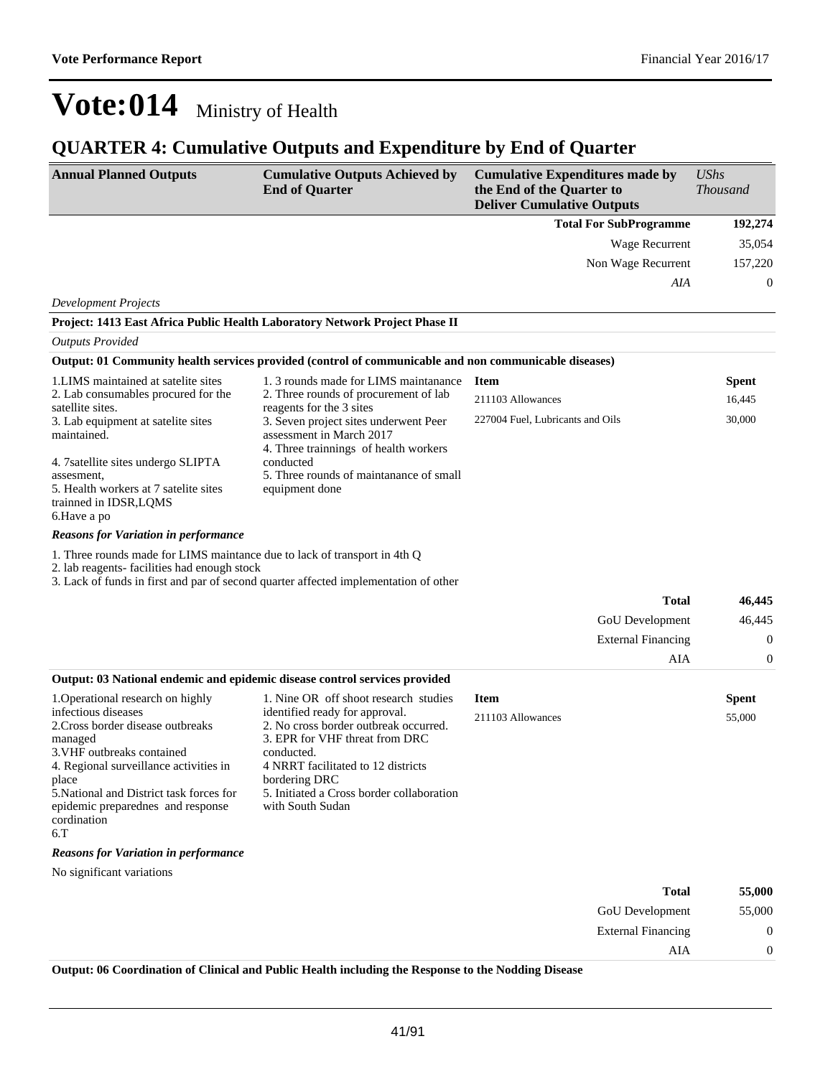### **QUARTER 4: Cumulative Outputs and Expenditure by End of Quarter**

| <b>Annual Planned Outputs</b>                                                                                                                                                             | <b>Cumulative Outputs Achieved by</b><br><b>End of Quarter</b>                                                                                                                                                          | <b>Cumulative Expenditures made by</b><br>the End of the Quarter to<br><b>Deliver Cumulative Outputs</b> | <b>UShs</b><br><b>Thousand</b> |
|-------------------------------------------------------------------------------------------------------------------------------------------------------------------------------------------|-------------------------------------------------------------------------------------------------------------------------------------------------------------------------------------------------------------------------|----------------------------------------------------------------------------------------------------------|--------------------------------|
|                                                                                                                                                                                           |                                                                                                                                                                                                                         | <b>Total For SubProgramme</b>                                                                            | 192,274                        |
|                                                                                                                                                                                           |                                                                                                                                                                                                                         | Wage Recurrent                                                                                           | 35,054                         |
|                                                                                                                                                                                           |                                                                                                                                                                                                                         | Non Wage Recurrent                                                                                       | 157,220                        |
|                                                                                                                                                                                           |                                                                                                                                                                                                                         | AIA                                                                                                      | $\mathbf{0}$                   |
| <b>Development Projects</b>                                                                                                                                                               |                                                                                                                                                                                                                         |                                                                                                          |                                |
|                                                                                                                                                                                           | Project: 1413 East Africa Public Health Laboratory Network Project Phase II                                                                                                                                             |                                                                                                          |                                |
| <b>Outputs Provided</b>                                                                                                                                                                   |                                                                                                                                                                                                                         |                                                                                                          |                                |
|                                                                                                                                                                                           | Output: 01 Community health services provided (control of communicable and non communicable diseases)                                                                                                                   |                                                                                                          |                                |
| 1. LIMS maintained at satelite sites                                                                                                                                                      | 1.3 rounds made for LIMS maintanance                                                                                                                                                                                    | <b>Item</b>                                                                                              | <b>Spent</b>                   |
| 2. Lab consumables procured for the<br>satellite sites.                                                                                                                                   | 2. Three rounds of procurement of lab<br>reagents for the 3 sites                                                                                                                                                       | 211103 Allowances                                                                                        | 16,445                         |
| 3. Lab equipment at satelite sites<br>maintained.                                                                                                                                         | 3. Seven project sites underwent Peer<br>assessment in March 2017<br>4. Three trainnings of health workers                                                                                                              | 227004 Fuel, Lubricants and Oils                                                                         | 30,000                         |
| 4. 7satellite sites undergo SLIPTA<br>assesment,<br>5. Health workers at 7 satelite sites<br>trainned in IDSR, LQMS<br>6.Have a po                                                        | conducted<br>5. Three rounds of maintanance of small<br>equipment done                                                                                                                                                  |                                                                                                          |                                |
| <b>Reasons for Variation in performance</b>                                                                                                                                               |                                                                                                                                                                                                                         |                                                                                                          |                                |
| 1. Three rounds made for LIMS maintance due to lack of transport in 4th Q<br>2. lab reagents- facilities had enough stock                                                                 | 3. Lack of funds in first and par of second quarter affected implementation of other                                                                                                                                    |                                                                                                          |                                |
|                                                                                                                                                                                           |                                                                                                                                                                                                                         | <b>Total</b>                                                                                             | 46,445                         |
|                                                                                                                                                                                           |                                                                                                                                                                                                                         | GoU Development                                                                                          | 46,445                         |
|                                                                                                                                                                                           |                                                                                                                                                                                                                         | <b>External Financing</b>                                                                                | $\mathbf{0}$                   |
|                                                                                                                                                                                           |                                                                                                                                                                                                                         | AIA                                                                                                      | $\mathbf{0}$                   |
| Output: 03 National endemic and epidemic disease control services provided                                                                                                                |                                                                                                                                                                                                                         |                                                                                                          |                                |
| 1. Operational research on highly<br>infectious diseases<br>2. Cross border disease outbreaks<br>managed<br>3. VHF outbreaks contained<br>4. Regional surveillance activities in<br>place | 1. Nine OR off shoot research studies<br>identified ready for approval.<br>2. No cross border outbreak occurred.<br>3. EPR for VHF threat from DRC<br>conducted.<br>4 NRRT facilitated to 12 districts<br>bordering DRC | <b>Item</b><br>211103 Allowances                                                                         | <b>Spent</b><br>55,000         |
| 5. National and District task forces for<br>epidemic preparednes and response<br>cordination<br>$6.$ T                                                                                    | 5. Initiated a Cross border collaboration<br>with South Sudan                                                                                                                                                           |                                                                                                          |                                |
| <b>Reasons for Variation in performance</b>                                                                                                                                               |                                                                                                                                                                                                                         |                                                                                                          |                                |
| No significant variations                                                                                                                                                                 |                                                                                                                                                                                                                         |                                                                                                          |                                |
|                                                                                                                                                                                           |                                                                                                                                                                                                                         | <b>Total</b>                                                                                             | 55,000                         |
|                                                                                                                                                                                           |                                                                                                                                                                                                                         | GoU Development                                                                                          | 55,000                         |
|                                                                                                                                                                                           |                                                                                                                                                                                                                         | <b>External Financing</b>                                                                                | $\boldsymbol{0}$               |
|                                                                                                                                                                                           |                                                                                                                                                                                                                         | AIA                                                                                                      | $\boldsymbol{0}$               |

**Output: 06 Coordination of Clinical and Public Health including the Response to the Nodding Disease**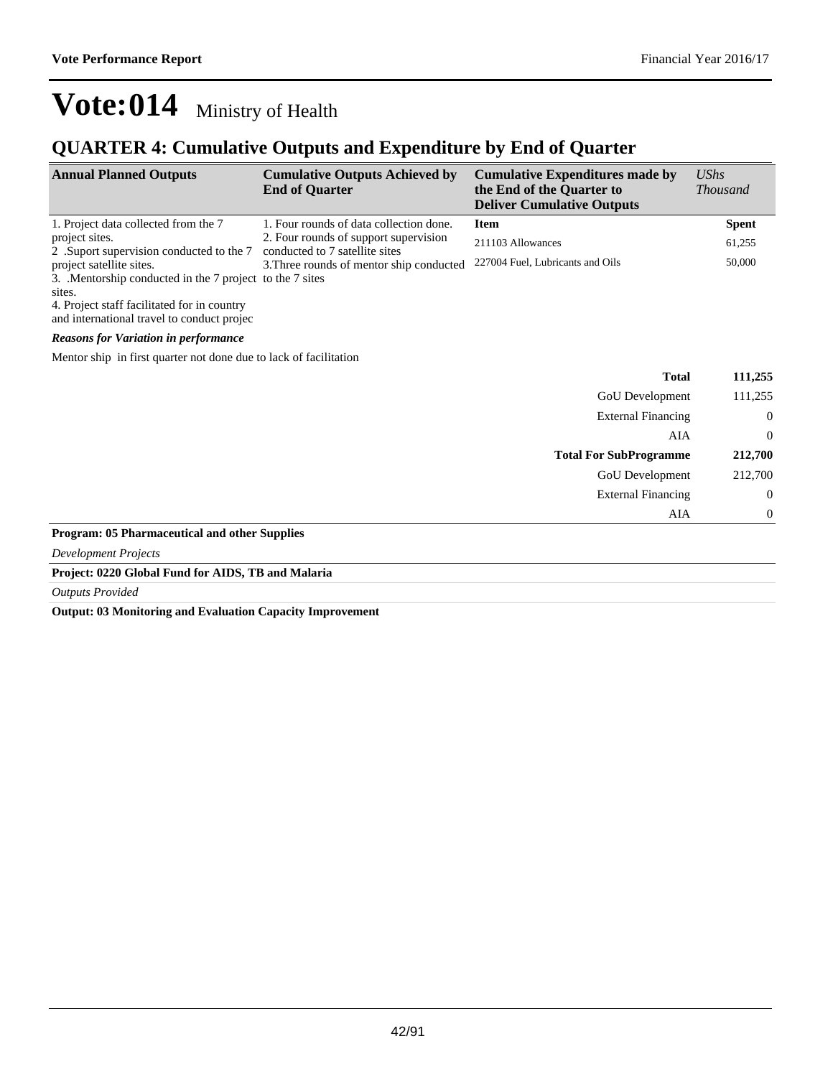### **QUARTER 4: Cumulative Outputs and Expenditure by End of Quarter**

| <b>Annual Planned Outputs</b>                                                                                                                                                              | <b>Cumulative Outputs Achieved by</b><br><b>End of Quarter</b>          | <b>Cumulative Expenditures made by</b><br>the End of the Quarter to<br><b>Deliver Cumulative Outputs</b> | UShs<br><b>Thousand</b> |
|--------------------------------------------------------------------------------------------------------------------------------------------------------------------------------------------|-------------------------------------------------------------------------|----------------------------------------------------------------------------------------------------------|-------------------------|
| 1. Project data collected from the 7                                                                                                                                                       | 1. Four rounds of data collection done.                                 | <b>Item</b>                                                                                              | <b>Spent</b>            |
| project sites.<br>2 .Suport supervision conducted to the 7                                                                                                                                 | 2. Four rounds of support supervision<br>conducted to 7 satellite sites | 211103 Allowances                                                                                        | 61,255                  |
| project satellite sites.<br>3. Mentorship conducted in the 7 project to the 7 sites<br>sites.<br>4. Project staff facilitated for in country<br>and international travel to conduct projec | 3. Three rounds of mentor ship conducted                                | 227004 Fuel, Lubricants and Oils                                                                         | 50,000                  |
| <b>Reasons for Variation in performance</b>                                                                                                                                                |                                                                         |                                                                                                          |                         |
| Mentor ship in first quarter not done due to lack of facilitation                                                                                                                          |                                                                         |                                                                                                          |                         |
|                                                                                                                                                                                            |                                                                         | <b>Total</b>                                                                                             | 111,255                 |
|                                                                                                                                                                                            |                                                                         | <b>GoU</b> Development                                                                                   | 111,255                 |
|                                                                                                                                                                                            |                                                                         | <b>External Financing</b>                                                                                | $\theta$                |
|                                                                                                                                                                                            |                                                                         | AIA                                                                                                      | $\mathbf{0}$            |
|                                                                                                                                                                                            |                                                                         | <b>Total For SubProgramme</b>                                                                            | 212,700                 |
|                                                                                                                                                                                            |                                                                         | <b>GoU</b> Development                                                                                   | 212,700                 |
|                                                                                                                                                                                            |                                                                         | <b>External Financing</b>                                                                                | 0                       |
|                                                                                                                                                                                            |                                                                         | AIA                                                                                                      | 0                       |
| <b>Program: 05 Pharmaceutical and other Supplies</b>                                                                                                                                       |                                                                         |                                                                                                          |                         |

*Development Projects*

### **Project: 0220 Global Fund for AIDS, TB and Malaria**

*Outputs Provided*

**Output: 03 Monitoring and Evaluation Capacity Improvement**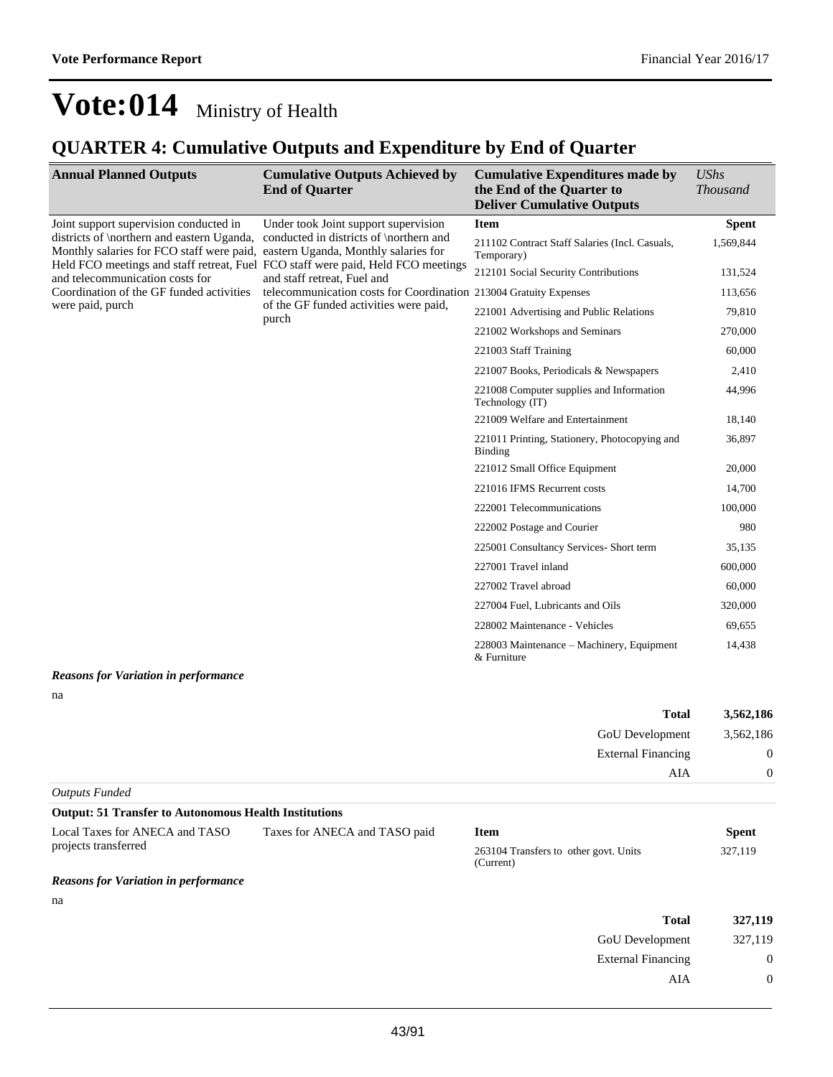### **QUARTER 4: Cumulative Outputs and Expenditure by End of Quarter**

| <b>Annual Planned Outputs</b>                                                                                                                                                                                                                                                                                                                                                                                                                                                                        | <b>Cumulative Outputs Achieved by</b><br><b>End of Quarter</b> | <b>Cumulative Expenditures made by</b><br>the End of the Quarter to<br><b>Deliver Cumulative Outputs</b> | <b>UShs</b><br><b>Thousand</b> |
|------------------------------------------------------------------------------------------------------------------------------------------------------------------------------------------------------------------------------------------------------------------------------------------------------------------------------------------------------------------------------------------------------------------------------------------------------------------------------------------------------|----------------------------------------------------------------|----------------------------------------------------------------------------------------------------------|--------------------------------|
| Joint support supervision conducted in                                                                                                                                                                                                                                                                                                                                                                                                                                                               | Under took Joint support supervision                           | <b>Item</b>                                                                                              | <b>Spent</b>                   |
| districts of \northern and eastern Uganda,<br>conducted in districts of \northern and<br>Monthly salaries for FCO staff were paid, eastern Uganda, Monthly salaries for<br>Temporary)<br>Held FCO meetings and staff retreat, Fuel FCO staff were paid, Held FCO meetings<br>212101 Social Security Contributions<br>and telecommunication costs for<br>and staff retreat, Fuel and<br>Coordination of the GF funded activities<br>telecommunication costs for Coordination 213004 Gratuity Expenses |                                                                | 211102 Contract Staff Salaries (Incl. Casuals,                                                           | 1,569,844                      |
|                                                                                                                                                                                                                                                                                                                                                                                                                                                                                                      |                                                                |                                                                                                          | 131,524                        |
|                                                                                                                                                                                                                                                                                                                                                                                                                                                                                                      |                                                                | 113,656                                                                                                  |                                |
| were paid, purch                                                                                                                                                                                                                                                                                                                                                                                                                                                                                     | of the GF funded activities were paid,<br>purch                | 221001 Advertising and Public Relations                                                                  | 79,810                         |
|                                                                                                                                                                                                                                                                                                                                                                                                                                                                                                      | 221002 Workshops and Seminars<br>221003 Staff Training         |                                                                                                          | 270,000                        |
|                                                                                                                                                                                                                                                                                                                                                                                                                                                                                                      |                                                                |                                                                                                          | 60,000                         |
|                                                                                                                                                                                                                                                                                                                                                                                                                                                                                                      |                                                                | 221007 Books, Periodicals & Newspapers                                                                   | 2,410                          |
|                                                                                                                                                                                                                                                                                                                                                                                                                                                                                                      | 221008 Computer supplies and Information<br>Technology (IT)    | 44,996                                                                                                   |                                |
|                                                                                                                                                                                                                                                                                                                                                                                                                                                                                                      |                                                                | 221009 Welfare and Entertainment                                                                         | 18,140                         |
|                                                                                                                                                                                                                                                                                                                                                                                                                                                                                                      |                                                                | 221011 Printing, Stationery, Photocopying and<br>Binding                                                 | 36,897                         |
|                                                                                                                                                                                                                                                                                                                                                                                                                                                                                                      |                                                                | 221012 Small Office Equipment                                                                            | 20,000                         |
|                                                                                                                                                                                                                                                                                                                                                                                                                                                                                                      |                                                                | 221016 IFMS Recurrent costs                                                                              | 14,700                         |
|                                                                                                                                                                                                                                                                                                                                                                                                                                                                                                      |                                                                | 222001 Telecommunications                                                                                | 100,000                        |
|                                                                                                                                                                                                                                                                                                                                                                                                                                                                                                      |                                                                | 222002 Postage and Courier                                                                               | 980                            |
|                                                                                                                                                                                                                                                                                                                                                                                                                                                                                                      |                                                                | 225001 Consultancy Services- Short term                                                                  | 35,135                         |
|                                                                                                                                                                                                                                                                                                                                                                                                                                                                                                      |                                                                | 227001 Travel inland                                                                                     | 600,000                        |
|                                                                                                                                                                                                                                                                                                                                                                                                                                                                                                      |                                                                | 227002 Travel abroad                                                                                     | 60,000                         |
|                                                                                                                                                                                                                                                                                                                                                                                                                                                                                                      |                                                                | 227004 Fuel, Lubricants and Oils                                                                         | 320,000                        |
|                                                                                                                                                                                                                                                                                                                                                                                                                                                                                                      |                                                                | 228002 Maintenance - Vehicles                                                                            | 69,655                         |
|                                                                                                                                                                                                                                                                                                                                                                                                                                                                                                      |                                                                | 228003 Maintenance – Machinery, Equipment<br>& Furniture                                                 | 14,438                         |
| <b>Reasons for Variation in performance</b>                                                                                                                                                                                                                                                                                                                                                                                                                                                          |                                                                |                                                                                                          |                                |
| na                                                                                                                                                                                                                                                                                                                                                                                                                                                                                                   |                                                                |                                                                                                          |                                |

| 3,562,186      | <b>Total</b>              |
|----------------|---------------------------|
| 3,562,186      | <b>GoU</b> Development    |
| $\overline{0}$ | <b>External Financing</b> |
| $\overline{0}$ | AIA                       |
|                |                           |

#### *Outputs Funded*

projects transferred

Local Taxes for ANECA and TASO **Taxes for ANECA and TASO paid** 

| <b>Item</b>                                        | <b>Spent</b> |
|----------------------------------------------------|--------------|
| 263104 Transfers to other govt. Units<br>(Current) | 327,119      |

#### *Reasons for Variation in performance*

na

| 327,119           |
|-------------------|
| 327,119           |
| $\mathbf{\Omega}$ |
| $^{\circ}$        |
|                   |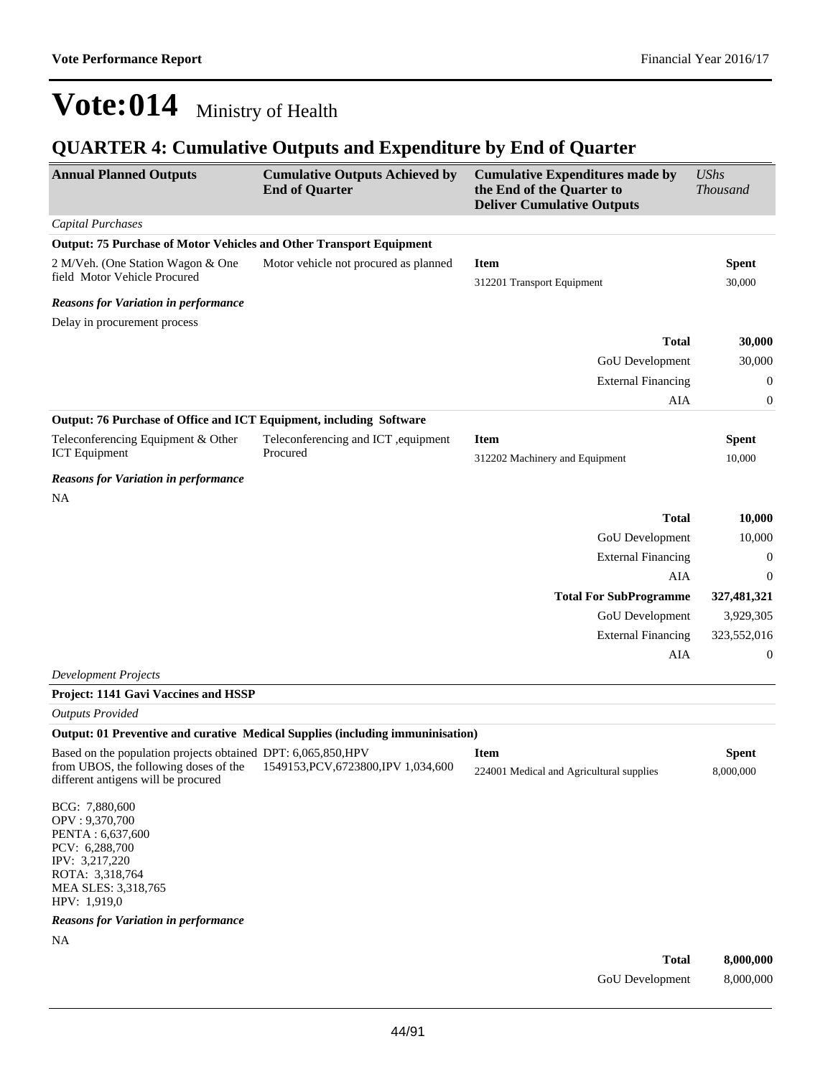### **QUARTER 4: Cumulative Outputs and Expenditure by End of Quarter**

| <b>Annual Planned Outputs</b>                                                                                                                                                      | <b>Cumulative Outputs Achieved by</b><br><b>End of Quarter</b> | <b>Cumulative Expenditures made by</b><br>the End of the Quarter to<br><b>Deliver Cumulative Outputs</b> | <b>UShs</b><br><b>Thousand</b> |
|------------------------------------------------------------------------------------------------------------------------------------------------------------------------------------|----------------------------------------------------------------|----------------------------------------------------------------------------------------------------------|--------------------------------|
| Capital Purchases                                                                                                                                                                  |                                                                |                                                                                                          |                                |
| Output: 75 Purchase of Motor Vehicles and Other Transport Equipment                                                                                                                |                                                                |                                                                                                          |                                |
| 2 M/Veh. (One Station Wagon & One<br>field Motor Vehicle Procured                                                                                                                  | Motor vehicle not procured as planned                          | <b>Item</b><br>312201 Transport Equipment                                                                | <b>Spent</b><br>30,000         |
| <b>Reasons for Variation in performance</b>                                                                                                                                        |                                                                |                                                                                                          |                                |
| Delay in procurement process                                                                                                                                                       |                                                                |                                                                                                          |                                |
|                                                                                                                                                                                    |                                                                | <b>Total</b>                                                                                             | 30,000                         |
|                                                                                                                                                                                    |                                                                | <b>GoU</b> Development                                                                                   | 30,000                         |
|                                                                                                                                                                                    |                                                                | <b>External Financing</b>                                                                                | $\theta$                       |
|                                                                                                                                                                                    |                                                                | AIA                                                                                                      | $\boldsymbol{0}$               |
| Output: 76 Purchase of Office and ICT Equipment, including Software                                                                                                                |                                                                |                                                                                                          |                                |
| Teleconferencing Equipment & Other<br><b>ICT</b> Equipment                                                                                                                         | Teleconferencing and ICT, equipment<br>Procured                | <b>Item</b><br>312202 Machinery and Equipment                                                            | <b>Spent</b><br>10,000         |
| <b>Reasons for Variation in performance</b>                                                                                                                                        |                                                                |                                                                                                          |                                |
| NA                                                                                                                                                                                 |                                                                |                                                                                                          |                                |
|                                                                                                                                                                                    |                                                                | <b>Total</b>                                                                                             | 10,000                         |
|                                                                                                                                                                                    |                                                                | GoU Development                                                                                          | 10,000                         |
|                                                                                                                                                                                    |                                                                | <b>External Financing</b>                                                                                | 0                              |
|                                                                                                                                                                                    |                                                                | AIA                                                                                                      | $\Omega$                       |
|                                                                                                                                                                                    |                                                                | <b>Total For SubProgramme</b>                                                                            | 327,481,321                    |
|                                                                                                                                                                                    |                                                                | GoU Development                                                                                          | 3,929,305                      |
|                                                                                                                                                                                    |                                                                | <b>External Financing</b>                                                                                | 323,552,016                    |
|                                                                                                                                                                                    |                                                                | AIA                                                                                                      | $\theta$                       |
| <b>Development Projects</b>                                                                                                                                                        |                                                                |                                                                                                          |                                |
| Project: 1141 Gavi Vaccines and HSSP                                                                                                                                               |                                                                |                                                                                                          |                                |
| <b>Outputs Provided</b>                                                                                                                                                            |                                                                |                                                                                                          |                                |
| Output: 01 Preventive and curative Medical Supplies (including immuninisation)                                                                                                     |                                                                |                                                                                                          |                                |
| Based on the population projects obtained DPT: 6,065,850,HPV<br>from UBOS, the following doses of the 1549153, PCV, 6723800, IPV 1,034, 600<br>different antigens will be procured |                                                                | <b>Item</b><br>224001 Medical and Agricultural supplies                                                  | <b>Spent</b><br>8,000,000      |
| BCG: 7,880,600<br>OPV: 9,370,700<br>PENTA: 6,637,600<br>PCV: 6,288,700<br>IPV: 3,217,220<br>ROTA: 3,318,764<br>MEA SLES: 3,318,765<br>HPV: 1,919,0                                 |                                                                |                                                                                                          |                                |
| <b>Reasons for Variation in performance</b>                                                                                                                                        |                                                                |                                                                                                          |                                |
| NA                                                                                                                                                                                 |                                                                |                                                                                                          |                                |
|                                                                                                                                                                                    |                                                                | <b>Total</b>                                                                                             | 8,000,000                      |
|                                                                                                                                                                                    |                                                                | GoU Development                                                                                          | 8,000,000                      |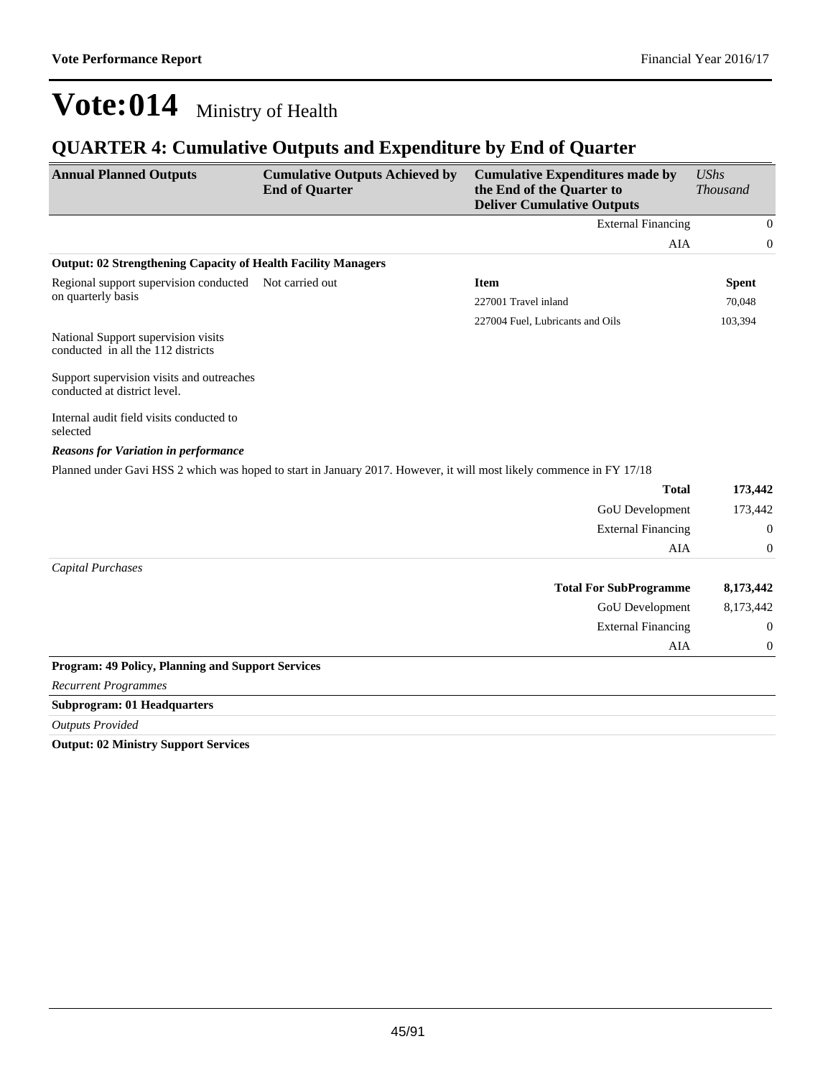### **QUARTER 4: Cumulative Outputs and Expenditure by End of Quarter**

| <b>Annual Planned Outputs</b>                                             | <b>Cumulative Outputs Achieved by</b><br><b>End of Quarter</b>                                                       | <b>Cumulative Expenditures made by</b><br>the End of the Quarter to<br><b>Deliver Cumulative Outputs</b> | <b>UShs</b><br><b>Thousand</b> |
|---------------------------------------------------------------------------|----------------------------------------------------------------------------------------------------------------------|----------------------------------------------------------------------------------------------------------|--------------------------------|
|                                                                           |                                                                                                                      | <b>External Financing</b>                                                                                | $\mathbf{0}$                   |
|                                                                           |                                                                                                                      | <b>AIA</b>                                                                                               | $\boldsymbol{0}$               |
| <b>Output: 02 Strengthening Capacity of Health Facility Managers</b>      |                                                                                                                      |                                                                                                          |                                |
| Regional support supervision conducted Not carried out                    |                                                                                                                      | <b>Item</b>                                                                                              | <b>Spent</b>                   |
| on quarterly basis                                                        |                                                                                                                      | 227001 Travel inland                                                                                     | 70,048                         |
|                                                                           |                                                                                                                      | 227004 Fuel, Lubricants and Oils                                                                         | 103,394                        |
| National Support supervision visits<br>conducted in all the 112 districts |                                                                                                                      |                                                                                                          |                                |
| Support supervision visits and outreaches<br>conducted at district level. |                                                                                                                      |                                                                                                          |                                |
| Internal audit field visits conducted to<br>selected                      |                                                                                                                      |                                                                                                          |                                |
| <b>Reasons for Variation in performance</b>                               |                                                                                                                      |                                                                                                          |                                |
|                                                                           | Planned under Gavi HSS 2 which was hoped to start in January 2017. However, it will most likely commence in FY 17/18 |                                                                                                          |                                |
|                                                                           |                                                                                                                      | <b>Total</b>                                                                                             | 173,442                        |
|                                                                           |                                                                                                                      | GoU Development                                                                                          | 173,442                        |
|                                                                           |                                                                                                                      | <b>External Financing</b>                                                                                | $\mathbf{0}$                   |
|                                                                           |                                                                                                                      | <b>AIA</b>                                                                                               | $\boldsymbol{0}$               |
| Capital Purchases                                                         |                                                                                                                      |                                                                                                          |                                |
|                                                                           |                                                                                                                      | <b>Total For SubProgramme</b>                                                                            | 8,173,442                      |
|                                                                           |                                                                                                                      | GoU Development                                                                                          | 8,173,442                      |
|                                                                           |                                                                                                                      | <b>External Financing</b>                                                                                | $\boldsymbol{0}$               |
|                                                                           |                                                                                                                      | <b>AIA</b>                                                                                               | $\boldsymbol{0}$               |
| Program: 49 Policy, Planning and Support Services                         |                                                                                                                      |                                                                                                          |                                |
| <b>Recurrent Programmes</b>                                               |                                                                                                                      |                                                                                                          |                                |
| <b>Subprogram: 01 Headquarters</b>                                        |                                                                                                                      |                                                                                                          |                                |
| <b>Outputs Provided</b>                                                   |                                                                                                                      |                                                                                                          |                                |
| $\overline{a}$                                                            |                                                                                                                      |                                                                                                          |                                |

**Output: 02 Ministry Support Services**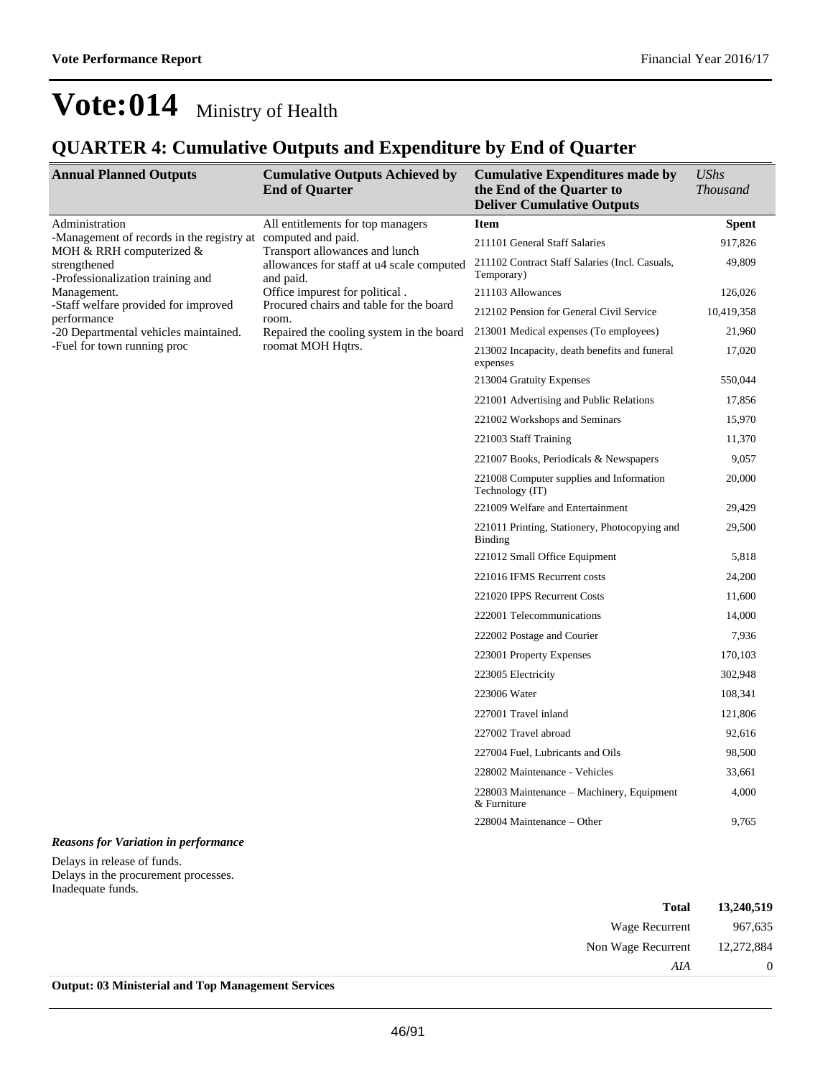### **QUARTER 4: Cumulative Outputs and Expenditure by End of Quarter**

| <b>Annual Planned Outputs</b>                                                              | <b>Cumulative Outputs Achieved by</b><br><b>End of Quarter</b>                                                                                                                                                                                                  | <b>Cumulative Expenditures made by</b><br>the End of the Quarter to<br><b>Deliver Cumulative Outputs</b> | <b>UShs</b><br><b>Thousand</b> |
|--------------------------------------------------------------------------------------------|-----------------------------------------------------------------------------------------------------------------------------------------------------------------------------------------------------------------------------------------------------------------|----------------------------------------------------------------------------------------------------------|--------------------------------|
| Administration                                                                             | All entitlements for top managers<br>Transport allowances and lunch<br>allowances for staff at u4 scale computed<br>and paid.<br>Office impurest for political.<br>Procured chairs and table for the board<br>room.<br>Repaired the cooling system in the board | <b>Item</b>                                                                                              | <b>Spent</b>                   |
| -Management of records in the registry at computed and paid.<br>MOH & RRH computerized $&$ |                                                                                                                                                                                                                                                                 | 211101 General Staff Salaries                                                                            | 917,826                        |
| strengthened<br>-Professionalization training and                                          |                                                                                                                                                                                                                                                                 | 211102 Contract Staff Salaries (Incl. Casuals,<br>Temporary)                                             | 49,809                         |
| Management.                                                                                |                                                                                                                                                                                                                                                                 | 211103 Allowances                                                                                        | 126,026                        |
| -Staff welfare provided for improved<br>performance                                        |                                                                                                                                                                                                                                                                 | 212102 Pension for General Civil Service                                                                 | 10,419,358                     |
| -20 Departmental vehicles maintained.                                                      |                                                                                                                                                                                                                                                                 | 213001 Medical expenses (To employees)                                                                   | 21,960                         |
| -Fuel for town running proc                                                                | roomat MOH Hqtrs.                                                                                                                                                                                                                                               | 213002 Incapacity, death benefits and funeral<br>expenses                                                | 17,020                         |
|                                                                                            |                                                                                                                                                                                                                                                                 | 213004 Gratuity Expenses                                                                                 | 550,044                        |
|                                                                                            |                                                                                                                                                                                                                                                                 | 221001 Advertising and Public Relations                                                                  | 17,856                         |
|                                                                                            |                                                                                                                                                                                                                                                                 | 221002 Workshops and Seminars                                                                            | 15,970                         |
|                                                                                            |                                                                                                                                                                                                                                                                 | 221003 Staff Training                                                                                    | 11,370                         |
|                                                                                            |                                                                                                                                                                                                                                                                 | 221007 Books, Periodicals & Newspapers                                                                   | 9,057                          |
|                                                                                            |                                                                                                                                                                                                                                                                 | 221008 Computer supplies and Information<br>Technology (IT)                                              | 20,000                         |
|                                                                                            |                                                                                                                                                                                                                                                                 | 221009 Welfare and Entertainment                                                                         | 29,429                         |
|                                                                                            |                                                                                                                                                                                                                                                                 | 221011 Printing, Stationery, Photocopying and<br><b>Binding</b>                                          | 29,500                         |
|                                                                                            |                                                                                                                                                                                                                                                                 | 221012 Small Office Equipment                                                                            | 5,818                          |
|                                                                                            |                                                                                                                                                                                                                                                                 | 221016 IFMS Recurrent costs                                                                              | 24,200                         |
|                                                                                            |                                                                                                                                                                                                                                                                 | 221020 IPPS Recurrent Costs                                                                              | 11,600                         |
|                                                                                            |                                                                                                                                                                                                                                                                 | 222001 Telecommunications                                                                                | 14,000                         |
|                                                                                            |                                                                                                                                                                                                                                                                 | 222002 Postage and Courier                                                                               | 7,936                          |
|                                                                                            |                                                                                                                                                                                                                                                                 | 223001 Property Expenses                                                                                 | 170,103                        |
|                                                                                            |                                                                                                                                                                                                                                                                 | 223005 Electricity                                                                                       | 302,948                        |
|                                                                                            |                                                                                                                                                                                                                                                                 | 223006 Water                                                                                             | 108,341                        |
|                                                                                            |                                                                                                                                                                                                                                                                 | 227001 Travel inland                                                                                     | 121,806                        |
|                                                                                            |                                                                                                                                                                                                                                                                 | 227002 Travel abroad                                                                                     | 92,616                         |
|                                                                                            |                                                                                                                                                                                                                                                                 | 227004 Fuel, Lubricants and Oils                                                                         | 98,500                         |
|                                                                                            |                                                                                                                                                                                                                                                                 | 228002 Maintenance - Vehicles                                                                            | 33,661                         |
|                                                                                            |                                                                                                                                                                                                                                                                 | 228003 Maintenance - Machinery, Equipment<br>& Furniture                                                 | 4,000                          |
| $\mathbf{v}$ $\mathbf{v}$ $\mathbf{v}$ $\mathbf{v}$ $\mathbf{v}$ $\mathbf{v}$              |                                                                                                                                                                                                                                                                 | 228004 Maintenance - Other                                                                               | 9,765                          |

#### *Reasons for Variation in performance*

Delays in release of funds. Delays in the procurement processes. Inadequate funds.

| <b>Total</b>       | 13,240,519 |
|--------------------|------------|
| Wage Recurrent     | 967,635    |
| Non Wage Recurrent | 12,272,884 |
| AIA                | $\theta$   |
|                    |            |

**Output: 03 Ministerial and Top Management Services**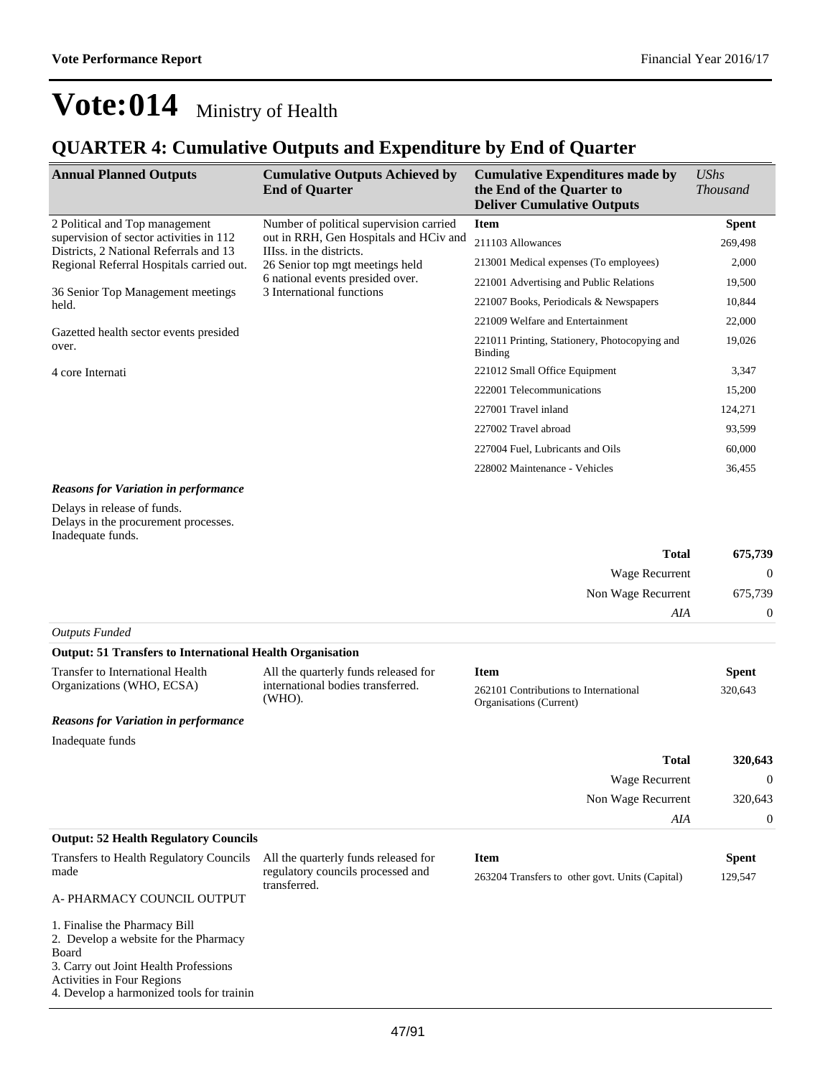### **QUARTER 4: Cumulative Outputs and Expenditure by End of Quarter**

| <b>Annual Planned Outputs</b>                                                     | <b>Cumulative Outputs Achieved by</b><br><b>End of Quarter</b>     | <b>Cumulative Expenditures made by</b><br>the End of the Quarter to<br><b>Deliver Cumulative Outputs</b> | $\mathit{UShs}$<br><i>Thousand</i> |
|-----------------------------------------------------------------------------------|--------------------------------------------------------------------|----------------------------------------------------------------------------------------------------------|------------------------------------|
| 2 Political and Top management                                                    | Number of political supervision carried                            | <b>Item</b>                                                                                              | <b>Spent</b>                       |
| supervision of sector activities in 112<br>Districts, 2 National Referrals and 13 | out in RRH, Gen Hospitals and HCiv and<br>IIIss. in the districts. | 211103 Allowances                                                                                        | 269,498                            |
| Regional Referral Hospitals carried out.                                          | 26 Senior top mgt meetings held                                    | 213001 Medical expenses (To employees)                                                                   | 2,000                              |
|                                                                                   | 6 national events presided over.<br>3 International functions      | 221001 Advertising and Public Relations                                                                  | 19,500                             |
| 36 Senior Top Management meetings<br>held.                                        |                                                                    | 221007 Books, Periodicals & Newspapers                                                                   | 10,844                             |
|                                                                                   |                                                                    | 221009 Welfare and Entertainment                                                                         | 22,000                             |
| Gazetted health sector events presided<br>over.                                   |                                                                    | 221011 Printing, Stationery, Photocopying and<br>Binding                                                 | 19,026                             |
| 4 core Internati                                                                  |                                                                    | 221012 Small Office Equipment                                                                            | 3,347                              |
|                                                                                   |                                                                    | 222001 Telecommunications                                                                                | 15,200                             |
|                                                                                   |                                                                    | 227001 Travel inland                                                                                     | 124,271                            |
|                                                                                   |                                                                    | 227002 Travel abroad                                                                                     | 93,599                             |
|                                                                                   |                                                                    | 227004 Fuel, Lubricants and Oils                                                                         | 60,000                             |
|                                                                                   |                                                                    | 228002 Maintenance - Vehicles                                                                            | 36,455                             |

#### *Reasons for Variation in performance*

Delays in release of funds. Delays in the procurement processes. Inadequate funds.

*Outputs Funded*

| 675,739 | <b>Total</b>       |
|---------|--------------------|
| 0       | Wage Recurrent     |
| 675,739 | Non Wage Recurrent |
|         | AIA                |

| <b>Output: 51 Transfers to International Health Organisation</b> |                                             |                                                                  |              |  |
|------------------------------------------------------------------|---------------------------------------------|------------------------------------------------------------------|--------------|--|
| Transfer to International Health                                 | All the quarterly funds released for        | <b>Item</b>                                                      | <b>Spent</b> |  |
| Organizations (WHO, ECSA)                                        | international bodies transferred.<br>(WHO). | 262101 Contributions to International<br>Organisations (Current) | 320,643      |  |
| <b>Reasons for Variation in performance</b>                      |                                             |                                                                  |              |  |
| Inadequate funds                                                 |                                             |                                                                  |              |  |
|                                                                  |                                             | <b>Total</b>                                                     | 320,643      |  |
|                                                                  |                                             | Wage Recurrent                                                   | $\Omega$     |  |
|                                                                  |                                             | Non Wage Recurrent                                               | 320,643      |  |
|                                                                  |                                             | AIA                                                              | $\theta$     |  |
| <b>Output: 52 Health Regulatory Councils</b>                     |                                             |                                                                  |              |  |
| Transfers to Health Regulatory Councils                          | All the quarterly funds released for        | <b>Item</b>                                                      | <b>Spent</b> |  |
| made                                                             | regulatory councils processed and           | 263204 Transfers to other govt Units (Capital)                   | 120.547      |  |

263204 Transfers to other govt. Units (Capital) 129,547

transferred.

1. Finalise the Pharmacy Bill 2. Develop a website for the Pharmacy Board 3. Carry out Joint Health Professions Activities in Four Regions 4. Develop a harmonized tools for trainin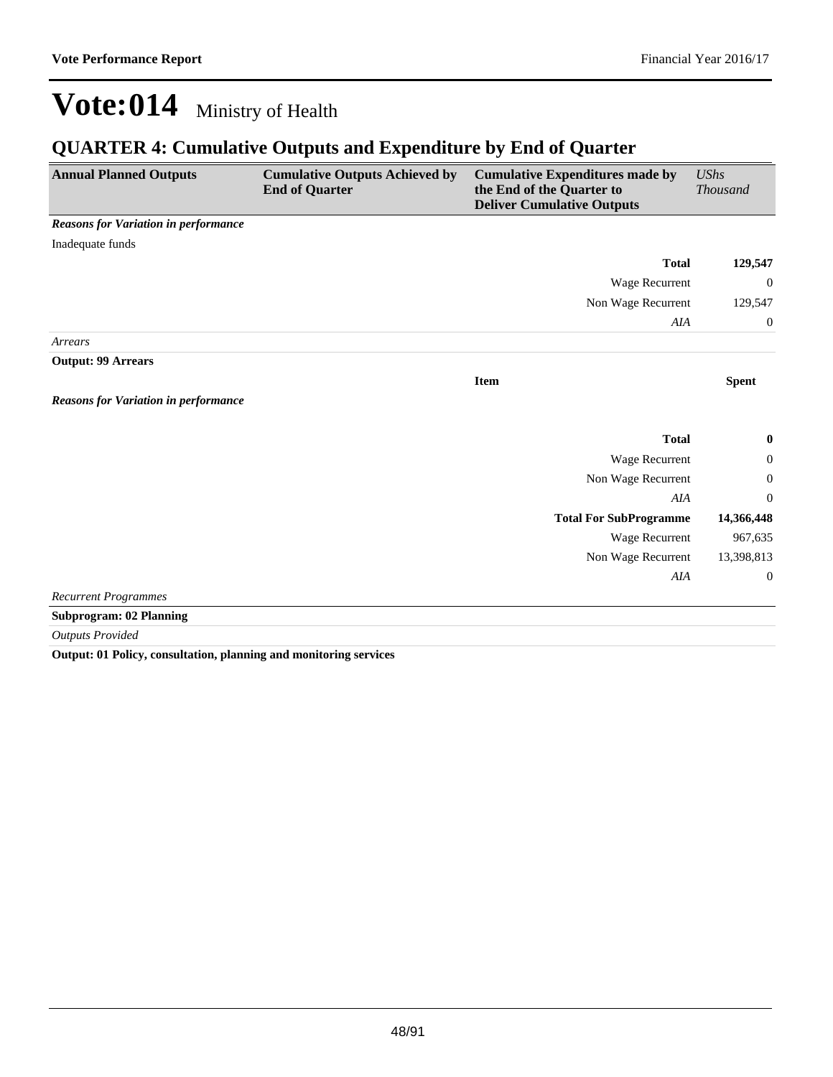### **QUARTER 4: Cumulative Outputs and Expenditure by End of Quarter**

| <b>Annual Planned Outputs</b>               | <b>Cumulative Outputs Achieved by</b><br><b>End of Quarter</b> | <b>Cumulative Expenditures made by</b><br>the End of the Quarter to<br><b>Deliver Cumulative Outputs</b> | <b>UShs</b><br><b>Thousand</b> |
|---------------------------------------------|----------------------------------------------------------------|----------------------------------------------------------------------------------------------------------|--------------------------------|
| <b>Reasons for Variation in performance</b> |                                                                |                                                                                                          |                                |
| Inadequate funds                            |                                                                |                                                                                                          |                                |
|                                             |                                                                | <b>Total</b>                                                                                             | 129,547                        |
|                                             |                                                                | <b>Wage Recurrent</b>                                                                                    | $\overline{0}$                 |
|                                             |                                                                | Non Wage Recurrent                                                                                       | 129,547                        |
|                                             |                                                                | AIA                                                                                                      | $\mathbf{0}$                   |
| Arrears                                     |                                                                |                                                                                                          |                                |
| <b>Output: 99 Arrears</b>                   |                                                                |                                                                                                          |                                |
|                                             |                                                                | <b>Item</b>                                                                                              | <b>Spent</b>                   |
| <b>Reasons for Variation in performance</b> |                                                                |                                                                                                          |                                |
|                                             |                                                                | <b>Total</b>                                                                                             | $\bf{0}$                       |
|                                             |                                                                | Wage Recurrent                                                                                           | $\boldsymbol{0}$               |
|                                             |                                                                | Non Wage Recurrent                                                                                       | 0                              |
|                                             |                                                                | <b>AIA</b>                                                                                               | $\theta$                       |
|                                             |                                                                | <b>Total For SubProgramme</b>                                                                            | 14,366,448                     |
|                                             |                                                                | <b>Wage Recurrent</b>                                                                                    | 967,635                        |
|                                             |                                                                | Non Wage Recurrent                                                                                       | 13,398,813                     |
|                                             |                                                                | AIA                                                                                                      | $\boldsymbol{0}$               |
| <b>Recurrent Programmes</b>                 |                                                                |                                                                                                          |                                |
| <b>Subprogram: 02 Planning</b>              |                                                                |                                                                                                          |                                |

*Outputs Provided*

**Output: 01 Policy, consultation, planning and monitoring services**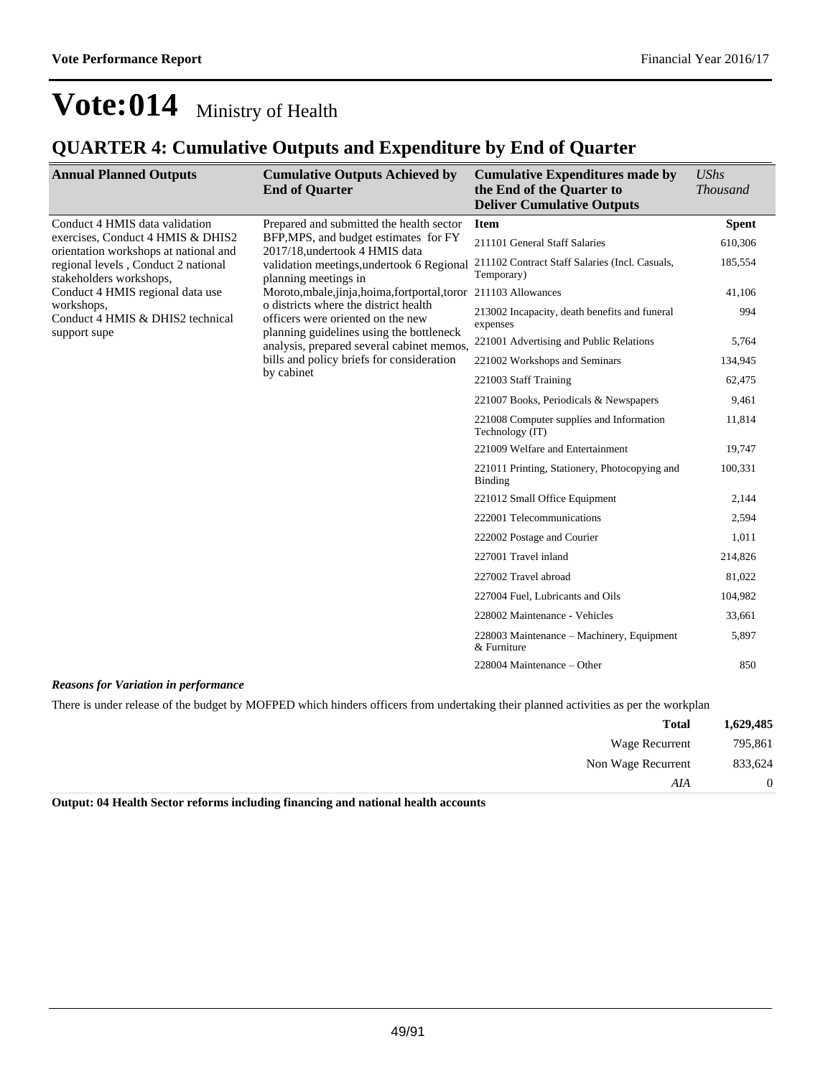### **QUARTER 4: Cumulative Outputs and Expenditure by End of Quarter**

| <b>Annual Planned Outputs</b>                                                                           | <b>Cumulative Outputs Achieved by</b><br><b>End of Quarter</b>                                                                                                                           | <b>Cumulative Expenditures made by</b><br>the End of the Quarter to<br><b>Deliver Cumulative Outputs</b> | <b>UShs</b><br><b>Thousand</b> |
|---------------------------------------------------------------------------------------------------------|------------------------------------------------------------------------------------------------------------------------------------------------------------------------------------------|----------------------------------------------------------------------------------------------------------|--------------------------------|
| Conduct 4 HMIS data validation                                                                          | Prepared and submitted the health sector<br>BFP, MPS, and budget estimates for FY<br>2017/18, undertook 4 HMIS data<br>validation meetings, undertook 6 Regional<br>planning meetings in | <b>Item</b>                                                                                              | <b>Spent</b>                   |
| exercises, Conduct 4 HMIS & DHIS2                                                                       |                                                                                                                                                                                          | 211101 General Staff Salaries                                                                            | 610,306                        |
| orientation workshops at national and<br>regional levels, Conduct 2 national<br>stakeholders workshops, |                                                                                                                                                                                          | 211102 Contract Staff Salaries (Incl. Casuals,<br>Temporary)                                             | 185,554                        |
| Conduct 4 HMIS regional data use                                                                        | Moroto, mbale, jinja, hoima, fortportal, toror 211103 Allowances                                                                                                                         |                                                                                                          | 41,106                         |
| workshops,<br>Conduct 4 HMIS & DHIS2 technical                                                          | o districts where the district health<br>officers were oriented on the new                                                                                                               | 213002 Incapacity, death benefits and funeral<br>expenses                                                | 994                            |
| support supe                                                                                            | planning guidelines using the bottleneck<br>analysis, prepared several cabinet memos,                                                                                                    | 221001 Advertising and Public Relations                                                                  | 5,764                          |
|                                                                                                         | bills and policy briefs for consideration                                                                                                                                                | 221002 Workshops and Seminars                                                                            | 134,945                        |
|                                                                                                         | by cabinet                                                                                                                                                                               | 221003 Staff Training                                                                                    | 62,475                         |
|                                                                                                         |                                                                                                                                                                                          | 221007 Books, Periodicals & Newspapers                                                                   | 9,461                          |
|                                                                                                         |                                                                                                                                                                                          | 221008 Computer supplies and Information<br>Technology (IT)                                              | 11,814                         |
|                                                                                                         |                                                                                                                                                                                          | 221009 Welfare and Entertainment                                                                         | 19,747                         |
|                                                                                                         |                                                                                                                                                                                          | 221011 Printing, Stationery, Photocopying and<br><b>Binding</b>                                          | 100,331                        |
|                                                                                                         |                                                                                                                                                                                          | 221012 Small Office Equipment                                                                            | 2,144                          |
|                                                                                                         |                                                                                                                                                                                          | 222001 Telecommunications                                                                                | 2,594                          |
|                                                                                                         |                                                                                                                                                                                          | 222002 Postage and Courier                                                                               | 1,011                          |
|                                                                                                         |                                                                                                                                                                                          | 227001 Travel inland                                                                                     | 214,826                        |
|                                                                                                         |                                                                                                                                                                                          | 227002 Travel abroad                                                                                     | 81,022                         |
|                                                                                                         |                                                                                                                                                                                          | 227004 Fuel, Lubricants and Oils                                                                         | 104,982                        |
|                                                                                                         |                                                                                                                                                                                          | 228002 Maintenance - Vehicles                                                                            | 33,661                         |
|                                                                                                         |                                                                                                                                                                                          | 228003 Maintenance – Machinery, Equipment<br>& Furniture                                                 | 5,897                          |
|                                                                                                         |                                                                                                                                                                                          | 228004 Maintenance – Other                                                                               | 850                            |

### *Reasons for Variation in performance*

There is under release of the budget by MOFPED which hinders officers from undertaking their planned activities as per the workplan

| 1,629,485 | <b>Total</b>                                                                                                                                                             |
|-----------|--------------------------------------------------------------------------------------------------------------------------------------------------------------------------|
| 795,861   | Wage Recurrent                                                                                                                                                           |
| 833,624   | Non Wage Recurrent                                                                                                                                                       |
| $\theta$  | AIA                                                                                                                                                                      |
|           | المتحافظ المستحيل والمتحام والمتحافظ والمستحدث والمستحيل والمستحيث والمستحيل والمتحدث<br>the contract of the contract of the contract of the contract of the contract of |

**Output: 04 Health Sector reforms including financing and national health accounts**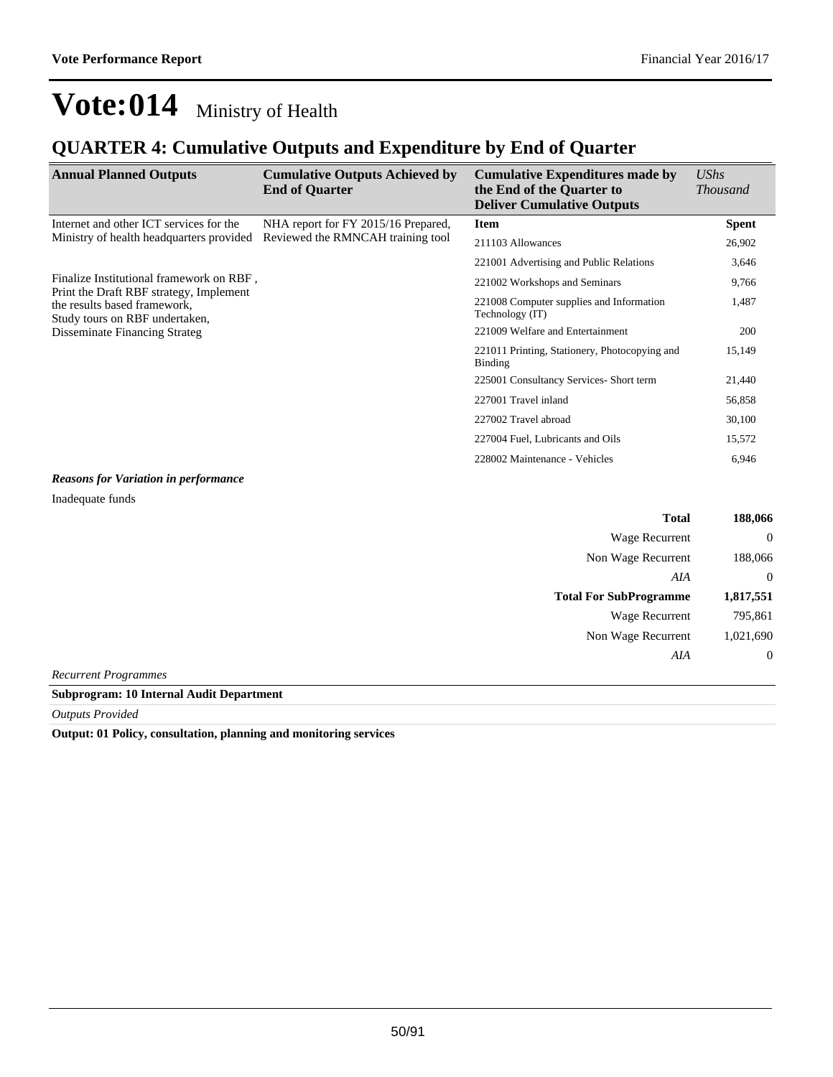### **QUARTER 4: Cumulative Outputs and Expenditure by End of Quarter**

| <b>Annual Planned Outputs</b>                                                                                                                     | <b>Cumulative Outputs Achieved by</b><br><b>End of Quarter</b> | <b>Cumulative Expenditures made by</b><br>the End of the Quarter to<br><b>Deliver Cumulative Outputs</b> | <b>UShs</b><br><i>Thousand</i> |
|---------------------------------------------------------------------------------------------------------------------------------------------------|----------------------------------------------------------------|----------------------------------------------------------------------------------------------------------|--------------------------------|
| Internet and other ICT services for the                                                                                                           | NHA report for FY 2015/16 Prepared,                            | <b>Item</b>                                                                                              | <b>Spent</b>                   |
| Ministry of health headquarters provided                                                                                                          | Reviewed the RMNCAH training tool                              | 211103 Allowances                                                                                        | 26,902                         |
|                                                                                                                                                   |                                                                | 221001 Advertising and Public Relations                                                                  | 3,646                          |
| Finalize Institutional framework on RBF,                                                                                                          |                                                                | 221002 Workshops and Seminars                                                                            | 9,766                          |
| Print the Draft RBF strategy, Implement<br>the results based framework,<br>Study tours on RBF undertaken,<br><b>Disseminate Financing Strateg</b> |                                                                | 221008 Computer supplies and Information<br>Technology (IT)                                              | 1,487                          |
|                                                                                                                                                   |                                                                | 221009 Welfare and Entertainment                                                                         | 200                            |
|                                                                                                                                                   |                                                                | 221011 Printing, Stationery, Photocopying and<br><b>Binding</b>                                          | 15,149                         |
|                                                                                                                                                   |                                                                | 225001 Consultancy Services- Short term                                                                  | 21,440                         |
|                                                                                                                                                   |                                                                | 227001 Travel inland                                                                                     | 56,858                         |
|                                                                                                                                                   |                                                                | 227002 Travel abroad                                                                                     | 30,100                         |
|                                                                                                                                                   |                                                                | 227004 Fuel, Lubricants and Oils                                                                         | 15,572                         |
|                                                                                                                                                   |                                                                | 228002 Maintenance - Vehicles                                                                            | 6,946                          |
| <b>Reasons for Variation in performance</b>                                                                                                       |                                                                |                                                                                                          |                                |

Inadequate funds

| <b>Total</b>                  | 188,066   |
|-------------------------------|-----------|
| Wage Recurrent                | 0         |
| Non Wage Recurrent            | 188,066   |
| AIA                           | $\Omega$  |
|                               |           |
| <b>Total For SubProgramme</b> | 1,817,551 |
| Wage Recurrent                | 795,861   |
| Non Wage Recurrent            | 1,021,690 |
| AIA                           | $\theta$  |

*Recurrent Programmes*

**Subprogram: 10 Internal Audit Department**

*Outputs Provided*

**Output: 01 Policy, consultation, planning and monitoring services**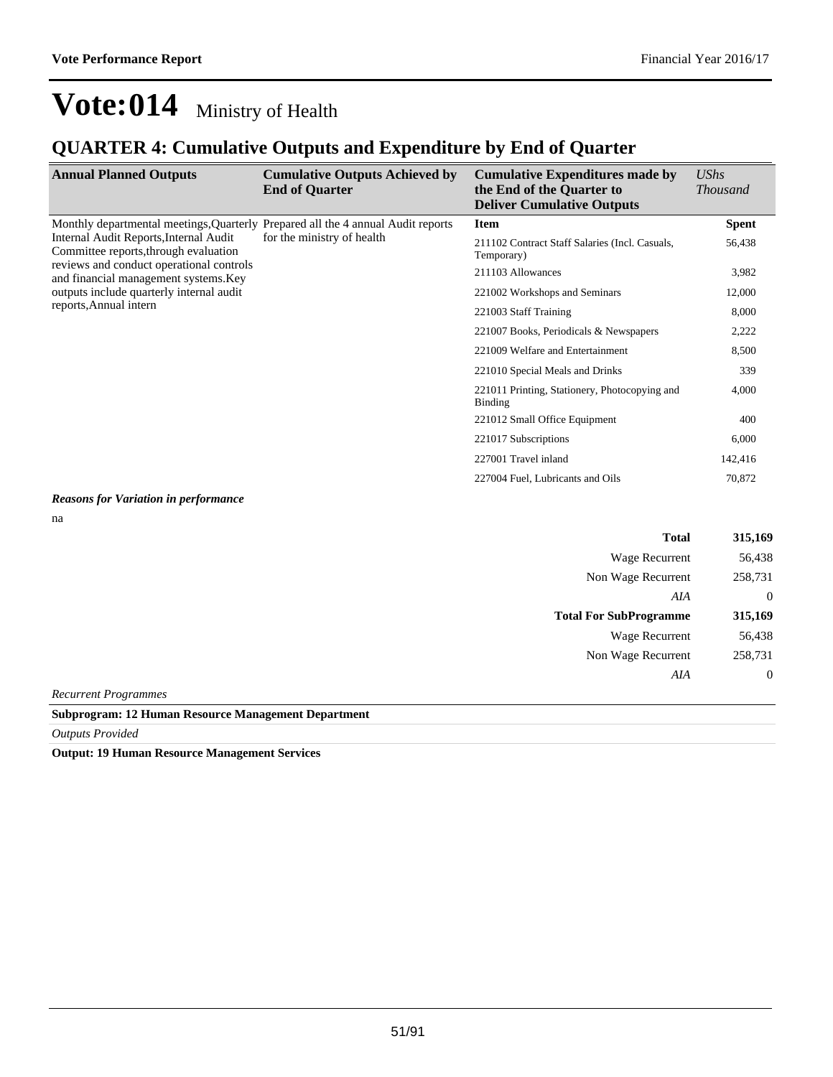### **QUARTER 4: Cumulative Outputs and Expenditure by End of Quarter**

| <b>Annual Planned Outputs</b>                                                     | <b>Cumulative Outputs Achieved by</b><br><b>End of Quarter</b> | <b>Cumulative Expenditures made by</b><br>the End of the Quarter to<br><b>Deliver Cumulative Outputs</b> | <b>UShs</b><br><i>Thousand</i> |
|-----------------------------------------------------------------------------------|----------------------------------------------------------------|----------------------------------------------------------------------------------------------------------|--------------------------------|
| Monthly departmental meetings, Quarterly Prepared all the 4 annual Audit reports  |                                                                | Item                                                                                                     | <b>Spent</b>                   |
| Internal Audit Reports, Internal Audit<br>Committee reports, through evaluation   | for the ministry of health                                     | 211102 Contract Staff Salaries (Incl. Casuals,<br>Temporary)                                             | 56,438                         |
| reviews and conduct operational controls<br>and financial management systems. Key |                                                                | 211103 Allowances                                                                                        | 3,982                          |
| outputs include quarterly internal audit                                          |                                                                | 221002 Workshops and Seminars                                                                            | 12,000                         |
| reports, Annual intern                                                            |                                                                | 221003 Staff Training                                                                                    | 8,000                          |
|                                                                                   |                                                                | 221007 Books, Periodicals & Newspapers                                                                   | 2,222                          |
|                                                                                   |                                                                | 221009 Welfare and Entertainment                                                                         | 8,500                          |
|                                                                                   |                                                                | 221010 Special Meals and Drinks                                                                          | 339                            |
|                                                                                   |                                                                | 221011 Printing, Stationery, Photocopying and<br>Binding                                                 | 4,000                          |
|                                                                                   |                                                                | 221012 Small Office Equipment                                                                            | 400                            |
|                                                                                   |                                                                | 221017 Subscriptions                                                                                     | 6,000                          |
|                                                                                   |                                                                | 227001 Travel inland                                                                                     | 142,416                        |
|                                                                                   |                                                                | 227004 Fuel, Lubricants and Oils                                                                         | 70,872                         |
| <b>Reasons for Variation in performance</b>                                       |                                                                |                                                                                                          |                                |

na

|  | <b>Reasons for Variation in performance</b> |  |
|--|---------------------------------------------|--|
|  |                                             |  |

| <b>Total</b>                  | 315,169          |
|-------------------------------|------------------|
| <b>Wage Recurrent</b>         | 56,438           |
| Non Wage Recurrent            | 258,731          |
| AIA                           | $\overline{0}$   |
| <b>Total For SubProgramme</b> | 315,169          |
| Wage Recurrent                | 56,438           |
| Non Wage Recurrent            | 258,731          |
| AIA                           | $\boldsymbol{0}$ |
| Rocurront Programmos          |                  |

*Recurrent Programmes*

**Subprogram: 12 Human Resource Management Department**

*Outputs Provided*

**Output: 19 Human Resource Management Services**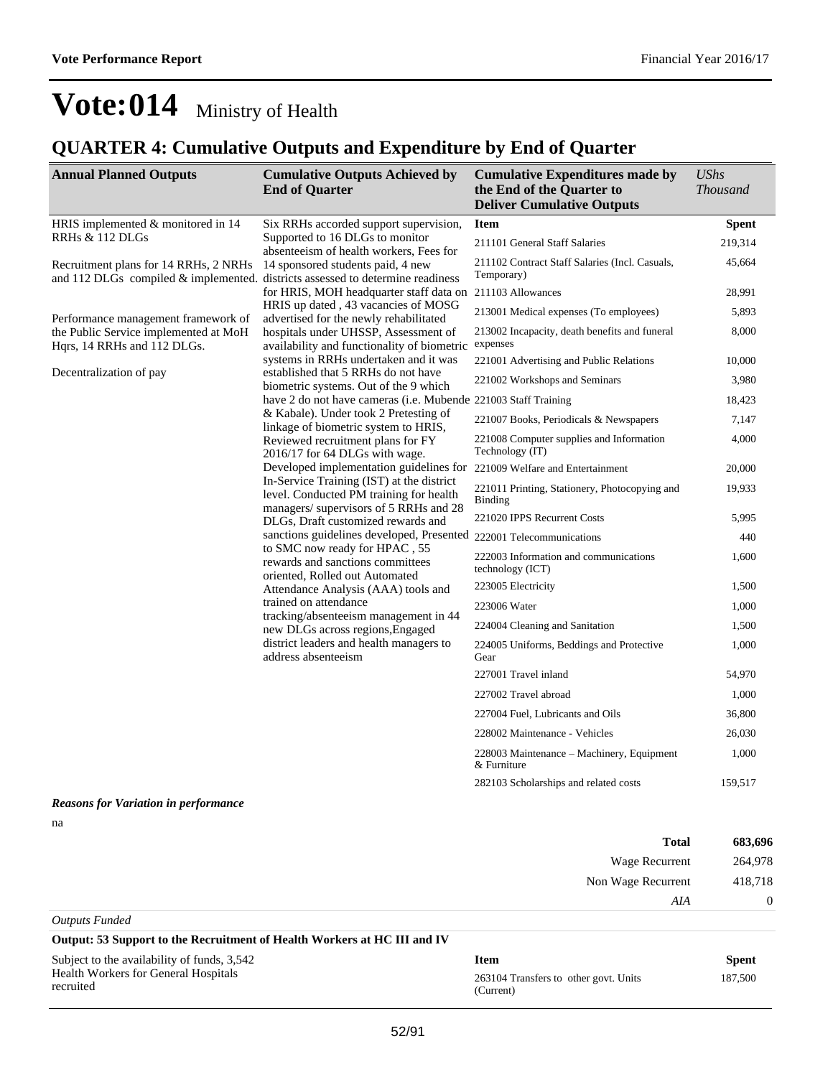### **QUARTER 4: Cumulative Outputs and Expenditure by End of Quarter**

| <b>Annual Planned Outputs</b>                                                                                           | <b>Cumulative Outputs Achieved by</b><br><b>End of Quarter</b>                                      | <b>Cumulative Expenditures made by</b><br>the End of the Quarter to<br><b>Deliver Cumulative Outputs</b> | <b>UShs</b><br><b>Thousand</b> |
|-------------------------------------------------------------------------------------------------------------------------|-----------------------------------------------------------------------------------------------------|----------------------------------------------------------------------------------------------------------|--------------------------------|
| HRIS implemented & monitored in 14                                                                                      | Six RRHs accorded support supervision,                                                              | <b>Item</b>                                                                                              | <b>Spent</b>                   |
| RRHs & 112 DLGs                                                                                                         | Supported to 16 DLGs to monitor                                                                     | 211101 General Staff Salaries                                                                            | 219,314                        |
| Recruitment plans for 14 RRHs, 2 NRHs<br>and 112 DLGs compiled & implemented. districts assessed to determine readiness | absenteeism of health workers, Fees for<br>14 sponsored students paid, 4 new                        | 211102 Contract Staff Salaries (Incl. Casuals,<br>Temporary)                                             | 45,664                         |
|                                                                                                                         | for HRIS, MOH headquarter staff data on 211103 Allowances                                           |                                                                                                          | 28,991                         |
| Performance management framework of                                                                                     | HRIS up dated , 43 vacancies of MOSG<br>advertised for the newly rehabilitated                      | 213001 Medical expenses (To employees)                                                                   | 5,893                          |
| the Public Service implemented at MoH<br>Hqrs, 14 RRHs and 112 DLGs.                                                    | hospitals under UHSSP, Assessment of<br>availability and functionality of biometric                 | 213002 Incapacity, death benefits and funeral<br>expenses                                                | 8,000                          |
|                                                                                                                         | systems in RRHs undertaken and it was                                                               | 221001 Advertising and Public Relations                                                                  | 10,000                         |
| Decentralization of pay                                                                                                 | established that 5 RRHs do not have<br>biometric systems. Out of the 9 which                        | 221002 Workshops and Seminars                                                                            | 3,980                          |
|                                                                                                                         | have 2 do not have cameras (i.e. Mubende 221003 Staff Training                                      |                                                                                                          | 18,423                         |
|                                                                                                                         | & Kabale). Under took 2 Pretesting of<br>linkage of biometric system to HRIS,                       | 221007 Books, Periodicals & Newspapers                                                                   | 7,147                          |
|                                                                                                                         | Reviewed recruitment plans for FY<br>2016/17 for 64 DLGs with wage.                                 | 221008 Computer supplies and Information<br>Technology (IT)                                              | 4,000                          |
|                                                                                                                         | Developed implementation guidelines for                                                             | 221009 Welfare and Entertainment                                                                         | 20,000                         |
|                                                                                                                         | In-Service Training (IST) at the district<br>level. Conducted PM training for health                | 221011 Printing, Stationery, Photocopying and<br><b>Binding</b>                                          | 19,933                         |
|                                                                                                                         | managers/supervisors of 5 RRHs and 28<br>DLGs, Draft customized rewards and                         | 221020 IPPS Recurrent Costs                                                                              | 5,995                          |
|                                                                                                                         | sanctions guidelines developed, Presented                                                           | 222001 Telecommunications                                                                                | 440                            |
|                                                                                                                         | to SMC now ready for HPAC, 55<br>rewards and sanctions committees<br>oriented, Rolled out Automated | 222003 Information and communications<br>technology (ICT)                                                | 1,600                          |
|                                                                                                                         | Attendance Analysis (AAA) tools and                                                                 | 223005 Electricity                                                                                       | 1,500                          |
|                                                                                                                         | trained on attendance                                                                               | 223006 Water                                                                                             | 1,000                          |
|                                                                                                                         | tracking/absenteeism management in 44<br>new DLGs across regions, Engaged                           | 224004 Cleaning and Sanitation                                                                           | 1,500                          |
|                                                                                                                         | district leaders and health managers to<br>address absenteeism                                      | 224005 Uniforms, Beddings and Protective<br>Gear                                                         | 1,000                          |
|                                                                                                                         |                                                                                                     | 227001 Travel inland                                                                                     | 54,970                         |
|                                                                                                                         |                                                                                                     | 227002 Travel abroad                                                                                     | 1,000                          |
|                                                                                                                         |                                                                                                     | 227004 Fuel, Lubricants and Oils                                                                         | 36,800                         |
|                                                                                                                         |                                                                                                     | 228002 Maintenance - Vehicles                                                                            | 26,030                         |
|                                                                                                                         |                                                                                                     | 228003 Maintenance – Machinery, Equipment<br>& Furniture                                                 | 1,000                          |
|                                                                                                                         |                                                                                                     | 282103 Scholarships and related costs                                                                    | 159,517                        |
| <b>Reasons for Variation in performance</b><br>na                                                                       |                                                                                                     |                                                                                                          |                                |
|                                                                                                                         |                                                                                                     | <b>Total</b>                                                                                             | 683,696                        |
|                                                                                                                         |                                                                                                     | Wage Recurrent                                                                                           | 264,978                        |
|                                                                                                                         |                                                                                                     | Non Wage Recurrent                                                                                       | 418,718                        |

*Outputs Funded*

**Output: 53 Support to the Recruitment of Health Workers at HC III and IV**

Subject to the availability of funds, 3,542 Health Workers for General Hospitals recruited

| <b>Item</b>                                        | <b>Spent</b> |
|----------------------------------------------------|--------------|
| 263104 Transfers to other govt. Units<br>(Current) | 187,500      |

*AIA* 0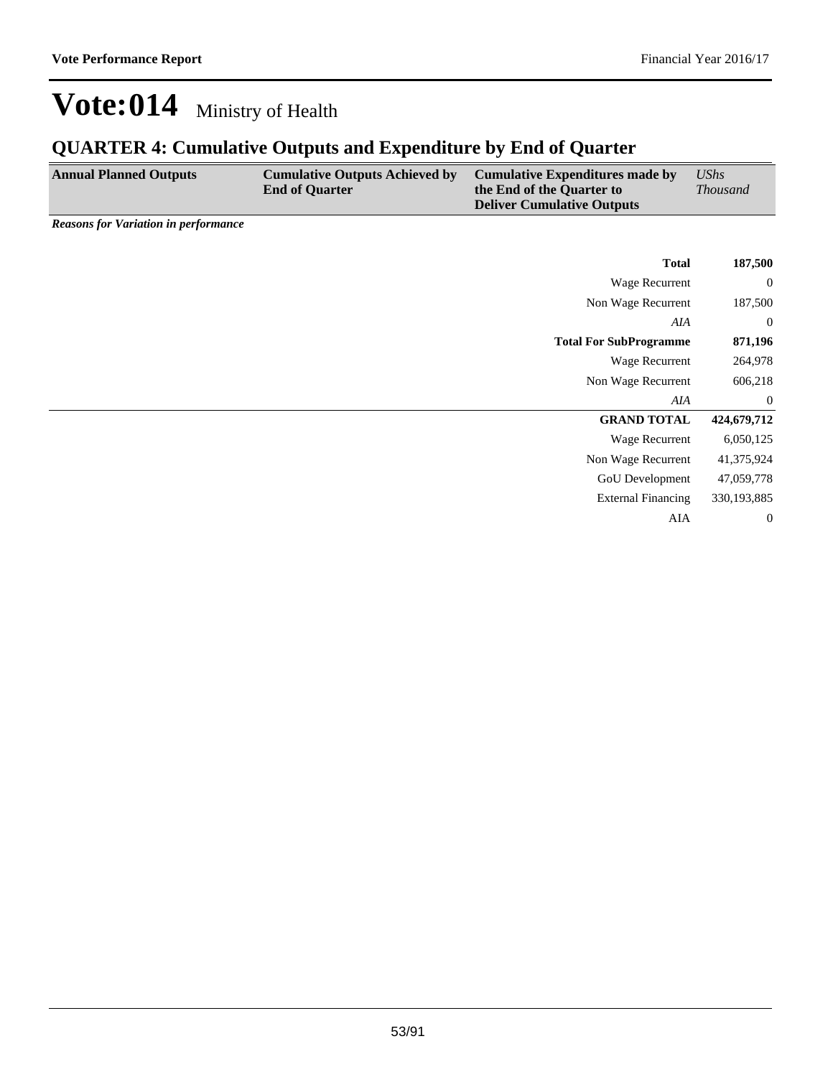### **QUARTER 4: Cumulative Outputs and Expenditure by End of Quarter**

| <b>Annual Planned Outputs</b> | <b>Cumulative Outputs Achieved by</b><br><b>End of Quarter</b> | Cumulative Expenditures made by<br>the End of the Quarter to<br><b>Deliver Cumulative Outputs</b> | <b>UShs</b><br><i>Thousand</i> |
|-------------------------------|----------------------------------------------------------------|---------------------------------------------------------------------------------------------------|--------------------------------|
| .                             |                                                                |                                                                                                   |                                |

*Reasons for Variation in performance*

| 187,500        | <b>Total</b>                  |
|----------------|-------------------------------|
| $\overline{0}$ | Wage Recurrent                |
| 187,500        | Non Wage Recurrent            |
| $\overline{0}$ | AIA                           |
| 871,196        | <b>Total For SubProgramme</b> |
| 264,978        | Wage Recurrent                |
| 606,218        | Non Wage Recurrent            |
| $\overline{0}$ | AIA                           |
| 424,679,712    | <b>GRAND TOTAL</b>            |
| 6,050,125      | Wage Recurrent                |
| 41,375,924     | Non Wage Recurrent            |
| 47,059,778     | GoU Development               |
| 330,193,885    | <b>External Financing</b>     |
| $\mathbf{0}$   | AIA                           |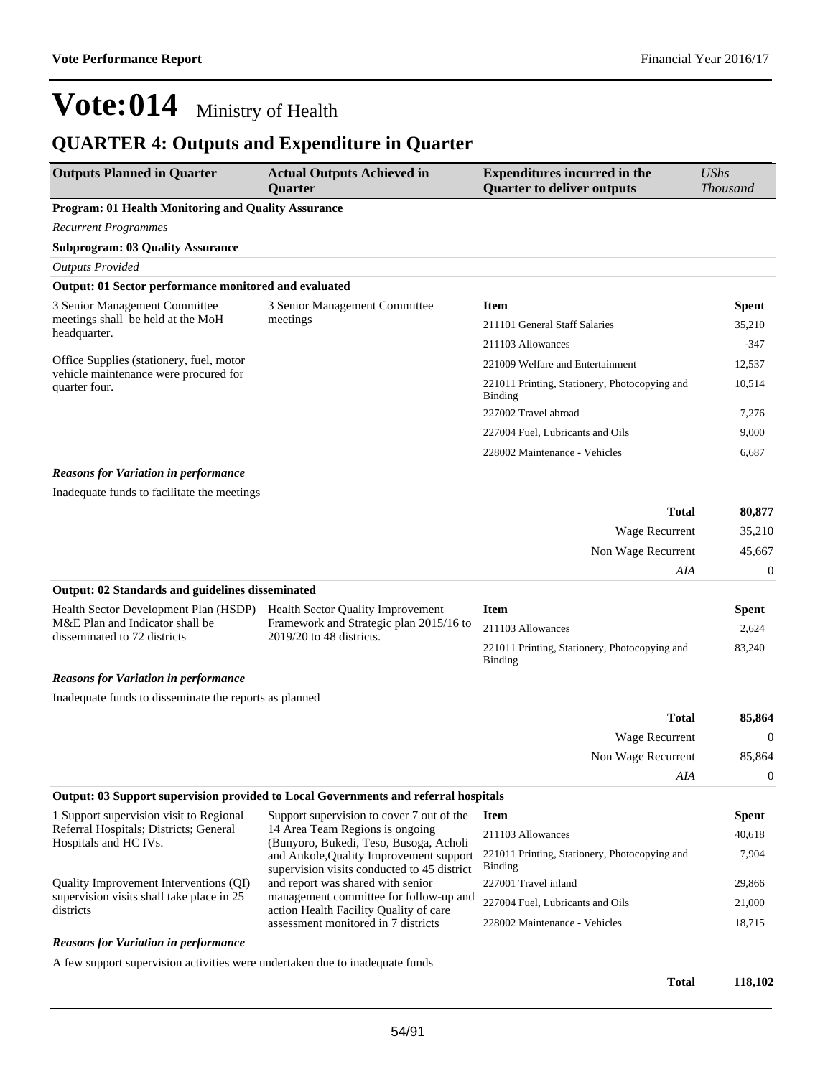## **QUARTER 4: Outputs and Expenditure in Quarter**

| <b>Outputs Planned in Quarter</b>                                                                | <b>Actual Outputs Achieved in</b><br><b>Ouarter</b>                                                                                                          | <b>Expenditures incurred in the</b><br><b>Quarter to deliver outputs</b> | <b>UShs</b><br><b>Thousand</b> |
|--------------------------------------------------------------------------------------------------|--------------------------------------------------------------------------------------------------------------------------------------------------------------|--------------------------------------------------------------------------|--------------------------------|
| Program: 01 Health Monitoring and Quality Assurance                                              |                                                                                                                                                              |                                                                          |                                |
| <b>Recurrent Programmes</b>                                                                      |                                                                                                                                                              |                                                                          |                                |
| <b>Subprogram: 03 Quality Assurance</b>                                                          |                                                                                                                                                              |                                                                          |                                |
| <b>Outputs Provided</b>                                                                          |                                                                                                                                                              |                                                                          |                                |
| Output: 01 Sector performance monitored and evaluated                                            |                                                                                                                                                              |                                                                          |                                |
| 3 Senior Management Committee                                                                    | 3 Senior Management Committee                                                                                                                                | <b>Item</b>                                                              | <b>Spent</b>                   |
| meetings shall be held at the MoH<br>headquarter.                                                | meetings                                                                                                                                                     | 211101 General Staff Salaries                                            | 35,210                         |
|                                                                                                  |                                                                                                                                                              | 211103 Allowances                                                        | $-347$                         |
| Office Supplies (stationery, fuel, motor                                                         |                                                                                                                                                              | 221009 Welfare and Entertainment                                         | 12,537                         |
| vehicle maintenance were procured for<br>quarter four.                                           |                                                                                                                                                              | 221011 Printing, Stationery, Photocopying and<br>Binding                 | 10,514                         |
|                                                                                                  |                                                                                                                                                              | 227002 Travel abroad                                                     | 7,276                          |
|                                                                                                  |                                                                                                                                                              | 227004 Fuel, Lubricants and Oils                                         | 9,000                          |
|                                                                                                  |                                                                                                                                                              | 228002 Maintenance - Vehicles                                            | 6,687                          |
| <b>Reasons for Variation in performance</b>                                                      |                                                                                                                                                              |                                                                          |                                |
| Inadequate funds to facilitate the meetings                                                      |                                                                                                                                                              |                                                                          |                                |
|                                                                                                  |                                                                                                                                                              | Total                                                                    | 80,877                         |
|                                                                                                  |                                                                                                                                                              | Wage Recurrent                                                           | 35,210                         |
|                                                                                                  |                                                                                                                                                              | Non Wage Recurrent                                                       | 45,667                         |
|                                                                                                  |                                                                                                                                                              | AIA                                                                      | $\boldsymbol{0}$               |
| Output: 02 Standards and guidelines disseminated                                                 |                                                                                                                                                              |                                                                          |                                |
| Health Sector Development Plan (HSDP)                                                            | <b>Health Sector Quality Improvement</b>                                                                                                                     | <b>Item</b>                                                              | <b>Spent</b>                   |
| M&E Plan and Indicator shall be<br>disseminated to 72 districts                                  | Framework and Strategic plan 2015/16 to<br>2019/20 to 48 districts.                                                                                          | 211103 Allowances                                                        | 2,624                          |
|                                                                                                  |                                                                                                                                                              | 221011 Printing, Stationery, Photocopying and<br><b>Binding</b>          | 83,240                         |
| <b>Reasons for Variation in performance</b>                                                      |                                                                                                                                                              |                                                                          |                                |
| Inadequate funds to disseminate the reports as planned                                           |                                                                                                                                                              |                                                                          |                                |
|                                                                                                  |                                                                                                                                                              | <b>Total</b>                                                             | 85,864                         |
|                                                                                                  |                                                                                                                                                              | Wage Recurrent                                                           | $\theta$                       |
|                                                                                                  |                                                                                                                                                              | Non Wage Recurrent                                                       | 85,864                         |
|                                                                                                  |                                                                                                                                                              | AIA                                                                      | $\mathbf{0}$                   |
|                                                                                                  | Output: 03 Support supervision provided to Local Governments and referral hospitals                                                                          |                                                                          |                                |
| 1 Support supervision visit to Regional                                                          | Support supervision to cover 7 out of the                                                                                                                    | <b>Item</b>                                                              | <b>Spent</b>                   |
| Referral Hospitals; Districts; General<br>Hospitals and HC IVs.                                  | 14 Area Team Regions is ongoing<br>(Bunyoro, Bukedi, Teso, Busoga, Acholi                                                                                    | 211103 Allowances                                                        | 40,618                         |
|                                                                                                  | and Ankole, Quality Improvement support<br>supervision visits conducted to 45 district                                                                       | 221011 Printing, Stationery, Photocopying and<br><b>Binding</b>          | 7,904                          |
| Quality Improvement Interventions (QI)<br>supervision visits shall take place in 25<br>districts | and report was shared with senior<br>management committee for follow-up and<br>action Health Facility Quality of care<br>assessment monitored in 7 districts | 227001 Travel inland                                                     | 29,866                         |
|                                                                                                  |                                                                                                                                                              | 227004 Fuel, Lubricants and Oils                                         | 21,000                         |
|                                                                                                  |                                                                                                                                                              | 228002 Maintenance - Vehicles                                            | 18,715                         |
|                                                                                                  |                                                                                                                                                              |                                                                          |                                |

### *Reasons for Variation in performance*

A few support supervision activities were undertaken due to inadequate funds

**Total 118,102**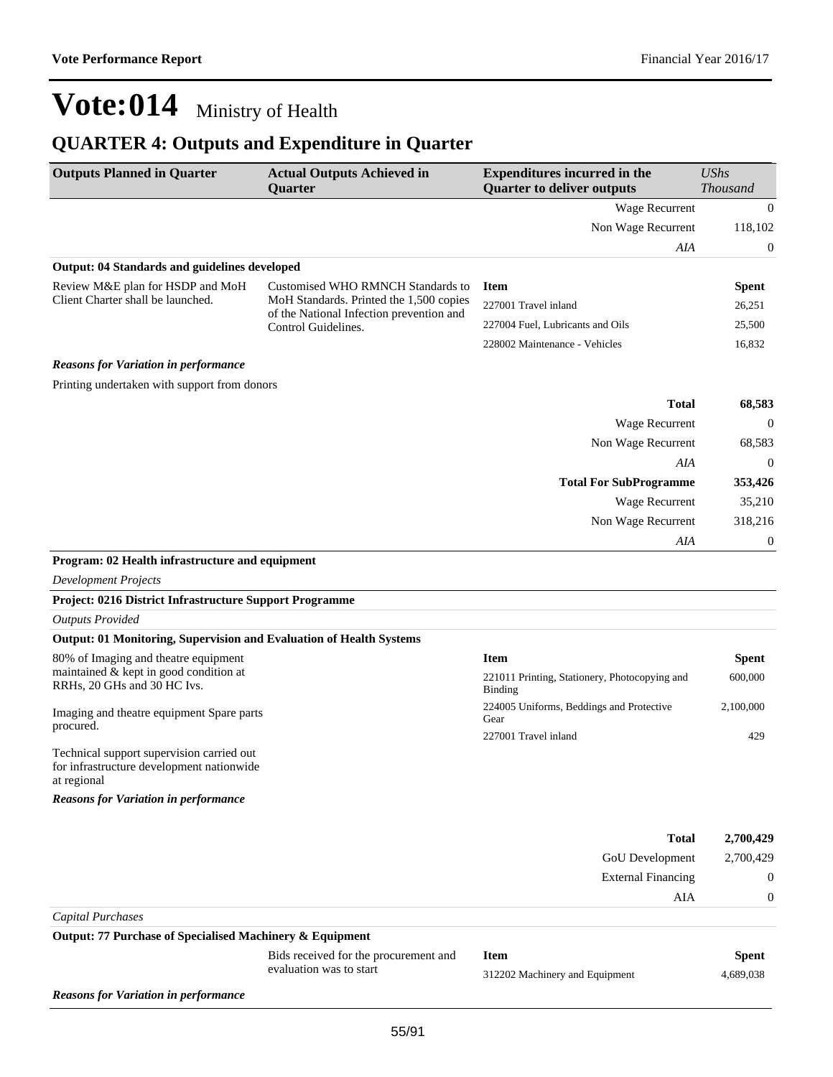## **QUARTER 4: Outputs and Expenditure in Quarter**

| <b>Outputs Planned in Quarter</b>                                                                     | <b>Actual Outputs Achieved in</b><br><b>Ouarter</b>                                 | <b>Expenditures incurred in the</b><br><b>Quarter to deliver outputs</b> | <b>UShs</b><br><b>Thousand</b> |
|-------------------------------------------------------------------------------------------------------|-------------------------------------------------------------------------------------|--------------------------------------------------------------------------|--------------------------------|
|                                                                                                       |                                                                                     | <b>Wage Recurrent</b>                                                    | $\boldsymbol{0}$               |
|                                                                                                       |                                                                                     | Non Wage Recurrent                                                       | 118,102                        |
|                                                                                                       |                                                                                     | AIA                                                                      | 0                              |
| <b>Output: 04 Standards and guidelines developed</b>                                                  |                                                                                     |                                                                          |                                |
| Review M&E plan for HSDP and MoH                                                                      | Customised WHO RMNCH Standards to                                                   | <b>Item</b>                                                              | <b>Spent</b>                   |
| Client Charter shall be launched.                                                                     | MoH Standards. Printed the 1,500 copies<br>of the National Infection prevention and | 227001 Travel inland                                                     | 26,251                         |
|                                                                                                       | Control Guidelines.                                                                 | 227004 Fuel, Lubricants and Oils                                         | 25,500                         |
|                                                                                                       |                                                                                     | 228002 Maintenance - Vehicles                                            | 16,832                         |
| <b>Reasons for Variation in performance</b>                                                           |                                                                                     |                                                                          |                                |
| Printing undertaken with support from donors                                                          |                                                                                     |                                                                          |                                |
|                                                                                                       |                                                                                     | <b>Total</b>                                                             | 68,583                         |
|                                                                                                       |                                                                                     | Wage Recurrent                                                           | $\mathbf{0}$                   |
|                                                                                                       |                                                                                     | Non Wage Recurrent                                                       | 68,583                         |
|                                                                                                       |                                                                                     | AIA                                                                      | $\mathbf{0}$                   |
|                                                                                                       |                                                                                     | <b>Total For SubProgramme</b>                                            | 353,426                        |
|                                                                                                       |                                                                                     | Wage Recurrent                                                           | 35,210                         |
|                                                                                                       |                                                                                     | Non Wage Recurrent                                                       | 318,216                        |
|                                                                                                       |                                                                                     | AIA                                                                      | 0                              |
| Program: 02 Health infrastructure and equipment                                                       |                                                                                     |                                                                          |                                |
| <b>Development Projects</b>                                                                           |                                                                                     |                                                                          |                                |
| Project: 0216 District Infrastructure Support Programme                                               |                                                                                     |                                                                          |                                |
| <b>Outputs Provided</b>                                                                               |                                                                                     |                                                                          |                                |
| Output: 01 Monitoring, Supervision and Evaluation of Health Systems                                   |                                                                                     |                                                                          |                                |
| 80% of Imaging and theatre equipment                                                                  |                                                                                     | <b>Item</b>                                                              | <b>Spent</b>                   |
| maintained & kept in good condition at<br>RRHs, 20 GHs and 30 HC Ivs.                                 |                                                                                     | 221011 Printing, Stationery, Photocopying and<br>Binding                 | 600,000                        |
| Imaging and theatre equipment Spare parts<br>procured.                                                |                                                                                     | 224005 Uniforms, Beddings and Protective<br>Gear                         | 2,100,000                      |
|                                                                                                       |                                                                                     | 227001 Travel inland                                                     | 429                            |
| Technical support supervision carried out<br>for infrastructure development nationwide<br>at regional |                                                                                     |                                                                          |                                |
| <b>Reasons for Variation in performance</b>                                                           |                                                                                     |                                                                          |                                |
|                                                                                                       |                                                                                     | <b>Total</b>                                                             | 2,700,429                      |
|                                                                                                       |                                                                                     | GoU Development                                                          | 2,700,429                      |
|                                                                                                       |                                                                                     | <b>External Financing</b>                                                | $\boldsymbol{0}$               |
|                                                                                                       |                                                                                     | AIA                                                                      | $\boldsymbol{0}$               |
| <b>Capital Purchases</b>                                                                              |                                                                                     |                                                                          |                                |
| Output: 77 Purchase of Specialised Machinery & Equipment                                              |                                                                                     |                                                                          |                                |
|                                                                                                       | Bids received for the procurement and                                               | <b>Item</b>                                                              | <b>Spent</b>                   |

*Reasons for Variation in performance*

312202 Machinery and Equipment 4,689,038

evaluation was to start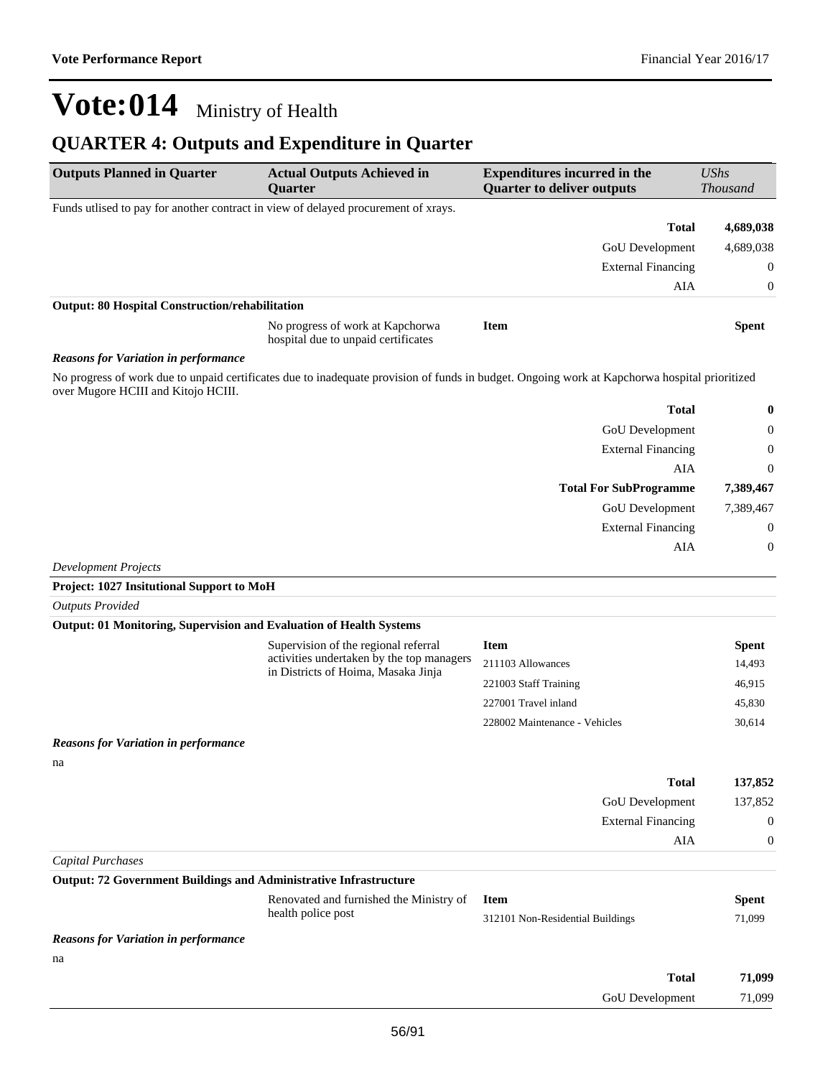## **QUARTER 4: Outputs and Expenditure in Quarter**

| <b>Outputs Planned in Quarter</b>                                                  | <b>Actual Outputs Achieved in</b><br>Quarter                                                                                                  | <b>Expenditures incurred in the</b><br><b>Quarter to deliver outputs</b> | <b>UShs</b><br><b>Thousand</b> |
|------------------------------------------------------------------------------------|-----------------------------------------------------------------------------------------------------------------------------------------------|--------------------------------------------------------------------------|--------------------------------|
| Funds utlised to pay for another contract in view of delayed procurement of xrays. |                                                                                                                                               |                                                                          |                                |
|                                                                                    |                                                                                                                                               | <b>Total</b>                                                             | 4,689,038                      |
|                                                                                    |                                                                                                                                               | GoU Development                                                          | 4,689,038                      |
|                                                                                    |                                                                                                                                               | <b>External Financing</b>                                                | $\boldsymbol{0}$               |
|                                                                                    |                                                                                                                                               | AIA                                                                      | $\boldsymbol{0}$               |
| <b>Output: 80 Hospital Construction/rehabilitation</b>                             |                                                                                                                                               |                                                                          |                                |
|                                                                                    | No progress of work at Kapchorwa<br>hospital due to unpaid certificates                                                                       | <b>Item</b>                                                              | <b>Spent</b>                   |
| <b>Reasons for Variation in performance</b>                                        |                                                                                                                                               |                                                                          |                                |
| over Mugore HCIII and Kitojo HCIII.                                                | No progress of work due to unpaid certificates due to inadequate provision of funds in budget. Ongoing work at Kapchorwa hospital prioritized |                                                                          |                                |
|                                                                                    |                                                                                                                                               | <b>Total</b>                                                             | $\bf{0}$                       |
|                                                                                    |                                                                                                                                               | GoU Development                                                          | 0                              |
|                                                                                    |                                                                                                                                               | <b>External Financing</b>                                                | $\mathbf{0}$                   |
|                                                                                    |                                                                                                                                               | AIA                                                                      | $\boldsymbol{0}$               |
|                                                                                    |                                                                                                                                               | <b>Total For SubProgramme</b>                                            | 7,389,467                      |
|                                                                                    |                                                                                                                                               | GoU Development                                                          | 7,389,467                      |
|                                                                                    |                                                                                                                                               | <b>External Financing</b>                                                | $\boldsymbol{0}$               |
|                                                                                    |                                                                                                                                               | AIA                                                                      | 0                              |
| <b>Development Projects</b>                                                        |                                                                                                                                               |                                                                          |                                |
| Project: 1027 Insitutional Support to MoH                                          |                                                                                                                                               |                                                                          |                                |
| <b>Outputs Provided</b>                                                            |                                                                                                                                               |                                                                          |                                |
| Output: 01 Monitoring, Supervision and Evaluation of Health Systems                |                                                                                                                                               |                                                                          |                                |
|                                                                                    | Supervision of the regional referral<br>activities undertaken by the top managers                                                             | <b>Item</b>                                                              | <b>Spent</b>                   |
|                                                                                    | in Districts of Hoima, Masaka Jinja                                                                                                           | 211103 Allowances                                                        | 14,493                         |
|                                                                                    |                                                                                                                                               | 221003 Staff Training                                                    | 46,915                         |
|                                                                                    |                                                                                                                                               | 227001 Travel inland                                                     | 45,830                         |
|                                                                                    |                                                                                                                                               | 228002 Maintenance - Vehicles                                            | 30,614                         |
| <b>Reasons for Variation in performance</b>                                        |                                                                                                                                               |                                                                          |                                |
| na                                                                                 |                                                                                                                                               |                                                                          |                                |
|                                                                                    |                                                                                                                                               | <b>Total</b>                                                             | 137,852                        |
|                                                                                    |                                                                                                                                               | GoU Development                                                          | 137,852                        |
|                                                                                    |                                                                                                                                               | <b>External Financing</b>                                                | $\theta$                       |
|                                                                                    |                                                                                                                                               | AIA                                                                      | 0                              |
| <b>Capital Purchases</b>                                                           |                                                                                                                                               |                                                                          |                                |
| <b>Output: 72 Government Buildings and Administrative Infrastructure</b>           |                                                                                                                                               |                                                                          |                                |
|                                                                                    | Renovated and furnished the Ministry of<br>health police post                                                                                 | <b>Item</b><br>312101 Non-Residential Buildings                          | <b>Spent</b><br>71,099         |
| <b>Reasons for Variation in performance</b>                                        |                                                                                                                                               |                                                                          |                                |
| na                                                                                 |                                                                                                                                               |                                                                          |                                |
|                                                                                    |                                                                                                                                               | <b>Total</b>                                                             | 71,099                         |
|                                                                                    |                                                                                                                                               | GoU Development                                                          | 71,099                         |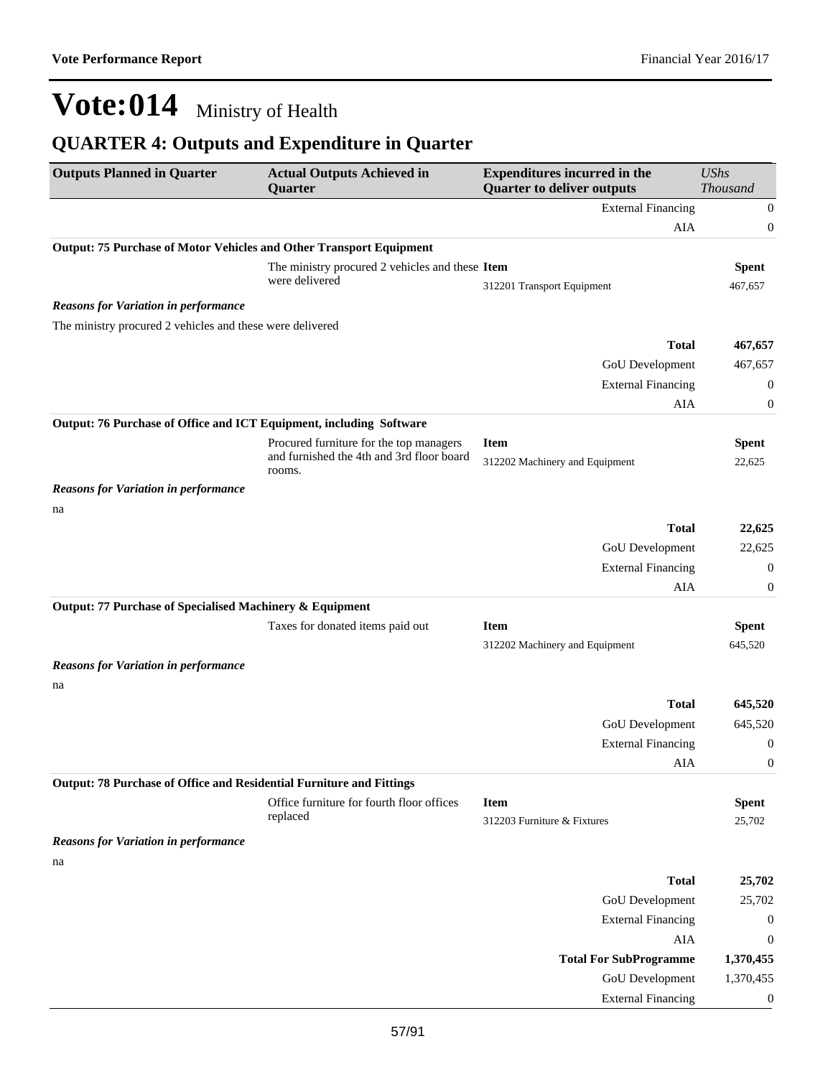## **QUARTER 4: Outputs and Expenditure in Quarter**

| <b>Outputs Planned in Quarter</b>                                    | <b>Actual Outputs Achieved in</b><br>Quarter                      | <b>Expenditures incurred in the</b><br><b>Quarter to deliver outputs</b> | <b>UShs</b><br>Thousand |
|----------------------------------------------------------------------|-------------------------------------------------------------------|--------------------------------------------------------------------------|-------------------------|
|                                                                      |                                                                   | <b>External Financing</b>                                                | $\boldsymbol{0}$        |
|                                                                      |                                                                   | AIA                                                                      | $\boldsymbol{0}$        |
| Output: 75 Purchase of Motor Vehicles and Other Transport Equipment  |                                                                   |                                                                          |                         |
|                                                                      | The ministry procured 2 vehicles and these Item<br>were delivered | 312201 Transport Equipment                                               | <b>Spent</b><br>467,657 |
| <b>Reasons for Variation in performance</b>                          |                                                                   |                                                                          |                         |
| The ministry procured 2 vehicles and these were delivered            |                                                                   |                                                                          |                         |
|                                                                      |                                                                   | <b>Total</b>                                                             | 467,657                 |
|                                                                      |                                                                   | <b>GoU</b> Development                                                   | 467,657                 |
|                                                                      |                                                                   | <b>External Financing</b>                                                | $\boldsymbol{0}$        |
|                                                                      |                                                                   | AIA                                                                      | $\boldsymbol{0}$        |
| Output: 76 Purchase of Office and ICT Equipment, including Software  |                                                                   |                                                                          |                         |
|                                                                      | Procured furniture for the top managers                           | <b>Item</b>                                                              | <b>Spent</b>            |
|                                                                      | and furnished the 4th and 3rd floor board<br>rooms.               | 312202 Machinery and Equipment                                           | 22,625                  |
| <b>Reasons for Variation in performance</b>                          |                                                                   |                                                                          |                         |
| na                                                                   |                                                                   |                                                                          |                         |
|                                                                      |                                                                   | <b>Total</b>                                                             | 22,625                  |
|                                                                      |                                                                   | GoU Development                                                          | 22,625                  |
|                                                                      |                                                                   | <b>External Financing</b>                                                | $\boldsymbol{0}$        |
|                                                                      |                                                                   | AIA                                                                      | $\boldsymbol{0}$        |
| Output: 77 Purchase of Specialised Machinery & Equipment             |                                                                   |                                                                          |                         |
|                                                                      | Taxes for donated items paid out                                  | <b>Item</b>                                                              | <b>Spent</b>            |
|                                                                      |                                                                   | 312202 Machinery and Equipment                                           | 645,520                 |
| <b>Reasons for Variation in performance</b>                          |                                                                   |                                                                          |                         |
| na                                                                   |                                                                   |                                                                          |                         |
|                                                                      |                                                                   | <b>Total</b>                                                             | 645,520                 |
|                                                                      |                                                                   | GoU Development                                                          | 645,520                 |
|                                                                      |                                                                   | <b>External Financing</b>                                                | $\boldsymbol{0}$        |
| Output: 78 Purchase of Office and Residential Furniture and Fittings |                                                                   | AIA                                                                      | $\boldsymbol{0}$        |
|                                                                      | Office furniture for fourth floor offices                         | <b>Item</b>                                                              | <b>Spent</b>            |
|                                                                      | replaced                                                          | 312203 Furniture & Fixtures                                              | 25,702                  |
| <b>Reasons for Variation in performance</b>                          |                                                                   |                                                                          |                         |
| na                                                                   |                                                                   |                                                                          |                         |
|                                                                      |                                                                   | <b>Total</b>                                                             | 25,702                  |
|                                                                      |                                                                   | GoU Development                                                          | 25,702                  |
|                                                                      |                                                                   | <b>External Financing</b>                                                | $\boldsymbol{0}$        |
|                                                                      |                                                                   | AIA                                                                      | $\boldsymbol{0}$        |
|                                                                      |                                                                   | <b>Total For SubProgramme</b>                                            | 1,370,455               |
|                                                                      |                                                                   | GoU Development                                                          | 1,370,455               |
|                                                                      |                                                                   | <b>External Financing</b>                                                | $\boldsymbol{0}$        |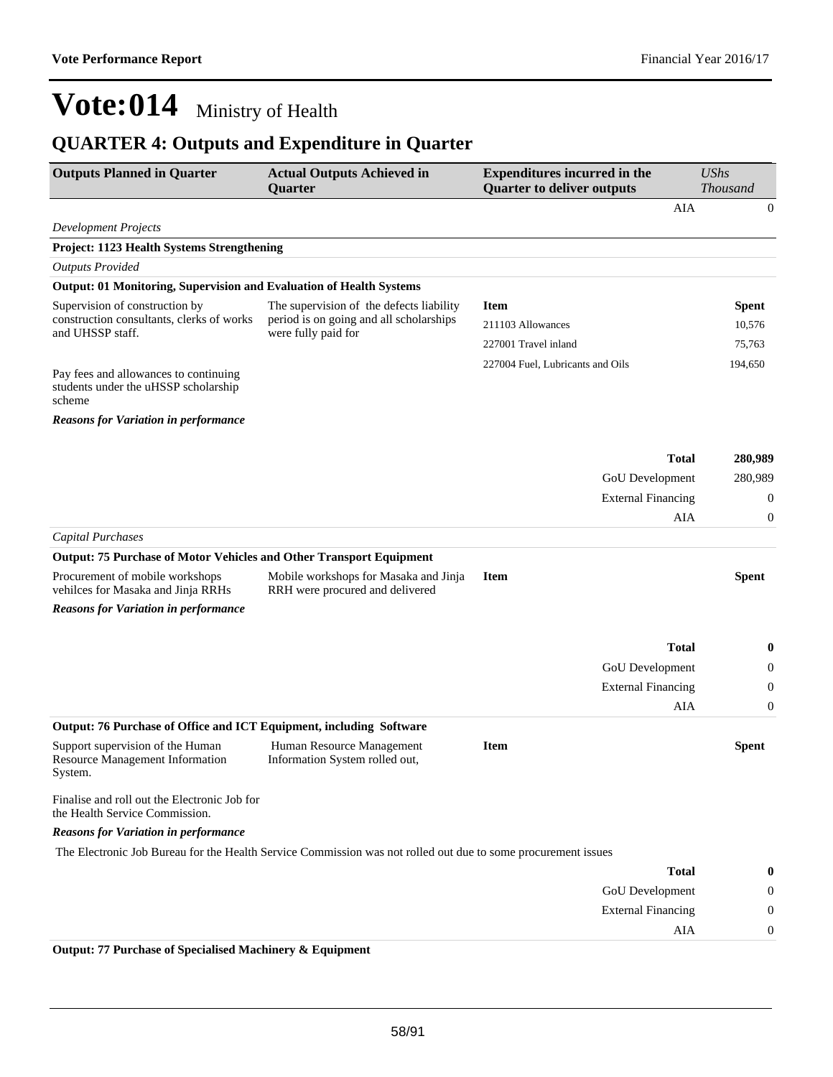## **QUARTER 4: Outputs and Expenditure in Quarter**

| <b>Outputs Planned in Quarter</b>                                                       | <b>Actual Outputs Achieved in</b><br><b>Quarter</b>                                                           | <b>Expenditures incurred in the</b><br><b>Quarter to deliver outputs</b> | <b>UShs</b><br><b>Thousand</b> |
|-----------------------------------------------------------------------------------------|---------------------------------------------------------------------------------------------------------------|--------------------------------------------------------------------------|--------------------------------|
|                                                                                         |                                                                                                               | AIA                                                                      | $\mathbf{0}$                   |
| <b>Development Projects</b>                                                             |                                                                                                               |                                                                          |                                |
| Project: 1123 Health Systems Strengthening                                              |                                                                                                               |                                                                          |                                |
| <b>Outputs Provided</b>                                                                 |                                                                                                               |                                                                          |                                |
| Output: 01 Monitoring, Supervision and Evaluation of Health Systems                     |                                                                                                               |                                                                          |                                |
| Supervision of construction by<br>construction consultants, clerks of works             | The supervision of the defects liability<br>period is on going and all scholarships                           | <b>Item</b><br>211103 Allowances                                         | <b>Spent</b>                   |
| and UHSSP staff.                                                                        | were fully paid for                                                                                           | 227001 Travel inland                                                     | 10,576<br>75,763               |
|                                                                                         |                                                                                                               | 227004 Fuel, Lubricants and Oils                                         | 194,650                        |
| Pay fees and allowances to continuing<br>students under the uHSSP scholarship<br>scheme |                                                                                                               |                                                                          |                                |
| <b>Reasons for Variation in performance</b>                                             |                                                                                                               |                                                                          |                                |
|                                                                                         |                                                                                                               | <b>Total</b>                                                             | 280,989                        |
|                                                                                         |                                                                                                               | GoU Development                                                          | 280,989                        |
|                                                                                         |                                                                                                               | <b>External Financing</b>                                                | $\boldsymbol{0}$               |
|                                                                                         |                                                                                                               | AIA                                                                      | $\mathbf{0}$                   |
| <b>Capital Purchases</b>                                                                |                                                                                                               |                                                                          |                                |
| Output: 75 Purchase of Motor Vehicles and Other Transport Equipment                     |                                                                                                               |                                                                          |                                |
| Procurement of mobile workshops<br>vehilces for Masaka and Jinja RRHs                   | Mobile workshops for Masaka and Jinja<br>RRH were procured and delivered                                      | <b>Item</b>                                                              | <b>Spent</b>                   |
| <b>Reasons for Variation in performance</b>                                             |                                                                                                               |                                                                          |                                |
|                                                                                         |                                                                                                               | <b>Total</b>                                                             | $\bf{0}$                       |
|                                                                                         |                                                                                                               | GoU Development                                                          | $\boldsymbol{0}$               |
|                                                                                         |                                                                                                               | <b>External Financing</b>                                                | $\boldsymbol{0}$               |
|                                                                                         |                                                                                                               | AIA                                                                      | $\boldsymbol{0}$               |
| Output: 76 Purchase of Office and ICT Equipment, including Software                     |                                                                                                               |                                                                          |                                |
| Support supervision of the Human<br><b>Resource Management Information</b><br>System.   | Human Resource Management<br>Information System rolled out,                                                   | <b>Item</b>                                                              | <b>Spent</b>                   |
| Finalise and roll out the Electronic Job for<br>the Health Service Commission.          |                                                                                                               |                                                                          |                                |
| <b>Reasons for Variation in performance</b>                                             |                                                                                                               |                                                                          |                                |
|                                                                                         | The Electronic Job Bureau for the Health Service Commission was not rolled out due to some procurement issues |                                                                          |                                |
|                                                                                         |                                                                                                               | <b>Total</b>                                                             | $\bf{0}$                       |
|                                                                                         |                                                                                                               | GoU Development                                                          | $\boldsymbol{0}$               |
|                                                                                         |                                                                                                               | <b>External Financing</b>                                                | $\boldsymbol{0}$               |
|                                                                                         |                                                                                                               | AIA                                                                      | $\boldsymbol{0}$               |

**Output: 77 Purchase of Specialised Machinery & Equipment**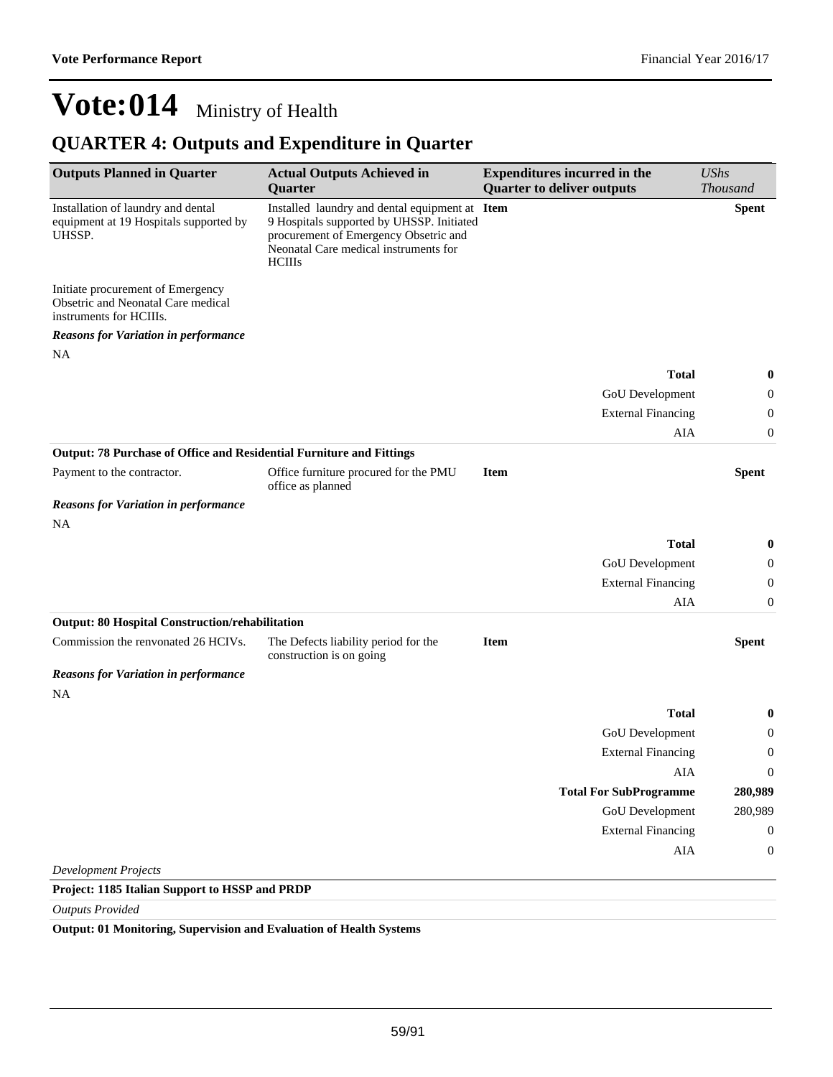## **QUARTER 4: Outputs and Expenditure in Quarter**

| <b>Outputs Planned in Quarter</b>                                                                  | <b>Actual Outputs Achieved in</b><br>Quarter                                                                                                                                                   | <b>Expenditures incurred in the</b><br><b>Quarter to deliver outputs</b> | <b>UShs</b><br><b>Thousand</b> |
|----------------------------------------------------------------------------------------------------|------------------------------------------------------------------------------------------------------------------------------------------------------------------------------------------------|--------------------------------------------------------------------------|--------------------------------|
| Installation of laundry and dental<br>equipment at 19 Hospitals supported by<br>UHSSP.             | Installed laundry and dental equipment at Item<br>9 Hospitals supported by UHSSP. Initiated<br>procurement of Emergency Obsetric and<br>Neonatal Care medical instruments for<br><b>HCIIIs</b> |                                                                          | <b>Spent</b>                   |
| Initiate procurement of Emergency<br>Obsetric and Neonatal Care medical<br>instruments for HCIIIs. |                                                                                                                                                                                                |                                                                          |                                |
| <b>Reasons for Variation in performance</b>                                                        |                                                                                                                                                                                                |                                                                          |                                |
| <b>NA</b>                                                                                          |                                                                                                                                                                                                |                                                                          |                                |
|                                                                                                    |                                                                                                                                                                                                | <b>Total</b>                                                             | $\bf{0}$                       |
|                                                                                                    |                                                                                                                                                                                                | GoU Development                                                          | $\boldsymbol{0}$               |
|                                                                                                    |                                                                                                                                                                                                | <b>External Financing</b>                                                | $\boldsymbol{0}$               |
|                                                                                                    |                                                                                                                                                                                                | AIA                                                                      | $\boldsymbol{0}$               |
| Output: 78 Purchase of Office and Residential Furniture and Fittings                               |                                                                                                                                                                                                |                                                                          |                                |
| Payment to the contractor.                                                                         | Office furniture procured for the PMU<br>office as planned                                                                                                                                     | <b>Item</b>                                                              | <b>Spent</b>                   |
| <b>Reasons for Variation in performance</b>                                                        |                                                                                                                                                                                                |                                                                          |                                |
| <b>NA</b>                                                                                          |                                                                                                                                                                                                |                                                                          |                                |
|                                                                                                    |                                                                                                                                                                                                | <b>Total</b>                                                             | $\bf{0}$                       |
|                                                                                                    |                                                                                                                                                                                                | GoU Development                                                          | $\boldsymbol{0}$               |
|                                                                                                    |                                                                                                                                                                                                | <b>External Financing</b>                                                | $\boldsymbol{0}$               |
|                                                                                                    |                                                                                                                                                                                                | AIA                                                                      | $\mathbf{0}$                   |
| <b>Output: 80 Hospital Construction/rehabilitation</b>                                             |                                                                                                                                                                                                |                                                                          |                                |
| Commission the renvonated 26 HCIVs.                                                                | The Defects liability period for the<br>construction is on going                                                                                                                               | <b>Item</b>                                                              | <b>Spent</b>                   |
| <b>Reasons for Variation in performance</b>                                                        |                                                                                                                                                                                                |                                                                          |                                |
| <b>NA</b>                                                                                          |                                                                                                                                                                                                |                                                                          |                                |
|                                                                                                    |                                                                                                                                                                                                | <b>Total</b>                                                             | $\bf{0}$                       |
|                                                                                                    |                                                                                                                                                                                                | GoU Development                                                          | $\boldsymbol{0}$               |
|                                                                                                    |                                                                                                                                                                                                | <b>External Financing</b>                                                | $\mathbf{0}$                   |
|                                                                                                    |                                                                                                                                                                                                | AIA                                                                      | $\mathbf{0}$                   |
|                                                                                                    |                                                                                                                                                                                                | <b>Total For SubProgramme</b>                                            | 280,989                        |
|                                                                                                    |                                                                                                                                                                                                | <b>GoU</b> Development                                                   | 280,989                        |
|                                                                                                    |                                                                                                                                                                                                | <b>External Financing</b>                                                | $\mathbf{0}$                   |
|                                                                                                    |                                                                                                                                                                                                | AIA                                                                      | $\boldsymbol{0}$               |
| <b>Development Projects</b>                                                                        |                                                                                                                                                                                                |                                                                          |                                |
| Project: 1185 Italian Support to HSSP and PRDP                                                     |                                                                                                                                                                                                |                                                                          |                                |

*Outputs Provided*

**Output: 01 Monitoring, Supervision and Evaluation of Health Systems**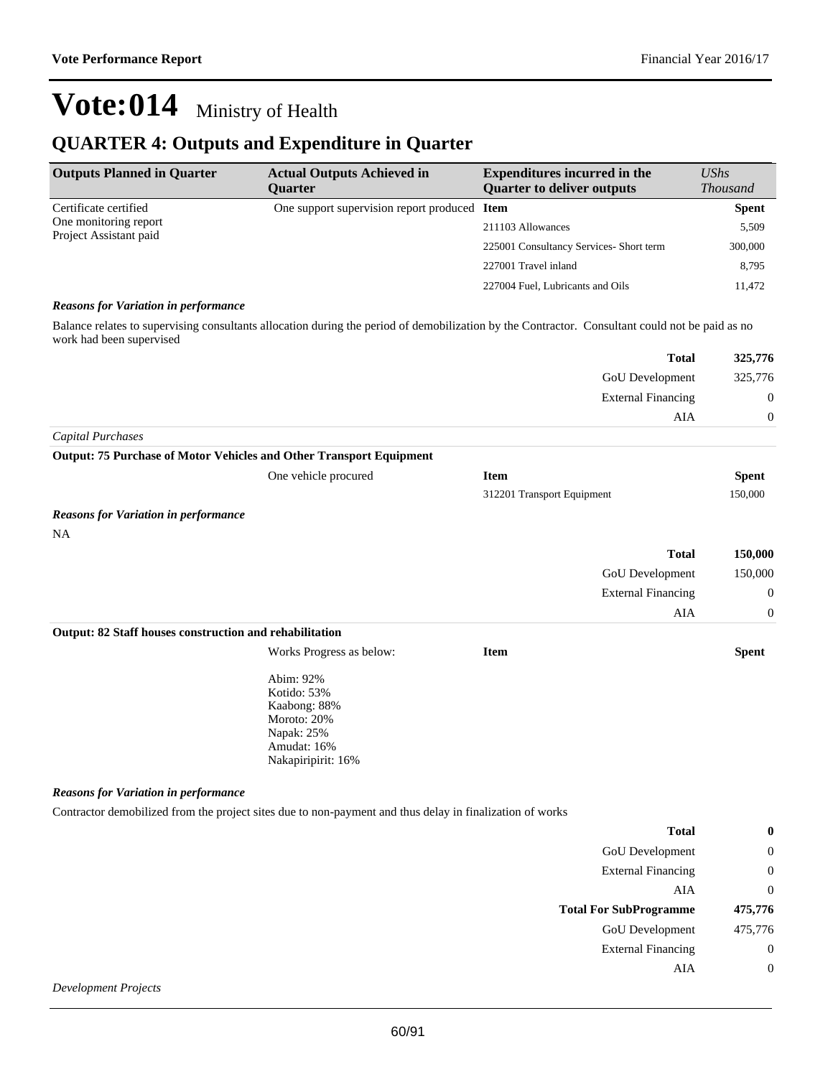## **QUARTER 4: Outputs and Expenditure in Quarter**

| <b>Outputs Planned in Quarter</b>                        | <b>Actual Outputs Achieved in</b><br>Quarter                                                                                                    | <b>Expenditures incurred in the</b><br><b>Quarter to deliver outputs</b> | <b>UShs</b><br>Thousand |
|----------------------------------------------------------|-------------------------------------------------------------------------------------------------------------------------------------------------|--------------------------------------------------------------------------|-------------------------|
| Certificate certified                                    | One support supervision report produced Item                                                                                                    |                                                                          | Spent                   |
| One monitoring report                                    |                                                                                                                                                 | 211103 Allowances                                                        | 5,509                   |
| Project Assistant paid                                   |                                                                                                                                                 | 225001 Consultancy Services- Short term                                  | 300,000                 |
|                                                          |                                                                                                                                                 | 227001 Travel inland                                                     | 8,795                   |
|                                                          |                                                                                                                                                 | 227004 Fuel, Lubricants and Oils                                         | 11,472                  |
| <b>Reasons for Variation in performance</b>              |                                                                                                                                                 |                                                                          |                         |
| work had been supervised                                 | Balance relates to supervising consultants allocation during the period of demobilization by the Contractor. Consultant could not be paid as no |                                                                          |                         |
|                                                          |                                                                                                                                                 | <b>Total</b>                                                             | 325,776                 |
|                                                          |                                                                                                                                                 | GoU Development                                                          | 325,776                 |
|                                                          |                                                                                                                                                 | <b>External Financing</b>                                                | $\boldsymbol{0}$        |
|                                                          |                                                                                                                                                 | AIA                                                                      | $\mathbf{0}$            |
| <b>Capital Purchases</b>                                 |                                                                                                                                                 |                                                                          |                         |
|                                                          | Output: 75 Purchase of Motor Vehicles and Other Transport Equipment                                                                             |                                                                          |                         |
|                                                          | One vehicle procured                                                                                                                            | <b>Item</b>                                                              | <b>Spent</b>            |
|                                                          |                                                                                                                                                 | 312201 Transport Equipment                                               | 150,000                 |
| <b>Reasons for Variation in performance</b><br><b>NA</b> |                                                                                                                                                 |                                                                          |                         |
|                                                          |                                                                                                                                                 | <b>Total</b>                                                             | 150,000                 |
|                                                          |                                                                                                                                                 | GoU Development                                                          | 150,000                 |
|                                                          |                                                                                                                                                 | <b>External Financing</b>                                                | $\theta$                |
|                                                          |                                                                                                                                                 | AIA                                                                      | $\boldsymbol{0}$        |
| Output: 82 Staff houses construction and rehabilitation  |                                                                                                                                                 |                                                                          |                         |
|                                                          | Works Progress as below:                                                                                                                        | <b>Item</b>                                                              | <b>Spent</b>            |
|                                                          | Abim: 92%<br>Kotido: 53%<br>Kaabong: 88%<br>Moroto: 20%<br>Napak: 25%<br>Amudat: 16%<br>Nakapiripirit: 16%                                      |                                                                          |                         |
| <b>Reasons for Variation in performance</b>              |                                                                                                                                                 |                                                                          |                         |
|                                                          | Contractor demobilized from the project sites due to non-payment and thus delay in finalization of works                                        |                                                                          |                         |
|                                                          |                                                                                                                                                 | <b>Total</b>                                                             | $\bf{0}$                |
|                                                          |                                                                                                                                                 |                                                                          |                         |

| <b>GoU</b> Development        |         |
|-------------------------------|---------|
| <b>External Financing</b>     |         |
| AIA                           |         |
| <b>Total For SubProgramme</b> | 475,776 |
| <b>GoU</b> Development        | 475,776 |
| <b>External Financing</b>     |         |
| ΔIΔ                           |         |

*Development Projects*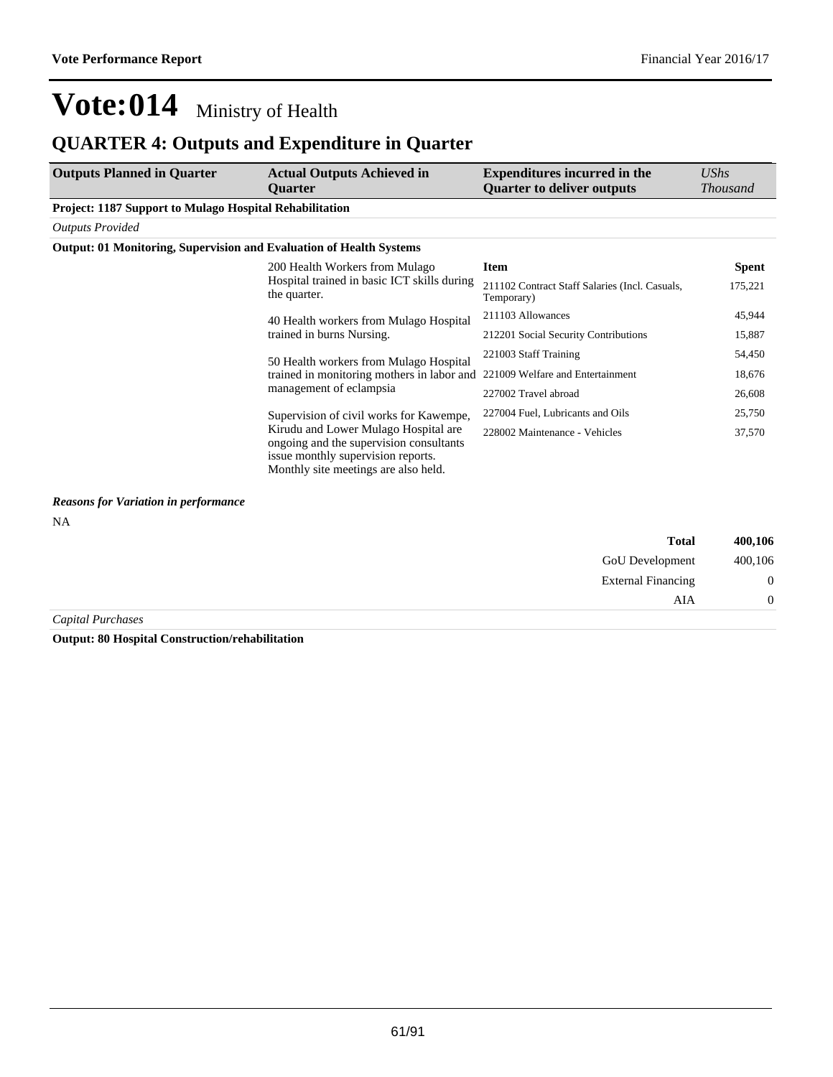### **QUARTER 4: Outputs and Expenditure in Quarter**

| <b>Outputs Planned in Quarter</b>                                          | <b>Actual Outputs Achieved in</b><br><b>Ouarter</b>                                                                                                                | <b>Expenditures incurred in the</b><br><b>Quarter to deliver outputs</b> | UShs<br><i>Thousand</i> |
|----------------------------------------------------------------------------|--------------------------------------------------------------------------------------------------------------------------------------------------------------------|--------------------------------------------------------------------------|-------------------------|
| <b>Project: 1187 Support to Mulago Hospital Rehabilitation</b>             |                                                                                                                                                                    |                                                                          |                         |
| <b>Outputs Provided</b>                                                    |                                                                                                                                                                    |                                                                          |                         |
| <b>Output: 01 Monitoring, Supervision and Evaluation of Health Systems</b> |                                                                                                                                                                    |                                                                          |                         |
|                                                                            | 200 Health Workers from Mulago                                                                                                                                     | <b>Item</b>                                                              | <b>Spent</b>            |
|                                                                            | Hospital trained in basic ICT skills during<br>the quarter.                                                                                                        | 211102 Contract Staff Salaries (Incl. Casuals,<br>Temporary)             | 175,221                 |
|                                                                            | 40 Health workers from Mulago Hospital<br>trained in burns Nursing.                                                                                                | 211103 Allowances                                                        | 45,944                  |
|                                                                            |                                                                                                                                                                    | 212201 Social Security Contributions                                     | 15,887                  |
|                                                                            | 50 Health workers from Mulago Hospital<br>trained in monitoring mothers in labor and<br>management of eclampsia                                                    | 221003 Staff Training                                                    | 54,450                  |
|                                                                            |                                                                                                                                                                    | 221009 Welfare and Entertainment                                         | 18,676                  |
|                                                                            |                                                                                                                                                                    | 227002 Travel abroad                                                     | 26,608                  |
|                                                                            | Supervision of civil works for Kawempe,                                                                                                                            | 227004 Fuel, Lubricants and Oils                                         | 25,750                  |
|                                                                            | Kirudu and Lower Mulago Hospital are<br>ongoing and the supervision consultants<br>is subsequentially supervision reports.<br>Monthly site meetings are also held. | 228002 Maintenance - Vehicles                                            | 37,570                  |

*Reasons for Variation in performance*

NA

| 400,106 | <b>Total</b>              |
|---------|---------------------------|
| 400,106 | GoU Development           |
| U       | <b>External Financing</b> |
|         | AIA                       |

*Capital Purchases*

**Output: 80 Hospital Construction/rehabilitation**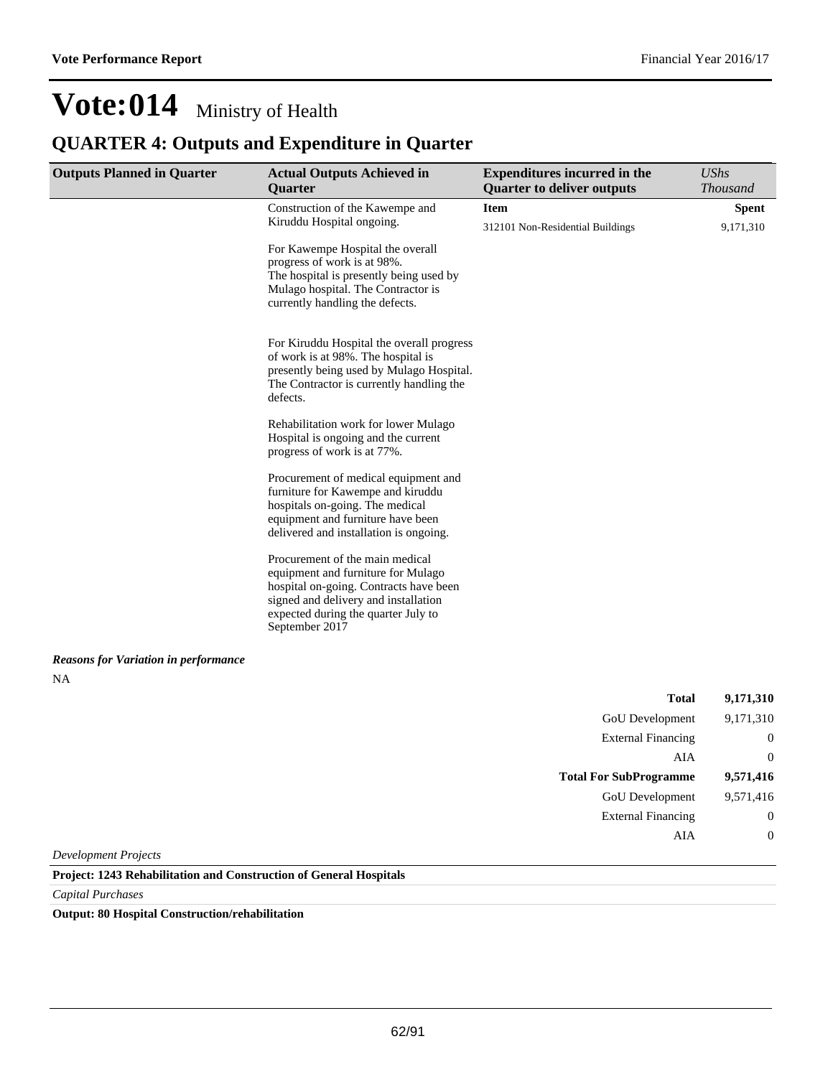## **QUARTER 4: Outputs and Expenditure in Quarter**

| <b>Outputs Planned in Quarter</b>           | <b>Actual Outputs Achieved in</b><br>Quarter                                                                                                                                                                     | <b>Expenditures incurred in the</b><br><b>Quarter to deliver outputs</b> | <b>UShs</b><br><b>Thousand</b> |
|---------------------------------------------|------------------------------------------------------------------------------------------------------------------------------------------------------------------------------------------------------------------|--------------------------------------------------------------------------|--------------------------------|
|                                             | Construction of the Kawempe and<br>Kiruddu Hospital ongoing.                                                                                                                                                     | <b>Item</b><br>312101 Non-Residential Buildings                          | <b>Spent</b><br>9,171,310      |
|                                             | For Kawempe Hospital the overall<br>progress of work is at 98%.<br>The hospital is presently being used by<br>Mulago hospital. The Contractor is<br>currently handling the defects.                              |                                                                          |                                |
|                                             | For Kiruddu Hospital the overall progress<br>of work is at 98%. The hospital is<br>presently being used by Mulago Hospital.<br>The Contractor is currently handling the<br>defects.                              |                                                                          |                                |
|                                             | Rehabilitation work for lower Mulago<br>Hospital is ongoing and the current<br>progress of work is at 77%.                                                                                                       |                                                                          |                                |
|                                             | Procurement of medical equipment and<br>furniture for Kawempe and kiruddu<br>hospitals on-going. The medical<br>equipment and furniture have been<br>delivered and installation is ongoing.                      |                                                                          |                                |
|                                             | Procurement of the main medical<br>equipment and furniture for Mulago<br>hospital on-going. Contracts have been<br>signed and delivery and installation<br>expected during the quarter July to<br>September 2017 |                                                                          |                                |
| <b>Reasons for Variation in performance</b> |                                                                                                                                                                                                                  |                                                                          |                                |
| <b>NA</b>                                   |                                                                                                                                                                                                                  | <b>Total</b>                                                             |                                |
|                                             |                                                                                                                                                                                                                  | GoU Development                                                          | 9,171,310<br>9,171,310         |
|                                             |                                                                                                                                                                                                                  | <b>External Financing</b>                                                | $\boldsymbol{0}$               |
|                                             |                                                                                                                                                                                                                  | AIA                                                                      | $\boldsymbol{0}$               |
|                                             |                                                                                                                                                                                                                  | <b>Total For SubProgramme</b>                                            | 9,571,416                      |
|                                             |                                                                                                                                                                                                                  | GoU Development                                                          | 9,571,416                      |
|                                             |                                                                                                                                                                                                                  | <b>External Financing</b>                                                | $\boldsymbol{0}$               |
| <b>Development Projects</b>                 |                                                                                                                                                                                                                  | AIA                                                                      | 0                              |

### **Project: 1243 Rehabilitation and Construction of General Hospitals**

*Capital Purchases*

**Output: 80 Hospital Construction/rehabilitation**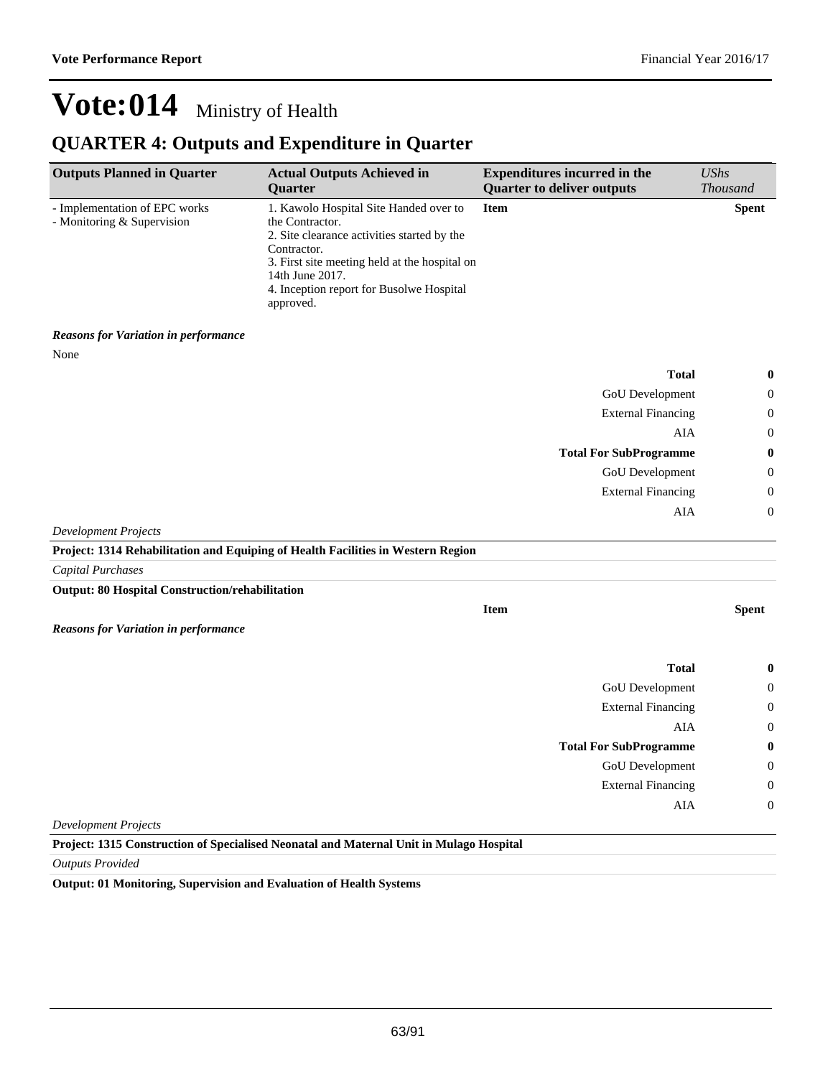**Item Spent**

## **Vote:014** Ministry of Health

### **QUARTER 4: Outputs and Expenditure in Quarter**

| <b>Outputs Planned in Quarter</b>                           | <b>Actual Outputs Achieved in</b>                                                                                                                                                                                                                    | <b>Expenditures incurred in the</b> | $\mathit{UShs}$ |
|-------------------------------------------------------------|------------------------------------------------------------------------------------------------------------------------------------------------------------------------------------------------------------------------------------------------------|-------------------------------------|-----------------|
|                                                             | <b>Ouarter</b>                                                                                                                                                                                                                                       | <b>Quarter to deliver outputs</b>   | <i>Thousand</i> |
| - Implementation of EPC works<br>- Monitoring & Supervision | 1. Kawolo Hospital Site Handed over to<br>the Contractor.<br>2. Site clearance activities started by the<br>Contractor.<br>3. First site meeting held at the hospital on<br>14th June 2017.<br>4. Inception report for Busolwe Hospital<br>approved. | <b>Item</b>                         | <b>Spent</b>    |

### *Reasons for Variation in performance*

None

| $\boldsymbol{0}$ | <b>Total</b>                  |
|------------------|-------------------------------|
| $\theta$         | GoU Development               |
| $\theta$         | <b>External Financing</b>     |
| $\boldsymbol{0}$ | AIA                           |
|                  |                               |
| $\boldsymbol{0}$ | <b>Total For SubProgramme</b> |
| $\theta$         | GoU Development               |
| $\theta$         | <b>External Financing</b>     |
| $\theta$         | AIA                           |

#### *Development Projects*

| Project: 1314 Rehabilitation and Equiping of Health Facilities in Western Region |  |
|----------------------------------------------------------------------------------|--|
|                                                                                  |  |

*Capital Purchases*

**Output: 80 Hospital Construction/rehabilitation** 

*Reasons for Variation in performance*

| $\bf{0}$         | <b>Total</b>                  |
|------------------|-------------------------------|
| $\overline{0}$   | GoU Development               |
| $\overline{0}$   | <b>External Financing</b>     |
| $\overline{0}$   | AIA                           |
| $\bf{0}$         | <b>Total For SubProgramme</b> |
| $\overline{0}$   | GoU Development               |
| $\overline{0}$   | <b>External Financing</b>     |
|                  |                               |
| $\boldsymbol{0}$ | AIA                           |

*Development Projects*

**Project: 1315 Construction of Specialised Neonatal and Maternal Unit in Mulago Hospital**

*Outputs Provided*

**Output: 01 Monitoring, Supervision and Evaluation of Health Systems**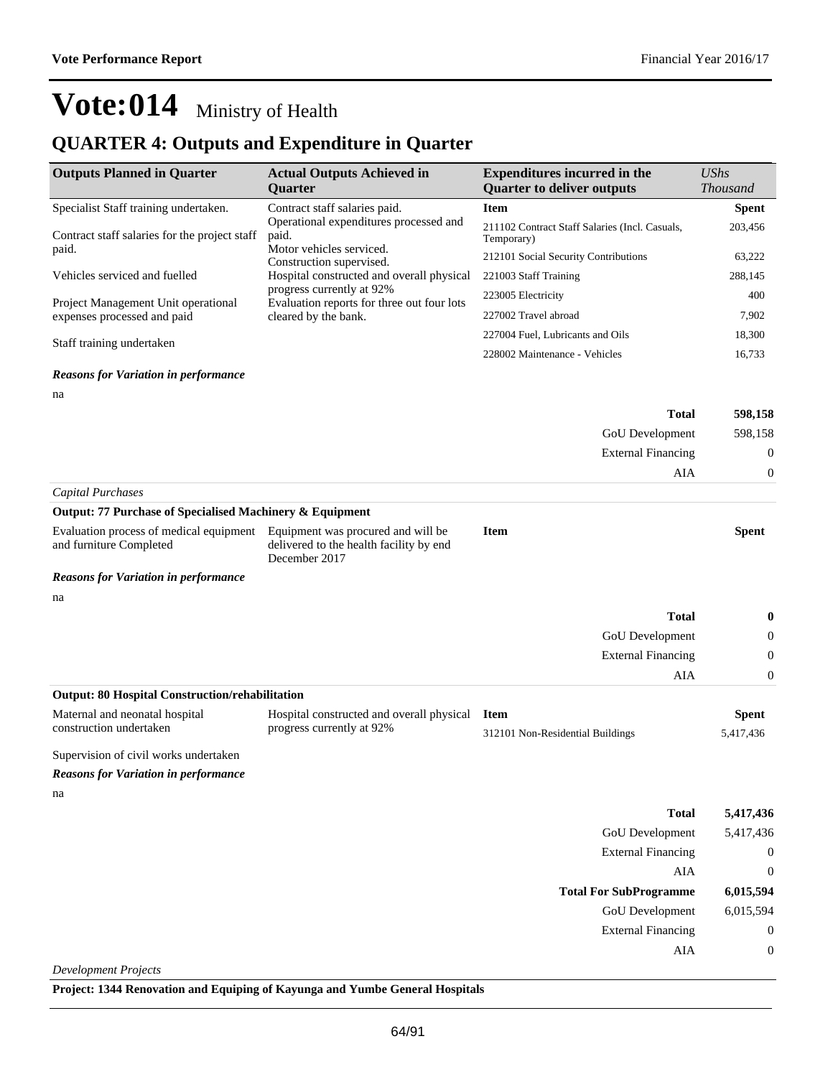## **QUARTER 4: Outputs and Expenditure in Quarter**

| <b>Outputs Planned in Quarter</b>                                  | <b>Actual Outputs Achieved in</b>                                                                                                        | <b>Expenditures incurred in the</b>                          | <b>UShs</b>      |
|--------------------------------------------------------------------|------------------------------------------------------------------------------------------------------------------------------------------|--------------------------------------------------------------|------------------|
|                                                                    | <b>Ouarter</b>                                                                                                                           | <b>Quarter to deliver outputs</b>                            | <b>Thousand</b>  |
| Specialist Staff training undertaken.                              | Contract staff salaries paid.<br>Operational expenditures processed and<br>paid.<br>Motor vehicles serviced.<br>Construction supervised. | <b>Item</b>                                                  | <b>Spent</b>     |
| Contract staff salaries for the project staff                      |                                                                                                                                          | 211102 Contract Staff Salaries (Incl. Casuals,<br>Temporary) | 203,456          |
| paid.                                                              |                                                                                                                                          | 212101 Social Security Contributions                         | 63,222           |
| Vehicles serviced and fuelled                                      | Hospital constructed and overall physical                                                                                                | 221003 Staff Training                                        | 288,145          |
| Project Management Unit operational                                | progress currently at 92%<br>Evaluation reports for three out four lots                                                                  | 223005 Electricity                                           | 400              |
| expenses processed and paid                                        | cleared by the bank.                                                                                                                     | 227002 Travel abroad                                         | 7,902            |
| Staff training undertaken                                          |                                                                                                                                          | 227004 Fuel, Lubricants and Oils                             | 18,300           |
|                                                                    |                                                                                                                                          | 228002 Maintenance - Vehicles                                | 16,733           |
| <b>Reasons for Variation in performance</b>                        |                                                                                                                                          |                                                              |                  |
| na                                                                 |                                                                                                                                          |                                                              |                  |
|                                                                    |                                                                                                                                          | <b>Total</b>                                                 | 598,158          |
|                                                                    |                                                                                                                                          | GoU Development                                              | 598,158          |
|                                                                    |                                                                                                                                          | <b>External Financing</b>                                    | 0                |
|                                                                    |                                                                                                                                          | AIA                                                          | $\mathbf{0}$     |
| Capital Purchases                                                  |                                                                                                                                          |                                                              |                  |
| Output: 77 Purchase of Specialised Machinery & Equipment           |                                                                                                                                          |                                                              |                  |
| Evaluation process of medical equipment<br>and furniture Completed | Equipment was procured and will be<br>delivered to the health facility by end<br>December 2017                                           | <b>Item</b>                                                  | Spent            |
| <b>Reasons for Variation in performance</b>                        |                                                                                                                                          |                                                              |                  |
| na                                                                 |                                                                                                                                          |                                                              |                  |
|                                                                    |                                                                                                                                          | <b>Total</b>                                                 | 0                |
|                                                                    |                                                                                                                                          | GoU Development                                              | 0                |
|                                                                    |                                                                                                                                          | <b>External Financing</b>                                    | 0                |
|                                                                    |                                                                                                                                          | AIA                                                          | 0                |
| <b>Output: 80 Hospital Construction/rehabilitation</b>             |                                                                                                                                          |                                                              |                  |
| Maternal and neonatal hospital                                     | Hospital constructed and overall physical                                                                                                | <b>Item</b>                                                  | <b>Spent</b>     |
| construction undertaken                                            | progress currently at 92%                                                                                                                | 312101 Non-Residential Buildings                             | 5,417,436        |
| Supervision of civil works undertaken                              |                                                                                                                                          |                                                              |                  |
| <b>Reasons for Variation in performance</b>                        |                                                                                                                                          |                                                              |                  |
| na                                                                 |                                                                                                                                          |                                                              |                  |
|                                                                    |                                                                                                                                          | <b>Total</b>                                                 | 5,417,436        |
|                                                                    |                                                                                                                                          | GoU Development                                              | 5,417,436        |
|                                                                    |                                                                                                                                          | <b>External Financing</b>                                    | $\boldsymbol{0}$ |
|                                                                    |                                                                                                                                          | AIA                                                          | $\boldsymbol{0}$ |
|                                                                    |                                                                                                                                          | <b>Total For SubProgramme</b>                                | 6,015,594        |
|                                                                    |                                                                                                                                          | GoU Development                                              | 6,015,594        |
|                                                                    |                                                                                                                                          | <b>External Financing</b>                                    | $\boldsymbol{0}$ |
|                                                                    |                                                                                                                                          | ${\rm AIA}$                                                  | $\boldsymbol{0}$ |

*Development Projects*

**Project: 1344 Renovation and Equiping of Kayunga and Yumbe General Hospitals**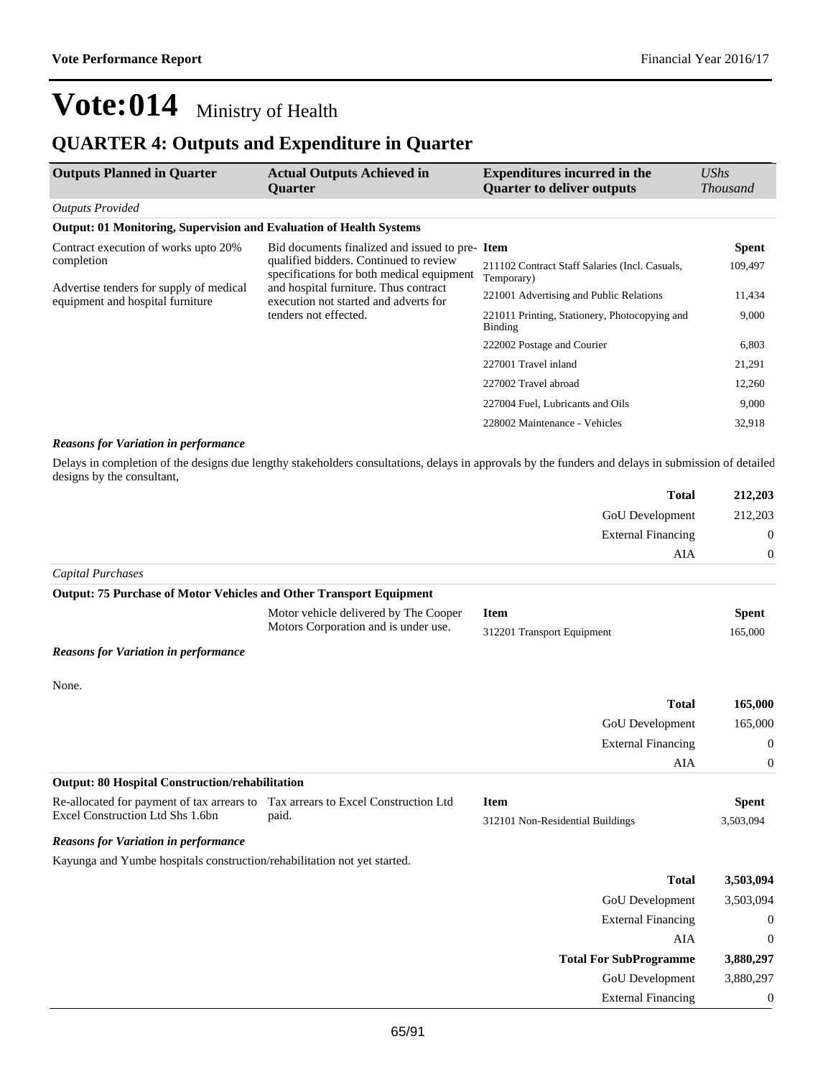GoU Development 3,880,297 External Financing 0

## **Vote:014** Ministry of Health

### **QUARTER 4: Outputs and Expenditure in Quarter**

| <b>Outputs Planned in Quarter</b>                                           | <b>Actual Outputs Achieved in</b><br><b>Ouarter</b>                                                     | <b>Expenditures incurred in the</b><br><b>Quarter to deliver outputs</b> | UShs<br><i>Thousand</i> |
|-----------------------------------------------------------------------------|---------------------------------------------------------------------------------------------------------|--------------------------------------------------------------------------|-------------------------|
| <b>Outputs Provided</b>                                                     |                                                                                                         |                                                                          |                         |
| <b>Output: 01 Monitoring, Supervision and Evaluation of Health Systems</b>  |                                                                                                         |                                                                          |                         |
| Contract execution of works upto 20%                                        | Bid documents finalized and issued to pre- <b>Item</b>                                                  |                                                                          | <b>Spent</b>            |
| qualified bidders. Continued to review<br>completion                        | specifications for both medical equipment                                                               | 211102 Contract Staff Salaries (Incl. Casuals,<br>Temporary)             | 109,497                 |
| Advertise tenders for supply of medical<br>equipment and hospital furniture | and hospital furniture. Thus contract<br>execution not started and adverts for<br>tenders not effected. | 221001 Advertising and Public Relations                                  | 11,434                  |
|                                                                             |                                                                                                         | 221011 Printing, Stationery, Photocopying and<br><b>Binding</b>          | 9,000                   |
|                                                                             |                                                                                                         | 222002 Postage and Courier                                               | 6,803                   |
|                                                                             |                                                                                                         | 227001 Travel inland                                                     | 21,291                  |
|                                                                             |                                                                                                         | 227002 Travel abroad                                                     | 12,260                  |
|                                                                             |                                                                                                         | 227004 Fuel, Lubricants and Oils                                         | 9,000                   |
|                                                                             |                                                                                                         | 228002 Maintenance - Vehicles                                            | 32,918                  |

#### *Reasons for Variation in performance*

Delays in completion of the designs due lengthy stakeholders consultations, delays in approvals by the funders and delays in submission of detailed designs by the consultant,

| Total                     | 212,203 |
|---------------------------|---------|
| GoU Development           | 212,203 |
| <b>External Financing</b> | U       |
| AIA                       |         |
| Capital Purchases         |         |

| Caputa I archases                                                                |                                       |                                  |                  |
|----------------------------------------------------------------------------------|---------------------------------------|----------------------------------|------------------|
| <b>Output: 75 Purchase of Motor Vehicles and Other Transport Equipment</b>       |                                       |                                  |                  |
|                                                                                  | Motor vehicle delivered by The Cooper | <b>Item</b>                      | <b>Spent</b>     |
|                                                                                  | Motors Corporation and is under use.  | 312201 Transport Equipment       | 165,000          |
| <b>Reasons for Variation in performance</b>                                      |                                       |                                  |                  |
| None.                                                                            |                                       |                                  |                  |
|                                                                                  |                                       | <b>Total</b>                     | 165,000          |
|                                                                                  |                                       | <b>GoU</b> Development           | 165,000          |
|                                                                                  |                                       | <b>External Financing</b>        | 0                |
|                                                                                  |                                       | AIA                              | 0                |
| <b>Output: 80 Hospital Construction/rehabilitation</b>                           |                                       |                                  |                  |
| Re-allocated for payment of tax arrears to Tax arrears to Excel Construction Ltd |                                       | <b>Item</b>                      | <b>Spent</b>     |
| Excel Construction Ltd Shs 1.6bn                                                 | paid.                                 | 312101 Non-Residential Buildings | 3,503,094        |
| <b>Reasons for Variation in performance</b>                                      |                                       |                                  |                  |
| Kayunga and Yumbe hospitals construction/rehabilitation not yet started.         |                                       |                                  |                  |
|                                                                                  |                                       | <b>Total</b>                     | 3,503,094        |
|                                                                                  |                                       | GoU Development                  | 3,503,094        |
|                                                                                  |                                       | <b>External Financing</b>        | 0                |
|                                                                                  |                                       | AIA                              | $\boldsymbol{0}$ |
|                                                                                  |                                       | <b>Total For SubProgramme</b>    | 3,880,297        |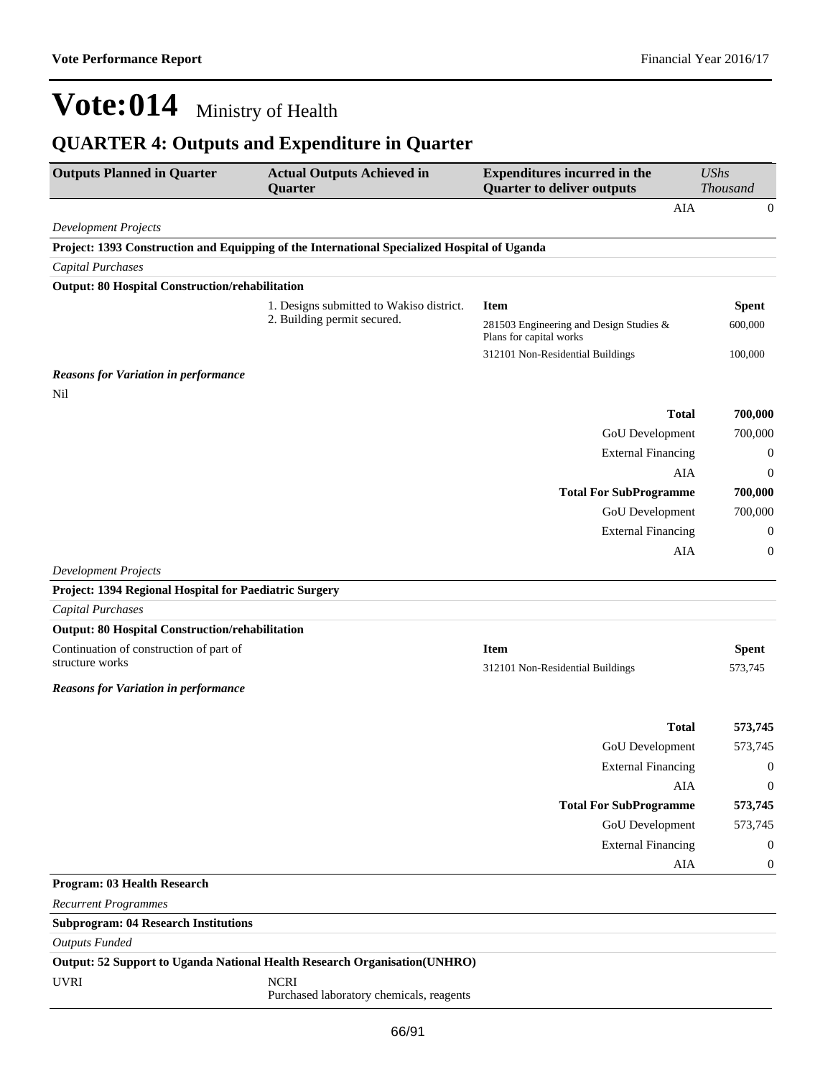## **QUARTER 4: Outputs and Expenditure in Quarter**

| <b>Outputs Planned in Quarter</b>                                                     | <b>Actual Outputs Achieved in</b><br>Quarter                                                 | <b>Expenditures incurred in the</b><br><b>Quarter to deliver outputs</b> | <b>UShs</b><br>Thousand |
|---------------------------------------------------------------------------------------|----------------------------------------------------------------------------------------------|--------------------------------------------------------------------------|-------------------------|
|                                                                                       |                                                                                              | AIA                                                                      | $\theta$                |
| <b>Development Projects</b>                                                           |                                                                                              |                                                                          |                         |
|                                                                                       | Project: 1393 Construction and Equipping of the International Specialized Hospital of Uganda |                                                                          |                         |
| <b>Capital Purchases</b>                                                              |                                                                                              |                                                                          |                         |
| <b>Output: 80 Hospital Construction/rehabilitation</b>                                |                                                                                              |                                                                          |                         |
|                                                                                       | 1. Designs submitted to Wakiso district.                                                     | <b>Item</b>                                                              | <b>Spent</b>            |
|                                                                                       | 2. Building permit secured.                                                                  | 281503 Engineering and Design Studies &<br>Plans for capital works       | 600,000                 |
|                                                                                       |                                                                                              | 312101 Non-Residential Buildings                                         | 100,000                 |
| <b>Reasons for Variation in performance</b>                                           |                                                                                              |                                                                          |                         |
| Nil                                                                                   |                                                                                              |                                                                          |                         |
|                                                                                       |                                                                                              | <b>Total</b>                                                             | 700,000                 |
|                                                                                       |                                                                                              | GoU Development                                                          | 700,000                 |
|                                                                                       |                                                                                              | <b>External Financing</b>                                                | $\boldsymbol{0}$        |
|                                                                                       |                                                                                              | AIA                                                                      | $\boldsymbol{0}$        |
|                                                                                       |                                                                                              | <b>Total For SubProgramme</b>                                            | 700,000                 |
|                                                                                       |                                                                                              | GoU Development                                                          | 700,000                 |
|                                                                                       |                                                                                              | <b>External Financing</b>                                                | $\boldsymbol{0}$        |
|                                                                                       |                                                                                              | AIA                                                                      | $\boldsymbol{0}$        |
| <b>Development Projects</b><br>Project: 1394 Regional Hospital for Paediatric Surgery |                                                                                              |                                                                          |                         |
| Capital Purchases                                                                     |                                                                                              |                                                                          |                         |
| <b>Output: 80 Hospital Construction/rehabilitation</b>                                |                                                                                              |                                                                          |                         |
| Continuation of construction of part of                                               |                                                                                              | <b>Item</b>                                                              | <b>Spent</b>            |
| structure works                                                                       |                                                                                              | 312101 Non-Residential Buildings                                         | 573,745                 |
| <b>Reasons for Variation in performance</b>                                           |                                                                                              |                                                                          |                         |
|                                                                                       |                                                                                              |                                                                          |                         |
|                                                                                       |                                                                                              | <b>Total</b>                                                             | 573,745                 |
|                                                                                       |                                                                                              | GoU Development                                                          | 573,745                 |
|                                                                                       |                                                                                              | <b>External Financing</b>                                                | $\boldsymbol{0}$        |
|                                                                                       |                                                                                              | AIA                                                                      | $\boldsymbol{0}$        |
|                                                                                       |                                                                                              | <b>Total For SubProgramme</b>                                            | 573,745                 |
|                                                                                       |                                                                                              | GoU Development                                                          | 573,745                 |
|                                                                                       |                                                                                              | <b>External Financing</b>                                                | $\boldsymbol{0}$        |
|                                                                                       |                                                                                              | AIA                                                                      | $\boldsymbol{0}$        |
| Program: 03 Health Research                                                           |                                                                                              |                                                                          |                         |
| <b>Recurrent Programmes</b>                                                           |                                                                                              |                                                                          |                         |
| <b>Subprogram: 04 Research Institutions</b>                                           |                                                                                              |                                                                          |                         |
| <b>Outputs Funded</b>                                                                 |                                                                                              |                                                                          |                         |
|                                                                                       | Output: 52 Support to Uganda National Health Research Organisation(UNHRO)                    |                                                                          |                         |
| <b>UVRI</b>                                                                           | <b>NCRI</b><br>Purchased laboratory chemicals, reagents                                      |                                                                          |                         |
|                                                                                       |                                                                                              |                                                                          |                         |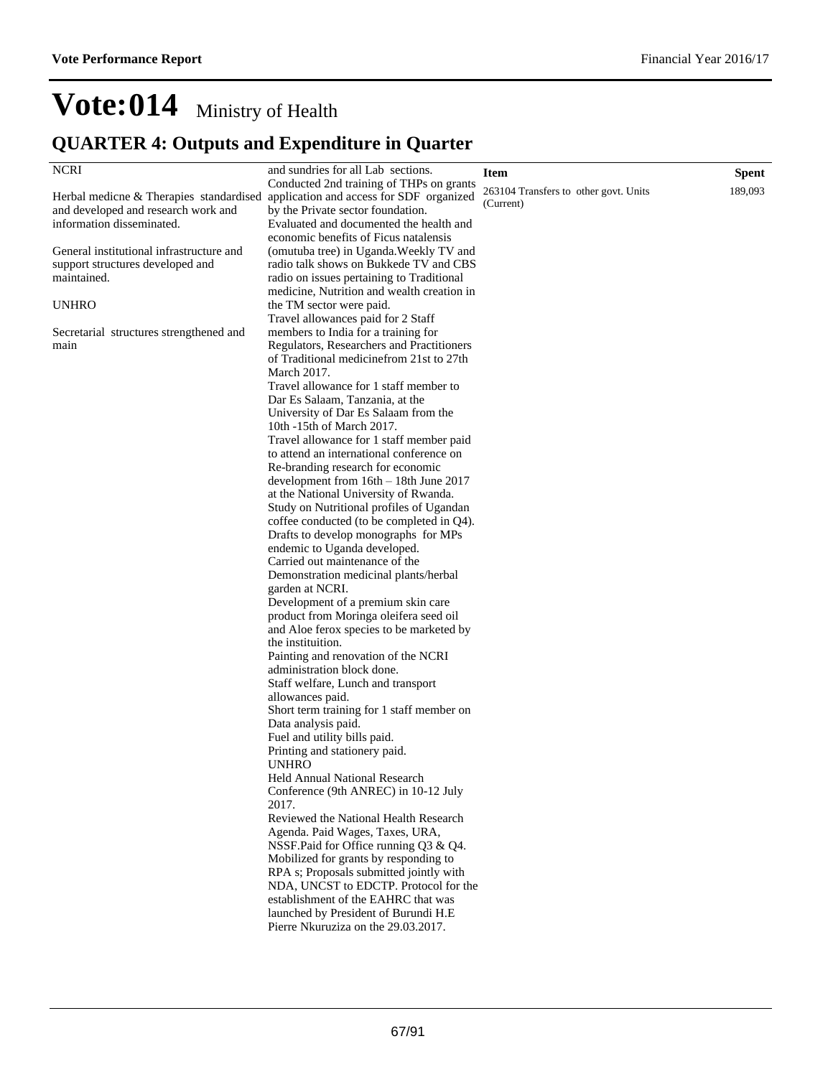## **QUARTER 4: Outputs and Expenditure in Quarter**

| <b>NCRI</b>                              | and sundries for all Lab sections.         | <b>Item</b>                           | <b>Spent</b> |
|------------------------------------------|--------------------------------------------|---------------------------------------|--------------|
|                                          | Conducted 2nd training of THPs on grants   | 263104 Transfers to other govt. Units | 189,093      |
| Herbal medicne & Therapies standardised  | application and access for SDF organized   | (Current)                             |              |
| and developed and research work and      | by the Private sector foundation.          |                                       |              |
| information disseminated.                | Evaluated and documented the health and    |                                       |              |
|                                          | economic benefits of Ficus natalensis      |                                       |              |
| General institutional infrastructure and | (omutuba tree) in Uganda. Weekly TV and    |                                       |              |
| support structures developed and         | radio talk shows on Bukkede TV and CBS     |                                       |              |
| maintained.                              | radio on issues pertaining to Traditional  |                                       |              |
|                                          | medicine, Nutrition and wealth creation in |                                       |              |
| <b>UNHRO</b>                             | the TM sector were paid.                   |                                       |              |
|                                          | Travel allowances paid for 2 Staff         |                                       |              |
| Secretarial structures strengthened and  | members to India for a training for        |                                       |              |
| main                                     | Regulators, Researchers and Practitioners  |                                       |              |
|                                          | of Traditional medicine from 21st to 27th  |                                       |              |
|                                          | March 2017.                                |                                       |              |
|                                          | Travel allowance for 1 staff member to     |                                       |              |
|                                          |                                            |                                       |              |
|                                          | Dar Es Salaam, Tanzania, at the            |                                       |              |
|                                          | University of Dar Es Salaam from the       |                                       |              |
|                                          | 10th -15th of March 2017.                  |                                       |              |
|                                          | Travel allowance for 1 staff member paid   |                                       |              |
|                                          | to attend an international conference on   |                                       |              |
|                                          | Re-branding research for economic          |                                       |              |
|                                          | development from $16th - 18th$ June 2017   |                                       |              |
|                                          | at the National University of Rwanda.      |                                       |              |
|                                          | Study on Nutritional profiles of Ugandan   |                                       |              |
|                                          | coffee conducted (to be completed in Q4).  |                                       |              |
|                                          | Drafts to develop monographs for MPs       |                                       |              |
|                                          | endemic to Uganda developed.               |                                       |              |
|                                          | Carried out maintenance of the             |                                       |              |
|                                          | Demonstration medicinal plants/herbal      |                                       |              |
|                                          | garden at NCRI.                            |                                       |              |
|                                          | Development of a premium skin care         |                                       |              |
|                                          | product from Moringa oleifera seed oil     |                                       |              |
|                                          | and Aloe ferox species to be marketed by   |                                       |              |
|                                          | the instituition.                          |                                       |              |
|                                          | Painting and renovation of the NCRI        |                                       |              |
|                                          | administration block done.                 |                                       |              |
|                                          | Staff welfare, Lunch and transport         |                                       |              |
|                                          | allowances paid.                           |                                       |              |
|                                          | Short term training for 1 staff member on  |                                       |              |
|                                          | Data analysis paid.                        |                                       |              |
|                                          |                                            |                                       |              |
|                                          | Fuel and utility bills paid.               |                                       |              |
|                                          | Printing and stationery paid.              |                                       |              |
|                                          | UNHRO                                      |                                       |              |
|                                          | <b>Held Annual National Research</b>       |                                       |              |
|                                          | Conference (9th ANREC) in 10-12 July       |                                       |              |
|                                          | 2017.                                      |                                       |              |
|                                          | Reviewed the National Health Research      |                                       |              |
|                                          | Agenda. Paid Wages, Taxes, URA,            |                                       |              |
|                                          | NSSF.Paid for Office running Q3 & Q4.      |                                       |              |
|                                          | Mobilized for grants by responding to      |                                       |              |
|                                          | RPA s; Proposals submitted jointly with    |                                       |              |
|                                          | NDA, UNCST to EDCTP. Protocol for the      |                                       |              |
|                                          | establishment of the EAHRC that was        |                                       |              |
|                                          | launched by President of Burundi H.E       |                                       |              |
|                                          | Pierre Nkuruziza on the 29.03.2017.        |                                       |              |
|                                          |                                            |                                       |              |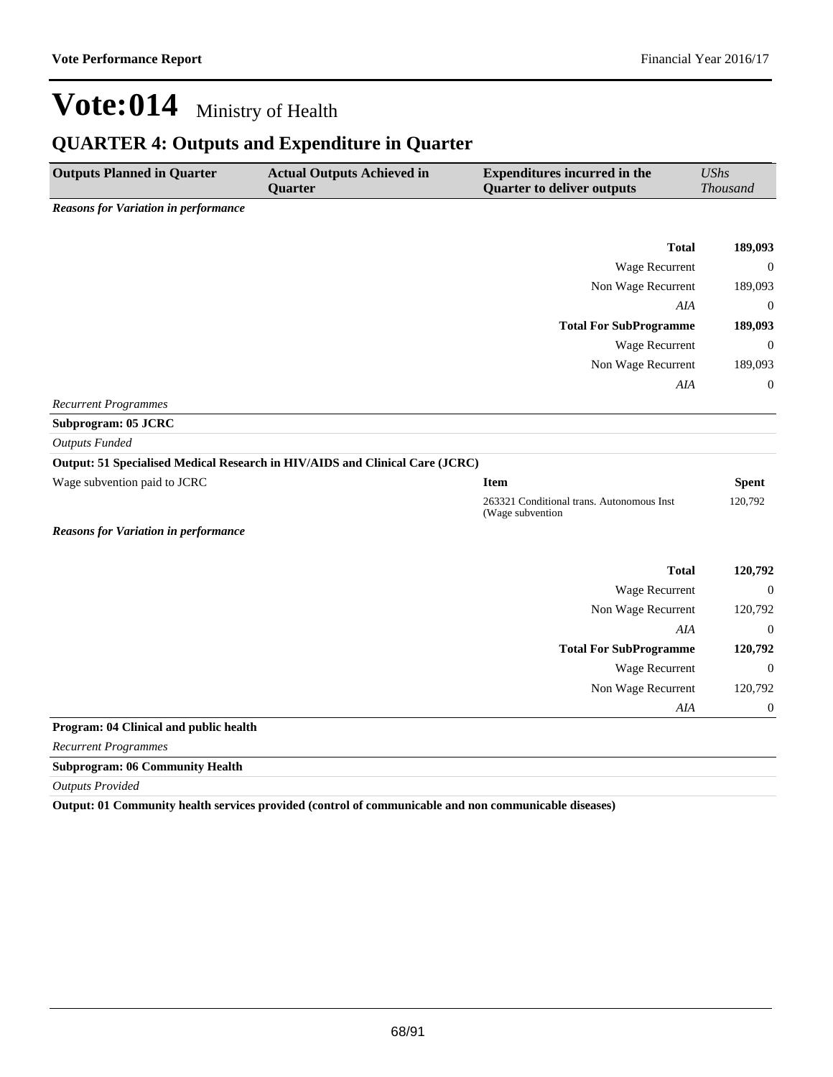### **QUARTER 4: Outputs and Expenditure in Quarter**

| <b>Outputs Planned in Quarter</b>           | <b>Actual Outputs Achieved in</b><br>Quarter                                 | <b>Expenditures incurred in the</b><br><b>Quarter to deliver outputs</b> | <b>UShs</b><br>Thousand |
|---------------------------------------------|------------------------------------------------------------------------------|--------------------------------------------------------------------------|-------------------------|
| <b>Reasons for Variation in performance</b> |                                                                              |                                                                          |                         |
|                                             |                                                                              |                                                                          |                         |
|                                             |                                                                              | <b>Total</b>                                                             | 189,093                 |
|                                             |                                                                              | Wage Recurrent                                                           | $\overline{0}$          |
|                                             |                                                                              | Non Wage Recurrent                                                       | 189,093                 |
|                                             |                                                                              | AIA                                                                      | $\mathbf 0$             |
|                                             |                                                                              | <b>Total For SubProgramme</b>                                            | 189,093                 |
|                                             |                                                                              | Wage Recurrent                                                           | $\mathbf 0$             |
|                                             |                                                                              | Non Wage Recurrent                                                       | 189,093                 |
|                                             |                                                                              | AIA                                                                      | $\boldsymbol{0}$        |
| <b>Recurrent Programmes</b>                 |                                                                              |                                                                          |                         |
| Subprogram: 05 JCRC                         |                                                                              |                                                                          |                         |
| <b>Outputs Funded</b>                       |                                                                              |                                                                          |                         |
|                                             | Output: 51 Specialised Medical Research in HIV/AIDS and Clinical Care (JCRC) |                                                                          |                         |
| Wage subvention paid to JCRC                |                                                                              | <b>Item</b>                                                              | <b>Spent</b>            |
|                                             |                                                                              | 263321 Conditional trans. Autonomous Inst<br>(Wage subvention            | 120,792                 |
| <b>Reasons for Variation in performance</b> |                                                                              |                                                                          |                         |
|                                             |                                                                              | <b>Total</b>                                                             | 120,792                 |
|                                             |                                                                              | Wage Recurrent                                                           | $\boldsymbol{0}$        |
|                                             |                                                                              | Non Wage Recurrent                                                       | 120,792                 |
|                                             |                                                                              | AIA                                                                      | $\theta$                |
|                                             |                                                                              | <b>Total For SubProgramme</b>                                            | 120,792                 |
|                                             |                                                                              | Wage Recurrent                                                           | $\mathbf 0$             |
|                                             |                                                                              | Non Wage Recurrent                                                       | 120,792                 |
|                                             |                                                                              | AIA                                                                      | $\boldsymbol{0}$        |
| Program: 04 Clinical and public health      |                                                                              |                                                                          |                         |
| <b>Recurrent Programmes</b>                 |                                                                              |                                                                          |                         |
| <b>Subprogram: 06 Community Health</b>      |                                                                              |                                                                          |                         |

*Outputs Provided*

**Output: 01 Community health services provided (control of communicable and non communicable diseases)**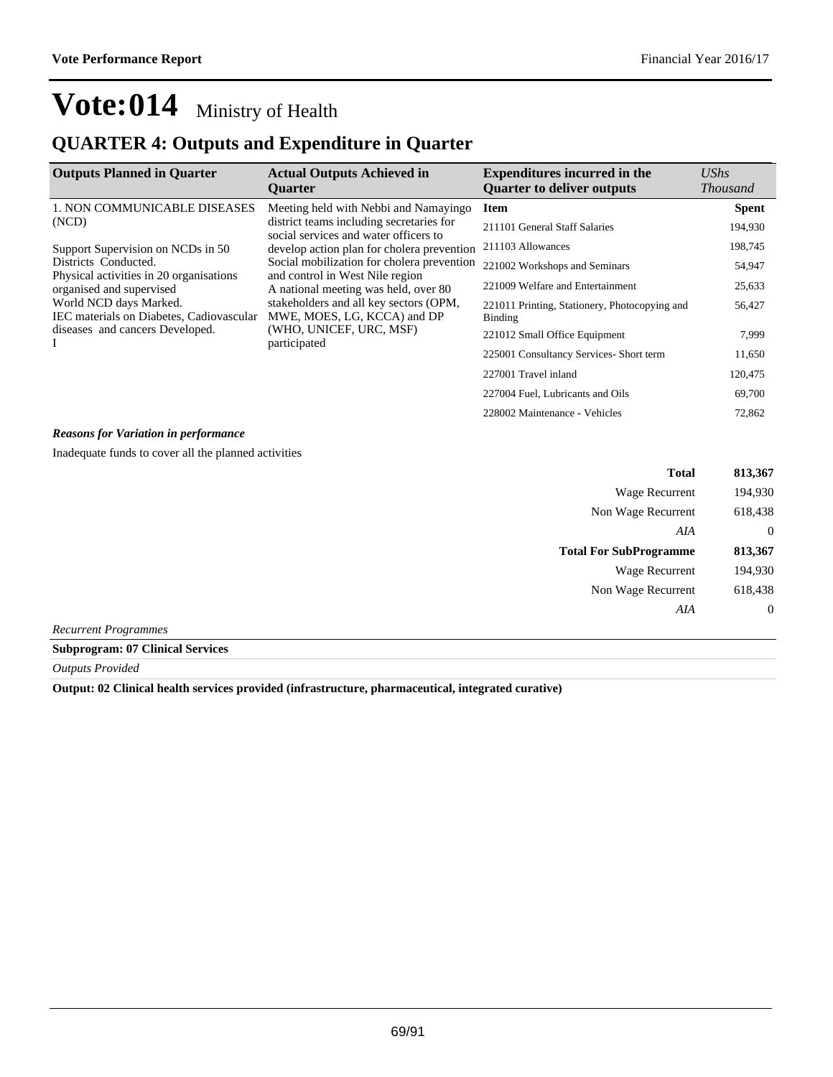### **QUARTER 4: Outputs and Expenditure in Quarter**

| <b>Outputs Planned in Quarter</b>                                  | <b>Actual Outputs Achieved in</b><br><b>Quarter</b>                                                                                                                                                                                                                                    | <b>Expenditures incurred in the</b><br><b>Quarter to deliver outputs</b> | $\mathit{UShs}$<br><b>Thousand</b> |
|--------------------------------------------------------------------|----------------------------------------------------------------------------------------------------------------------------------------------------------------------------------------------------------------------------------------------------------------------------------------|--------------------------------------------------------------------------|------------------------------------|
| 1. NON COMMUNICABLE DISEASES                                       | Meeting held with Nebbi and Namayingo                                                                                                                                                                                                                                                  | <b>Item</b>                                                              | <b>Spent</b>                       |
| (NCD)                                                              | district teams including secretaries for<br>social services and water officers to<br>Social mobilization for cholera prevention<br>and control in West Nile region<br>stakeholders and all key sectors (OPM,<br>MWE, MOES, LG, KCCA) and DP<br>(WHO, UNICEF, URC, MSF)<br>participated | 211101 General Staff Salaries                                            | 194,930                            |
| Support Supervision on NCDs in 50                                  | develop action plan for cholera prevention                                                                                                                                                                                                                                             | 211103 Allowances                                                        | 198,745                            |
| Districts Conducted.<br>Physical activities in 20 organisations    |                                                                                                                                                                                                                                                                                        | 221002 Workshops and Seminars                                            | 54,947                             |
| organised and supervised                                           | A national meeting was held, over 80                                                                                                                                                                                                                                                   | 221009 Welfare and Entertainment                                         | 25,633                             |
| World NCD days Marked.<br>IEC materials on Diabetes, Cadiovascular |                                                                                                                                                                                                                                                                                        | 221011 Printing, Stationery, Photocopying and<br>Binding                 | 56,427                             |
| diseases and cancers Developed.<br>I                               |                                                                                                                                                                                                                                                                                        | 221012 Small Office Equipment                                            | 7,999                              |
|                                                                    |                                                                                                                                                                                                                                                                                        | 225001 Consultancy Services- Short term                                  | 11,650                             |
|                                                                    |                                                                                                                                                                                                                                                                                        | 227001 Travel inland                                                     | 120,475                            |
|                                                                    |                                                                                                                                                                                                                                                                                        | 227004 Fuel, Lubricants and Oils                                         | 69,700                             |
|                                                                    |                                                                                                                                                                                                                                                                                        | 228002 Maintenance - Vehicles                                            | 72,862                             |

### *Reasons for Variation in performance*

Inadequate funds to cover all the planned activities

| 813,367          | <b>Total</b>                  |        |
|------------------|-------------------------------|--------|
| 194,930          | Wage Recurrent                |        |
| 618,438          | Non Wage Recurrent            |        |
| $\theta$         | AIA                           |        |
| 813,367          | <b>Total For SubProgramme</b> |        |
| 194,930          | Wage Recurrent                |        |
| 618,438          | Non Wage Recurrent            |        |
| $\boldsymbol{0}$ | AIA                           |        |
|                  |                               | $\sim$ |

*Recurrent Programmes*

### **Subprogram: 07 Clinical Services**

*Outputs Provided*

**Output: 02 Clinical health services provided (infrastructure, pharmaceutical, integrated curative)**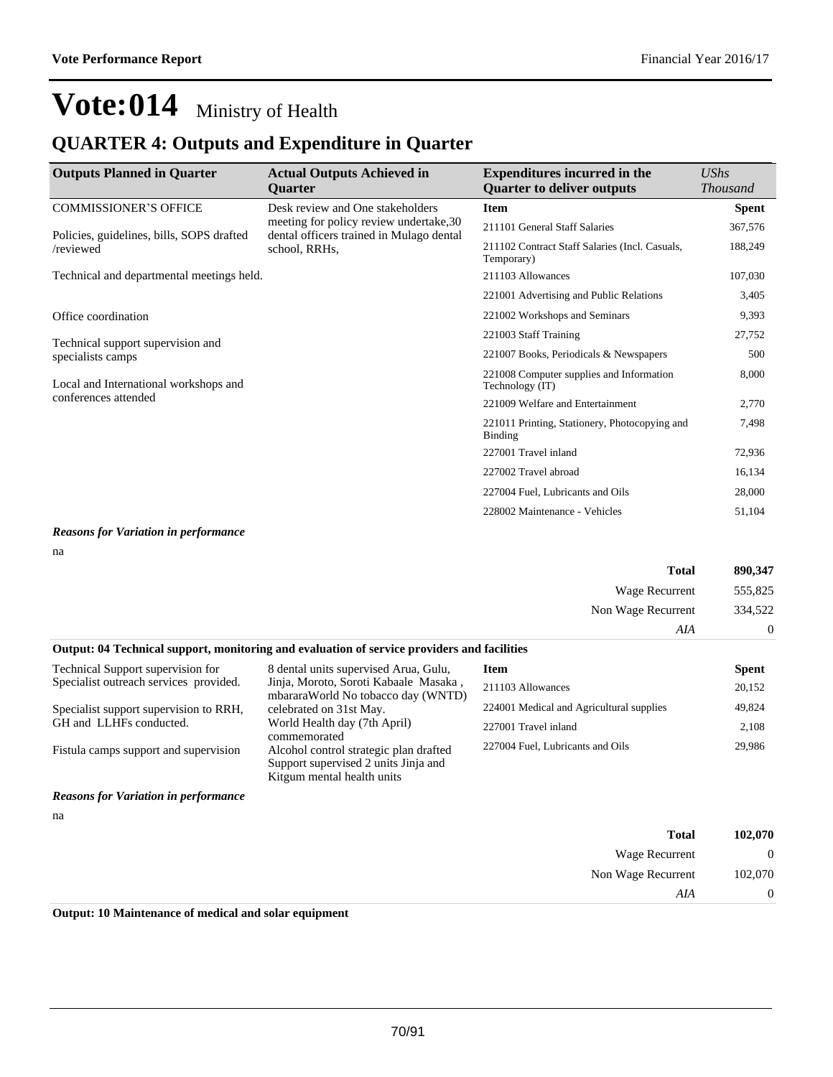### **QUARTER 4: Outputs and Expenditure in Quarter**

| <b>Outputs Planned in Quarter</b>                      | <b>Actual Outputs Achieved in</b><br><b>Ouarter</b>                                 | <b>Expenditures incurred in the</b><br><b>Quarter to deliver outputs</b> | UShs<br><b>Thousand</b> |
|--------------------------------------------------------|-------------------------------------------------------------------------------------|--------------------------------------------------------------------------|-------------------------|
| <b>COMMISSIONER'S OFFICE</b>                           | Desk review and One stakeholders                                                    | <b>Item</b>                                                              | <b>Spent</b>            |
| Policies, guidelines, bills, SOPS drafted              | meeting for policy review undertake, 30<br>dental officers trained in Mulago dental | 211101 General Staff Salaries                                            | 367,576                 |
| /reviewed                                              | school, RRHs,                                                                       | 211102 Contract Staff Salaries (Incl. Casuals,<br>Temporary)             | 188,249                 |
| Technical and departmental meetings held.              |                                                                                     | 211103 Allowances                                                        | 107,030                 |
|                                                        |                                                                                     | 221001 Advertising and Public Relations                                  | 3,405                   |
| Office coordination                                    |                                                                                     | 221002 Workshops and Seminars                                            | 9,393                   |
|                                                        |                                                                                     | 221003 Staff Training                                                    | 27,752                  |
| Technical support supervision and<br>specialists camps |                                                                                     | 221007 Books, Periodicals & Newspapers                                   | 500                     |
| Local and International workshops and                  |                                                                                     | 221008 Computer supplies and Information<br>Technology (IT)              | 8,000                   |
| conferences attended                                   |                                                                                     | 221009 Welfare and Entertainment                                         | 2,770                   |
|                                                        |                                                                                     | 221011 Printing, Stationery, Photocopying and<br>Binding                 | 7,498                   |
|                                                        |                                                                                     | 227001 Travel inland                                                     | 72,936                  |
|                                                        |                                                                                     | 227002 Travel abroad                                                     | 16,134                  |
|                                                        |                                                                                     | 227004 Fuel, Lubricants and Oils                                         | 28,000                  |
|                                                        |                                                                                     | 228002 Maintenance - Vehicles                                            | 51,104                  |

### *Reasons for Variation in performance*

| na                                          |                                                                                                                                                        |                                          |              |
|---------------------------------------------|--------------------------------------------------------------------------------------------------------------------------------------------------------|------------------------------------------|--------------|
|                                             |                                                                                                                                                        | <b>Total</b>                             | 890,347      |
|                                             |                                                                                                                                                        | Wage Recurrent                           | 555,825      |
|                                             |                                                                                                                                                        | Non Wage Recurrent                       | 334,522      |
|                                             |                                                                                                                                                        | AIA                                      | $\Omega$     |
|                                             | Output: 04 Technical support, monitoring and evaluation of service providers and facilities                                                            |                                          |              |
| Technical Support supervision for           | 8 dental units supervised Arua, Gulu,                                                                                                                  | Item                                     | <b>Spent</b> |
| Specialist outreach services provided.      | Jinja, Moroto, Soroti Kabaale Masaka,<br>mbararaWorld No tobacco day (WNTD)<br>celebrated on 31st May.<br>World Health day (7th April)<br>commemorated | 211103 Allowances                        | 20,152       |
| Specialist support supervision to RRH,      |                                                                                                                                                        | 224001 Medical and Agricultural supplies | 49,824       |
| GH and LLHFs conducted.                     |                                                                                                                                                        | 227001 Travel inland                     | 2,108        |
| Fistula camps support and supervision       | Alcohol control strategic plan drafted<br>Support supervised 2 units Jinja and<br>Kitgum mental health units                                           | 227004 Fuel, Lubricants and Oils         | 29,986       |
| <b>Reasons for Variation in performance</b> |                                                                                                                                                        |                                          |              |

| 102,070        | <b>Total</b>       |
|----------------|--------------------|
| $\overline{0}$ | Wage Recurrent     |
| 102,070        | Non Wage Recurrent |
| $\overline{0}$ | AIA                |

**Output: 10 Maintenance of medical and solar equipment**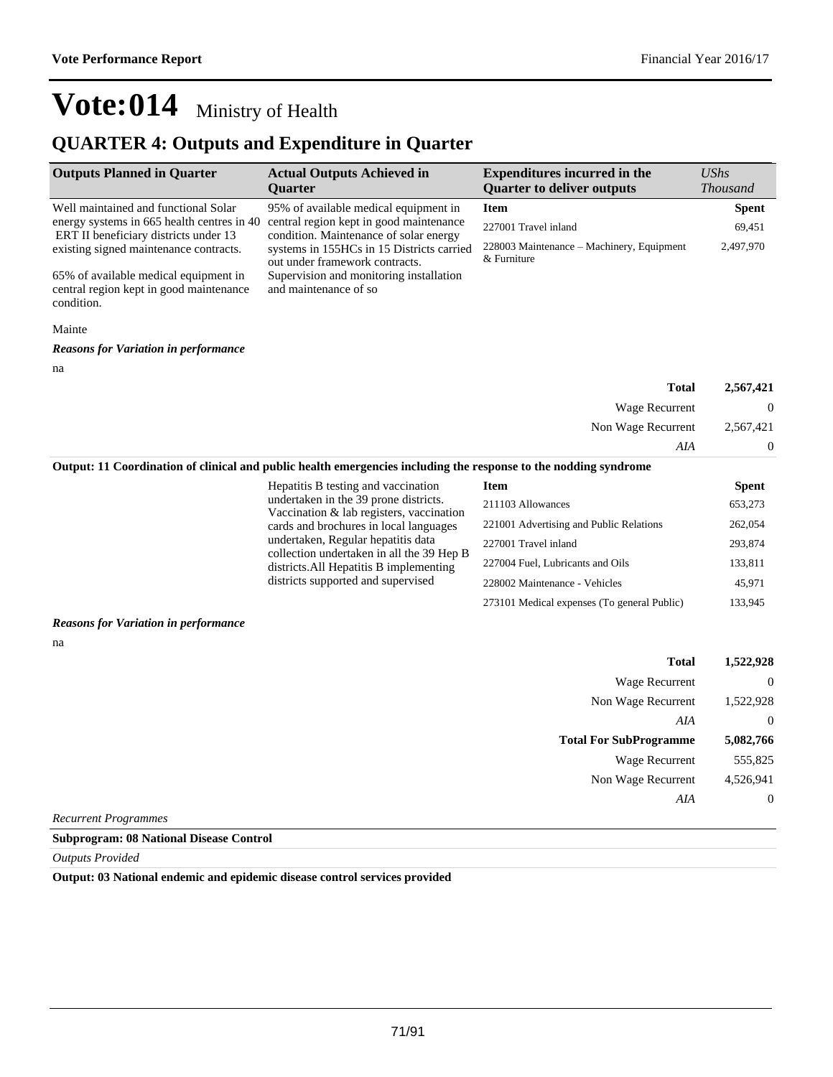228002 Maintenance - Vehicles 45,971 273101 Medical expenses (To general Public) 133,945

# **Vote:014** Ministry of Health

### **QUARTER 4: Outputs and Expenditure in Quarter**

| <b>Outputs Planned in Quarter</b>                                                              | <b>Actual Outputs Achieved in</b>                                                                                | <b>Expenditures incurred in the</b>                      | <b>UShs</b>     |
|------------------------------------------------------------------------------------------------|------------------------------------------------------------------------------------------------------------------|----------------------------------------------------------|-----------------|
|                                                                                                | <b>Ouarter</b>                                                                                                   | <b>Quarter to deliver outputs</b>                        | <b>Thousand</b> |
| Well maintained and functional Solar                                                           | 95% of available medical equipment in                                                                            | <b>Item</b>                                              | <b>Spent</b>    |
| energy systems in 665 health centres in 40                                                     | central region kept in good maintenance<br>condition. Maintenance of solar energy                                | 227001 Travel inland                                     | 69,451          |
| ERT II beneficiary districts under 13<br>existing signed maintenance contracts.                | systems in 155HCs in 15 Districts carried<br>out under framework contracts.                                      | 228003 Maintenance – Machinery, Equipment<br>& Furniture | 2,497,970       |
| 65% of available medical equipment in<br>central region kept in good maintenance<br>condition. | Supervision and monitoring installation<br>and maintenance of so                                                 |                                                          |                 |
| Mainte                                                                                         |                                                                                                                  |                                                          |                 |
| <b>Reasons for Variation in performance</b>                                                    |                                                                                                                  |                                                          |                 |
| na                                                                                             |                                                                                                                  |                                                          |                 |
|                                                                                                |                                                                                                                  | <b>Total</b>                                             | 2,567,421       |
|                                                                                                |                                                                                                                  | Wage Recurrent                                           | $\theta$        |
|                                                                                                |                                                                                                                  | Non Wage Recurrent                                       | 2,567,421       |
|                                                                                                |                                                                                                                  | AIA                                                      | $\theta$        |
|                                                                                                | Output: 11 Coordination of clinical and public health emergencies including the response to the nodding syndrome |                                                          |                 |
|                                                                                                | Hepatitis B testing and vaccination                                                                              | <b>Item</b>                                              | <b>Spent</b>    |
|                                                                                                | undertaken in the 39 prone districts.                                                                            | 211103 Allowances                                        | 653,273         |
|                                                                                                | Vaccination & lab registers, vaccination<br>cards and brochures in local languages                               | 221001 Advertising and Public Relations                  | 262,054         |
|                                                                                                | undertaken, Regular hepatitis data                                                                               | 227001 Travel inland                                     | 293,874         |
|                                                                                                | collection undertaken in all the 39 Hep B<br>districts. All Hepatitis B implementing                             | 227004 Fuel, Lubricants and Oils                         | 133,811         |

#### *Reasons for Variation in performance*

na

| 1,522,928      | <b>Total</b>                  |   |
|----------------|-------------------------------|---|
| $\theta$       | Wage Recurrent                |   |
| 1,522,928      | Non Wage Recurrent            |   |
| $\overline{0}$ | AIA                           |   |
| 5,082,766      | <b>Total For SubProgramme</b> |   |
| 555,825        | Wage Recurrent                |   |
| 4,526,941      | Non Wage Recurrent            |   |
| $\theta$       | AIA                           |   |
|                | $\overline{\phantom{a}}$      | _ |

districts supported and supervised

*Recurrent Programmes*

### **Subprogram: 08 National Disease Control**

*Outputs Provided*

**Output: 03 National endemic and epidemic disease control services provided**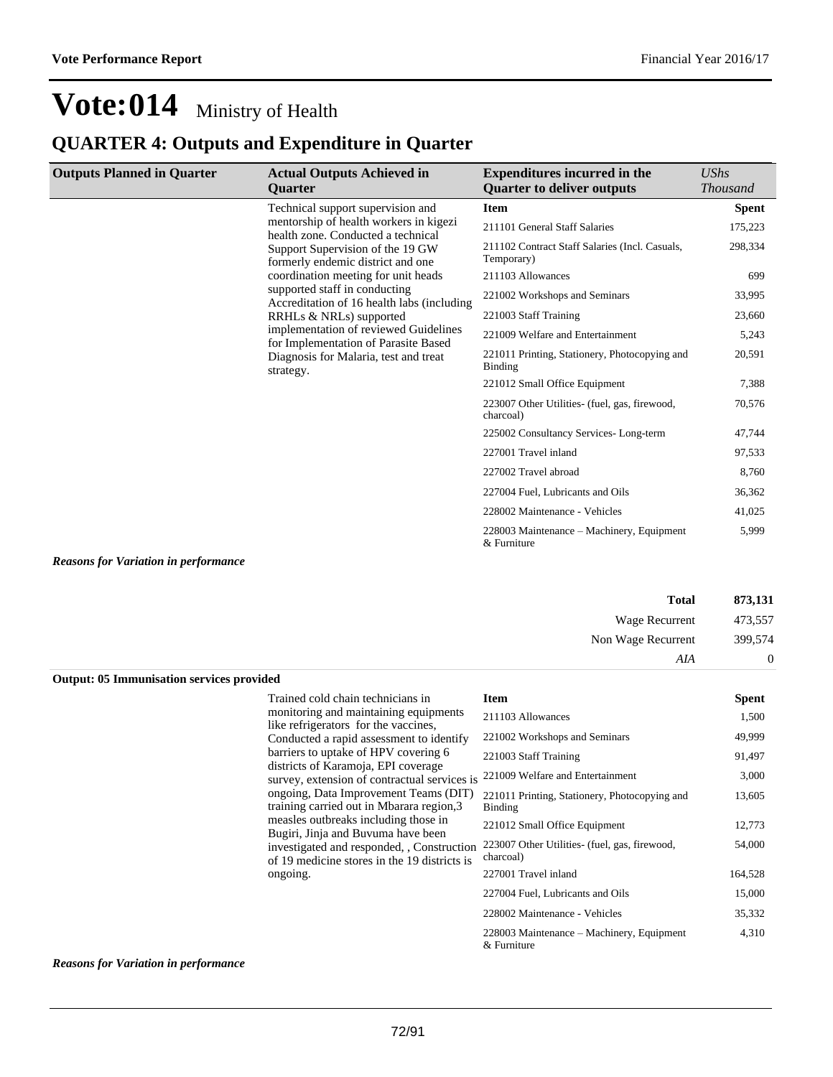### **QUARTER 4: Outputs and Expenditure in Quarter**

| <b>Outputs Planned in Quarter</b>                                                                                                                                                                                      | <b>Actual Outputs Achieved in</b><br><b>Ouarter</b>                                                                                 | <b>Expenditures incurred in the</b><br><b>Quarter to deliver outputs</b> | <b>UShs</b><br><b>Thousand</b> |
|------------------------------------------------------------------------------------------------------------------------------------------------------------------------------------------------------------------------|-------------------------------------------------------------------------------------------------------------------------------------|--------------------------------------------------------------------------|--------------------------------|
|                                                                                                                                                                                                                        |                                                                                                                                     |                                                                          |                                |
|                                                                                                                                                                                                                        | Technical support supervision and<br>mentorship of health workers in kigezi<br>health zone. Conducted a technical                   | <b>Item</b>                                                              | <b>Spent</b>                   |
|                                                                                                                                                                                                                        |                                                                                                                                     | 211101 General Staff Salaries                                            | 175,223                        |
| Support Supervision of the 19 GW<br>formerly endemic district and one<br>coordination meeting for unit heads<br>supported staff in conducting<br>Accreditation of 16 health labs (including<br>RRHLs & NRLs) supported |                                                                                                                                     | 211102 Contract Staff Salaries (Incl. Casuals,<br>Temporary)             | 298,334                        |
|                                                                                                                                                                                                                        |                                                                                                                                     | 211103 Allowances                                                        | 699                            |
|                                                                                                                                                                                                                        |                                                                                                                                     | 221002 Workshops and Seminars                                            | 33,995                         |
|                                                                                                                                                                                                                        | 221003 Staff Training                                                                                                               | 23,660                                                                   |                                |
|                                                                                                                                                                                                                        | implementation of reviewed Guidelines<br>for Implementation of Parasite Based<br>Diagnosis for Malaria, test and treat<br>strategy. | 221009 Welfare and Entertainment                                         | 5,243                          |
|                                                                                                                                                                                                                        |                                                                                                                                     | 221011 Printing, Stationery, Photocopying and<br>Binding                 | 20,591                         |
|                                                                                                                                                                                                                        |                                                                                                                                     | 221012 Small Office Equipment                                            | 7,388                          |
|                                                                                                                                                                                                                        | 223007 Other Utilities - (fuel, gas, firewood,<br>charcoal)                                                                         | 70,576                                                                   |                                |
|                                                                                                                                                                                                                        |                                                                                                                                     | 225002 Consultancy Services-Long-term                                    | 47,744                         |
|                                                                                                                                                                                                                        |                                                                                                                                     | 227001 Travel inland                                                     | 97,533                         |
|                                                                                                                                                                                                                        |                                                                                                                                     | 227002 Travel abroad                                                     | 8,760                          |
|                                                                                                                                                                                                                        |                                                                                                                                     | 227004 Fuel, Lubricants and Oils                                         | 36,362                         |
|                                                                                                                                                                                                                        |                                                                                                                                     | 228002 Maintenance - Vehicles                                            | 41,025                         |
|                                                                                                                                                                                                                        |                                                                                                                                     | 228003 Maintenance – Machinery, Equipment<br>$&$ Furniture               | 5,999                          |

#### *Reasons for Variation in performance*

| <b>Total</b>       | 873,131 |
|--------------------|---------|
| Wage Recurrent     | 473,557 |
| Non Wage Recurrent | 399,574 |
| AIA                |         |

#### **Output: 05 Immunisation services provided**

Trained cold chain technicians in monitoring and maintaining equipments like refrigerators for the vaccines, Conducted a rapid assessment to identify barriers to uptake of HPV covering 6 districts of Karamoja, EPI coverage survey, extension of contractual services is ongoing, Data Improvement Teams (DIT) training carried out in Mbarara region,3 measles outbreaks including those in Bugiri, Jinja and Buvuma have been investigated and responded, , Construction of 19 medicine stores in the 19 districts is ongoing.

| <b>Item</b>                                               | <b>Spent</b> |
|-----------------------------------------------------------|--------------|
| 211103 Allowances                                         | 1,500        |
| 221002 Workshops and Seminars                             | 49,999       |
| 221003 Staff Training                                     | 91,497       |
| 221009 Welfare and Entertainment                          | 3,000        |
| 221011 Printing, Stationery, Photocopying and<br>Binding  | 13,605       |
| 221012 Small Office Equipment                             | 12,773       |
| 223007 Other Utilities (fuel, gas, firewood,<br>charcoal) | 54,000       |
| 227001 Travel inland                                      | 164,528      |
| 227004 Fuel, Lubricants and Oils                          | 15,000       |
| 228002 Maintenance - Vehicles                             | 35,332       |
| 228003 Maintenance – Machinery, Equipment<br>& Furniture  | 4,310        |

#### *Reasons for Variation in performance*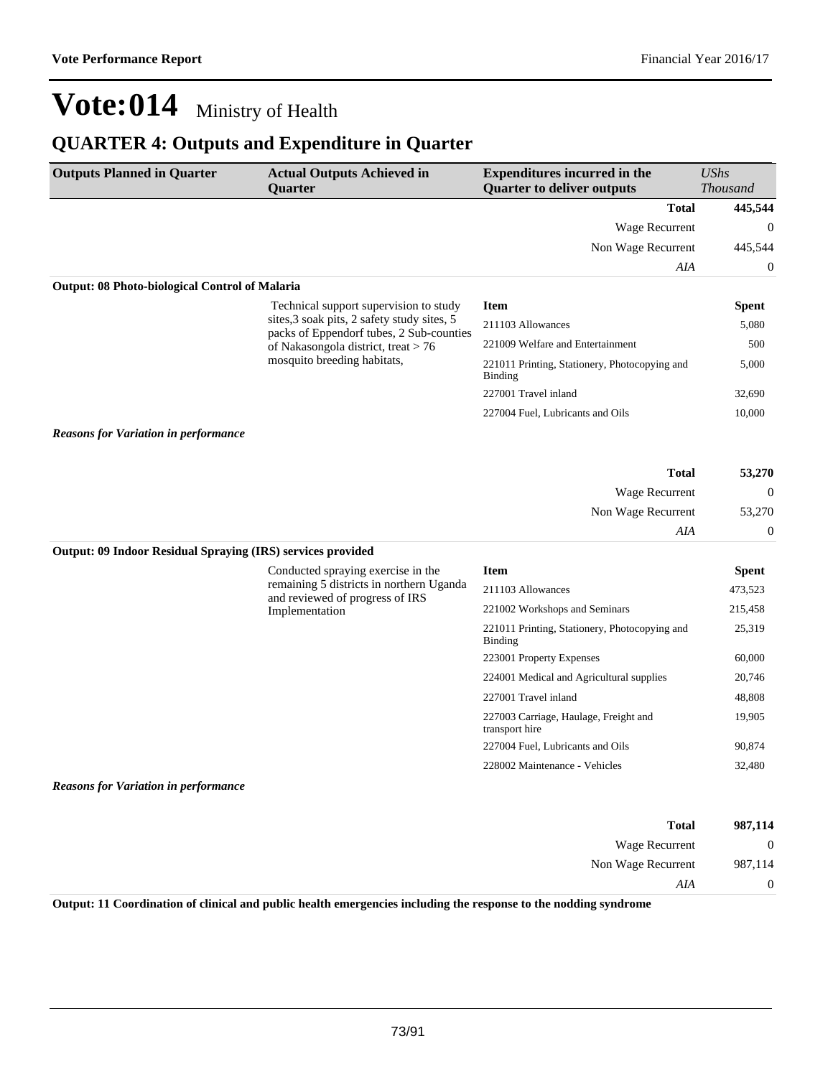### **QUARTER 4: Outputs and Expenditure in Quarter**

| <b>Outputs Planned in Quarter</b>                           | <b>Actual Outputs Achieved in</b><br><b>Quarter</b>                                     | <b>Expenditures incurred in the</b><br><b>Quarter to deliver outputs</b> | <b>UShs</b><br><b>Thousand</b> |
|-------------------------------------------------------------|-----------------------------------------------------------------------------------------|--------------------------------------------------------------------------|--------------------------------|
|                                                             |                                                                                         | <b>Total</b>                                                             | 445,544                        |
|                                                             |                                                                                         | Wage Recurrent                                                           | $\theta$                       |
|                                                             |                                                                                         | Non Wage Recurrent                                                       | 445,544                        |
|                                                             |                                                                                         | AIA                                                                      | 0                              |
| <b>Output: 08 Photo-biological Control of Malaria</b>       |                                                                                         |                                                                          |                                |
|                                                             | Technical support supervision to study                                                  | <b>Item</b>                                                              | <b>Spent</b>                   |
|                                                             | sites, 3 soak pits, 2 safety study sites, 5<br>packs of Eppendorf tubes, 2 Sub-counties | 211103 Allowances                                                        | 5,080                          |
|                                                             | of Nakasongola district, treat > 76                                                     | 221009 Welfare and Entertainment                                         | 500                            |
|                                                             | mosquito breeding habitats,                                                             | 221011 Printing, Stationery, Photocopying and<br>Binding                 | 5,000                          |
|                                                             |                                                                                         | 227001 Travel inland                                                     | 32,690                         |
|                                                             |                                                                                         | 227004 Fuel, Lubricants and Oils                                         | 10,000                         |
| <b>Reasons for Variation in performance</b>                 |                                                                                         |                                                                          |                                |
|                                                             |                                                                                         |                                                                          |                                |
|                                                             |                                                                                         | <b>Total</b>                                                             | 53,270                         |
|                                                             |                                                                                         | Wage Recurrent                                                           | $\boldsymbol{0}$               |
|                                                             |                                                                                         | Non Wage Recurrent                                                       | 53,270                         |
|                                                             |                                                                                         | AIA                                                                      | $\mathbf{0}$                   |
| Output: 09 Indoor Residual Spraying (IRS) services provided |                                                                                         |                                                                          |                                |
|                                                             | Conducted spraying exercise in the                                                      | <b>Item</b>                                                              | <b>Spent</b>                   |
|                                                             | remaining 5 districts in northern Uganda<br>and reviewed of progress of IRS             | 211103 Allowances                                                        | 473,523                        |
|                                                             | Implementation                                                                          | 221002 Workshops and Seminars                                            | 215,458                        |
|                                                             |                                                                                         | 221011 Printing, Stationery, Photocopying and<br>Binding                 | 25,319                         |
|                                                             |                                                                                         | 223001 Property Expenses                                                 | 60,000                         |
|                                                             |                                                                                         | 224001 Medical and Agricultural supplies                                 | 20,746                         |
|                                                             |                                                                                         | 227001 Travel inland                                                     | 48,808                         |
|                                                             |                                                                                         | 227003 Carriage, Haulage, Freight and<br>transport hire                  | 19,905                         |
|                                                             |                                                                                         | 227004 Fuel, Lubricants and Oils                                         | 90,874                         |
|                                                             |                                                                                         | 228002 Maintenance - Vehicles                                            | 32,480                         |
| <b>Reasons for Variation in performance</b>                 |                                                                                         |                                                                          |                                |

| 987,114 | <b>Total</b>       |
|---------|--------------------|
| ν       | Wage Recurrent     |
| 987,114 | Non Wage Recurrent |
|         | AIA                |

**Output: 11 Coordination of clinical and public health emergencies including the response to the nodding syndrome**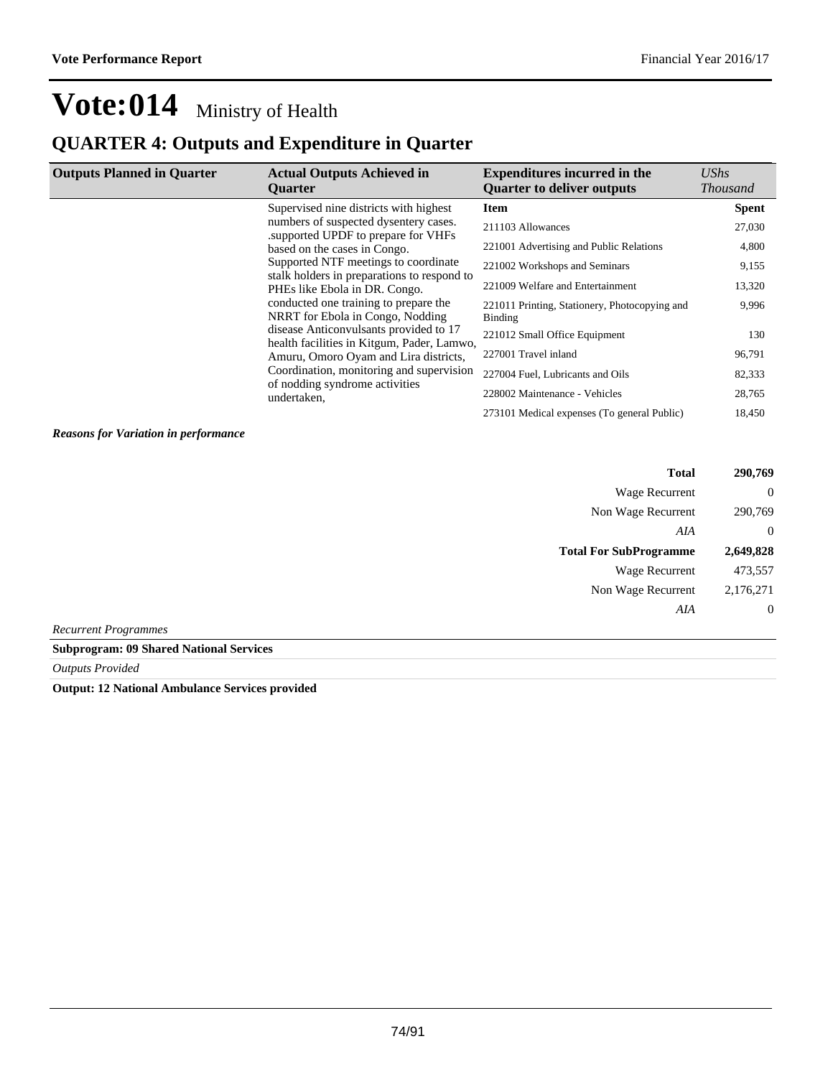### **QUARTER 4: Outputs and Expenditure in Quarter**

| <b>Outputs Planned in Quarter</b>                                                                                   | <b>Actual Outputs Achieved in</b><br><b>Ouarter</b>                                                                                                               | <b>Expenditures incurred in the</b><br><b>Quarter to deliver outputs</b> | $\mathit{UShs}$<br><b>Thousand</b> |
|---------------------------------------------------------------------------------------------------------------------|-------------------------------------------------------------------------------------------------------------------------------------------------------------------|--------------------------------------------------------------------------|------------------------------------|
|                                                                                                                     | Supervised nine districts with highest                                                                                                                            | <b>Item</b>                                                              | <b>Spent</b>                       |
|                                                                                                                     | numbers of suspected dysentery cases.<br>supported UPDF to prepare for VHFs.                                                                                      | 211103 Allowances                                                        | 27,030                             |
|                                                                                                                     | based on the cases in Congo.                                                                                                                                      | 221001 Advertising and Public Relations                                  | 4,800                              |
|                                                                                                                     | Supported NTF meetings to coordinate                                                                                                                              | 221002 Workshops and Seminars                                            | 9,155                              |
|                                                                                                                     | stalk holders in preparations to respond to<br>PHEs like Ebola in DR. Congo.                                                                                      | 221009 Welfare and Entertainment                                         | 13,320                             |
|                                                                                                                     | conducted one training to prepare the<br>NRRT for Ebola in Congo, Nodding<br>disease Anticonvulsants provided to 17<br>health facilities in Kitgum, Pader, Lamwo, | 221011 Printing, Stationery, Photocopying and<br><b>Binding</b>          | 9,996                              |
|                                                                                                                     |                                                                                                                                                                   | 221012 Small Office Equipment                                            | 130                                |
| Amuru, Omoro Oyam and Lira districts,<br>Coordination, monitoring and supervision<br>of nodding syndrome activities | 227001 Travel inland                                                                                                                                              | 96,791                                                                   |                                    |
|                                                                                                                     | 227004 Fuel, Lubricants and Oils                                                                                                                                  | 82,333                                                                   |                                    |
|                                                                                                                     | undertaken,                                                                                                                                                       | 228002 Maintenance - Vehicles                                            | 28,765                             |
|                                                                                                                     |                                                                                                                                                                   | 273101 Medical expenses (To general Public)                              | 18,450                             |

*Reasons for Variation in performance*

| <b>Total</b>                  | 290,769   |
|-------------------------------|-----------|
| Wage Recurrent                | 0         |
| Non Wage Recurrent            | 290,769   |
| AIA                           | 0         |
|                               |           |
| <b>Total For SubProgramme</b> | 2,649,828 |
| Wage Recurrent                | 473,557   |
| Non Wage Recurrent            | 2,176,271 |

*Recurrent Programmes*

**Subprogram: 09 Shared National Services**

*Outputs Provided*

**Output: 12 National Ambulance Services provided**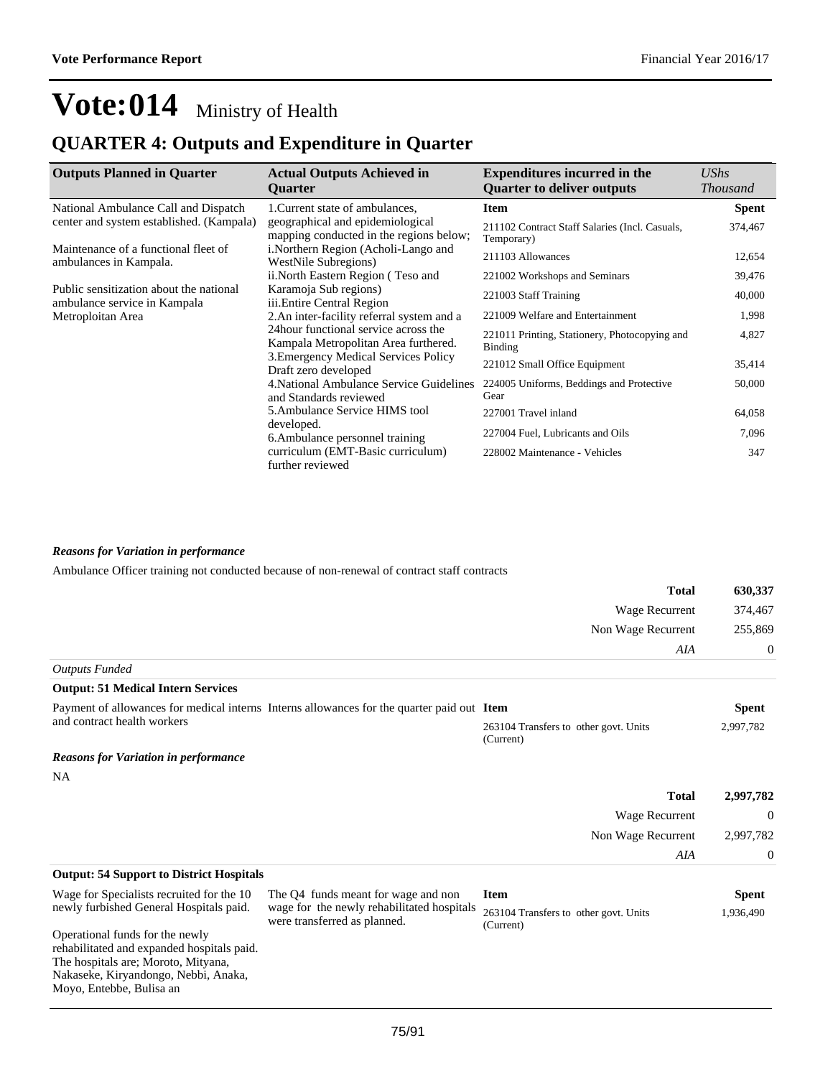### **QUARTER 4: Outputs and Expenditure in Quarter**

| <b>Outputs Planned in Quarter</b>                                       | <b>Actual Outputs Achieved in</b><br><b>Ouarter</b>                           | <b>Expenditures incurred in the</b><br><b>Ouarter to deliver outputs</b> | UShs<br><b>Thousand</b> |
|-------------------------------------------------------------------------|-------------------------------------------------------------------------------|--------------------------------------------------------------------------|-------------------------|
| National Ambulance Call and Dispatch                                    | 1. Current state of ambulances,                                               | <b>Item</b>                                                              | <b>Spent</b>            |
| center and system established. (Kampala)                                | geographical and epidemiological<br>mapping conducted in the regions below;   | 211102 Contract Staff Salaries (Incl. Casuals,<br>Temporary)             | 374,467                 |
| Maintenance of a functional fleet of<br>ambulances in Kampala.          | i.Northern Region (Acholi-Lango and<br><b>WestNile Subregions</b> )           | 211103 Allowances                                                        | 12,654                  |
|                                                                         | ii. North Eastern Region (Teso and                                            | 221002 Workshops and Seminars                                            | 39,476                  |
| Public sensitization about the national<br>ambulance service in Kampala | Karamoja Sub regions)<br>iii. Entire Central Region                           | 221003 Staff Training                                                    | 40,000                  |
| Metroploitan Area                                                       | 2. An inter-facility referral system and a                                    | 221009 Welfare and Entertainment                                         | 1,998                   |
|                                                                         | 24 hour functional service across the<br>Kampala Metropolitan Area furthered. | 221011 Printing, Stationery, Photocopying and<br>Binding                 | 4,827                   |
|                                                                         | 3. Emergency Medical Services Policy<br>Draft zero developed                  | 221012 Small Office Equipment                                            | 35,414                  |
|                                                                         | 4. National Ambulance Service Guidelines<br>and Standards reviewed            | 224005 Uniforms, Beddings and Protective<br>Gear                         | 50,000                  |
|                                                                         | 5. Ambulance Service HIMS tool<br>developed.                                  | 227001 Travel inland                                                     | 64,058                  |
|                                                                         | 6. Ambulance personnel training                                               | 227004 Fuel, Lubricants and Oils                                         | 7,096                   |
|                                                                         | curriculum (EMT-Basic curriculum)<br>further reviewed                         | 228002 Maintenance - Vehicles                                            | 347                     |

#### *Reasons for Variation in performance*

Ambulance Officer training not conducted because of non-renewal of contract staff contracts

|                                                                                                                                                                                          |                                                                                            | <b>Total</b>                                       | 630,337          |
|------------------------------------------------------------------------------------------------------------------------------------------------------------------------------------------|--------------------------------------------------------------------------------------------|----------------------------------------------------|------------------|
|                                                                                                                                                                                          |                                                                                            | Wage Recurrent                                     | 374,467          |
|                                                                                                                                                                                          |                                                                                            | Non Wage Recurrent                                 | 255,869          |
|                                                                                                                                                                                          |                                                                                            | AIA                                                | $\boldsymbol{0}$ |
| <b>Outputs Funded</b>                                                                                                                                                                    |                                                                                            |                                                    |                  |
| <b>Output: 51 Medical Intern Services</b>                                                                                                                                                |                                                                                            |                                                    |                  |
|                                                                                                                                                                                          | Payment of allowances for medical interns Interns allowances for the quarter paid out Item |                                                    | <b>Spent</b>     |
| and contract health workers                                                                                                                                                              |                                                                                            | 263104 Transfers to other govt. Units<br>(Current) | 2,997,782        |
| <b>Reasons for Variation in performance</b>                                                                                                                                              |                                                                                            |                                                    |                  |
| <b>NA</b>                                                                                                                                                                                |                                                                                            |                                                    |                  |
|                                                                                                                                                                                          |                                                                                            | <b>Total</b>                                       | 2,997,782        |
|                                                                                                                                                                                          |                                                                                            | Wage Recurrent                                     | $\theta$         |
|                                                                                                                                                                                          |                                                                                            | Non Wage Recurrent                                 | 2,997,782        |
|                                                                                                                                                                                          |                                                                                            | AIA                                                | $\boldsymbol{0}$ |
| <b>Output: 54 Support to District Hospitals</b>                                                                                                                                          |                                                                                            |                                                    |                  |
| Wage for Specialists recruited for the 10                                                                                                                                                | The Q4 funds meant for wage and non                                                        | <b>Item</b>                                        | <b>Spent</b>     |
| newly furbished General Hospitals paid.                                                                                                                                                  | wage for the newly rehabilitated hospitals<br>were transferred as planned.                 | 263104 Transfers to other govt. Units<br>(Current) | 1,936,490        |
| Operational funds for the newly<br>rehabilitated and expanded hospitals paid.<br>The hospitals are; Moroto, Mityana,<br>Nakaseke, Kiryandongo, Nebbi, Anaka,<br>Moyo, Entebbe, Bulisa an |                                                                                            |                                                    |                  |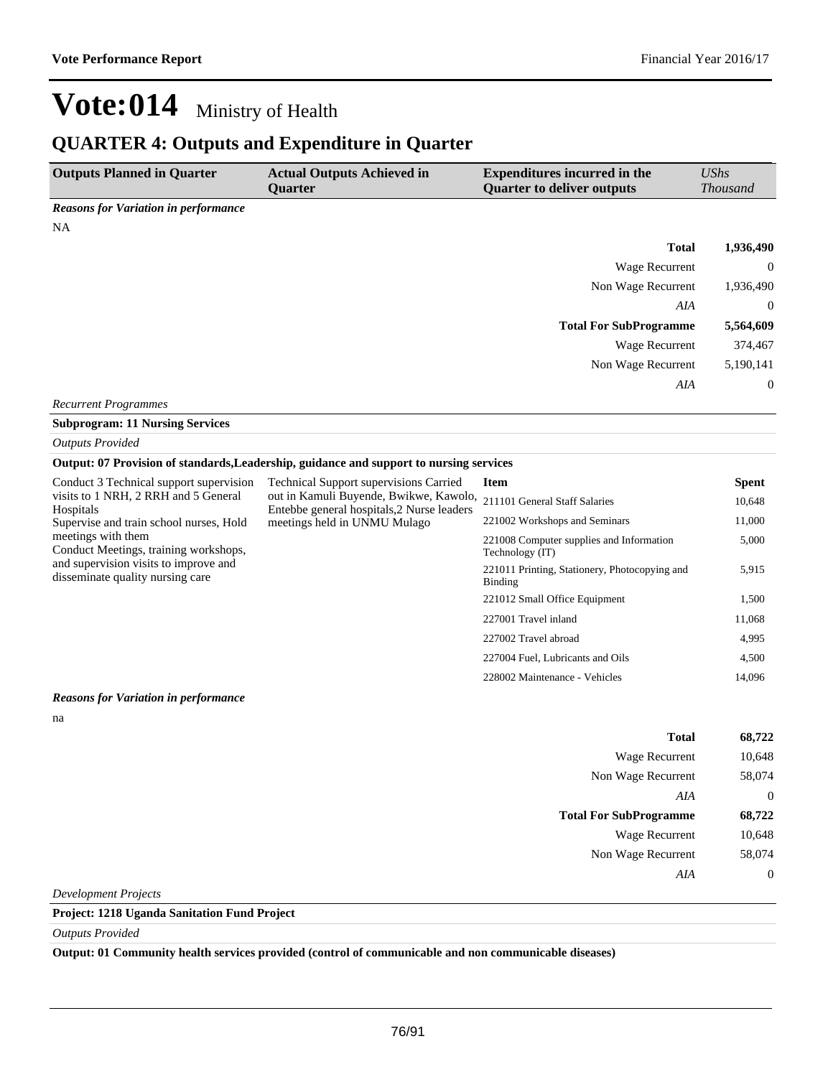### **QUARTER 4: Outputs and Expenditure in Quarter**

| <b>Outputs Planned in Quarter</b>           | <b>Actual Outputs Achieved in</b><br><b>Ouarter</b> | <b>Expenditures incurred in the</b><br><b>Quarter to deliver outputs</b> | UShs<br><b>Thousand</b> |
|---------------------------------------------|-----------------------------------------------------|--------------------------------------------------------------------------|-------------------------|
| <b>Reasons for Variation in performance</b> |                                                     |                                                                          |                         |
| <b>NA</b>                                   |                                                     |                                                                          |                         |
|                                             |                                                     | <b>Total</b>                                                             | 1,936,490               |
|                                             |                                                     | Wage Recurrent                                                           | $\overline{0}$          |
|                                             |                                                     | Non Wage Recurrent                                                       | 1,936,490               |
|                                             |                                                     | AIA                                                                      | $\overline{0}$          |
|                                             |                                                     | <b>Total For SubProgramme</b>                                            | 5,564,609               |
|                                             |                                                     | Wage Recurrent                                                           | 374,467                 |
|                                             |                                                     | Non Wage Recurrent                                                       | 5,190,141               |
|                                             |                                                     | AIA                                                                      | $\theta$                |

*Recurrent Programmes*

*Outputs Provided*

**Subprogram: 11 Nursing Services**

|                                                                                                                                          | Output: 07 Provision of standards, Leadership, guidance and support to nursing services                                                                              |                                                             |              |
|------------------------------------------------------------------------------------------------------------------------------------------|----------------------------------------------------------------------------------------------------------------------------------------------------------------------|-------------------------------------------------------------|--------------|
| Conduct 3 Technical support supervision<br>visits to 1 NRH, 2 RRH and 5 General<br>Hospitals                                             | <b>Technical Support supervisions Carried</b><br>out in Kamuli Buyende, Bwikwe, Kawolo,<br>Entebbe general hospitals,2 Nurse leaders<br>meetings held in UNMU Mulago | <b>Item</b>                                                 | <b>Spent</b> |
|                                                                                                                                          |                                                                                                                                                                      | 211101 General Staff Salaries                               | 10,648       |
| Supervise and train school nurses, Hold                                                                                                  |                                                                                                                                                                      | 221002 Workshops and Seminars                               | 11,000       |
| meetings with them<br>Conduct Meetings, training workshops,<br>and supervision visits to improve and<br>disseminate quality nursing care |                                                                                                                                                                      | 221008 Computer supplies and Information<br>Technology (IT) | 5,000        |
|                                                                                                                                          |                                                                                                                                                                      | 221011 Printing, Stationery, Photocopying and<br>Binding    | 5,915        |
|                                                                                                                                          |                                                                                                                                                                      | 221012 Small Office Equipment                               | 1,500        |
|                                                                                                                                          |                                                                                                                                                                      | 227001 Travel inland                                        | 11,068       |
|                                                                                                                                          |                                                                                                                                                                      | 227002 Travel abroad                                        | 4,995        |
|                                                                                                                                          |                                                                                                                                                                      | 227004 Fuel, Lubricants and Oils                            | 4,500        |
|                                                                                                                                          |                                                                                                                                                                      | 228002 Maintenance - Vehicles                               | 14,096       |
|                                                                                                                                          |                                                                                                                                                                      |                                                             |              |

*Reasons for Variation in performance*

na

| <b>Total</b>                  | 68,722         |
|-------------------------------|----------------|
| Wage Recurrent                | 10,648         |
| Non Wage Recurrent            | 58,074         |
| AIA                           | $\overline{0}$ |
| <b>Total For SubProgramme</b> | 68,722         |
| <b>Wage Recurrent</b>         | 10,648         |
| Non Wage Recurrent            | 58,074         |
| AIA                           | $\overline{0}$ |
| <b>Development Projects</b>   |                |

**Project: 1218 Uganda Sanitation Fund Project**

*Outputs Provided*

**Output: 01 Community health services provided (control of communicable and non communicable diseases)**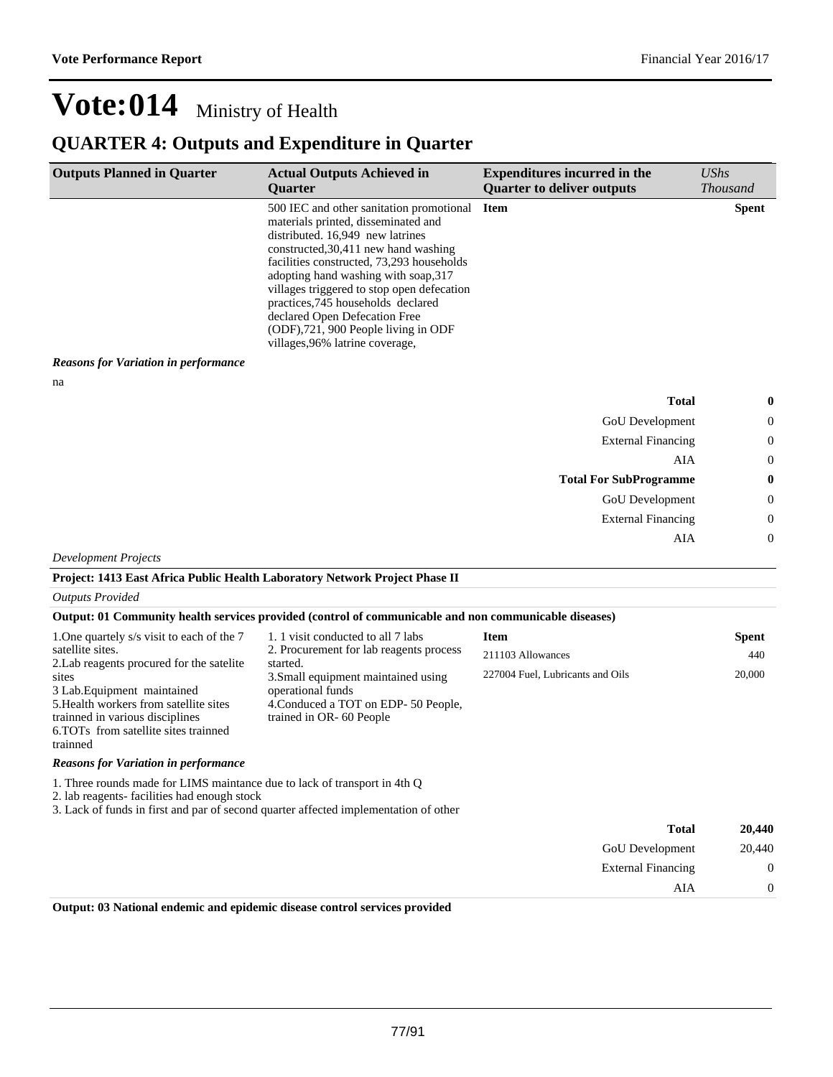#### **QUARTER 4: Outputs and Expenditure in Quarter**

| <b>Outputs Planned in Quarter</b>           | <b>Actual Outputs Achieved in</b><br>Quarter                                                                                                                                                                                                                                                                                                                                                                                                     | <b>Expenditures incurred in the</b><br><b>Quarter to deliver outputs</b> | <b>UShs</b><br><b>Thousand</b> |
|---------------------------------------------|--------------------------------------------------------------------------------------------------------------------------------------------------------------------------------------------------------------------------------------------------------------------------------------------------------------------------------------------------------------------------------------------------------------------------------------------------|--------------------------------------------------------------------------|--------------------------------|
| <b>Reasons for Variation in performance</b> | 500 IEC and other sanitation promotional<br>materials printed, disseminated and<br>distributed. 16,949 new latrines<br>constructed, 30, 411 new hand washing<br>facilities constructed, 73,293 households<br>adopting hand washing with soap, 317<br>villages triggered to stop open defecation<br>practices, 745 households declared<br>declared Open Defecation Free<br>(ODF),721, 900 People living in ODF<br>villages, 96% latrine coverage, | <b>Item</b>                                                              | Spent                          |
| na                                          |                                                                                                                                                                                                                                                                                                                                                                                                                                                  | <b>Total</b>                                                             | $\bf{0}$                       |
|                                             |                                                                                                                                                                                                                                                                                                                                                                                                                                                  | <b>GoU</b> Development                                                   | $\theta$                       |
|                                             |                                                                                                                                                                                                                                                                                                                                                                                                                                                  | <b>External Financing</b>                                                | $\theta$                       |
|                                             |                                                                                                                                                                                                                                                                                                                                                                                                                                                  | AIA                                                                      | $\overline{0}$                 |
|                                             |                                                                                                                                                                                                                                                                                                                                                                                                                                                  | <b>Total For SubProgramme</b>                                            | $\bf{0}$                       |
|                                             |                                                                                                                                                                                                                                                                                                                                                                                                                                                  | <b>GoU</b> Development                                                   | $\overline{0}$                 |
|                                             |                                                                                                                                                                                                                                                                                                                                                                                                                                                  | <b>External Financing</b>                                                | $\overline{0}$                 |

AIA 0

#### *Development Projects*

#### **Project: 1413 East Africa Public Health Laboratory Network Project Phase II**

| <b>Outputs Provided</b> |
|-------------------------|
|                         |

#### **Output: 01 Community health services provided (control of communicable and non communicable diseases)**

| 1. One quartely s/s visit to each of the 7<br>satellite sites.<br>2. Lab reagents procured for the satelite<br>sites<br>3 Lab. Equipment maintained<br>5. Health workers from satellite sites<br>trainmed in various disciplines<br>6.TOTs from satellite sites trained<br>trainned | 1. 1 visit conducted to all 7 labs<br>2. Procurement for lab reagents process<br>started.<br>3. Small equipment maintained using<br>operational funds<br>4. Conduced a TOT on EDP-50 People,<br>trained in OR- 60 People | <b>Item</b><br>211103 Allowances<br>227004 Fuel, Lubricants and Oils | Spent<br>440<br>20,000 |
|-------------------------------------------------------------------------------------------------------------------------------------------------------------------------------------------------------------------------------------------------------------------------------------|--------------------------------------------------------------------------------------------------------------------------------------------------------------------------------------------------------------------------|----------------------------------------------------------------------|------------------------|
| <b>Reasons for Variation in performance</b>                                                                                                                                                                                                                                         |                                                                                                                                                                                                                          |                                                                      |                        |
| 1. Three rounds made for LIMS maintance due to lack of transport in 4th Q                                                                                                                                                                                                           |                                                                                                                                                                                                                          |                                                                      |                        |

2. lab reagents- facilities had enough stock

3. Lack of funds in first and par of second quarter affected implementation of other

| 20,440       | <b>Total</b>              |
|--------------|---------------------------|
| 20,440       | GoU Development           |
| $\mathbf{0}$ | <b>External Financing</b> |
| $\theta$     | AIA                       |
|              |                           |

**Output: 03 National endemic and epidemic disease control services provided**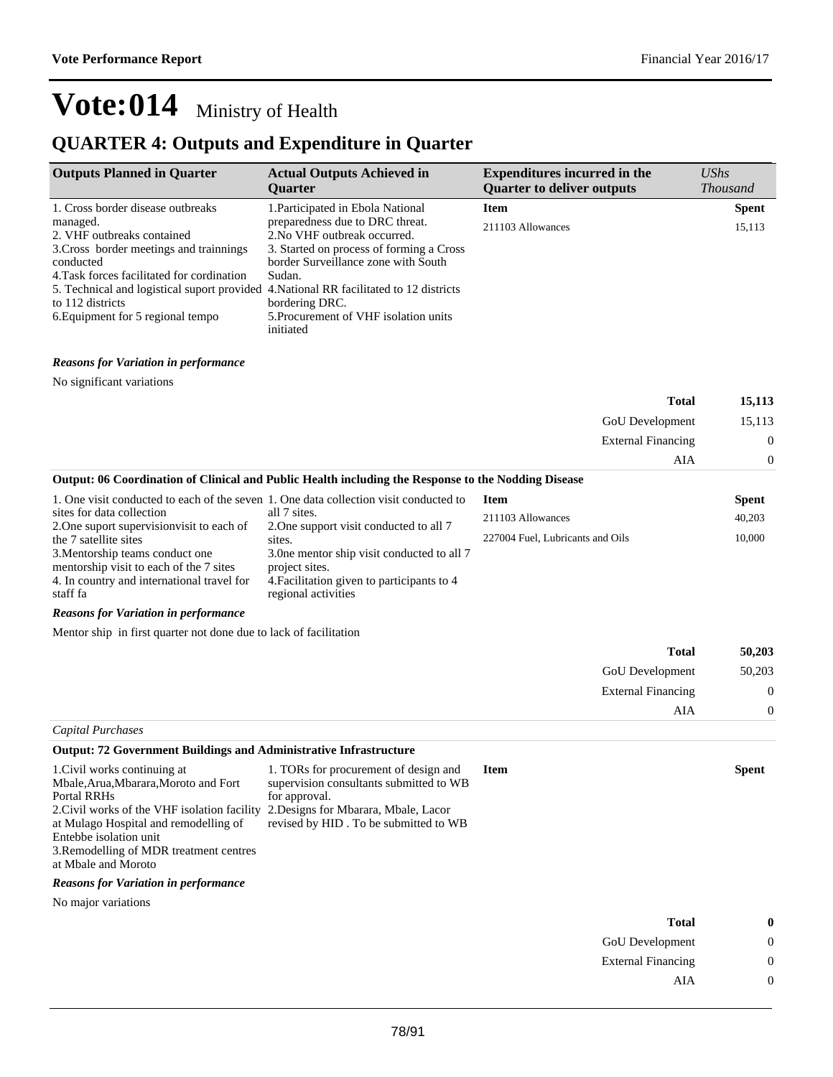#### **QUARTER 4: Outputs and Expenditure in Quarter**

| <b>Outputs Planned in Quarter</b>                                                      | <b>Actual Outputs Achieved in</b><br><b>Ouarter</b>                             | <b>Expenditures incurred in the</b><br><b>Quarter to deliver outputs</b> | $\mathit{UShs}$<br><i>Thousand</i> |
|----------------------------------------------------------------------------------------|---------------------------------------------------------------------------------|--------------------------------------------------------------------------|------------------------------------|
| 1. Cross border disease outbreaks                                                      | 1. Participated in Ebola National                                               | <b>Item</b>                                                              | <b>Spent</b>                       |
| managed.<br>2. VHF outbreaks contained                                                 | preparedness due to DRC threat.<br>2. No VHF outbreak occurred.                 | 211103 Allowances                                                        | 15,113                             |
| 3. Cross border meetings and trainnings<br>conducted                                   | 3. Started on process of forming a Cross<br>border Surveillance zone with South |                                                                          |                                    |
| 4. Task forces facilitated for cordination                                             | Sudan.                                                                          |                                                                          |                                    |
| 5. Technical and logistical suport provided 4. National RR facilitated to 12 districts |                                                                                 |                                                                          |                                    |
| to 112 districts                                                                       | bordering DRC.                                                                  |                                                                          |                                    |
| 6. Equipment for 5 regional tempo                                                      | 5. Procurement of VHF isolation units<br>initiated                              |                                                                          |                                    |

#### *Reasons for Variation in performance*

No significant variations

|                                                                                                                                                               |                                                                                                                                            | <b>Total</b>                                        | 15,113       |
|---------------------------------------------------------------------------------------------------------------------------------------------------------------|--------------------------------------------------------------------------------------------------------------------------------------------|-----------------------------------------------------|--------------|
|                                                                                                                                                               |                                                                                                                                            | <b>GoU</b> Development<br><b>External Financing</b> | 15,113       |
|                                                                                                                                                               |                                                                                                                                            |                                                     | $\theta$     |
|                                                                                                                                                               |                                                                                                                                            | AIA                                                 | $\Omega$     |
|                                                                                                                                                               | Output: 06 Coordination of Clinical and Public Health including the Response to the Nodding Disease                                        |                                                     |              |
| 1. One visit conducted to each of the seven 1. One data collection visit conducted to                                                                         |                                                                                                                                            | <b>Item</b>                                         | <b>Spent</b> |
| sites for data collection<br>2. One suport supervision visit to each of                                                                                       | all 7 sites.<br>2. One support visit conducted to all 7                                                                                    | 211103 Allowances                                   | 40,203       |
| the 7 satellite sites<br>3. Mentorship teams conduct one<br>mentorship visit to each of the 7 sites<br>4. In country and international travel for<br>staff fa | sites.<br>3.0 members only visit conducted to all 7<br>project sites.<br>4. Facilitation given to participants to 4<br>regional activities | 227004 Fuel, Lubricants and Oils                    | 10,000       |
| <b>Reasons for Variation in performance</b>                                                                                                                   |                                                                                                                                            |                                                     |              |

Mentor ship in first quarter not done due to lack of facilitation

|                   | <b>Total</b>              | 50,203         |
|-------------------|---------------------------|----------------|
|                   | GoU Development           | 50,203         |
|                   | <b>External Financing</b> | $\overline{0}$ |
|                   | AIA                       | $\overline{0}$ |
| Capital Purchases |                           |                |

#### **Output: 72 Government Buildings and Administrative Infrastructure**

| 1. Civil works continuing at                                                      | 1. TORs for procurement of design and   | <b>Item</b> |       | <b>Spent</b> |
|-----------------------------------------------------------------------------------|-----------------------------------------|-------------|-------|--------------|
| Mbale, Arua, Mbarara, Moroto and Fort                                             | supervision consultants submitted to WB |             |       |              |
| Portal RRHs                                                                       | for approval.                           |             |       |              |
| 2. Civil works of the VHF isolation facility 2. Designs for Mbarara, Mbale, Lacor |                                         |             |       |              |
| at Mulago Hospital and remodelling of                                             | revised by HID. To be submitted to WB   |             |       |              |
| Entebbe isolation unit                                                            |                                         |             |       |              |
| 3. Remodelling of MDR treatment centres                                           |                                         |             |       |              |
| at Mbale and Moroto                                                               |                                         |             |       |              |
| <b>Reasons for Variation in performance</b>                                       |                                         |             |       |              |
| No major variations                                                               |                                         |             |       |              |
|                                                                                   |                                         |             | Total | $\mathbf 0$  |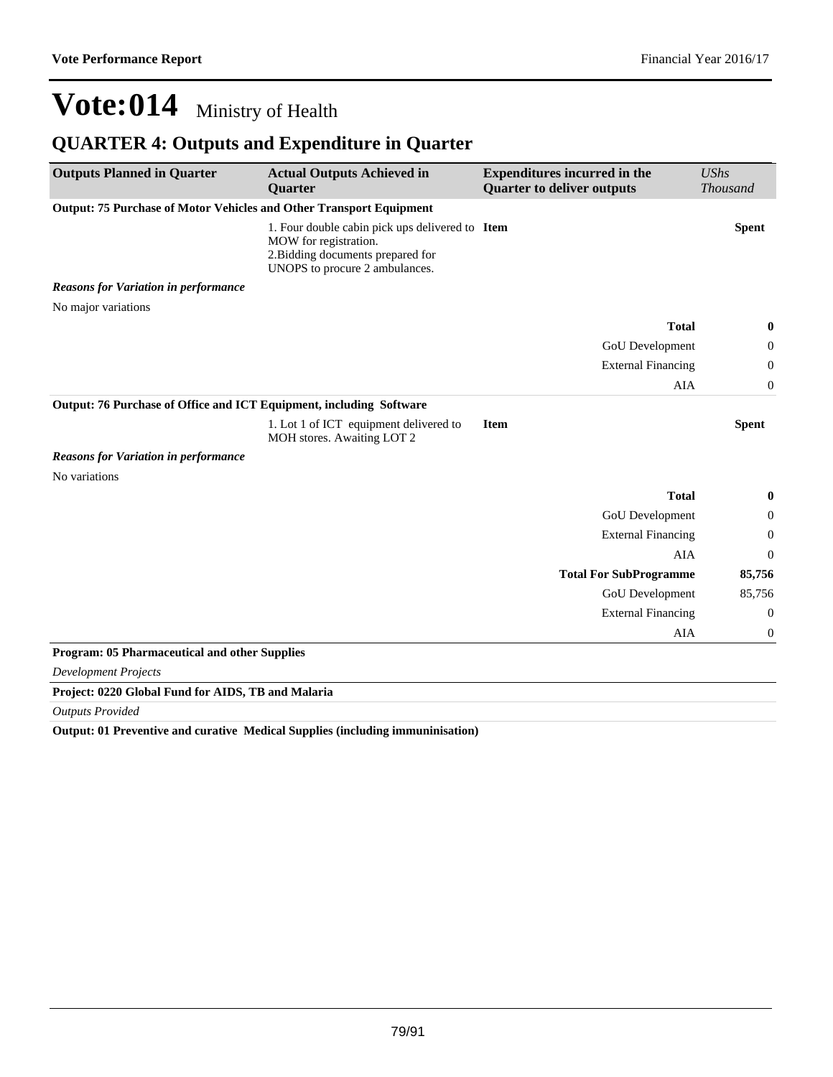### **QUARTER 4: Outputs and Expenditure in Quarter**

| <b>Outputs Planned in Quarter</b>                                   | <b>Actual Outputs Achieved in</b><br><b>Quarter</b>                                                                                             | <b>Expenditures incurred in the</b><br><b>Quarter to deliver outputs</b> | <b>UShs</b><br><b>Thousand</b> |
|---------------------------------------------------------------------|-------------------------------------------------------------------------------------------------------------------------------------------------|--------------------------------------------------------------------------|--------------------------------|
| Output: 75 Purchase of Motor Vehicles and Other Transport Equipment |                                                                                                                                                 |                                                                          |                                |
|                                                                     | 1. Four double cabin pick ups delivered to Item<br>MOW for registration.<br>2. Bidding documents prepared for<br>UNOPS to procure 2 ambulances. |                                                                          | <b>Spent</b>                   |
| <b>Reasons for Variation in performance</b>                         |                                                                                                                                                 |                                                                          |                                |
| No major variations                                                 |                                                                                                                                                 |                                                                          |                                |
|                                                                     |                                                                                                                                                 | <b>Total</b>                                                             | 0                              |
|                                                                     |                                                                                                                                                 | GoU Development                                                          | 0                              |
|                                                                     |                                                                                                                                                 | <b>External Financing</b>                                                | 0                              |
|                                                                     |                                                                                                                                                 | AIA                                                                      | 0                              |
| Output: 76 Purchase of Office and ICT Equipment, including Software |                                                                                                                                                 |                                                                          |                                |
|                                                                     | 1. Lot 1 of ICT equipment delivered to<br>MOH stores. Awaiting LOT 2                                                                            | <b>Item</b>                                                              | <b>Spent</b>                   |
| <b>Reasons for Variation in performance</b>                         |                                                                                                                                                 |                                                                          |                                |
| No variations                                                       |                                                                                                                                                 |                                                                          |                                |
|                                                                     |                                                                                                                                                 | <b>Total</b>                                                             | 0                              |
|                                                                     |                                                                                                                                                 | GoU Development                                                          | 0                              |
|                                                                     |                                                                                                                                                 | <b>External Financing</b>                                                | 0                              |
|                                                                     |                                                                                                                                                 | <b>AIA</b>                                                               | $\theta$                       |
|                                                                     |                                                                                                                                                 | <b>Total For SubProgramme</b>                                            | 85,756                         |
|                                                                     |                                                                                                                                                 | GoU Development                                                          | 85,756                         |
|                                                                     |                                                                                                                                                 | <b>External Financing</b>                                                | 0                              |
|                                                                     |                                                                                                                                                 | AIA                                                                      | $\boldsymbol{0}$               |
| Program: 05 Pharmaceutical and other Supplies                       |                                                                                                                                                 |                                                                          |                                |
| <b>Development Projects</b>                                         |                                                                                                                                                 |                                                                          |                                |
| Project: 0220 Global Fund for AIDS, TB and Malaria                  |                                                                                                                                                 |                                                                          |                                |

*Outputs Provided*

**Output: 01 Preventive and curative Medical Supplies (including immuninisation)**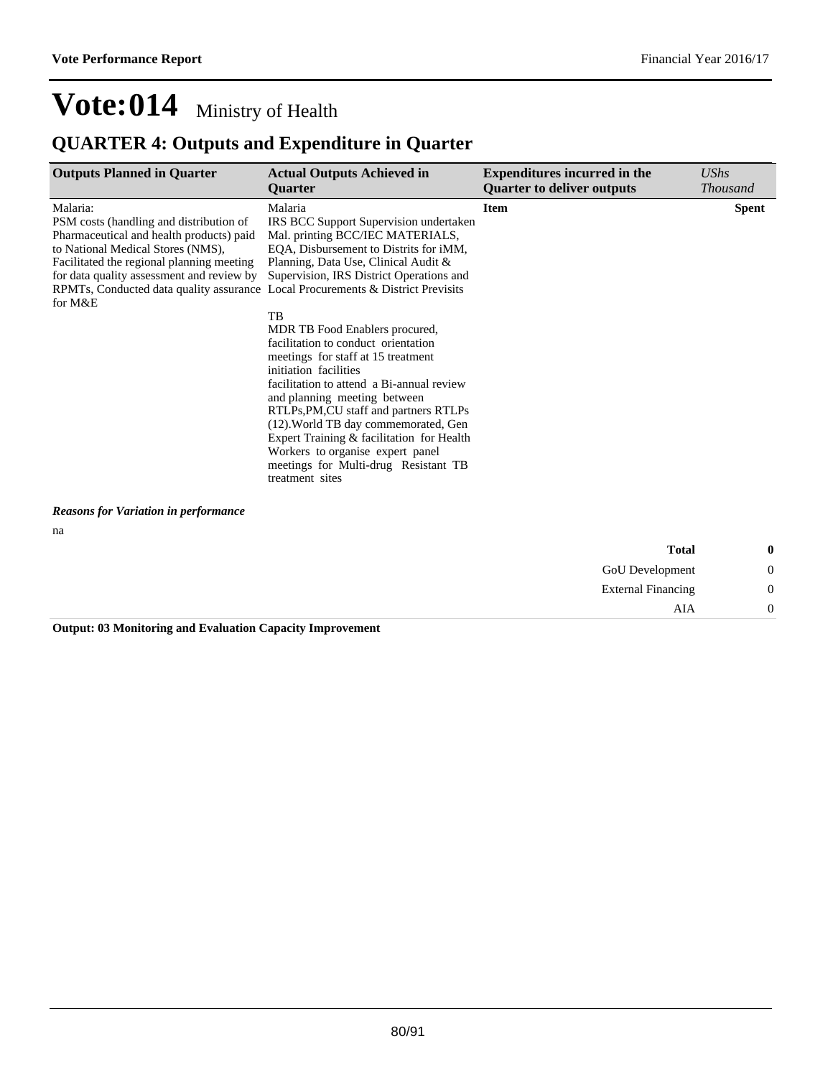### **QUARTER 4: Outputs and Expenditure in Quarter**

| Malaria:<br>Malaria<br><b>Item</b><br><b>Spent</b><br>PSM costs (handling and distribution of<br>IRS BCC Support Supervision undertaken<br>Mal. printing BCC/IEC MATERIALS,<br>Pharmaceutical and health products) paid<br>EOA, Disbursement to Distrits for iMM,<br>to National Medical Stores (NMS),<br>Facilitated the regional planning meeting<br>Planning, Data Use, Clinical Audit &<br>for data quality assessment and review by<br>Supervision, IRS District Operations and<br>RPMTs, Conducted data quality assurance Local Procurements & District Previsits<br>for M&E<br>TB<br>MDR TB Food Enablers procured,<br>facilitation to conduct orientation<br>meetings for staff at 15 treatment<br>initiation facilities<br>facilitation to attend a Bi-annual review<br>and planning meeting between<br>RTLPs, PM, CU staff and partners RTLPs<br>(12). World TB day commemorated, Gen | <b>Outputs Planned in Quarter</b> | <b>Actual Outputs Achieved in</b><br><b>Ouarter</b> | <b>Expenditures incurred in the</b><br><b>Quarter to deliver outputs</b> | UShs<br><b>Thousand</b> |
|-------------------------------------------------------------------------------------------------------------------------------------------------------------------------------------------------------------------------------------------------------------------------------------------------------------------------------------------------------------------------------------------------------------------------------------------------------------------------------------------------------------------------------------------------------------------------------------------------------------------------------------------------------------------------------------------------------------------------------------------------------------------------------------------------------------------------------------------------------------------------------------------------|-----------------------------------|-----------------------------------------------------|--------------------------------------------------------------------------|-------------------------|
| Workers to organise expert panel<br>meetings for Multi-drug Resistant TB<br>treatment sites                                                                                                                                                                                                                                                                                                                                                                                                                                                                                                                                                                                                                                                                                                                                                                                                     |                                   | Expert Training & facilitation for Health           |                                                                          |                         |

*Reasons for Variation in performance*

na

| 0 | <b>Total</b>              |
|---|---------------------------|
| ν | GoU Development           |
| v | <b>External Financing</b> |
|   | AIA                       |

**Output: 03 Monitoring and Evaluation Capacity Improvement**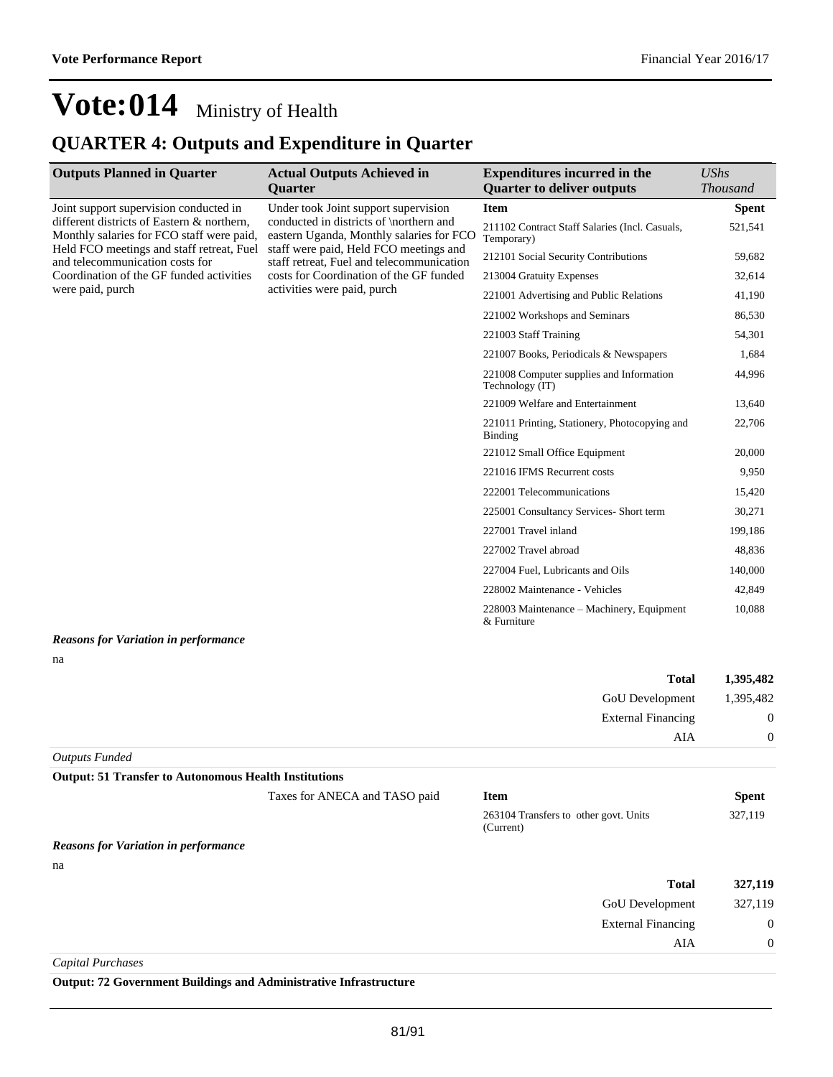### **QUARTER 4: Outputs and Expenditure in Quarter**

| <b>Outputs Planned in Quarter</b>                                                                                        | <b>Actual Outputs Achieved in</b><br><b>Ouarter</b>                                 | <b>Expenditures incurred in the</b><br><b>Quarter to deliver outputs</b> | UShs<br><b>Thousand</b> |
|--------------------------------------------------------------------------------------------------------------------------|-------------------------------------------------------------------------------------|--------------------------------------------------------------------------|-------------------------|
| Joint support supervision conducted in                                                                                   | Under took Joint support supervision                                                | <b>Item</b>                                                              | <b>Spent</b>            |
| different districts of Eastern & northern,<br>Monthly salaries for FCO staff were paid,                                  | conducted in districts of \northern and<br>eastern Uganda, Monthly salaries for FCO | 211102 Contract Staff Salaries (Incl. Casuals,<br>Temporary)             | 521,541                 |
| Held FCO meetings and staff retreat, Fuel<br>and telecommunication costs for<br>Coordination of the GF funded activities | staff were paid, Held FCO meetings and<br>staff retreat, Fuel and telecommunication | 212101 Social Security Contributions                                     | 59,682                  |
|                                                                                                                          | costs for Coordination of the GF funded                                             | 213004 Gratuity Expenses                                                 | 32,614                  |
| were paid, purch                                                                                                         | activities were paid, purch                                                         | 221001 Advertising and Public Relations                                  | 41,190                  |
|                                                                                                                          |                                                                                     | 221002 Workshops and Seminars                                            | 86,530                  |
|                                                                                                                          |                                                                                     | 221003 Staff Training                                                    | 54,301                  |
|                                                                                                                          |                                                                                     | 221007 Books, Periodicals & Newspapers                                   | 1,684                   |
|                                                                                                                          |                                                                                     | 221008 Computer supplies and Information<br>Technology (IT)              | 44,996                  |
|                                                                                                                          |                                                                                     | 221009 Welfare and Entertainment                                         | 13,640                  |
|                                                                                                                          |                                                                                     | 221011 Printing, Stationery, Photocopying and<br>Binding                 | 22,706                  |
|                                                                                                                          |                                                                                     | 221012 Small Office Equipment                                            | 20,000                  |
|                                                                                                                          |                                                                                     | 221016 IFMS Recurrent costs                                              | 9,950                   |
|                                                                                                                          |                                                                                     | 222001 Telecommunications                                                | 15,420                  |
|                                                                                                                          |                                                                                     | 225001 Consultancy Services- Short term                                  | 30,271                  |
|                                                                                                                          |                                                                                     | 227001 Travel inland                                                     | 199,186                 |
|                                                                                                                          |                                                                                     | 227002 Travel abroad                                                     | 48,836                  |
|                                                                                                                          |                                                                                     | 227004 Fuel, Lubricants and Oils                                         | 140,000                 |
|                                                                                                                          |                                                                                     | 228002 Maintenance - Vehicles                                            | 42,849                  |
|                                                                                                                          |                                                                                     | 228003 Maintenance – Machinery, Equipment<br>& Furniture                 | 10,088                  |
| <b>Reasons for Variation in performance</b>                                                                              |                                                                                     |                                                                          |                         |

na

| 1,395,482      | <b>Total</b>              |
|----------------|---------------------------|
| 1,395,482      | <b>GoU</b> Development    |
| $\overline{0}$ | <b>External Financing</b> |
|                | AIA                       |

*Outputs Funded*

#### **Output: 51 Transfer to Autonomous Health Institutions**

Taxes for ANECA and TASO paid **Item Spent**

|                                             | $\mathbf{r}$ |                                                    | $\overline{\phantom{a}}$ |
|---------------------------------------------|--------------|----------------------------------------------------|--------------------------|
|                                             |              | 263104 Transfers to other govt. Units<br>(Current) | 327,119                  |
| <b>Reasons for Variation in performance</b> |              |                                                    |                          |
| na                                          |              |                                                    |                          |
|                                             |              | <b>Total</b>                                       | 327,119                  |
|                                             |              | GoU Development                                    | 327,119                  |
|                                             |              | <b>External Financing</b>                          | $\mathbf 0$              |
|                                             |              | AIA                                                | $\mathbf 0$              |
|                                             |              |                                                    |                          |

*Capital Purchases*

**Output: 72 Government Buildings and Administrative Infrastructure**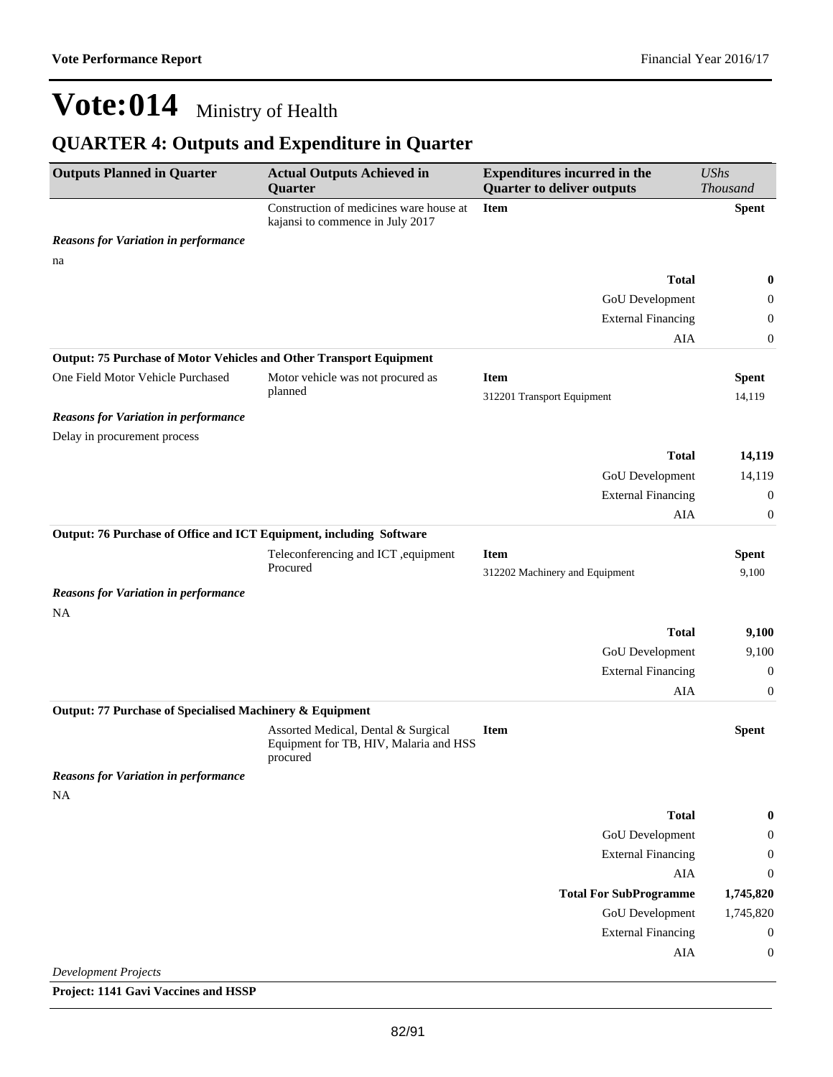### **QUARTER 4: Outputs and Expenditure in Quarter**

| <b>Outputs Planned in Quarter</b>                                          | <b>Actual Outputs Achieved in</b><br>Quarter                                              | <b>Expenditures incurred in the</b><br><b>Quarter to deliver outputs</b> | <b>UShs</b><br><b>Thousand</b> |
|----------------------------------------------------------------------------|-------------------------------------------------------------------------------------------|--------------------------------------------------------------------------|--------------------------------|
|                                                                            | Construction of medicines ware house at<br>kajansi to commence in July 2017               | <b>Item</b>                                                              | <b>Spent</b>                   |
| <b>Reasons for Variation in performance</b>                                |                                                                                           |                                                                          |                                |
| na                                                                         |                                                                                           | <b>Total</b>                                                             | $\bf{0}$                       |
|                                                                            |                                                                                           | GoU Development                                                          | $\mathbf{0}$                   |
|                                                                            |                                                                                           | <b>External Financing</b>                                                | $\mathbf{0}$                   |
|                                                                            |                                                                                           | AIA                                                                      | $\boldsymbol{0}$               |
| <b>Output: 75 Purchase of Motor Vehicles and Other Transport Equipment</b> |                                                                                           |                                                                          |                                |
| One Field Motor Vehicle Purchased                                          | Motor vehicle was not procured as                                                         | <b>Item</b>                                                              | <b>Spent</b>                   |
|                                                                            | planned                                                                                   | 312201 Transport Equipment                                               | 14,119                         |
| <b>Reasons for Variation in performance</b>                                |                                                                                           |                                                                          |                                |
| Delay in procurement process                                               |                                                                                           |                                                                          |                                |
|                                                                            |                                                                                           | <b>Total</b>                                                             | 14,119                         |
|                                                                            |                                                                                           | GoU Development                                                          | 14,119                         |
|                                                                            |                                                                                           | <b>External Financing</b>                                                | $\boldsymbol{0}$               |
|                                                                            |                                                                                           | AIA                                                                      | $\boldsymbol{0}$               |
| Output: 76 Purchase of Office and ICT Equipment, including Software        |                                                                                           |                                                                          |                                |
|                                                                            | Teleconferencing and ICT , equipment<br>Procured                                          | <b>Item</b><br>312202 Machinery and Equipment                            | <b>Spent</b><br>9,100          |
| <b>Reasons for Variation in performance</b><br><b>NA</b>                   |                                                                                           |                                                                          |                                |
|                                                                            |                                                                                           | <b>Total</b>                                                             | 9,100                          |
|                                                                            |                                                                                           | GoU Development                                                          | 9,100                          |
|                                                                            |                                                                                           | <b>External Financing</b>                                                | $\boldsymbol{0}$               |
|                                                                            |                                                                                           | AIA                                                                      | $\mathbf{0}$                   |
| Output: 77 Purchase of Specialised Machinery & Equipment                   |                                                                                           |                                                                          |                                |
|                                                                            | Assorted Medical, Dental & Surgical<br>Equipment for TB, HIV, Malaria and HSS<br>procured | <b>Item</b>                                                              | <b>Spent</b>                   |
| <b>Reasons for Variation in performance</b>                                |                                                                                           |                                                                          |                                |
| NA                                                                         |                                                                                           |                                                                          |                                |
|                                                                            |                                                                                           | <b>Total</b>                                                             | 0                              |
|                                                                            |                                                                                           | GoU Development                                                          | $\boldsymbol{0}$               |
|                                                                            |                                                                                           | <b>External Financing</b>                                                | $\boldsymbol{0}$               |
|                                                                            |                                                                                           | <b>AIA</b>                                                               | $\boldsymbol{0}$               |
|                                                                            |                                                                                           | <b>Total For SubProgramme</b>                                            | 1,745,820                      |
|                                                                            |                                                                                           | GoU Development                                                          | 1,745,820                      |
|                                                                            |                                                                                           | <b>External Financing</b>                                                | $\mathbf{0}$                   |
| <b>Development Projects</b>                                                |                                                                                           | AIA                                                                      | $\boldsymbol{0}$               |

**Project: 1141 Gavi Vaccines and HSSP**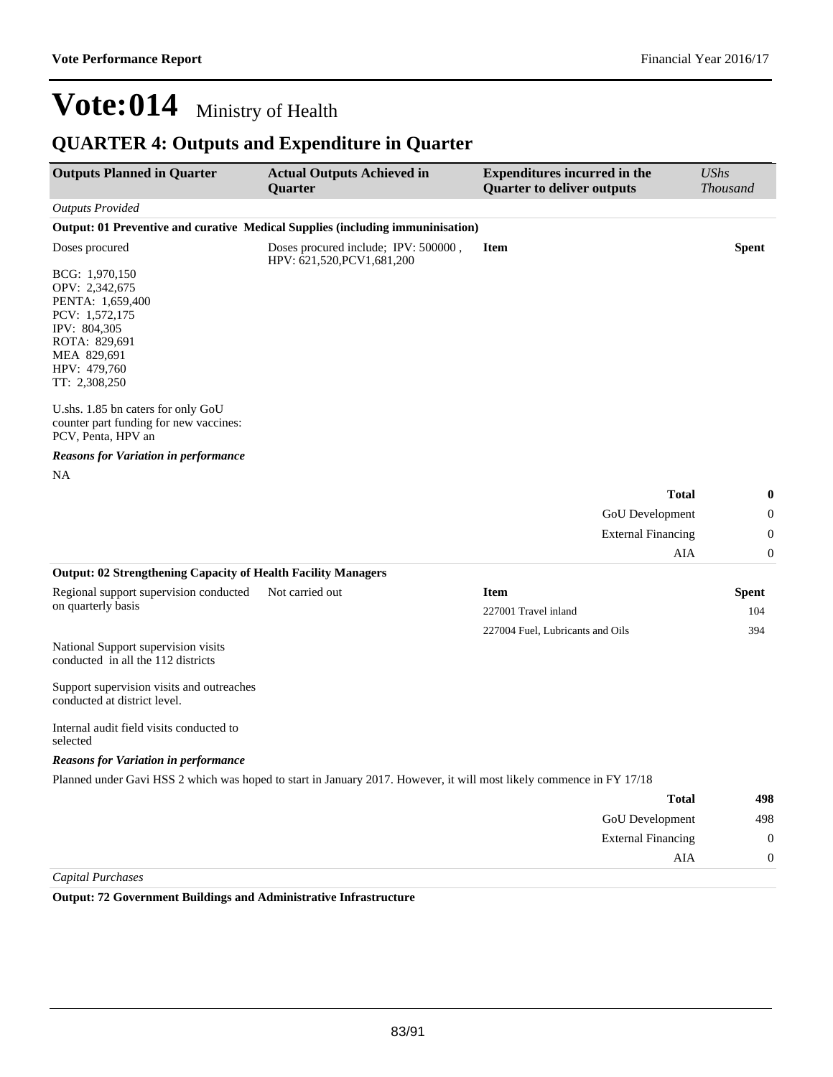### **QUARTER 4: Outputs and Expenditure in Quarter**

| <b>Outputs Planned in Quarter</b>                                                                                                                       | <b>Actual Outputs Achieved in</b><br>Quarter                                                                         | <b>Expenditures incurred in the</b><br><b>Quarter to deliver outputs</b> | <b>UShs</b><br><b>Thousand</b> |
|---------------------------------------------------------------------------------------------------------------------------------------------------------|----------------------------------------------------------------------------------------------------------------------|--------------------------------------------------------------------------|--------------------------------|
| <b>Outputs Provided</b>                                                                                                                                 |                                                                                                                      |                                                                          |                                |
|                                                                                                                                                         | Output: 01 Preventive and curative Medical Supplies (including immuninisation)                                       |                                                                          |                                |
| Doses procured                                                                                                                                          | Doses procured include; IPV: 500000,<br>HPV: 621,520, PCV1, 681, 200                                                 | <b>Item</b>                                                              | <b>Spent</b>                   |
| BCG: 1,970,150<br>OPV: 2,342,675<br>PENTA: 1,659,400<br>PCV: 1,572,175<br>IPV: 804,305<br>ROTA: 829,691<br>MEA 829,691<br>HPV: 479,760<br>TT: 2,308,250 |                                                                                                                      |                                                                          |                                |
| U.shs. 1.85 bn caters for only GoU<br>counter part funding for new vaccines:<br>PCV, Penta, HPV an                                                      |                                                                                                                      |                                                                          |                                |
| <b>Reasons for Variation in performance</b>                                                                                                             |                                                                                                                      |                                                                          |                                |
| NA                                                                                                                                                      |                                                                                                                      |                                                                          |                                |
|                                                                                                                                                         |                                                                                                                      | <b>Total</b>                                                             | $\boldsymbol{0}$               |
|                                                                                                                                                         |                                                                                                                      | GoU Development                                                          | $\boldsymbol{0}$               |
|                                                                                                                                                         |                                                                                                                      | <b>External Financing</b>                                                | $\boldsymbol{0}$               |
|                                                                                                                                                         |                                                                                                                      | AIA                                                                      | $\boldsymbol{0}$               |
| <b>Output: 02 Strengthening Capacity of Health Facility Managers</b>                                                                                    |                                                                                                                      |                                                                          |                                |
| Regional support supervision conducted                                                                                                                  | Not carried out                                                                                                      | <b>Item</b>                                                              | Spent                          |
| on quarterly basis                                                                                                                                      |                                                                                                                      | 227001 Travel inland                                                     | 104                            |
|                                                                                                                                                         |                                                                                                                      | 227004 Fuel, Lubricants and Oils                                         | 394                            |
| National Support supervision visits<br>conducted in all the 112 districts                                                                               |                                                                                                                      |                                                                          |                                |
| Support supervision visits and outreaches<br>conducted at district level.                                                                               |                                                                                                                      |                                                                          |                                |
| Internal audit field visits conducted to<br>selected                                                                                                    |                                                                                                                      |                                                                          |                                |
| <b>Reasons for Variation in performance</b>                                                                                                             |                                                                                                                      |                                                                          |                                |
|                                                                                                                                                         | Planned under Gavi HSS 2 which was hoped to start in January 2017. However, it will most likely commence in FY 17/18 |                                                                          |                                |
|                                                                                                                                                         |                                                                                                                      | <b>Total</b>                                                             | 498                            |
|                                                                                                                                                         |                                                                                                                      | GoU Development                                                          | 498                            |
|                                                                                                                                                         |                                                                                                                      | <b>External Financing</b>                                                | $\mathbf{0}$                   |
|                                                                                                                                                         |                                                                                                                      | AIA                                                                      | $\theta$                       |

*Capital Purchases*

**Output: 72 Government Buildings and Administrative Infrastructure**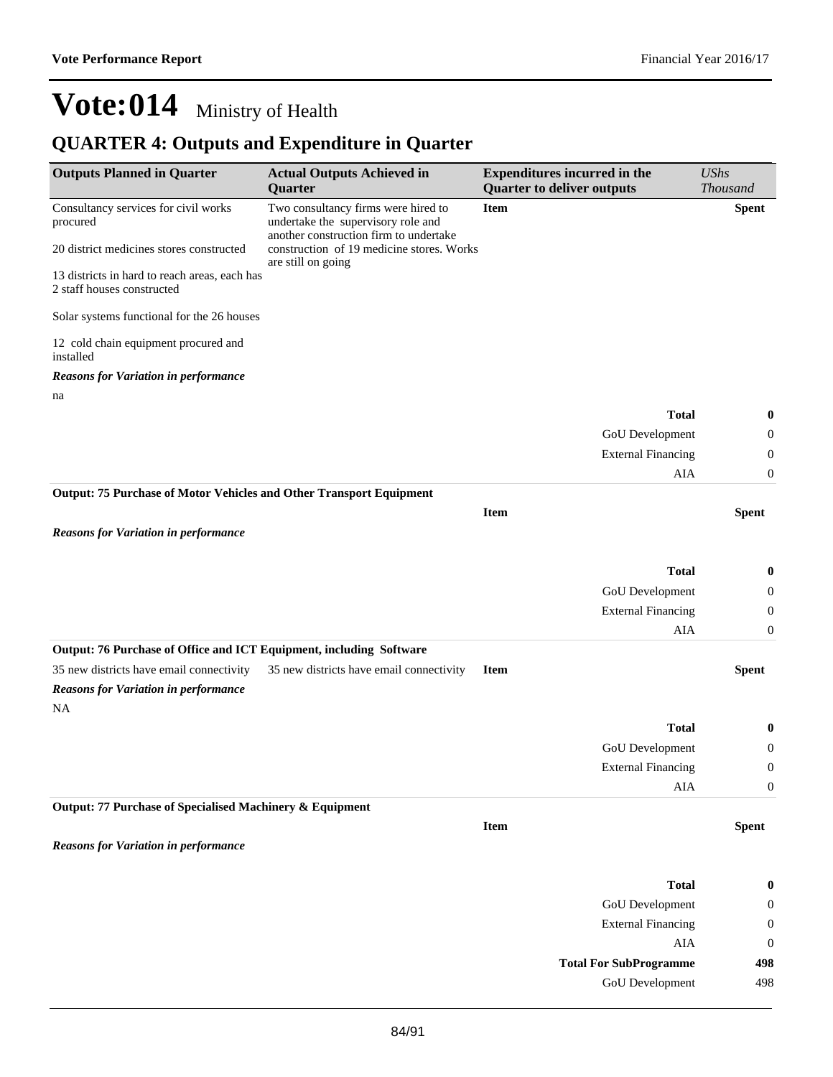### **QUARTER 4: Outputs and Expenditure in Quarter**

| <b>Outputs Planned in Quarter</b>                                           | <b>Actual Outputs Achieved in</b><br><b>Quarter</b>                                                       | <b>Expenditures incurred in the</b><br><b>Quarter to deliver outputs</b> |                                    |
|-----------------------------------------------------------------------------|-----------------------------------------------------------------------------------------------------------|--------------------------------------------------------------------------|------------------------------------|
| Consultancy services for civil works<br>procured                            | Two consultancy firms were hired to<br>undertake the supervisory role and                                 | <b>Item</b>                                                              | <b>Spent</b>                       |
| 20 district medicines stores constructed                                    | another construction firm to undertake<br>construction of 19 medicine stores. Works<br>are still on going |                                                                          |                                    |
| 13 districts in hard to reach areas, each has<br>2 staff houses constructed |                                                                                                           |                                                                          |                                    |
| Solar systems functional for the 26 houses                                  |                                                                                                           |                                                                          |                                    |
| 12 cold chain equipment procured and<br>installed                           |                                                                                                           |                                                                          |                                    |
| <b>Reasons for Variation in performance</b>                                 |                                                                                                           |                                                                          |                                    |
| na                                                                          |                                                                                                           |                                                                          |                                    |
|                                                                             |                                                                                                           | <b>Total</b>                                                             | 0                                  |
|                                                                             |                                                                                                           | GoU Development                                                          | 0                                  |
|                                                                             |                                                                                                           | <b>External Financing</b>                                                | $\boldsymbol{0}$                   |
|                                                                             |                                                                                                           | AIA                                                                      | $\boldsymbol{0}$                   |
| Output: 75 Purchase of Motor Vehicles and Other Transport Equipment         |                                                                                                           |                                                                          |                                    |
|                                                                             |                                                                                                           | <b>Item</b>                                                              | <b>Spent</b>                       |
| <b>Reasons for Variation in performance</b>                                 |                                                                                                           |                                                                          |                                    |
|                                                                             |                                                                                                           |                                                                          |                                    |
|                                                                             |                                                                                                           | <b>Total</b>                                                             | 0                                  |
|                                                                             |                                                                                                           | GoU Development                                                          | $\boldsymbol{0}$                   |
|                                                                             |                                                                                                           | <b>External Financing</b>                                                | 0                                  |
|                                                                             |                                                                                                           | AIA                                                                      | $\boldsymbol{0}$                   |
| Output: 76 Purchase of Office and ICT Equipment, including Software         |                                                                                                           |                                                                          |                                    |
| 35 new districts have email connectivity                                    | 35 new districts have email connectivity                                                                  | <b>Item</b>                                                              | <b>Spent</b>                       |
| <b>Reasons for Variation in performance</b>                                 |                                                                                                           |                                                                          |                                    |
| <b>NA</b>                                                                   |                                                                                                           |                                                                          |                                    |
|                                                                             |                                                                                                           | <b>Total</b>                                                             | $\boldsymbol{0}$                   |
|                                                                             |                                                                                                           | GoU Development                                                          | $\boldsymbol{0}$<br>$\overline{0}$ |
|                                                                             |                                                                                                           | <b>External Financing</b><br>${\rm AIA}$                                 | $\boldsymbol{0}$                   |
| Output: 77 Purchase of Specialised Machinery & Equipment                    |                                                                                                           |                                                                          |                                    |
|                                                                             |                                                                                                           | Item                                                                     | <b>Spent</b>                       |
| <b>Reasons for Variation in performance</b>                                 |                                                                                                           |                                                                          |                                    |
|                                                                             |                                                                                                           |                                                                          |                                    |
|                                                                             |                                                                                                           | <b>Total</b>                                                             | 0                                  |
|                                                                             |                                                                                                           | GoU Development                                                          | $\boldsymbol{0}$                   |
|                                                                             |                                                                                                           | <b>External Financing</b>                                                | $\boldsymbol{0}$                   |
|                                                                             |                                                                                                           | AIA                                                                      | $\boldsymbol{0}$                   |
|                                                                             |                                                                                                           | <b>Total For SubProgramme</b>                                            | 498                                |
|                                                                             |                                                                                                           | <b>GoU</b> Development                                                   | 498                                |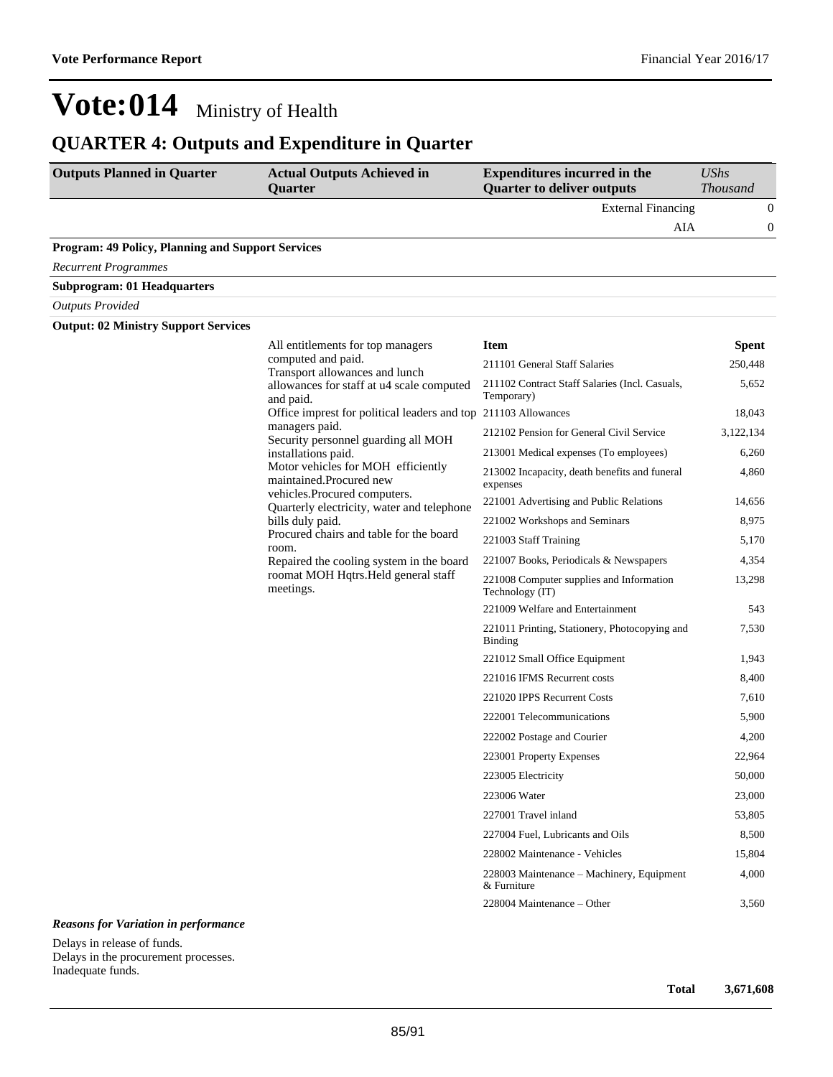#### **QUARTER 4: Outputs and Expenditure in Quarter**

| <b>Outputs Planned in Quarter</b>                        | <b>Actual Outputs Achieved in</b><br>Quarter                               | <b>Expenditures incurred in the</b><br><b>Quarter to deliver outputs</b> | <b>UShs</b><br><b>Thousand</b> |
|----------------------------------------------------------|----------------------------------------------------------------------------|--------------------------------------------------------------------------|--------------------------------|
|                                                          |                                                                            | <b>External Financing</b>                                                | $\mathbf{0}$                   |
|                                                          |                                                                            | AIA                                                                      | $\mathbf{0}$                   |
| <b>Program: 49 Policy, Planning and Support Services</b> |                                                                            |                                                                          |                                |
| <b>Recurrent Programmes</b>                              |                                                                            |                                                                          |                                |
| <b>Subprogram: 01 Headquarters</b>                       |                                                                            |                                                                          |                                |
| <b>Outputs Provided</b>                                  |                                                                            |                                                                          |                                |
| <b>Output: 02 Ministry Support Services</b>              |                                                                            |                                                                          |                                |
|                                                          | All entitlements for top managers                                          | <b>Item</b>                                                              | <b>Spent</b>                   |
|                                                          | computed and paid.<br>Transport allowances and lunch                       | 211101 General Staff Salaries                                            | 250,448                        |
|                                                          | allowances for staff at u4 scale computed<br>and paid.                     | 211102 Contract Staff Salaries (Incl. Casuals,<br>Temporary)             | 5,652                          |
|                                                          | Office imprest for political leaders and top 211103 Allowances             |                                                                          | 18,043                         |
|                                                          | managers paid.<br>Security personnel guarding all MOH                      | 212102 Pension for General Civil Service                                 | 3,122,134                      |
|                                                          | installations paid.                                                        | 213001 Medical expenses (To employees)                                   | 6,260                          |
|                                                          | Motor vehicles for MOH efficiently<br>maintained.Procured new              | 213002 Incapacity, death benefits and funeral<br>expenses                | 4,860                          |
|                                                          | vehicles.Procured computers.<br>Quarterly electricity, water and telephone | 221001 Advertising and Public Relations                                  | 14,656                         |
|                                                          | bills duly paid.                                                           | 221002 Workshops and Seminars                                            | 8,975                          |
|                                                          | Procured chairs and table for the board<br>room.                           | 221003 Staff Training                                                    | 5,170                          |
|                                                          | Repaired the cooling system in the board                                   | 221007 Books, Periodicals & Newspapers                                   | 4,354                          |
|                                                          | roomat MOH Hqtrs. Held general staff<br>meetings.                          | 221008 Computer supplies and Information<br>Technology (IT)              | 13,298                         |
|                                                          |                                                                            | 221009 Welfare and Entertainment                                         | 543                            |
|                                                          |                                                                            | 221011 Printing, Stationery, Photocopying and<br><b>Binding</b>          | 7,530                          |
|                                                          |                                                                            | 221012 Small Office Equipment                                            | 1,943                          |
|                                                          |                                                                            | 221016 IFMS Recurrent costs                                              | 8,400                          |
|                                                          |                                                                            | 221020 IPPS Recurrent Costs                                              | 7,610                          |
|                                                          |                                                                            | 222001 Telecommunications                                                | 5,900                          |
|                                                          |                                                                            | 222002 Postage and Courier                                               | 4,200                          |
|                                                          |                                                                            | 223001 Property Expenses                                                 | 22,964                         |
|                                                          |                                                                            | 223005 Electricity                                                       | 50,000                         |
|                                                          |                                                                            | 223006 Water                                                             | 23,000                         |
|                                                          |                                                                            | 227001 Travel inland                                                     | 53,805                         |
|                                                          |                                                                            | 227004 Fuel, Lubricants and Oils                                         | 8,500                          |
|                                                          |                                                                            | 228002 Maintenance - Vehicles                                            | 15,804                         |
|                                                          |                                                                            | 228003 Maintenance - Machinery, Equipment<br>& Furniture                 | 4,000                          |
|                                                          |                                                                            | 228004 Maintenance – Other                                               | 3,560                          |
| <b>Reasons for Variation in performance</b>              |                                                                            |                                                                          |                                |

*Reasons for Variation in performance*

Delays in release of funds. Delays in the procurement processes. Inadequate funds.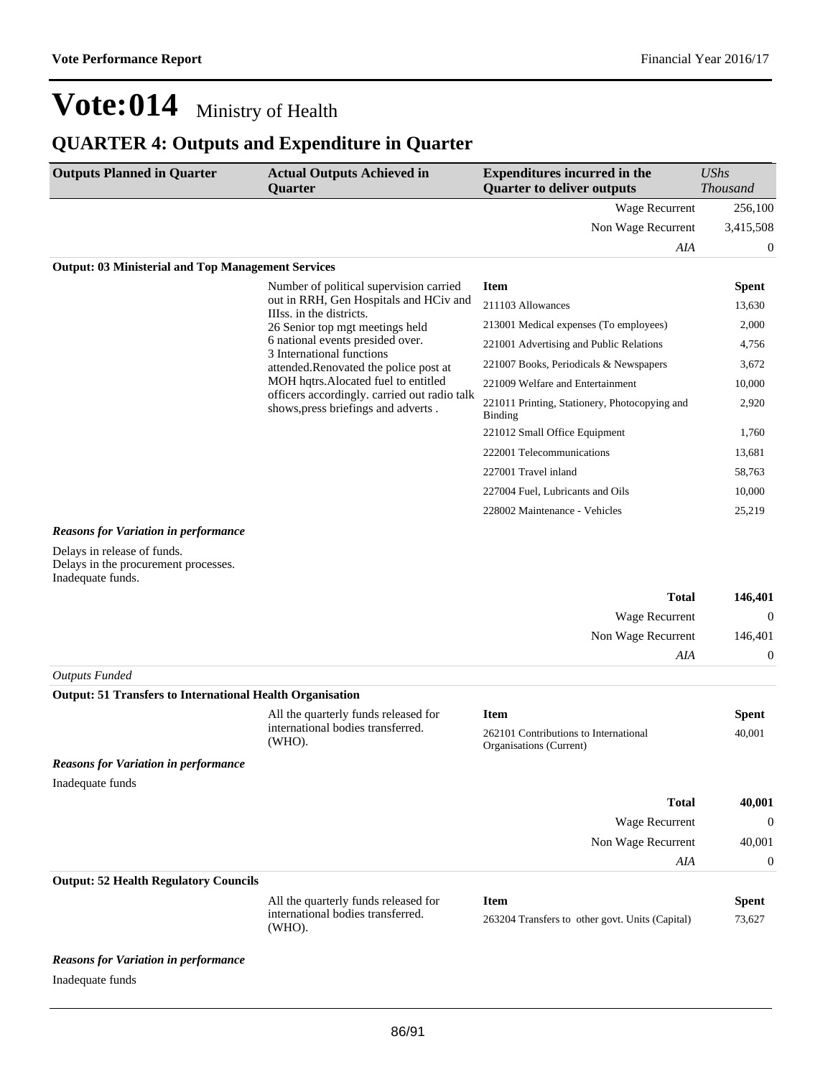### **QUARTER 4: Outputs and Expenditure in Quarter**

| <b>Outputs Planned in Quarter</b>                         | <b>Actual Outputs Achieved in</b><br>Quarter                                                                                                                                                                                                                                                                                                   | <b>Expenditures incurred in the</b><br><b>Quarter to deliver outputs</b> | UShs<br><b>Thousand</b> |
|-----------------------------------------------------------|------------------------------------------------------------------------------------------------------------------------------------------------------------------------------------------------------------------------------------------------------------------------------------------------------------------------------------------------|--------------------------------------------------------------------------|-------------------------|
|                                                           |                                                                                                                                                                                                                                                                                                                                                | Wage Recurrent                                                           | 256,100                 |
|                                                           |                                                                                                                                                                                                                                                                                                                                                | Non Wage Recurrent                                                       | 3,415,508               |
|                                                           |                                                                                                                                                                                                                                                                                                                                                | AIA                                                                      | $\mathbf{0}$            |
| <b>Output: 03 Ministerial and Top Management Services</b> |                                                                                                                                                                                                                                                                                                                                                |                                                                          |                         |
|                                                           | Number of political supervision carried                                                                                                                                                                                                                                                                                                        | <b>Item</b>                                                              | <b>Spent</b>            |
|                                                           | out in RRH, Gen Hospitals and HCiv and<br>IIIss. in the districts.<br>26 Senior top mgt meetings held<br>6 national events presided over.<br>3 International functions<br>attended.Renovated the police post at<br>MOH hqtrs. Alocated fuel to entitled<br>officers accordingly, carried out radio talk<br>shows, press briefings and adverts. | 211103 Allowances                                                        | 13,630                  |
|                                                           |                                                                                                                                                                                                                                                                                                                                                | 213001 Medical expenses (To employees)                                   | 2,000                   |
|                                                           |                                                                                                                                                                                                                                                                                                                                                | 221001 Advertising and Public Relations                                  | 4,756                   |
|                                                           |                                                                                                                                                                                                                                                                                                                                                | 221007 Books, Periodicals & Newspapers                                   | 3,672                   |
|                                                           |                                                                                                                                                                                                                                                                                                                                                | 221009 Welfare and Entertainment                                         | 10,000                  |
|                                                           |                                                                                                                                                                                                                                                                                                                                                | 221011 Printing, Stationery, Photocopying and<br>Binding                 | 2,920                   |
|                                                           |                                                                                                                                                                                                                                                                                                                                                | 221012 Small Office Equipment                                            | 1,760                   |
|                                                           |                                                                                                                                                                                                                                                                                                                                                | 222001 Telecommunications                                                | 13,681                  |
|                                                           |                                                                                                                                                                                                                                                                                                                                                | 227001 Travel inland                                                     | 58,763                  |
|                                                           |                                                                                                                                                                                                                                                                                                                                                | 227004 Fuel, Lubricants and Oils                                         | 10,000                  |
|                                                           |                                                                                                                                                                                                                                                                                                                                                | 228002 Maintenance - Vehicles                                            | 25,219                  |
| <b>Reasons for Variation in performance</b>               |                                                                                                                                                                                                                                                                                                                                                |                                                                          |                         |

Delays in release of funds. Delays in the procurement processes. Inadequate funds.

| <b>Total</b>       | 146,401        |
|--------------------|----------------|
| Wage Recurrent     | $\theta$       |
| Non Wage Recurrent | 146,401        |
| AIA                | $\overline{0}$ |
| Outputs Funded     |                |

All the quarterly funds released for international bodies transferred. (WHO).

| <b>Item</b>                           | <b>Spent</b> |
|---------------------------------------|--------------|
| 262101 Contributions to International | 40.001       |
| Organisations (Current)               |              |

*Reasons for Variation in performance*

Inadequate funds

|                                              |                                      |      | <b>Total</b>       | 40,001       |
|----------------------------------------------|--------------------------------------|------|--------------------|--------------|
|                                              |                                      |      | Wage Recurrent     |              |
|                                              |                                      |      | Non Wage Recurrent | 40,001       |
|                                              |                                      | AIA  |                    |              |
| <b>Output: 52 Health Regulatory Councils</b> |                                      |      |                    |              |
|                                              | All the quarterly funds released for | Item |                    | <b>Spent</b> |

All the quarterly funds released for international bodies transferred. (WHO).

| тесн |                                                 | <b>DDCIIL</b> |
|------|-------------------------------------------------|---------------|
|      | 263204 Transfers to other govt. Units (Capital) | 73.627        |

#### *Reasons for Variation in performance*

Inadequate funds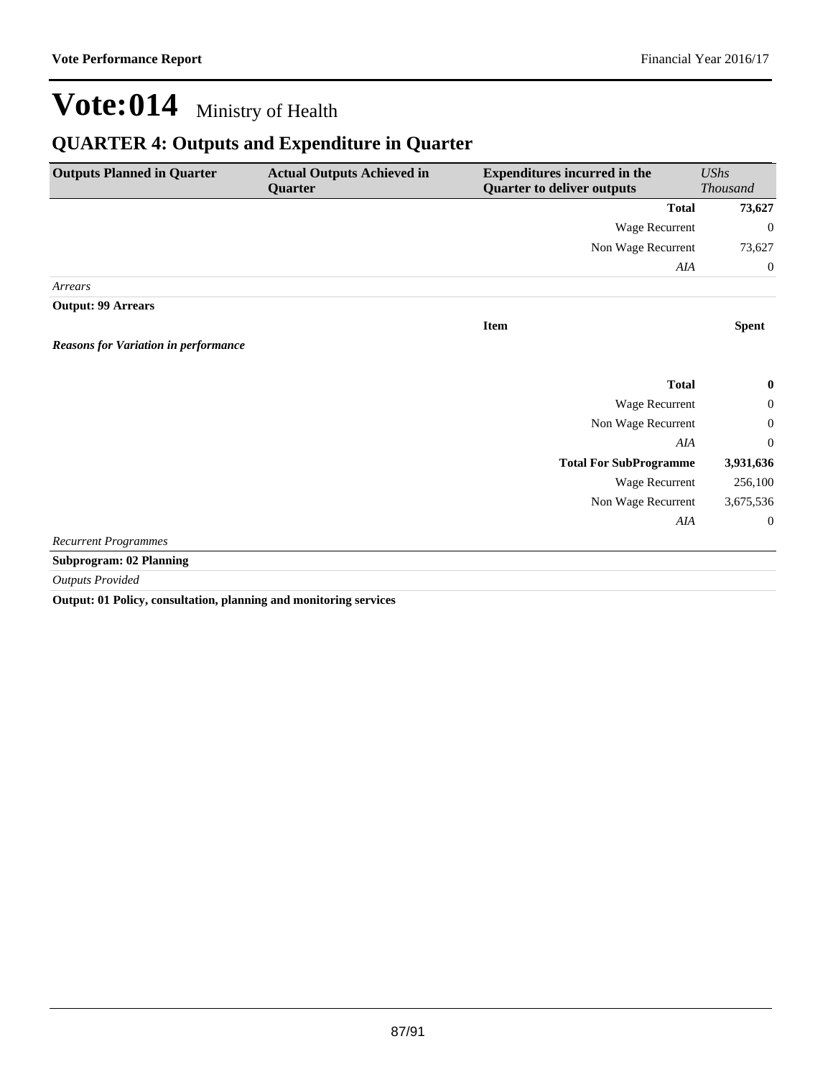### **QUARTER 4: Outputs and Expenditure in Quarter**

| <b>Outputs Planned in Quarter</b>           | <b>Actual Outputs Achieved in</b><br>Quarter | <b>Expenditures incurred in the</b><br><b>Quarter to deliver outputs</b> | <b>UShs</b><br><b>Thousand</b> |
|---------------------------------------------|----------------------------------------------|--------------------------------------------------------------------------|--------------------------------|
|                                             |                                              | <b>Total</b>                                                             | 73,627                         |
|                                             |                                              | Wage Recurrent                                                           | $\theta$                       |
|                                             |                                              | Non Wage Recurrent                                                       | 73,627                         |
|                                             |                                              | AIA                                                                      | $\boldsymbol{0}$               |
| Arrears                                     |                                              |                                                                          |                                |
| <b>Output: 99 Arrears</b>                   |                                              |                                                                          |                                |
|                                             |                                              | <b>Item</b>                                                              | <b>Spent</b>                   |
| <b>Reasons for Variation in performance</b> |                                              |                                                                          |                                |
|                                             |                                              | <b>Total</b>                                                             | $\bf{0}$                       |
|                                             |                                              | Wage Recurrent                                                           | $\mathbf{0}$                   |
|                                             |                                              | Non Wage Recurrent                                                       | $\mathbf{0}$                   |
|                                             |                                              | AIA                                                                      | $\theta$                       |
|                                             |                                              | <b>Total For SubProgramme</b>                                            | 3,931,636                      |
|                                             |                                              | Wage Recurrent                                                           | 256,100                        |
|                                             |                                              | Non Wage Recurrent                                                       | 3,675,536                      |
|                                             |                                              | AIA                                                                      | $\boldsymbol{0}$               |
| <b>Recurrent Programmes</b>                 |                                              |                                                                          |                                |
| <b>Subprogram: 02 Planning</b>              |                                              |                                                                          |                                |
| <b>Outputs Provided</b>                     |                                              |                                                                          |                                |

**Output: 01 Policy, consultation, planning and monitoring services**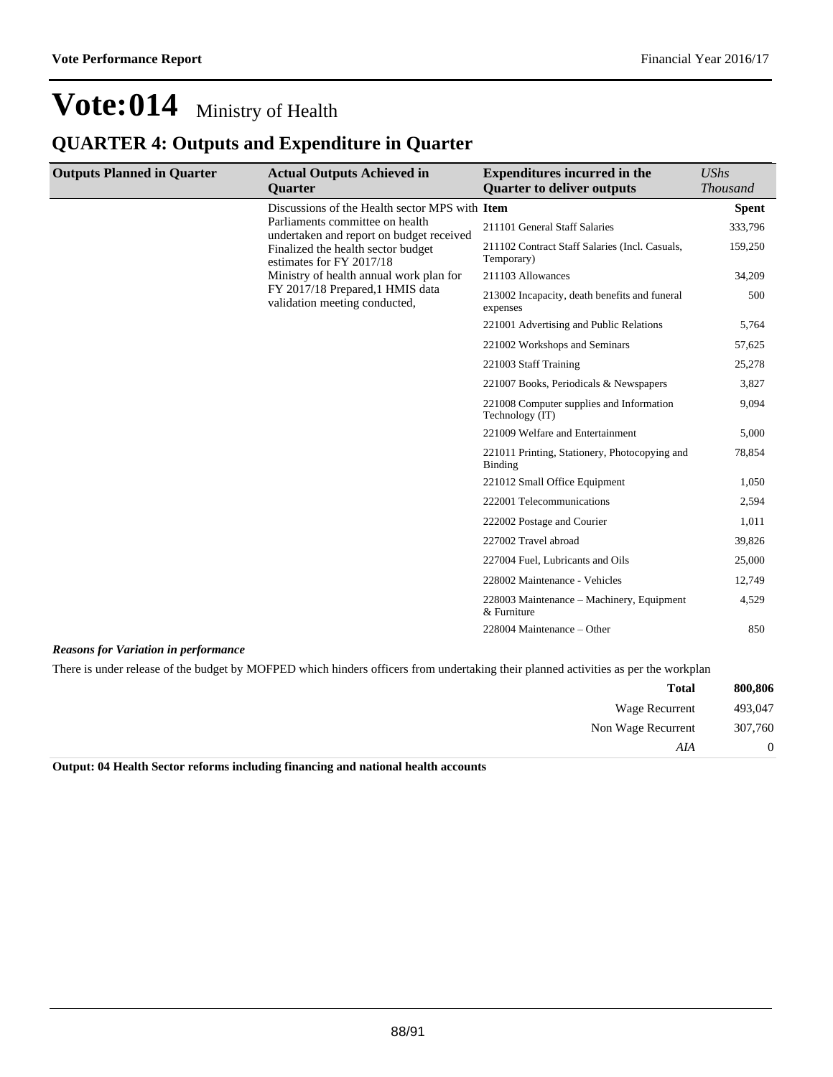### **QUARTER 4: Outputs and Expenditure in Quarter**

| <b>Outputs Planned in Quarter</b> | <b>Actual Outputs Achieved in</b><br><b>Quarter</b>                                                                                                                                                                                                           | <b>Expenditures incurred in the</b><br><b>Quarter to deliver outputs</b> | <b>UShs</b><br><b>Thousand</b> |
|-----------------------------------|---------------------------------------------------------------------------------------------------------------------------------------------------------------------------------------------------------------------------------------------------------------|--------------------------------------------------------------------------|--------------------------------|
|                                   | Discussions of the Health sector MPS with Item                                                                                                                                                                                                                |                                                                          | <b>Spent</b>                   |
|                                   | Parliaments committee on health<br>undertaken and report on budget received<br>Finalized the health sector budget<br>estimates for FY 2017/18<br>Ministry of health annual work plan for<br>FY 2017/18 Prepared, 1 HMIS data<br>validation meeting conducted, | 211101 General Staff Salaries                                            | 333,796                        |
|                                   |                                                                                                                                                                                                                                                               | 211102 Contract Staff Salaries (Incl. Casuals,<br>Temporary)             | 159,250                        |
|                                   |                                                                                                                                                                                                                                                               | 211103 Allowances                                                        | 34,209                         |
|                                   |                                                                                                                                                                                                                                                               | 213002 Incapacity, death benefits and funeral<br>expenses                | 500                            |
|                                   |                                                                                                                                                                                                                                                               | 221001 Advertising and Public Relations                                  | 5,764                          |
|                                   |                                                                                                                                                                                                                                                               | 221002 Workshops and Seminars                                            | 57,625                         |
|                                   |                                                                                                                                                                                                                                                               | 221003 Staff Training                                                    | 25,278                         |
|                                   |                                                                                                                                                                                                                                                               | 221007 Books, Periodicals & Newspapers                                   | 3,827                          |
|                                   |                                                                                                                                                                                                                                                               | 221008 Computer supplies and Information<br>Technology (IT)              | 9,094                          |
|                                   |                                                                                                                                                                                                                                                               | 221009 Welfare and Entertainment                                         | 5,000                          |
|                                   |                                                                                                                                                                                                                                                               | 221011 Printing, Stationery, Photocopying and<br><b>Binding</b>          | 78,854                         |
|                                   |                                                                                                                                                                                                                                                               | 221012 Small Office Equipment                                            | 1,050                          |
|                                   |                                                                                                                                                                                                                                                               | 222001 Telecommunications                                                | 2,594                          |
|                                   |                                                                                                                                                                                                                                                               | 222002 Postage and Courier                                               | 1,011                          |
|                                   |                                                                                                                                                                                                                                                               | 227002 Travel abroad                                                     | 39,826                         |
|                                   |                                                                                                                                                                                                                                                               | 227004 Fuel, Lubricants and Oils                                         | 25,000                         |
|                                   |                                                                                                                                                                                                                                                               | 228002 Maintenance - Vehicles                                            | 12,749                         |
|                                   |                                                                                                                                                                                                                                                               | 228003 Maintenance – Machinery, Equipment<br>& Furniture                 | 4,529                          |
|                                   |                                                                                                                                                                                                                                                               | 228004 Maintenance – Other                                               | 850                            |

#### *Reasons for Variation in performance*

There is under release of the budget by MOFPED which hinders officers from undertaking their planned activities as per the workplan

| 800,806        | <b>Total</b>          |
|----------------|-----------------------|
| 493,047        | <b>Wage Recurrent</b> |
| 307,760        | Non Wage Recurrent    |
| $\overline{0}$ | AIA                   |

**Output: 04 Health Sector reforms including financing and national health accounts**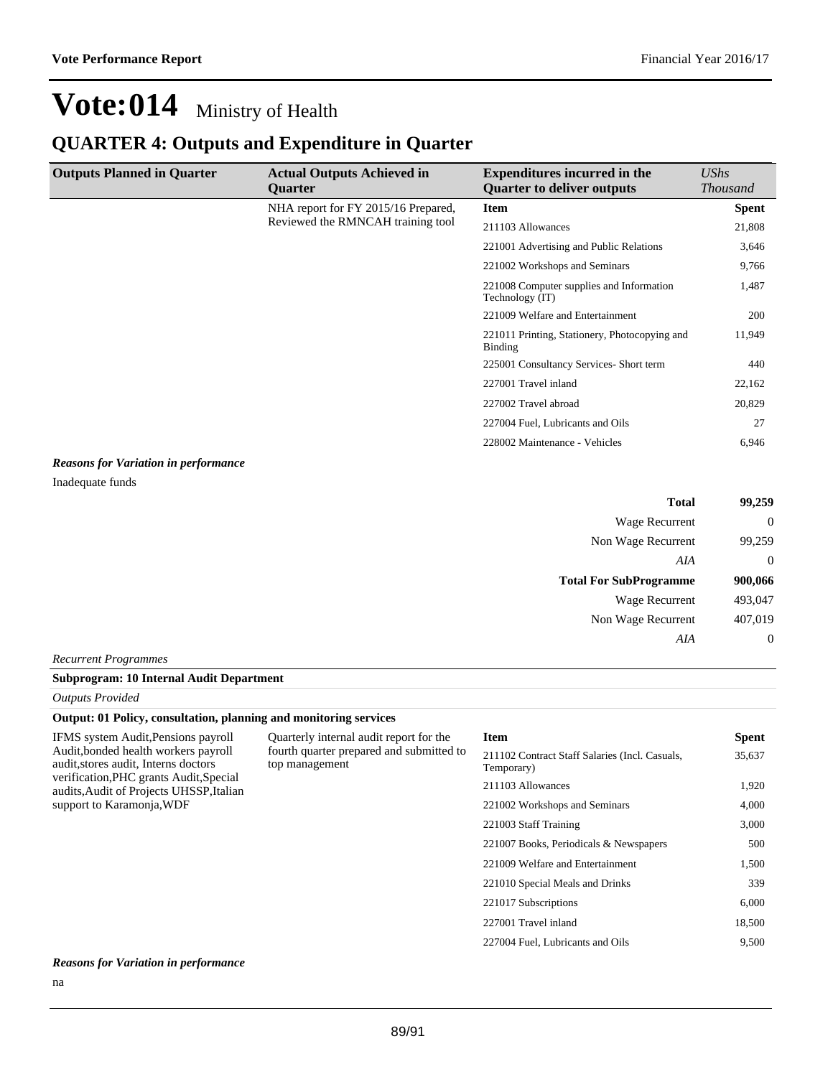### **QUARTER 4: Outputs and Expenditure in Quarter**

| <b>Outputs Planned in Quarter</b>           | <b>Actual Outputs Achieved in</b><br><b>Ouarter</b> | <b>Expenditures incurred in the</b><br><b>Quarter to deliver outputs</b> | <b>UShs</b><br><b>Thousand</b> |
|---------------------------------------------|-----------------------------------------------------|--------------------------------------------------------------------------|--------------------------------|
|                                             | NHA report for FY 2015/16 Prepared,                 | <b>Item</b>                                                              | <b>Spent</b>                   |
|                                             | Reviewed the RMNCAH training tool                   | 211103 Allowances                                                        | 21,808                         |
|                                             |                                                     | 221001 Advertising and Public Relations                                  | 3,646                          |
|                                             |                                                     | 221002 Workshops and Seminars                                            | 9,766                          |
|                                             |                                                     | 221008 Computer supplies and Information<br>Technology (IT)              | 1,487                          |
|                                             |                                                     | 221009 Welfare and Entertainment                                         | 200                            |
|                                             |                                                     | 221011 Printing, Stationery, Photocopying and<br>Binding                 | 11,949                         |
|                                             |                                                     | 225001 Consultancy Services- Short term                                  | 440                            |
|                                             |                                                     | 227001 Travel inland                                                     | 22,162                         |
|                                             |                                                     | 227002 Travel abroad                                                     | 20,829                         |
|                                             |                                                     | 227004 Fuel, Lubricants and Oils                                         | 27                             |
|                                             |                                                     | 228002 Maintenance - Vehicles                                            | 6,946                          |
| <b>Reasons for Variation in performance</b> |                                                     |                                                                          |                                |
| Inadequate funds                            |                                                     |                                                                          |                                |

| <b>Total</b>                  | 99,259           |
|-------------------------------|------------------|
| <b>Wage Recurrent</b>         | $\theta$         |
| Non Wage Recurrent            | 99,259           |
| AIA                           | $\mathbf 0$      |
| <b>Total For SubProgramme</b> | 900,066          |
| <b>Wage Recurrent</b>         | 493,047          |
| Non Wage Recurrent            | 407,019          |
| AIA                           | $\boldsymbol{0}$ |
| <b>Recurrent Programmes</b>   |                  |

#### **Subprogram: 10 Internal Audit Department**

*Outputs Provided*

#### **Output: 01 Policy, consultation, planning and monitoring services**

| IFMS system Audit, Pensions payroll      |
|------------------------------------------|
| Audit, bonded health workers payroll     |
| audit, stores audit, Interns doctors     |
| verification, PHC grants Audit, Special  |
| audits, Audit of Projects UHSSP, Italian |
| support to Karamonja, WDF                |

Quarterly internal audit report for the fourth quarter prepared and submitted to top management

| <b>Item</b>                                                  | <b>Spent</b> |
|--------------------------------------------------------------|--------------|
| 211102 Contract Staff Salaries (Incl. Casuals,<br>Temporary) | 35,637       |
| 211103 Allowances                                            | 1,920        |
| 221002 Workshops and Seminars                                | 4,000        |
| 221003 Staff Training                                        | 3,000        |
| 221007 Books, Periodicals & Newspapers                       | 500          |
| 221009 Welfare and Entertainment                             | 1,500        |
| 221010 Special Meals and Drinks                              | 339          |
| 221017 Subscriptions                                         | 6.000        |
| 227001 Travel inland                                         | 18,500       |
| 227004 Fuel, Lubricants and Oils                             | 9.500        |

#### *Reasons for Variation in performance*

na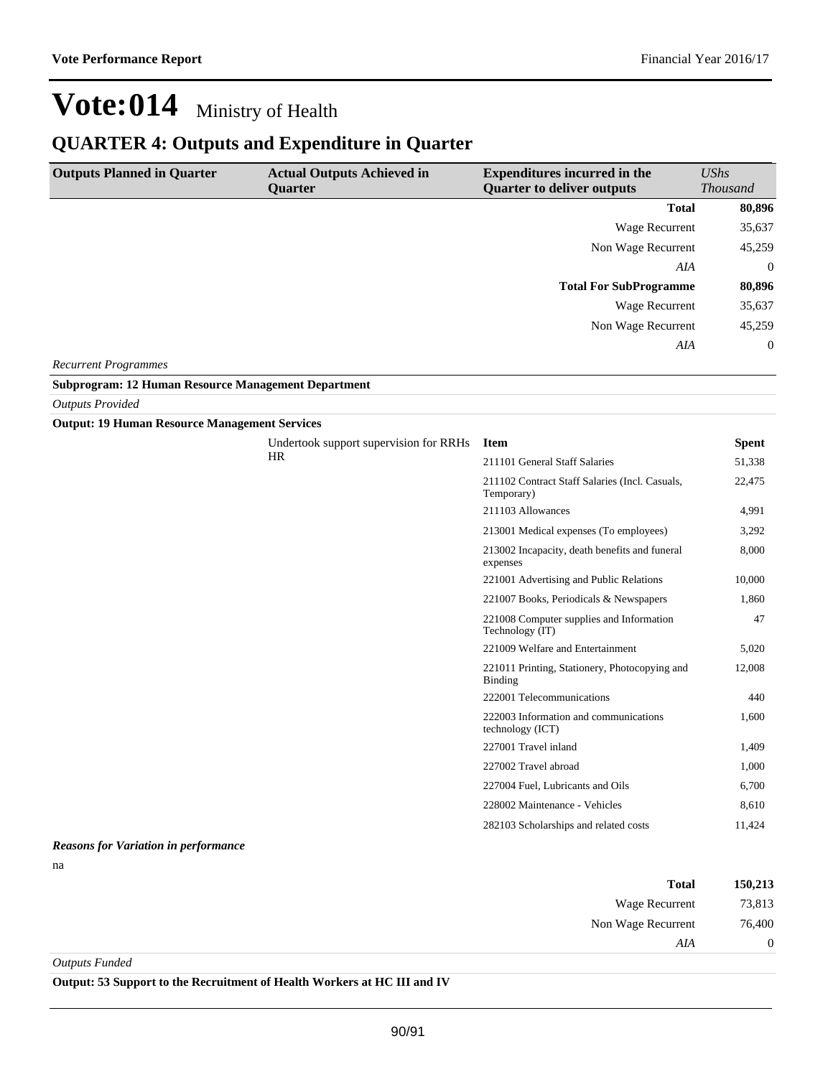### **QUARTER 4: Outputs and Expenditure in Quarter**

| <b>Outputs Planned in Quarter</b>                          | <b>Actual Outputs Achieved in</b> | <b>Expenditures incurred in the</b> | UShs            |
|------------------------------------------------------------|-----------------------------------|-------------------------------------|-----------------|
|                                                            | <b>Ouarter</b>                    | <b>Quarter to deliver outputs</b>   | <b>Thousand</b> |
|                                                            |                                   | <b>Total</b>                        | 80,896          |
|                                                            |                                   | Wage Recurrent                      | 35,637          |
|                                                            |                                   | Non Wage Recurrent                  | 45,259          |
|                                                            |                                   | AIA                                 | $\Omega$        |
|                                                            |                                   | <b>Total For SubProgramme</b>       | 80,896          |
|                                                            |                                   | Wage Recurrent                      | 35,637          |
|                                                            |                                   | Non Wage Recurrent                  | 45,259          |
|                                                            |                                   | AIA                                 | $\overline{0}$  |
| <b>Recurrent Programmes</b>                                |                                   |                                     |                 |
| <b>Subprogram: 12 Human Resource Management Department</b> |                                   |                                     |                 |

*Outputs Provided*

**Output: 19 Human Resource Management Services**

|                                 | Undertook support supervision for RRHs<br><b>HR</b> | <b>Item</b>                                                     | <b>Spent</b> |
|---------------------------------|-----------------------------------------------------|-----------------------------------------------------------------|--------------|
|                                 |                                                     | 211101 General Staff Salaries                                   | 51,338       |
|                                 |                                                     | 211102 Contract Staff Salaries (Incl. Casuals,<br>Temporary)    | 22,475       |
|                                 |                                                     | 211103 Allowances                                               | 4,991        |
|                                 |                                                     | 213001 Medical expenses (To employees)                          | 3,292        |
|                                 |                                                     | 213002 Incapacity, death benefits and funeral<br>expenses       | 8,000        |
|                                 |                                                     | 221001 Advertising and Public Relations                         | 10,000       |
|                                 |                                                     | 221007 Books, Periodicals & Newspapers                          | 1,860        |
|                                 |                                                     | 221008 Computer supplies and Information<br>Technology (IT)     | 47           |
|                                 |                                                     | 221009 Welfare and Entertainment                                | 5,020        |
|                                 |                                                     | 221011 Printing, Stationery, Photocopying and<br><b>Binding</b> | 12,008       |
|                                 |                                                     | 222001 Telecommunications                                       | 440          |
|                                 |                                                     | 222003 Information and communications<br>technology (ICT)       | 1,600        |
|                                 |                                                     | 227001 Travel inland                                            | 1,409        |
|                                 |                                                     | 227002 Travel abroad                                            | 1,000        |
|                                 |                                                     | 227004 Fuel, Lubricants and Oils                                | 6,700        |
|                                 |                                                     | 228002 Maintenance - Vehicles                                   | 8,610        |
|                                 |                                                     | 282103 Scholarships and related costs                           | 11,424       |
| ns for Variation in nerformance |                                                     |                                                                 |              |

#### *Reasons for Variation in performance*

na

| 150,213        | <b>Total</b>       |
|----------------|--------------------|
| 73,813         | Wage Recurrent     |
| 76,400         | Non Wage Recurrent |
| $\overline{0}$ | AIA                |
|                |                    |

*Outputs Funded*

**Output: 53 Support to the Recruitment of Health Workers at HC III and IV**